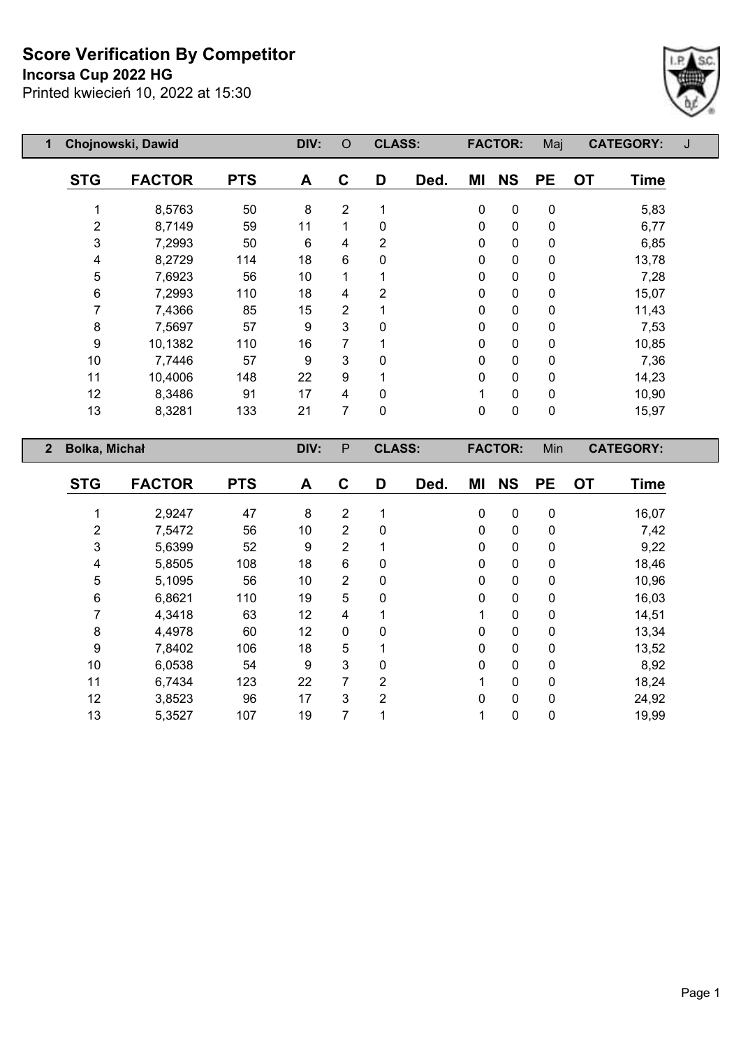**Incorsa Cup 2022 HG**



| 1              | Chojnowski, Dawid    |               |            | DIV: | $\circ$          | <b>CLASS:</b>  |      |             | <b>FACTOR:</b> | Maj         | <b>CATEGORY:</b>         | J |
|----------------|----------------------|---------------|------------|------|------------------|----------------|------|-------------|----------------|-------------|--------------------------|---|
|                | <b>STG</b>           | <b>FACTOR</b> | <b>PTS</b> | A    | C                | D              | Ded. | ΜI          | <b>NS</b>      | <b>PE</b>   | <b>OT</b><br><b>Time</b> |   |
|                |                      | 8,5763        | 50         | 8    | $\overline{2}$   |                |      | 0           | $\mathbf 0$    | $\mathbf 0$ | 5,83                     |   |
|                | 2                    | 8,7149        | 59         | 11   | 1                | 0              |      | 0           | 0              | 0           | 6,77                     |   |
|                | 3                    | 7,2993        | 50         | 6    | 4                | $\overline{2}$ |      | 0           | $\mathbf 0$    | $\mathbf 0$ | 6,85                     |   |
|                | 4                    | 8,2729        | 114        | 18   | $6\phantom{1}$   | 0              |      | 0           | $\mathbf 0$    | 0           | 13,78                    |   |
|                | 5                    | 7,6923        | 56         | 10   | 1                |                |      | 0           | $\mathbf 0$    | $\mathbf 0$ | 7,28                     |   |
|                | 6                    | 7,2993        | 110        | 18   | 4                | 2              |      | 0           | $\mathbf 0$    | 0           | 15,07                    |   |
|                | 7                    | 7,4366        | 85         | 15   | $\overline{2}$   | 1              |      | $\mathbf 0$ | $\mathbf 0$    | $\mathbf 0$ | 11,43                    |   |
|                | 8                    | 7,5697        | 57         | 9    | 3                | 0              |      | 0           | 0              | 0           | 7,53                     |   |
|                | 9                    | 10,1382       | 110        | 16   | 7                |                |      | 0           | $\mathbf 0$    | 0           | 10,85                    |   |
|                | 10                   | 7,7446        | 57         | 9    | 3                | 0              |      | 0           | $\mathbf 0$    | 0           | 7,36                     |   |
|                | 11                   | 10,4006       | 148        | 22   | $\boldsymbol{9}$ |                |      | 0           | $\mathbf 0$    | $\mathbf 0$ | 14,23                    |   |
|                | 12                   | 8,3486        | 91         | 17   | 4                | 0              |      | 1           | $\mathbf 0$    | $\mathbf 0$ | 10,90                    |   |
|                | 13                   | 8,3281        | 133        | 21   | 7                | $\mathbf 0$    |      | 0           | $\mathbf 0$    | $\pmb{0}$   | 15,97                    |   |
| $\overline{2}$ | <b>Bolka, Michał</b> |               |            | DIV: | ${\sf P}$        | <b>CLASS:</b>  |      |             | <b>FACTOR:</b> | Min         | <b>CATEGORY:</b>         |   |
|                |                      |               |            |      |                  |                |      |             |                |             |                          |   |

| <b>STG</b> | <b>FACTOR</b> | <b>PTS</b> | A  | C              | D              | Ded. | ΜI          | <b>NS</b> | <b>PE</b> | <b>OT</b> | <b>Time</b> |
|------------|---------------|------------|----|----------------|----------------|------|-------------|-----------|-----------|-----------|-------------|
|            | 2,9247        | 47         | 8  | $\overline{2}$ |                |      | 0           | 0         | 0         |           | 16,07       |
| 2          | 7,5472        | 56         | 10 | $\overline{2}$ | 0              |      | 0           | 0         | 0         |           | 7,42        |
| 3          | 5,6399        | 52         | 9  | $\overline{2}$ |                |      | 0           | 0         | 0         |           | 9,22        |
| 4          | 5,8505        | 108        | 18 | 6              | 0              |      | 0           | 0         | 0         |           | 18,46       |
| 5          | 5,1095        | 56         | 10 | $\overline{2}$ | 0              |      | $\mathbf 0$ | 0         | 0         |           | 10,96       |
| 6          | 6,8621        | 110        | 19 | 5              | 0              |      | 0           | 0         | 0         |           | 16,03       |
| 7          | 4,3418        | 63         | 12 | 4              | 1              |      | 1           | 0         | 0         |           | 14,51       |
| 8          | 4,4978        | 60         | 12 | $\mathbf 0$    | 0              |      | 0           | 0         | 0         |           | 13,34       |
| 9          | 7,8402        | 106        | 18 | 5              | 4              |      | 0           | 0         | 0         |           | 13,52       |
| 10         | 6,0538        | 54         | 9  | 3              | 0              |      | 0           | 0         | 0         |           | 8,92        |
| 11         | 6,7434        | 123        | 22 | 7              | $\overline{2}$ |      | 1           | 0         | 0         |           | 18,24       |
| 12         | 3,8523        | 96         | 17 | 3              | $\overline{2}$ |      | 0           | 0         | $\Omega$  |           | 24,92       |
| 13         | 5,3527        | 107        | 19 | 7              |                |      | 1           | 0         | 0         |           | 19,99       |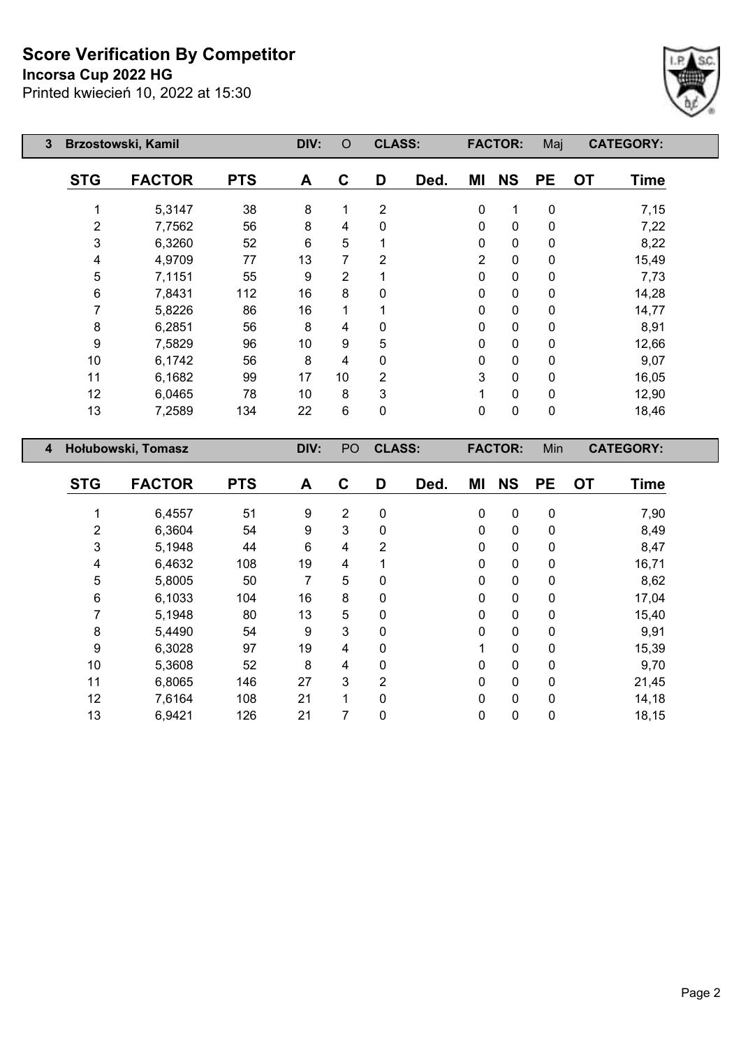## **Incorsa Cup 2022 HG**



| $\mathbf{3}$   | Brzostowski, Kamil |               |            | DIV: | O  | <b>CLASS:</b>  |      |             | <b>FACTOR:</b> | Maj         |           | <b>CATEGORY:</b> |
|----------------|--------------------|---------------|------------|------|----|----------------|------|-------------|----------------|-------------|-----------|------------------|
|                | <b>STG</b>         | <b>FACTOR</b> | <b>PTS</b> | A    | C  | D              | Ded. | ΜI          | <b>NS</b>      | <b>PE</b>   | <b>OT</b> | <b>Time</b>      |
|                |                    | 5,3147        | 38         | 8    |    | $\overline{2}$ |      | $\mathbf 0$ | 1              | $\mathbf 0$ |           | 7,15             |
|                | 2                  | 7,7562        | 56         | 8    | 4  | 0              |      | 0           | $\mathbf 0$    | 0           |           | 7,22             |
|                | 3                  | 6,3260        | 52         | 6    | 5  |                |      | 0           | $\mathbf 0$    | 0           |           | 8,22             |
|                | 4                  | 4,9709        | 77         | 13   | 7  | 2              |      | 2           | $\mathbf 0$    | 0           |           | 15,49            |
|                | 5                  | 7,1151        | 55         | 9    | 2  |                |      | 0           | $\mathbf 0$    | $\mathbf 0$ |           | 7,73             |
|                | 6                  | 7,8431        | 112        | 16   | 8  | 0              |      | 0           | $\mathbf 0$    | 0           |           | 14,28            |
|                |                    | 5,8226        | 86         | 16   |    |                |      | 0           | $\mathbf 0$    | 0           |           | 14,77            |
|                | 8                  | 6,2851        | 56         | 8    | 4  | 0              |      | 0           | $\mathbf 0$    | 0           |           | 8,91             |
|                | 9                  | 7,5829        | 96         | 10   | 9  | 5              |      | 0           | $\mathbf 0$    | 0           |           | 12,66            |
|                | 10                 | 6,1742        | 56         | 8    | 4  | 0              |      | 0           | $\mathbf 0$    | 0           |           | 9,07             |
|                | 11                 | 6,1682        | 99         | 17   | 10 | 2              |      | 3           | 0              | 0           |           | 16,05            |
|                | 12                 | 6,0465        | 78         | 10   | 8  | 3              |      | 1           | 0              | 0           |           | 12,90            |
|                | 13                 | 7,2589        | 134        | 22   | 6  | 0              |      | 0           | $\mathbf 0$    | $\pmb{0}$   |           | 18,46            |
| $\overline{4}$ | Hołubowski, Tomasz |               |            | DIV: | PO | <b>CLASS:</b>  |      |             | <b>FACTOR:</b> | Min         |           | <b>CATEGORY:</b> |

| <b>STG</b> | <b>FACTOR</b> | <b>PTS</b> | A  | C | D              | Ded. | ΜI           | <b>NS</b>    | <b>PE</b>    | <b>OT</b> | <b>Time</b> |
|------------|---------------|------------|----|---|----------------|------|--------------|--------------|--------------|-----------|-------------|
|            |               |            |    |   |                |      |              |              |              |           |             |
|            | 6,4557        | 51         | 9  | 2 | 0              |      | 0            | $\mathbf 0$  | 0            |           | 7,90        |
| 2          | 6,3604        | 54         | 9  | 3 | 0              |      | $\mathbf 0$  | $\mathbf 0$  | 0            |           | 8,49        |
| 3          | 5,1948        | 44         | 6  | 4 | 2              |      | 0            | $\mathbf 0$  | 0            |           | 8,47        |
| 4          | 6,4632        | 108        | 19 | 4 | 1              |      | $\mathbf{0}$ | $\mathbf 0$  | 0            |           | 16,71       |
| 5          | 5,8005        | 50         | 7  | 5 | 0              |      | 0            | $\mathbf 0$  | 0            |           | 8,62        |
| 6          | 6,1033        | 104        | 16 | 8 | 0              |      | 0            | $\mathbf 0$  | $\mathbf{0}$ |           | 17,04       |
| 7          | 5,1948        | 80         | 13 | 5 | 0              |      | 0            | $\mathbf 0$  | 0            |           | 15,40       |
| 8          | 5,4490        | 54         | 9  | 3 | 0              |      | 0            | $\mathbf{0}$ | $\mathbf{0}$ |           | 9,91        |
| 9          | 6,3028        | 97         | 19 | 4 | 0              |      |              | $\mathbf 0$  | 0            |           | 15,39       |
| 10         | 5,3608        | 52         | 8  | 4 | 0              |      | 0            | $\mathbf 0$  | 0            |           | 9,70        |
| 11         | 6,8065        | 146        | 27 | 3 | $\overline{2}$ |      | 0            | $\mathbf 0$  | 0            |           | 21,45       |
| 12         | 7,6164        | 108        | 21 | 1 | 0              |      | 0            | $\mathbf 0$  | $\mathbf 0$  |           | 14,18       |
| 13         | 6,9421        | 126        | 21 | 7 | 0              |      | 0            | $\mathbf 0$  | 0            |           | 18,15       |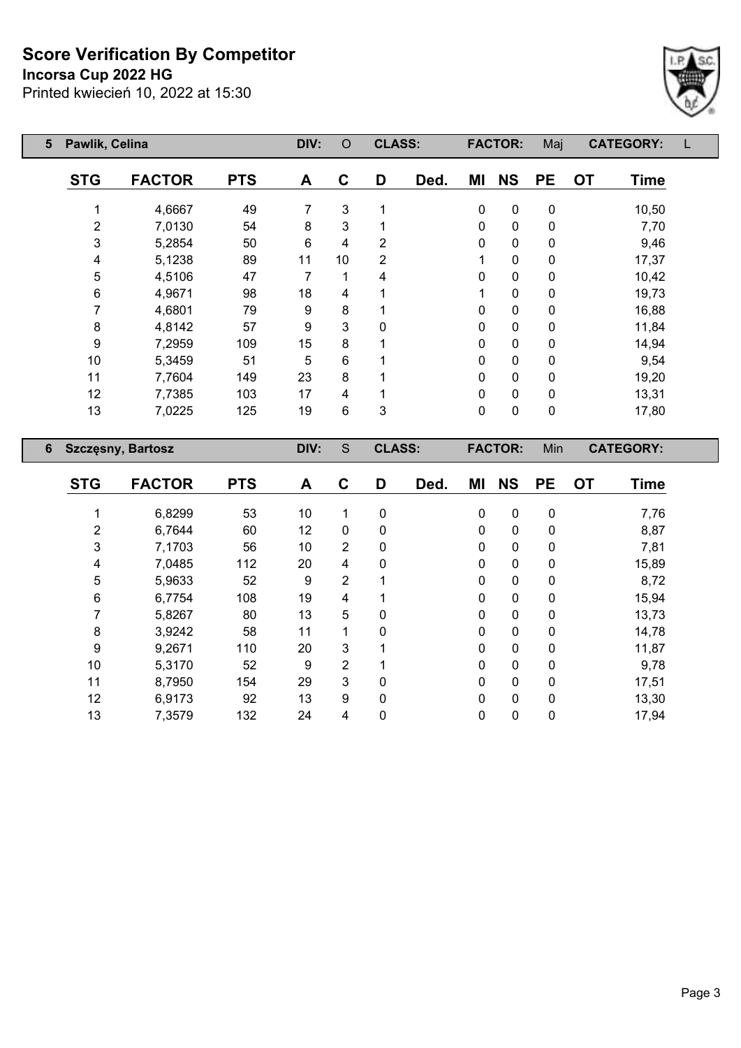**Incorsa Cup 2022 HG**



| 5 | Pawlik, Celina           |               | DIV:       | $\circ$        | <b>CLASS:</b>  |                |      | <b>FACTOR:</b> | Maj            | <b>CATEGORY:</b> |                          |  |
|---|--------------------------|---------------|------------|----------------|----------------|----------------|------|----------------|----------------|------------------|--------------------------|--|
|   | <b>STG</b>               | <b>FACTOR</b> | <b>PTS</b> | A              | $\mathbf c$    | D              | Ded. | ΜI             | <b>NS</b>      | <b>PE</b>        | <b>OT</b><br><b>Time</b> |  |
|   |                          | 4,6667        | 49         | 7              | 3              |                |      | 0              | $\mathbf 0$    | $\mathbf 0$      | 10,50                    |  |
|   | $\overline{2}$           | 7,0130        | 54         | 8              | 3              |                |      | 0              | $\mathbf 0$    | 0                | 7,70                     |  |
|   | $\mathfrak{S}$           | 5,2854        | 50         | $6\phantom{1}$ | 4              | 2              |      | 0              | 0              | 0                | 9,46                     |  |
|   | 4                        | 5,1238        | 89         | 11             | 10             | $\overline{2}$ |      | 1              | 0              | 0                | 17,37                    |  |
|   | 5                        | 4,5106        | 47         | 7              | 1              | 4              |      | 0              | 0              | $\mathbf{0}$     | 10,42                    |  |
|   | 6                        | 4,9671        | 98         | 18             | 4              |                |      | 1              | $\mathbf{0}$   | $\mathbf{0}$     | 19,73                    |  |
|   | 7                        | 4,6801        | 79         | 9              | 8              |                |      | 0              | $\mathbf 0$    | $\mathbf{0}$     | 16,88                    |  |
|   | 8                        | 4,8142        | 57         | 9              | 3              | $\Omega$       |      | 0              | $\mathbf{0}$   | $\mathbf{0}$     | 11,84                    |  |
|   | 9                        | 7,2959        | 109        | 15             | 8              |                |      | 0              | $\mathbf{0}$   | 0                | 14,94                    |  |
|   | 10                       | 5,3459        | 51         | 5              | $6\phantom{1}$ |                |      | 0              | $\mathbf 0$    | 0                | 9,54                     |  |
|   | 11                       | 7,7604        | 149        | 23             | 8              |                |      | 0              | $\mathbf 0$    | 0                | 19,20                    |  |
|   | 12                       | 7,7385        | 103        | 17             | 4              |                |      | 0              | $\mathbf 0$    | 0                | 13,31                    |  |
|   | 13                       | 7,0225        | 125        | 19             | $6\phantom{1}$ | 3              |      | 0              | $\mathbf 0$    | $\mathbf 0$      | 17,80                    |  |
| 6 | <b>Szczęsny, Bartosz</b> |               |            | DIV:           | S              | <b>CLASS:</b>  |      |                | <b>FACTOR:</b> | Min              | <b>CATEGORY:</b>         |  |

| <b>STG</b> | <b>FACTOR</b> | <b>PTS</b> | A  | C              | D            | Ded. | ΜI           | <b>NS</b> | <b>PE</b>   | <b>OT</b> | <b>Time</b> |
|------------|---------------|------------|----|----------------|--------------|------|--------------|-----------|-------------|-----------|-------------|
|            |               |            |    |                |              |      |              |           |             |           |             |
|            | 6,8299        | 53         | 10 | $\mathbf 1$    | 0            |      | 0            | 0         | $\mathbf 0$ |           | 7,76        |
| 2          | 6,7644        | 60         | 12 | 0              | 0            |      | 0            | 0         | 0           |           | 8,87        |
| 3          | 7,1703        | 56         | 10 | $\overline{2}$ | 0            |      | 0            | 0         | 0           |           | 7,81        |
| 4          | 7,0485        | 112        | 20 | 4              | 0            |      | 0            | 0         | 0           |           | 15,89       |
| 5          | 5,9633        | 52         | 9  | 2              |              |      | 0            | 0         | 0           |           | 8,72        |
| 6          | 6,7754        | 108        | 19 | 4              | 1            |      | 0            | $\pmb{0}$ | 0           |           | 15,94       |
|            | 5,8267        | 80         | 13 | 5              | 0            |      | 0            | 0         | 0           |           | 13,73       |
| 8          | 3,9242        | 58         | 11 | 1              | $\mathbf{0}$ |      | $\mathbf{0}$ | 0         | 0           |           | 14,78       |
| 9          | 9,2671        | 110        | 20 | 3              |              |      | 0            | 0         | 0           |           | 11,87       |
| 10         | 5,3170        | 52         | 9  | $\overline{2}$ |              |      | 0            | 0         | 0           |           | 9,78        |
| 11         | 8,7950        | 154        | 29 | 3              | 0            |      | 0            | 0         | 0           |           | 17,51       |
| 12         | 6,9173        | 92         | 13 | 9              | 0            |      | 0            | 0         | 0           |           | 13,30       |
| 13         | 7,3579        | 132        | 24 | 4              | 0            |      | 0            | 0         | 0           |           | 17,94       |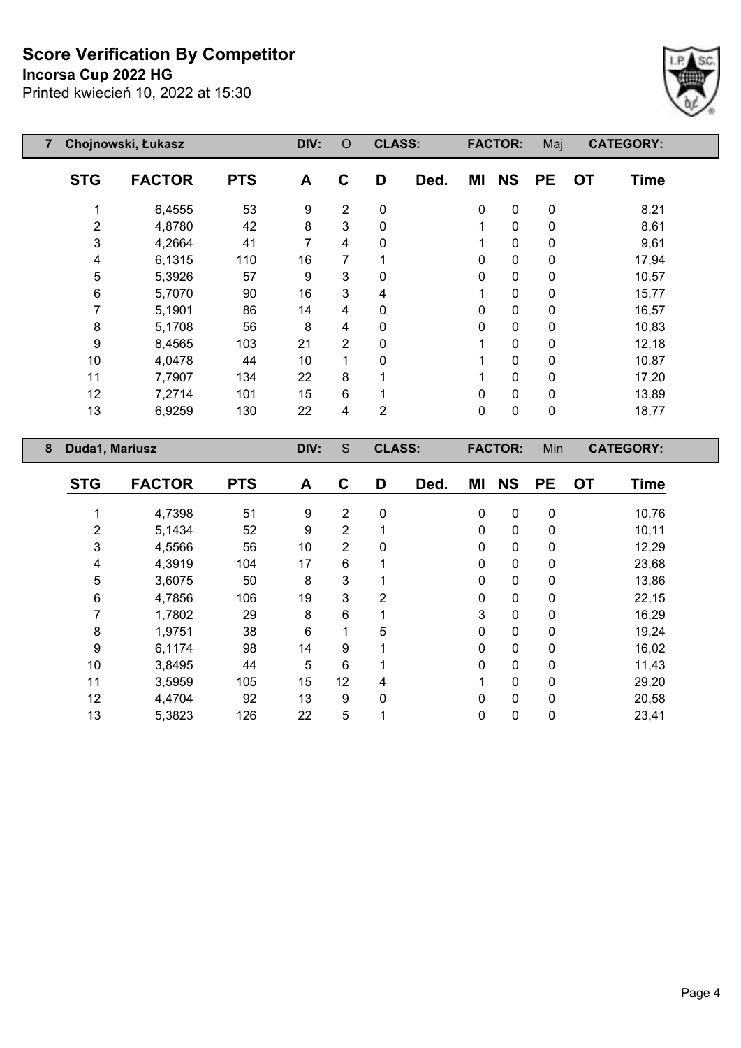#### **Incorsa Cup 2022 HG**



| 7 | Chojnowski, Łukasz |               |            | DIV: | $\circ$ | <b>CLASS:</b>  |      |           | <b>FACTOR:</b> | Maj       |           | <b>CATEGORY:</b> |
|---|--------------------|---------------|------------|------|---------|----------------|------|-----------|----------------|-----------|-----------|------------------|
|   | <b>STG</b>         | <b>FACTOR</b> | <b>PTS</b> | A    | C       | D              | Ded. | ΜI        | <b>NS</b>      | <b>PE</b> | <b>OT</b> | <b>Time</b>      |
|   |                    | 6,4555        | 53         | 9    | 2       | 0              |      | $\pmb{0}$ | $\mathbf 0$    | 0         |           | 8,21             |
|   | 2                  | 4,8780        | 42         | 8    | 3       | $\mathbf{0}$   |      | 1         | 0              | 0         |           | 8,61             |
|   | 3                  | 4,2664        | 41         | 7    | 4       | $\mathbf{0}$   |      | 1         | 0              | 0         |           | 9,61             |
|   | 4                  | 6,1315        | 110        | 16   | 7       |                |      | 0         | 0              | 0         |           | 17,94            |
|   | 5                  | 5,3926        | 57         | 9    | 3       | $\mathbf{0}$   |      | 0         | 0              | 0         |           | 10,57            |
|   | 6                  | 5,7070        | 90         | 16   | 3       | 4              |      | 1         | 0              | 0         |           | 15,77            |
|   | 7                  | 5,1901        | 86         | 14   | 4       | 0              |      | 0         | 0              | 0         |           | 16,57            |
|   | 8                  | 5,1708        | 56         | 8    | 4       | 0              |      | 0         | 0              | 0         |           | 10,83            |
|   | 9                  | 8,4565        | 103        | 21   | 2       | 0              |      | 1         | 0              | 0         |           | 12,18            |
|   | 10                 | 4,0478        | 44         | 10   | 1       | 0              |      | 1         | 0              | 0         |           | 10,87            |
|   | 11                 | 7,7907        | 134        | 22   | 8       |                |      | 1         | 0              | 0         |           | 17,20            |
|   | 12                 | 7,2714        | 101        | 15   | 6       |                |      | 0         | 0              | 0         |           | 13,89            |
|   | 13                 | 6,9259        | 130        | 22   | 4       | $\overline{2}$ |      | 0         | 0              | 0         |           | 18,77            |
| 8 | Duda1, Mariusz     |               |            | DIV: | S       | <b>CLASS:</b>  |      |           | <b>FACTOR:</b> | Min       |           | <b>CATEGORY:</b> |

| <b>STG</b> | <b>FACTOR</b> | <b>PTS</b> | A  | C              | D           | Ded. | ΜI           | <b>NS</b>   | <b>PE</b>    | <b>OT</b> | <b>Time</b> |
|------------|---------------|------------|----|----------------|-------------|------|--------------|-------------|--------------|-----------|-------------|
|            | 4,7398        | 51         | 9  | $\overline{2}$ | $\mathbf 0$ |      | $\mathbf 0$  | $\mathbf 0$ | 0            |           | 10,76       |
| 2          | 5,1434        | 52         | 9  | $\overline{2}$ |             |      | $\mathbf 0$  | $\mathbf 0$ | 0            |           | 10,11       |
| 3          | 4,5566        | 56         | 10 | $\overline{2}$ | $\mathbf 0$ |      | 0            | 0           | 0            |           | 12,29       |
| 4          | 4,3919        | 104        | 17 | 6              |             |      | 0            | 0           | 0            |           | 23,68       |
| 5          | 3,6075        | 50         | 8  | 3              |             |      | $\mathbf{0}$ | $\mathbf 0$ | $\mathbf{0}$ |           | 13,86       |
| 6          | 4,7856        | 106        | 19 | 3              | 2           |      | 0            | $\mathbf 0$ | $\mathbf 0$  |           | 22,15       |
| 7          | 1,7802        | 29         | 8  | 6              |             |      | 3            | $\mathbf 0$ | 0            |           | 16,29       |
| 8          | 1,9751        | 38         | 6  | 1              | 5           |      | 0            | 0           | 0            |           | 19,24       |
| 9          | 6,1174        | 98         | 14 | 9              |             |      | 0            | $\mathbf 0$ | $\mathbf 0$  |           | 16,02       |
| 10         | 3,8495        | 44         | 5  | 6              |             |      | 0            | $\mathbf 0$ | 0            |           | 11,43       |
| 11         | 3,5959        | 105        | 15 | 12             | 4           |      | 1            | 0           | 0            |           | 29,20       |
| 12         | 4,4704        | 92         | 13 | 9              | $\Omega$    |      | 0            | 0           | 0            |           | 20,58       |
| 13         | 5,3823        | 126        | 22 | 5              |             |      | 0            | 0           | 0            |           | 23,41       |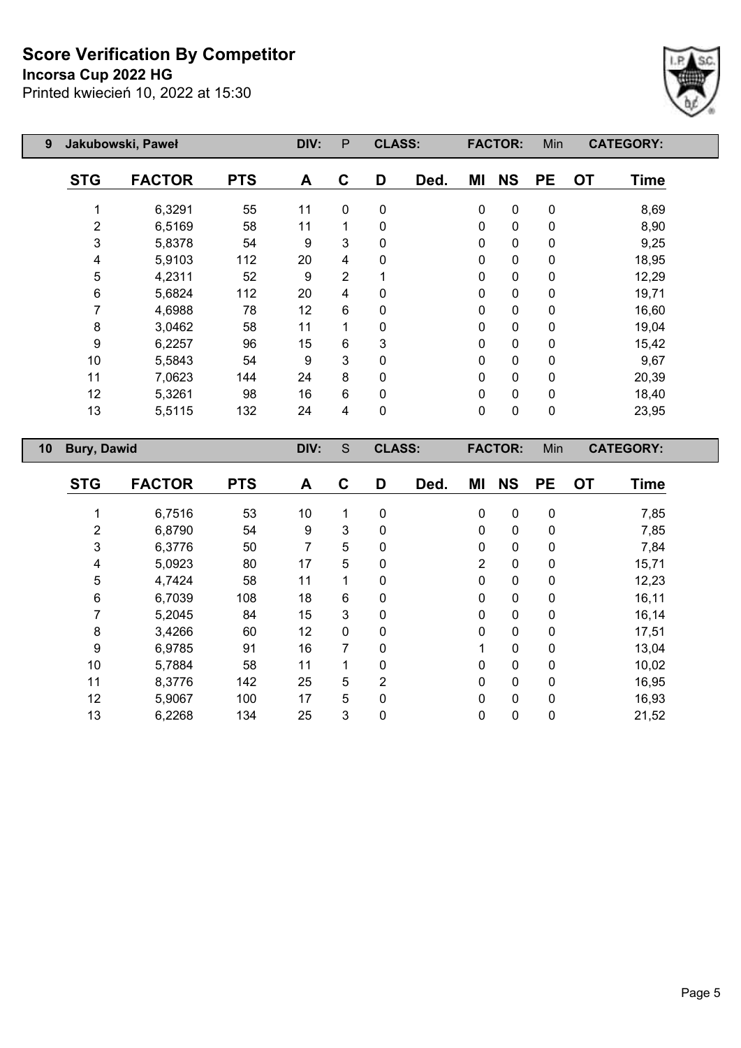## **Incorsa Cup 2022 HG**



| 9  | Jakubowski, Paweł  |               |            | DIV: | P              | <b>CLASS:</b> |      |             | <b>FACTOR:</b> | Min         |           | <b>CATEGORY:</b> |
|----|--------------------|---------------|------------|------|----------------|---------------|------|-------------|----------------|-------------|-----------|------------------|
|    | <b>STG</b>         | <b>FACTOR</b> | <b>PTS</b> | A    | C              | D             | Ded. | ΜI          | <b>NS</b>      | <b>PE</b>   | <b>OT</b> | <b>Time</b>      |
|    |                    | 6,3291        | 55         | 11   | $\mathbf{0}$   | 0             |      | 0           | $\pmb{0}$      | $\pmb{0}$   |           | 8,69             |
|    | 2                  | 6,5169        | 58         | 11   |                | 0             |      | 0           | $\mathbf 0$    | 0           |           | 8,90             |
|    | 3                  | 5,8378        | 54         | 9    | 3              | 0             |      | 0           | $\mathbf 0$    | $\mathbf 0$ |           | 9,25             |
|    | 4                  | 5,9103        | 112        | 20   | 4              | 0             |      | 0           | $\mathbf 0$    | $\pmb{0}$   |           | 18,95            |
|    | 5                  | 4,2311        | 52         | 9    | $\overline{2}$ |               |      | 0           | $\mathbf 0$    | $\pmb{0}$   |           | 12,29            |
|    | 6                  | 5,6824        | 112        | 20   | 4              | 0             |      | 0           | $\mathbf 0$    | $\pmb{0}$   |           | 19,71            |
|    |                    | 4,6988        | 78         | 12   | 6              | 0             |      | 0           | $\mathbf 0$    | $\pmb{0}$   |           | 16,60            |
|    | 8                  | 3,0462        | 58         | 11   |                | 0             |      | $\mathbf 0$ | $\mathbf 0$    | 0           |           | 19,04            |
|    | 9                  | 6,2257        | 96         | 15   | 6              | 3             |      | 0           | $\mathbf 0$    | 0           |           | 15,42            |
|    | 10                 | 5,5843        | 54         | 9    | 3              | 0             |      | 0           | $\pmb{0}$      | 0           |           | 9,67             |
|    | 11                 | 7,0623        | 144        | 24   | 8              | 0             |      | 0           | $\mathbf 0$    | 0           |           | 20,39            |
|    | 12                 | 5,3261        | 98         | 16   | 6              | 0             |      | 0           | $\mathbf 0$    | 0           |           | 18,40            |
|    | 13                 | 5,5115        | 132        | 24   | 4              | 0             |      | 0           | $\pmb{0}$      | $\pmb{0}$   |           | 23,95            |
| 10 | <b>Bury, Dawid</b> |               |            | DIV: | S              | <b>CLASS:</b> |      |             | <b>FACTOR:</b> | Min         |           | <b>CATEGORY:</b> |

| <b>STG</b> | <b>FACTOR</b> | <b>PTS</b> | A  | C            | D              | Ded. | ΜI             | <b>NS</b>   | <b>PE</b>    | <b>OT</b> | <b>Time</b> |
|------------|---------------|------------|----|--------------|----------------|------|----------------|-------------|--------------|-----------|-------------|
|            | 6,7516        | 53         | 10 | 1            | 0              |      | 0              | $\mathbf 0$ | 0            |           | 7,85        |
|            |               |            |    |              |                |      |                |             |              |           |             |
| 2          | 6,8790        | 54         | 9  | 3            | 0              |      | 0              | $\mathbf 0$ | 0            |           | 7,85        |
| 3          | 6,3776        | 50         | 7  | 5            | 0              |      | 0              | $\mathbf 0$ | $\mathbf 0$  |           | 7,84        |
| 4          | 5,0923        | 80         | 17 | 5            | 0              |      | $\overline{2}$ | $\mathbf 0$ | 0            |           | 15,71       |
| 5          | 4,7424        | 58         | 11 | 1            | $\mathbf{0}$   |      | 0              | $\mathbf 0$ | 0            |           | 12,23       |
| 6          | 6,7039        | 108        | 18 | 6            | $\mathbf{0}$   |      | 0              | $\mathbf 0$ | 0            |           | 16,11       |
|            | 5,2045        | 84         | 15 | 3            | $\mathbf 0$    |      | 0              | $\mathbf 0$ | 0            |           | 16,14       |
| 8          | 3,4266        | 60         | 12 | 0            | $\Omega$       |      | $\mathbf 0$    | $\mathbf 0$ | 0            |           | 17,51       |
| 9          | 6,9785        | 91         | 16 | 7            | 0              |      | 1              | $\mathbf 0$ | 0            |           | 13,04       |
| 10         | 5,7884        | 58         | 11 | 1            | 0              |      | 0              | $\mathbf 0$ | $\mathbf{0}$ |           | 10,02       |
| 11         | 8,3776        | 142        | 25 | 5            | $\overline{2}$ |      | 0              | $\mathbf 0$ | 0            |           | 16,95       |
| 12         | 5,9067        | 100        | 17 | 5            | $\Omega$       |      | 0              | $\mathbf 0$ | $\mathbf 0$  |           | 16,93       |
| 13         | 6,2268        | 134        | 25 | $\mathbf{3}$ | 0              |      | 0              | $\mathbf 0$ | 0            |           | 21,52       |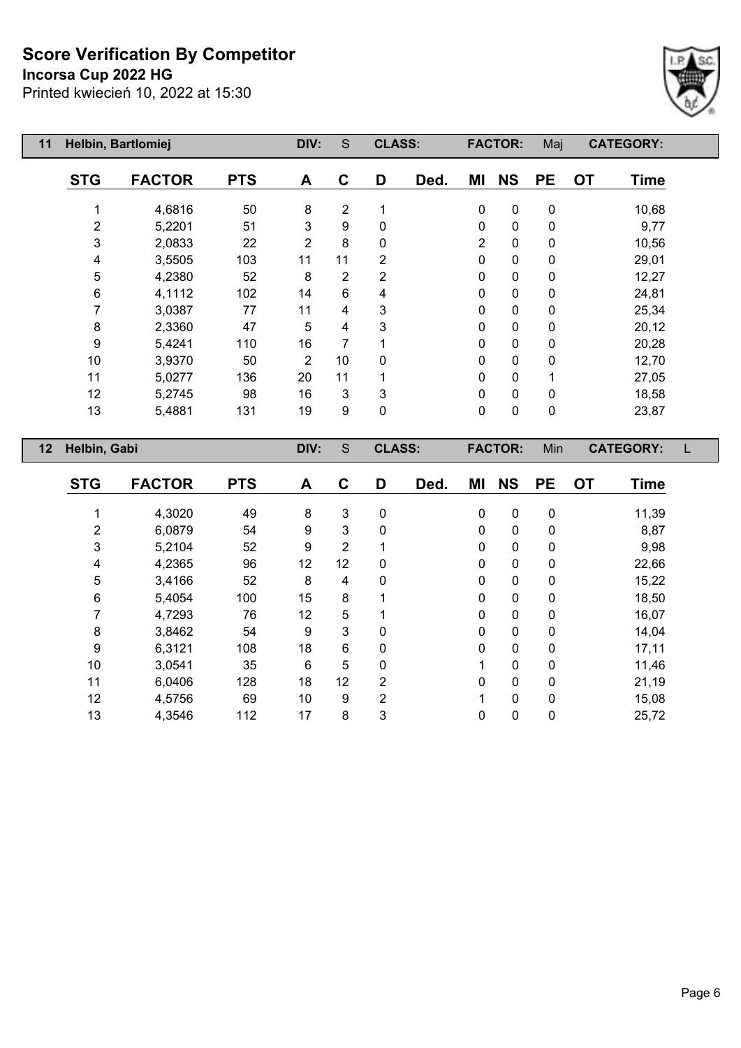**Incorsa Cup 2022 HG**



| 11<br>Helbin, Bartlomiej |            |                | S              |                |      |                                |             | Maj                              | <b>CATEGORY:</b>         |       |
|--------------------------|------------|----------------|----------------|----------------|------|--------------------------------|-------------|----------------------------------|--------------------------|-------|
| <b>FACTOR</b>            | <b>PTS</b> | A              | C              | D              | Ded. | ΜI                             | <b>NS</b>   | <b>PE</b>                        | <b>OT</b><br><b>Time</b> |       |
|                          | 50         | $\,8\,$        | $\overline{2}$ | 1              |      | $\mathbf 0$                    | $\mathbf 0$ | $\pmb{0}$                        |                          |       |
| 5,2201                   | 51         | 3              | 9              | 0              |      | 0                              | $\mathbf 0$ | 0                                | 9,77                     |       |
| 2,0833                   | 22         | $\overline{2}$ | 8              | 0              |      | 2                              | $\mathbf 0$ | 0                                | 10,56                    |       |
| 3,5505                   | 103        | 11             | 11             | $\overline{2}$ |      | $\mathbf 0$                    | $\mathbf 0$ | 0                                | 29,01                    |       |
| 4,2380                   | 52         | 8              | 2              | $\overline{2}$ |      | 0                              | $\mathbf 0$ | $\mathbf 0$                      | 12,27                    |       |
| 4,1112                   | 102        | 14             | 6              | 4              |      | 0                              | $\mathbf 0$ | 0                                | 24,81                    |       |
| 3,0387                   | 77         | 11             | 4              | 3              |      | 0                              | $\mathbf 0$ | 0                                | 25,34                    |       |
| 2,3360                   | 47         | 5              | 4              | 3              |      | 0                              | $\mathbf 0$ | 0                                | 20,12                    |       |
| 5,4241                   | 110        | 16             | 7              |                |      | 0                              | $\mathbf 0$ | 0                                | 20,28                    |       |
| 3,9370                   | 50         | $\overline{2}$ | 10             | $\Omega$       |      | 0                              | $\mathbf 0$ | 0                                | 12,70                    |       |
| 5,0277                   | 136        | 20             | 11             |                |      | 0                              | $\pmb{0}$   | 1                                | 27,05                    |       |
| 5,2745                   | 98         | 16             | 3              | 3              |      | 0                              | $\pmb{0}$   | 0                                | 18,58                    |       |
| 5,4881                   | 131        | 19             | 9              | $\mathbf 0$    |      | 0                              | $\mathbf 0$ | $\mathbf 0$                      | 23,87                    |       |
| Helbin, Gabi             |            | DIV:           | S              |                |      |                                |             | Min                              | <b>CATEGORY:</b>         |       |
|                          | 4,6816     |                | DIV:           |                |      | <b>CLASS:</b><br><b>CLASS:</b> |             | <b>FACTOR:</b><br><b>FACTOR:</b> |                          | 10,68 |

| <b>STG</b> | <b>FACTOR</b> | <b>PTS</b> | A  | C  | D           | Ded. | ΜI | <b>NS</b>   | <b>PE</b>    | <b>OT</b> | <b>Time</b> |
|------------|---------------|------------|----|----|-------------|------|----|-------------|--------------|-----------|-------------|
|            |               |            |    |    |             |      |    |             |              |           |             |
|            | 4,3020        | 49         | 8  | 3  | 0           |      | 0  | 0           | 0            |           | 11,39       |
| 2          | 6,0879        | 54         | 9  | 3  | 0           |      | 0  | 0           | 0            |           | 8,87        |
| 3          | 5,2104        | 52         | 9  | 2  |             |      | 0  | 0           | 0            |           | 9,98        |
| 4          | 4,2365        | 96         | 12 | 12 | 0           |      | 0  | 0           | 0            |           | 22,66       |
| 5          | 3,4166        | 52         | 8  | 4  | 0           |      | 0  | 0           | 0            |           | 15,22       |
| 6          | 5,4054        | 100        | 15 | 8  |             |      | 0  | 0           | 0            |           | 18,50       |
|            | 4,7293        | 76         | 12 | 5  |             |      | 0  | 0           | $\mathbf{0}$ |           | 16,07       |
| 8          | 3,8462        | 54         | 9  | 3  | 0           |      | 0  | $\mathbf 0$ | 0            |           | 14,04       |
| 9          | 6,3121        | 108        | 18 | 6  | $\mathbf 0$ |      | 0  | $\mathbf 0$ | $\mathbf{0}$ |           | 17,11       |
| 10         | 3,0541        | 35         | 6  | 5  | 0           |      |    | $\mathbf 0$ | 0            |           | 11,46       |
| 11         | 6,0406        | 128        | 18 | 12 | 2           |      | 0  | $\mathbf 0$ | 0            |           | 21,19       |
| 12         | 4,5756        | 69         | 10 | 9  | 2           |      |    | 0           | 0            |           | 15,08       |
| 13         | 4,3546        | 112        | 17 | 8  | 3           |      | 0  | 0           | 0            |           | 25,72       |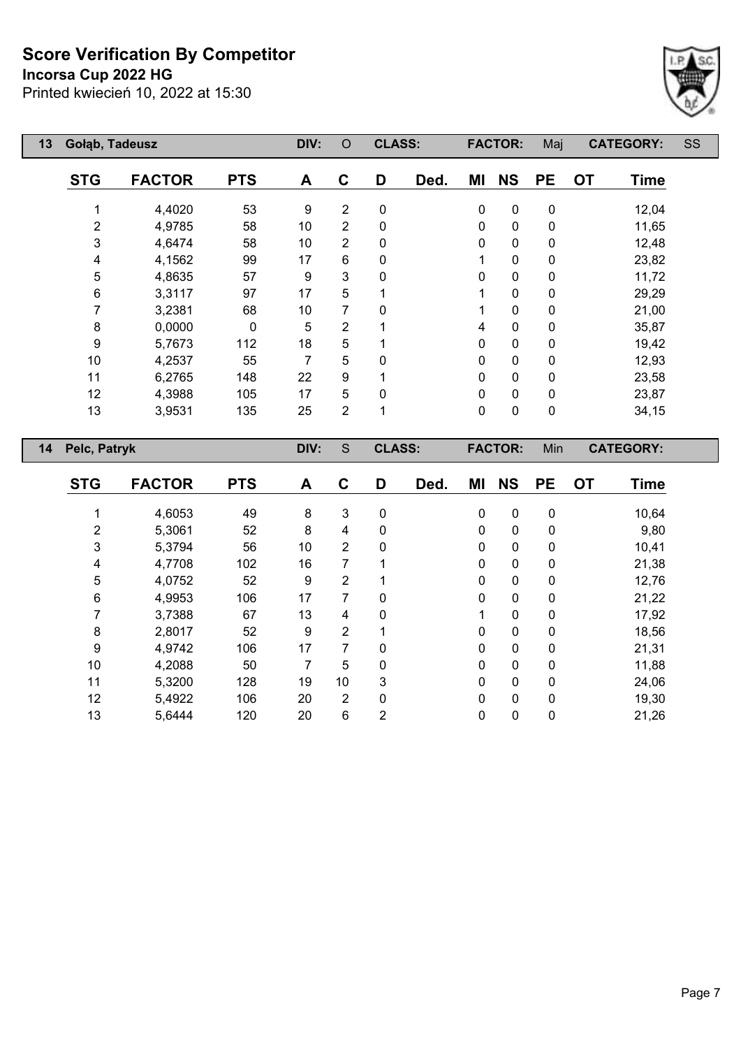**Incorsa Cup 2022 HG**

Printed kwiecień 10, 2022 at 15:30



| 13 | Gołąb, Tadeusz |               |            | DIV: | $\circ$        | <b>CLASS:</b> |      |    | <b>FACTOR:</b> | Maj         |           | <b>CATEGORY:</b> | SS |
|----|----------------|---------------|------------|------|----------------|---------------|------|----|----------------|-------------|-----------|------------------|----|
|    | <b>STG</b>     | <b>FACTOR</b> | <b>PTS</b> | A    | C              | D             | Ded. | ΜI | <b>NS</b>      | <b>PE</b>   | <b>OT</b> | <b>Time</b>      |    |
|    |                | 4,4020        | 53         | 9    | $\overline{2}$ | $\pmb{0}$     |      | 0  | 0              | $\pmb{0}$   |           | 12,04            |    |
|    | 2              | 4,9785        | 58         | 10   | 2              | 0             |      | 0  | $\mathbf 0$    | $\mathbf 0$ |           | 11,65            |    |
|    | 3              | 4,6474        | 58         | 10   | $\overline{2}$ | 0             |      | 0  | $\mathbf 0$    | 0           |           | 12,48            |    |
|    | 4              | 4,1562        | 99         | 17   | 6              | 0             |      |    | 0              | 0           |           | 23,82            |    |
|    | 5              | 4,8635        | 57         | 9    | 3              | 0             |      | 0  | 0              | 0           |           | 11,72            |    |
|    | 6              | 3,3117        | 97         | 17   | 5              |               |      |    | $\pmb{0}$      | $\pmb{0}$   |           | 29,29            |    |
|    | 7              | 3,2381        | 68         | 10   | 7              | 0             |      |    | 0              | $\pmb{0}$   |           | 21,00            |    |
|    | 8              | 0,0000        | 0          | 5    | $\overline{2}$ |               |      | 4  | $\pmb{0}$      | $\pmb{0}$   |           | 35,87            |    |
|    | 9              | 5,7673        | 112        | 18   | 5              |               | 0    |    | $\mathbf 0$    | $\pmb{0}$   |           | 19,42            |    |
|    | 10             | 4,2537        | 55         | 7    | 5              | 0             |      | 0  | $\pmb{0}$      | $\mathbf 0$ |           | 12,93            |    |
|    | 11             | 6,2765        | 148        | 22   | 9              |               |      | 0  | $\pmb{0}$      | $\pmb{0}$   |           | 23,58            |    |
|    | 12             | 4,3988        | 105        | 17   | 5              | 0             |      | 0  | $\pmb{0}$      | $\pmb{0}$   |           | 23,87            |    |
|    | 13             | 3,9531        | 135        | 25   | $\overline{2}$ | 1             |      | 0  | $\pmb{0}$      | $\pmb{0}$   |           | 34,15            |    |
| 14 | Pelc, Patryk   |               |            | DIV: | S              | <b>CLASS:</b> |      |    | <b>FACTOR:</b> | Min         |           | <b>CATEGORY:</b> |    |
|    | <b>STG</b>     | <b>FACTOR</b> | <b>PTS</b> | A    | $\mathbf C$    | D             | Ded. | ΜI | <b>NS</b>      | <b>PE</b>   | <b>OT</b> | <b>Time</b>      |    |
|    |                | 4,6053        | 49         | 8    | 3              | 0             |      | 0  | 0              | 0           |           | 10,64            |    |

 5,3061 52 8 4 0 0 0 0 9,80 5,3794 56 10 2 0 0 0 0 10,41 4,7708 102 16 7 1 0 0 0 21,38 4,0752 52 9 2 1 0 0 0 12,76 4,9953 106 17 7 0 0 0 0 21,22 3,7388 67 13 4 0 1 0 0 17,92 2,8017 52 9 2 1 0 0 0 18,56 4,9742 106 17 7 0 0 0 0 21,31 4,2088 50 7 5 0 0 0 0 11,88 5,3200 128 19 10 3 0 0 0 24,06 5,4922 106 20 2 0 0 0 0 19,30 5,6444 120 20 6 2 0 0 0 21,26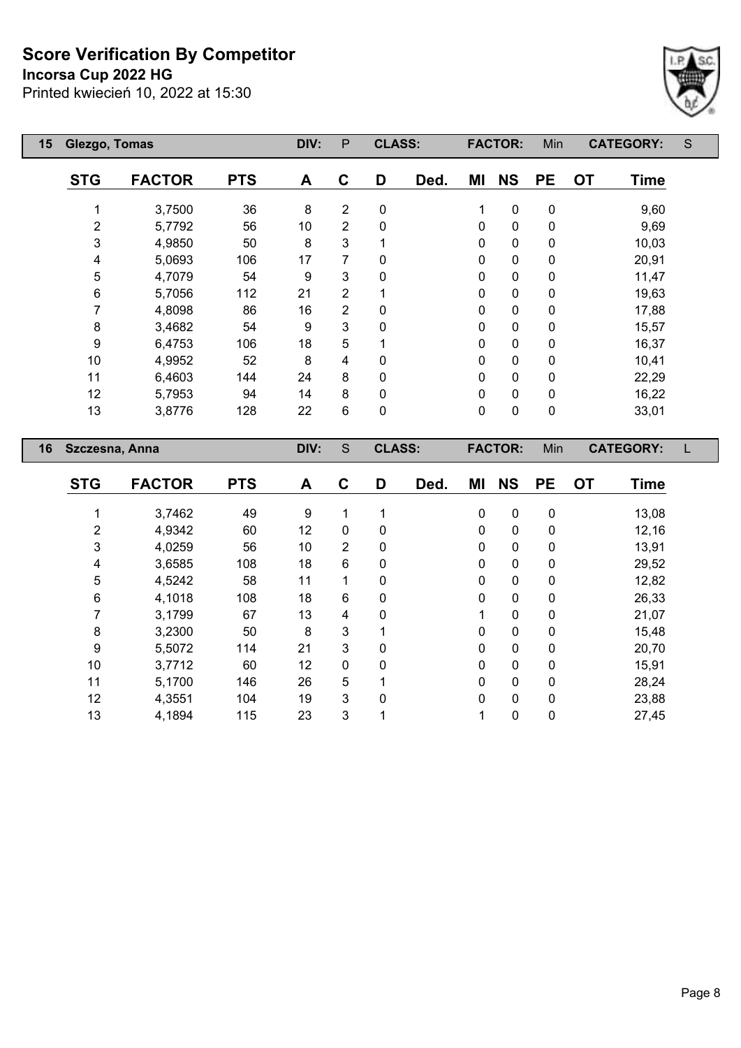#### **Incorsa Cup 2022 HG**

Printed kwiecień 10, 2022 at 15:30



| 15 | Glezgo, Tomas  |               |            | DIV: | P              | <b>CLASS:</b> |      |           | <b>FACTOR:</b> | Min       | <b>CATEGORY:</b>         | S |
|----|----------------|---------------|------------|------|----------------|---------------|------|-----------|----------------|-----------|--------------------------|---|
|    | <b>STG</b>     | <b>FACTOR</b> | <b>PTS</b> | A    | C              | D             | Ded. | ΜI        | <b>NS</b>      | <b>PE</b> | <b>OT</b><br><b>Time</b> |   |
|    |                | 3,7500        | 36         | 8    | 2              | 0             |      | 1         | $\pmb{0}$      | 0         | 9,60                     |   |
|    | 2              | 5,7792        | 56         | 10   | $\overline{2}$ | 0             |      | 0         | $\pmb{0}$      | 0         | 9,69                     |   |
|    | 3              | 4,9850        | 50         | 8    | 3              |               |      | 0         | $\mathbf 0$    | 0         | 10,03                    |   |
|    | 4              | 5,0693        | 106        | 17   | $\overline{7}$ | 0             |      | 0         | $\pmb{0}$      | 0         | 20,91                    |   |
|    | 5              | 4,7079        | 54         | 9    | 3              | 0             |      | 0         | $\mathbf 0$    | 0         | 11,47                    |   |
|    | 6              | 5,7056        | 112        | 21   | $\overline{2}$ |               | 0    |           | $\pmb{0}$      | 0         | 19,63                    |   |
|    | 7              | 4,8098        | 86         | 16   | 2              | 0             | 0    |           | $\pmb{0}$      | 0         | 17,88                    |   |
|    | 8              | 3,4682        | 54         | 9    | 3              | 0             | 0    |           | $\mathbf 0$    | 0         | 15,57                    |   |
|    | 9              | 6,4753        | 106        | 18   | 5              |               |      | 0         | $\pmb{0}$      | 0         | 16,37                    |   |
|    | 10             | 4,9952        | 52         | 8    | 4              | 0             |      | 0         | $\pmb{0}$      | 0         | 10,41                    |   |
|    | 11             | 6,4603        | 144        | 24   | 8              | 0             |      | $\Omega$  | $\pmb{0}$      | 0         | 22,29                    |   |
|    | 12             | 5,7953        | 94         | 14   | 8              | 0             |      | 0         | $\pmb{0}$      | 0         | 16,22                    |   |
|    | 13             | 3,8776        | 128        | 22   | 6              | 0             |      | $\pmb{0}$ | $\mathbf 0$    | 0         | 33,01                    |   |
| 16 | Szczesna, Anna |               |            | DIV: | S              | <b>CLASS:</b> |      |           | <b>FACTOR:</b> | Min       | <b>CATEGORY:</b>         |   |
|    | <b>STG</b>     | <b>FACTOR</b> | <b>PTS</b> | A    | C              | D             | Ded. | ΜI        | <b>NS</b>      | <b>PE</b> | <b>OT</b><br><b>Time</b> |   |

 3,7462 49 9 1 1 0 0 0 13,08 4,9342 60 12 0 0 0 0 0 12,16 4,0259 56 10 2 0 0 0 0 13,91 3,6585 108 18 6 0 0 0 0 29,52 4,5242 58 11 1 0 0 0 0 12,82 4,1018 108 18 6 0 0 0 0 26,33 3,1799 67 13 4 0 1 0 0 21,07 3,2300 50 8 3 1 0 0 0 15,48 5,5072 114 21 3 0 0 0 0 20,70 3,7712 60 12 0 0 0 0 0 15,91 5,1700 146 26 5 1 0 0 0 28,24 4,3551 104 19 3 0 0 0 0 23,88 4,1894 115 23 3 1 1 0 0 27,45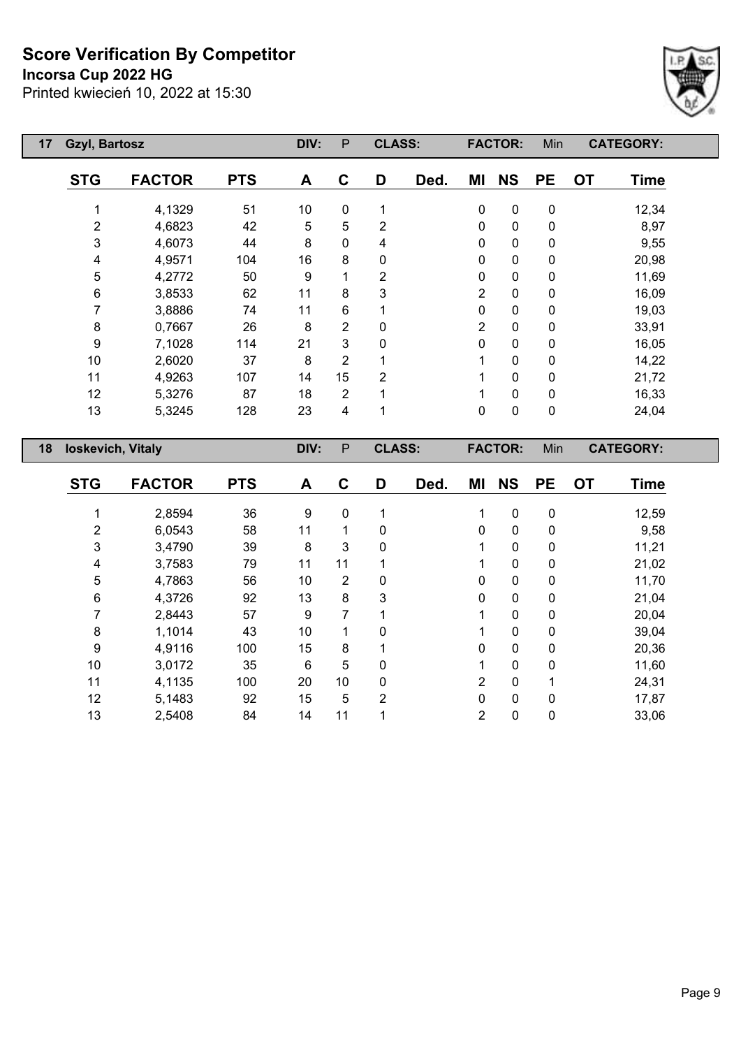## **Incorsa Cup 2022 HG**



| <b>Gzyl, Bartosz</b><br>17 |                   |            | DIV:            | P              | <b>CLASS:</b>  |      |                | <b>FACTOR:</b> | Min       | <b>CATEGORY:</b>         |
|----------------------------|-------------------|------------|-----------------|----------------|----------------|------|----------------|----------------|-----------|--------------------------|
| <b>STG</b>                 | <b>FACTOR</b>     | <b>PTS</b> | A               | $\mathbf c$    | D              | Ded. | ΜI             | <b>NS</b>      | <b>PE</b> | <b>OT</b><br><b>Time</b> |
|                            | 4,1329            | 51         | 10 <sup>°</sup> | 0              | 1              |      | $\mathbf 0$    | $\pmb{0}$      | $\pmb{0}$ | 12,34                    |
| $\overline{2}$             | 4,6823            | 42         | 5               | 5              | $\overline{2}$ |      | 0              | 0              | 0         | 8,97                     |
| 3                          | 4,6073            | 44         | 8               | 0              | 4              |      | 0              | 0              | 0         | 9,55                     |
| 4                          | 4,9571            | 104        | 16              | 8              | 0              |      | $\mathbf{0}$   | 0              | 0         | 20,98                    |
| 5                          | 4,2772            | 50         | 9               | 1              | $\overline{2}$ |      | 0              | 0              | 0         | 11,69                    |
| 6                          | 3,8533            | 62         | 11              | 8              | 3              |      | $\overline{2}$ | 0              | 0         | 16,09                    |
| 7                          | 3,8886            | 74         | 11              | 6              |                |      | 0              | 0              | 0         | 19,03                    |
| 8                          | 0,7667            | 26         | 8               | 2              | 0              |      | 2              | 0              | 0         | 33,91                    |
| 9                          | 7,1028            | 114        | 21              | 3              | 0              |      | 0              | 0              | 0         | 16,05                    |
| 10                         | 2,6020            | 37         | 8               | $\overline{2}$ |                |      |                | 0              | 0         | 14,22                    |
| 11                         | 4,9263            | 107        | 14              | 15             | $\overline{2}$ |      | 1              | 0              | 0         | 21,72                    |
| 12                         | 5,3276            | 87         | 18              | $\overline{2}$ | 1              |      | 1              | 0              | 0         | 16,33                    |
| 13                         | 5,3245            | 128        | 23              | 4              | 1              |      | $\mathbf{0}$   | $\pmb{0}$      | $\pmb{0}$ | 24,04                    |
| 18                         | loskevich, Vitaly |            |                 | P              | <b>CLASS:</b>  |      |                | <b>FACTOR:</b> | Min       | <b>CATEGORY:</b>         |
|                            |                   |            |                 |                |                |      |                |                |           |                          |

| <b>STG</b> | <b>FACTOR</b> | <b>PTS</b> | A  | C              | D | Ded. | ΜI       | <b>NS</b>    | <b>PE</b> | <b>OT</b> | <b>Time</b> |
|------------|---------------|------------|----|----------------|---|------|----------|--------------|-----------|-----------|-------------|
|            |               |            |    |                |   |      |          |              |           |           |             |
|            | 2,8594        | 36         | 9  | 0              |   |      |          | $\mathbf{0}$ | 0         |           | 12,59       |
| 2          | 6,0543        | 58         | 11 | 1              | 0 |      | 0        | $\Omega$     | 0         |           | 9,58        |
| 3          | 3,4790        | 39         | 8  | 3              | 0 |      |          | 0            | 0         |           | 11,21       |
| 4          | 3,7583        | 79         | 11 | 11             |   |      |          | 0            | 0         |           | 21,02       |
| 5          | 4,7863        | 56         | 10 | $\overline{2}$ | 0 |      | $\Omega$ | 0            | 0         |           | 11,70       |
| 6          | 4,3726        | 92         | 13 | 8              | 3 |      | $\Omega$ | 0            | 0         |           | 21,04       |
|            | 2,8443        | 57         | 9  | 7              |   |      |          | $\Omega$     | $\Omega$  |           | 20,04       |
| 8          | 1,1014        | 43         | 10 |                | 0 |      |          | $\mathbf{0}$ | 0         |           | 39,04       |
| 9          | 4,9116        | 100        | 15 | 8              |   |      | $\Omega$ | $\Omega$     | $\Omega$  |           | 20,36       |
| 10         | 3,0172        | 35         | 6  | 5              | 0 |      |          | 0            | 0         |           | 11,60       |
| 11         | 4,1135        | 100        | 20 | 10             | 0 |      | 2        | $\Omega$     |           |           | 24,31       |
| 12         | 5,1483        | 92         | 15 | 5              | 2 |      | 0        | $\mathbf{0}$ | 0         |           | 17,87       |
| 13         | 2,5408        | 84         | 14 | 11             |   |      | 2        | 0            | 0         |           | 33,06       |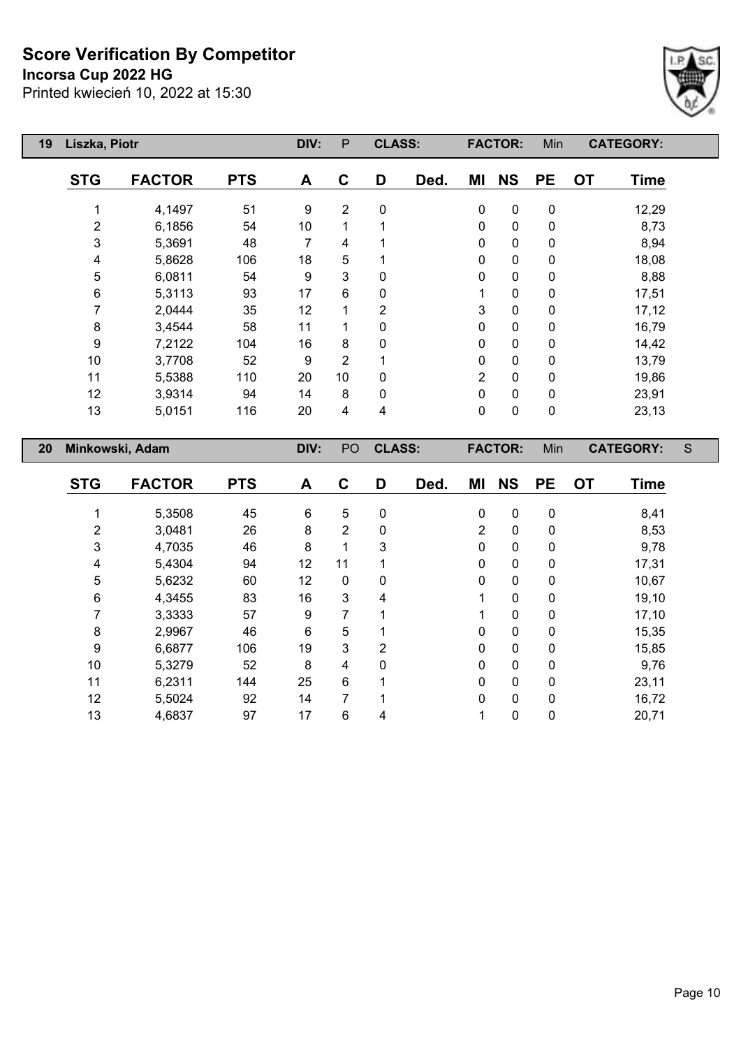**Incorsa Cup 2022 HG**



| 19 | Liszka, Piotr       |               |            | DIV: | P              | <b>CLASS:</b>  |      |                | <b>FACTOR:</b> | Min       |           | <b>CATEGORY:</b> |   |
|----|---------------------|---------------|------------|------|----------------|----------------|------|----------------|----------------|-----------|-----------|------------------|---|
|    | <b>STG</b>          | <b>FACTOR</b> | <b>PTS</b> | A    | C              | D              | Ded. | ΜI             | <b>NS</b>      | <b>PE</b> | <b>OT</b> | <b>Time</b>      |   |
|    |                     | 4,1497        | 51         | 9    | $\overline{2}$ | $\mathbf 0$    |      | $\mathbf 0$    | $\pmb{0}$      | 0         |           | 12,29            |   |
|    | $\overline{2}$      | 6,1856        | 54         | 10   |                |                |      | $\Omega$       | $\mathbf 0$    | 0         |           | 8,73             |   |
|    | 3                   | 5,3691        | 48         | 7    | 4              |                |      | $\Omega$       | 0              | 0         |           | 8,94             |   |
|    | 4                   | 5,8628        | 106        | 18   | 5              |                |      | 0              | $\pmb{0}$      | 0         |           | 18,08            |   |
|    | 5                   | 6,0811        | 54         | 9    | 3              | 0              |      | 0              | 0              | 0         |           | 8,88             |   |
|    | 6<br>93<br>5,3113   |               |            | 17   | 6              | 0              |      |                | 0              | 0         |           | 17,51            |   |
|    | 7<br>2,0444<br>35   |               |            | 12   | 1              | $\overline{2}$ |      | 3              | 0              | 0         |           | 17,12            |   |
|    | 8                   | 3,4544        | 58         | 11   |                | $\Omega$       |      | $\mathbf{0}$   | $\mathbf 0$    | 0         |           | 16,79            |   |
|    | 9                   | 7,2122        | 104        | 16   | 8              | 0              |      | 0              | $\mathbf 0$    | 0         |           | 14,42            |   |
|    | 10                  | 3,7708        | 52         | 9    | 2              |                |      | 0              | $\mathbf 0$    | 0         |           | 13,79            |   |
|    | 11                  | 5,5388        | 110        | 20   | 10             | $\Omega$       |      | $\overline{2}$ | $\mathbf 0$    | 0         |           | 19,86            |   |
|    | 12                  | 3,9314        | 94         | 14   | 8              | $\Omega$       |      | $\mathbf{0}$   | 0              | 0         |           | 23,91            |   |
|    | 13<br>116<br>5,0151 |               |            | 20   | 4              | 4              |      | 0              | $\pmb{0}$      | 0         |           | 23,13            |   |
| 20 | Minkowski, Adam     |               |            | DIV: | PO             | <b>CLASS:</b>  |      |                | <b>FACTOR:</b> | Min       |           | <b>CATEGORY:</b> | S |

| <b>STG</b> | <b>FACTOR</b> | <b>PTS</b> | A  | C              | D              | Ded. | ΜI             | <b>NS</b>    | <b>PE</b>    | <b>OT</b> | <b>Time</b> |
|------------|---------------|------------|----|----------------|----------------|------|----------------|--------------|--------------|-----------|-------------|
|            | 5,3508        | 45         | 6  | 5              | 0              |      | $\mathbf 0$    | $\mathbf 0$  | 0            |           | 8,41        |
| 2          | 3,0481        | 26         | 8  | $\overline{2}$ | 0              |      | $\overline{2}$ | $\mathbf 0$  | 0            |           | 8,53        |
| 3          | 4,7035        | 46         | 8  | 1              | 3              |      | $\mathbf{0}$   | $\mathbf 0$  | 0            |           | 9,78        |
| 4          | 5,4304        | 94         | 12 | 11             |                |      | 0              | 0            | 0            |           | 17,31       |
| 5          | 5,6232        | 60         | 12 | 0              | 0              |      | $\mathbf{0}$   | $\mathbf{0}$ | 0            |           | 10,67       |
| 6          | 4,3455        | 83         | 16 | 3              | 4              |      |                | 0            | 0            |           | 19,10       |
| 7          | 3,3333        | 57         | 9  | 7              | 1              |      |                | $\mathbf{0}$ | 0            |           | 17,10       |
| 8          | 2,9967        | 46         | 6  | 5              | 1              |      | $\Omega$       | $\mathbf{0}$ | 0            |           | 15,35       |
| 9          | 6,6877        | 106        | 19 | 3              | $\overline{2}$ |      | 0              | 0            | $\pmb{0}$    |           | 15,85       |
| 10         | 5,3279        | 52         | 8  | 4              | 0              |      | $\Omega$       | $\mathbf{0}$ | $\mathbf{0}$ |           | 9,76        |
| 11         | 6,2311        | 144        | 25 | 6              | 1              |      | 0              | 0            | 0            |           | 23,11       |
| 12         | 5,5024        | 92         | 14 | 7              | 1              |      | $\Omega$       | $\mathbf{0}$ | $\mathbf{0}$ |           | 16,72       |
| 13         | 4,6837        | 97         | 17 | 6              | 4              |      |                | 0            | 0            |           | 20,71       |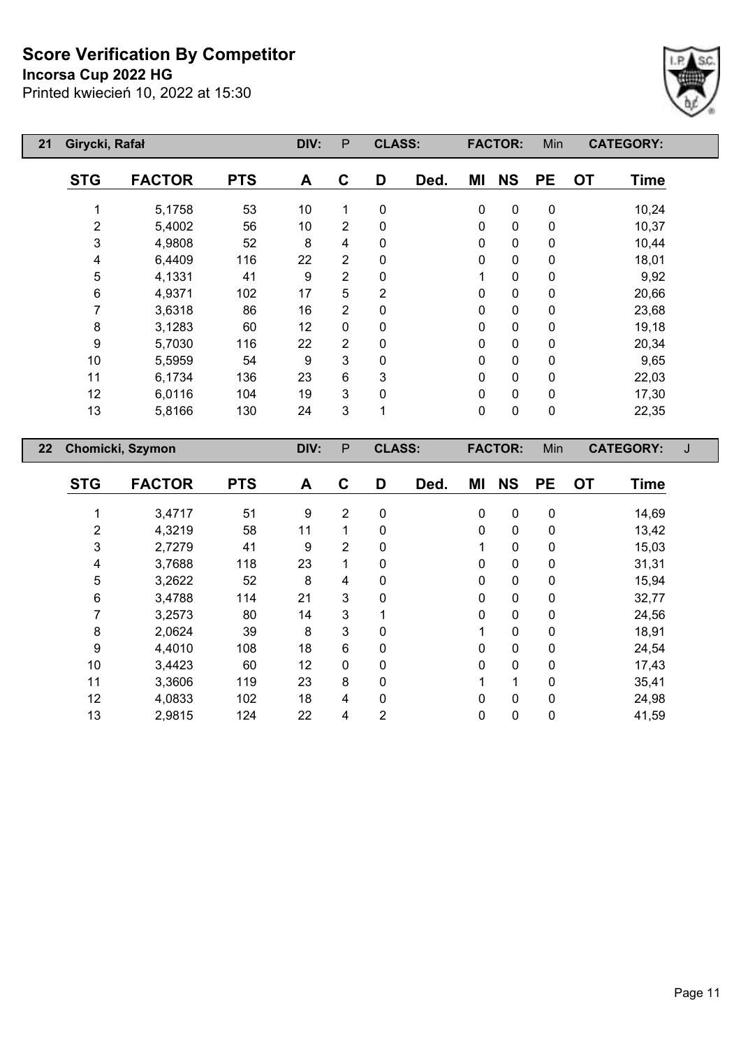**Incorsa Cup 2022 HG**



| 21 | Girycki, Rafał |                         |                                           | DIV:         | $\mathsf{P}$   | <b>CLASS:</b>    |             | <b>FACTOR:</b> | Min       | <b>CATEGORY:</b>         |   |
|----|----------------|-------------------------|-------------------------------------------|--------------|----------------|------------------|-------------|----------------|-----------|--------------------------|---|
|    | <b>STG</b>     | <b>FACTOR</b>           | <b>PTS</b>                                | A            | $\mathbf C$    | D<br>Ded.        | ΜI          | <b>NS</b>      | <b>PE</b> | <b>OT</b><br><b>Time</b> |   |
|    |                | 5,1758                  | 53                                        | 10           | 1              | $\mathbf 0$      | $\pmb{0}$   | $\pmb{0}$      | $\pmb{0}$ | 10,24                    |   |
|    | $\overline{2}$ | 5,4002                  | 56                                        | 10           | 2              | 0                | 0           | 0              | 0         | 10,37                    |   |
|    | 3              | 4,9808                  | 52                                        | 8            | 4              | 0                | 0           | 0              | 0         | 10,44                    |   |
|    | 4              | 6,4409                  | 116                                       | 22           | 2              | 0                | 0           | 0              | 0         | 18,01                    |   |
|    | 5              | 4,1331                  | 41                                        | 9            | $\overline{2}$ | 0                | 1           | 0              | $\pmb{0}$ | 9,92                     |   |
|    | 6              | 4,9371                  | 102                                       | 17           | 5              | 2                |             | 0              | 0         | 20,66                    |   |
|    | 7              | 3,6318                  | 0<br>$\overline{2}$<br>86<br>16<br>0<br>0 |              | 0              | 0                | 23,68       |                |           |                          |   |
|    | 8              | 3,1283                  | 60                                        | 12           | $\mathbf 0$    | 0                | 0           | 0              | 0         | 19,18                    |   |
|    | 9              | 5,7030                  | 116                                       | 22           | $\overline{2}$ | 0                | 0           | 0              | 0         | 20,34                    |   |
|    | 10             | 5,5959                  | 54                                        | 9            | 3              | 0                | $\mathbf 0$ | 0              | 0         | 9,65                     |   |
|    | 11             | 6,1734                  | 136                                       | 23           | 6              | 3                | 0           | 0              | 0         | 22,03                    |   |
|    | 12             | 6,0116                  | 104                                       | 19           | 3              | 0                | 0           | 0              | 0         | 17,30                    |   |
|    | 13             | 5,8166                  | 130                                       | 24           | 3              | 1                |             | 0              | $\pmb{0}$ | 22,35                    |   |
| 22 |                | <b>Chomicki, Szymon</b> |                                           | DIV:         | P              | <b>CLASS:</b>    |             | <b>FACTOR:</b> | Min       | <b>CATEGORY:</b>         | J |
|    | <b>CTC</b>     | <b>EACTOD</b>           | <b>DTC</b>                                | $\mathbf{A}$ | ◠              | D.<br><b>Dod</b> | MП          | <b>NIC</b>     | <b>DE</b> | nτ<br><b>Timo</b>        |   |

| <b>STG</b> | <b>FACTOR</b> | <b>PTS</b> | A  | C              | D            | Ded. | ΜI | <b>NS</b>    | <b>PE</b>    | <b>OT</b> | <b>Time</b> |
|------------|---------------|------------|----|----------------|--------------|------|----|--------------|--------------|-----------|-------------|
|            | 3,4717        | 51         | 9  | $\overline{2}$ | $\mathbf 0$  |      | 0  | 0            | $\mathbf 0$  |           | 14,69       |
| 2          | 4,3219        | 58         | 11 | 1              | 0            |      | 0  | 0            | 0            |           | 13,42       |
| 3          | 2,7279        | 41         | 9  | 2              | 0            |      |    | 0            | 0            |           | 15,03       |
| 4          | 3,7688        | 118        | 23 | 1              | $\mathbf{0}$ |      | 0  | 0            | $\mathbf{0}$ |           | 31,31       |
| 5          | 3,2622        | 52         | 8  | 4              | 0            |      | 0  | 0            | $\mathbf{0}$ |           | 15,94       |
| 6          | 3,4788        | 114        | 21 | $\mathbf{3}$   | $\mathbf{0}$ |      | 0  | 0            | 0            |           | 32,77       |
|            | 3,2573        | 80         | 14 | 3              |              |      | 0  | 0            | $\mathbf{0}$ |           | 24,56       |
| 8          | 2,0624        | 39         | 8  | 3              | 0            |      |    | 0            | 0            |           | 18,91       |
| 9          | 4,4010        | 108        | 18 | 6              | $\Omega$     |      | 0  | $\mathbf{0}$ | $\Omega$     |           | 24,54       |
| 10         | 3,4423        | 60         | 12 | 0              | 0            |      | 0  | 0            | 0            |           | 17,43       |
| 11         | 3,3606        | 119        | 23 | 8              | $\Omega$     |      | 4  | 1            | $\Omega$     |           | 35,41       |
| 12         | 4,0833        | 102        | 18 | 4              | $\mathbf{0}$ |      | 0  | 0            | $\mathbf{0}$ |           | 24,98       |
| 13         | 2,9815        | 124        | 22 | 4              | 2            |      | 0  | 0            | 0            |           | 41,59       |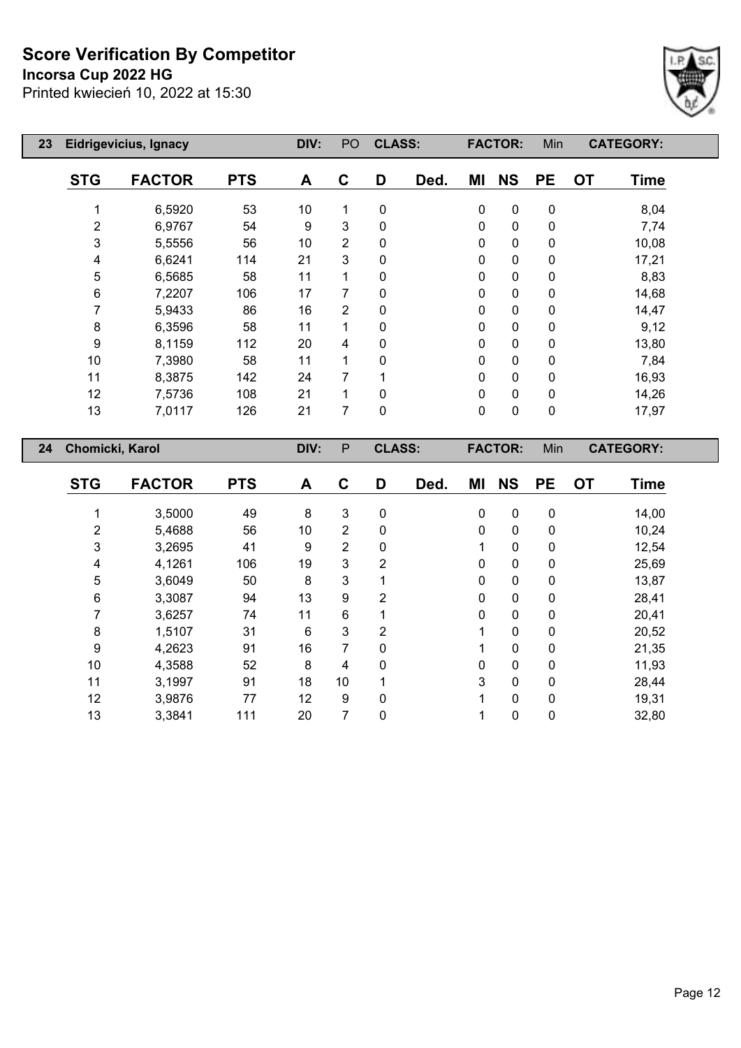## **Incorsa Cup 2022 HG**



| 23 |            | Eidrigevicius, Ignacy |            | DIV: | PO             | <b>CLASS:</b> |      |              | <b>FACTOR:</b> | Min         | <b>CATEGORY:</b>         |  |
|----|------------|-----------------------|------------|------|----------------|---------------|------|--------------|----------------|-------------|--------------------------|--|
|    | <b>STG</b> | <b>FACTOR</b>         | <b>PTS</b> | A    | C              | D             | Ded. | ΜI           | <b>NS</b>      | <b>PE</b>   | <b>OT</b><br><b>Time</b> |  |
|    | 1          | 6,5920                | 53         | 10   | 1              | 0             |      | $\mathbf 0$  | $\pmb{0}$      | $\mathbf 0$ | 8,04                     |  |
|    | 2          | 6,9767                | 54         | 9    | 3              | 0             |      | 0            | $\mathbf 0$    | $\mathbf 0$ | 7,74                     |  |
|    | 3          | 5,5556                | 56         | 10   | $\overline{2}$ | 0             |      | $\mathbf{0}$ | $\pmb{0}$      | $\mathbf 0$ | 10,08                    |  |
|    | 4          | 6,6241                | 114        | 21   | 3              | 0             |      | 0            | 0              | $\pmb{0}$   | 17,21                    |  |
|    | 5          | 6,5685                | 58         | 11   | $\mathbf{1}$   | 0             |      | 0            | $\pmb{0}$      | $\pmb{0}$   | 8,83                     |  |
|    | 6          | 7,2207                | 106        | 17   | 7              | 0             |      | 0            | $\pmb{0}$      | $\pmb{0}$   | 14,68                    |  |
|    | 7          | 5,9433                | 86         | 16   | $\overline{2}$ | 0             |      | 0            | $\pmb{0}$      | $\pmb{0}$   | 14,47                    |  |
|    | 8          | 6,3596                | 58         | 11   | 1              | 0             |      | 0            | $\mathbf 0$    | $\mathbf 0$ | 9,12                     |  |
|    | 9          | 8,1159                | 112        | 20   | 4              | 0             |      | 0            | $\pmb{0}$      | $\pmb{0}$   | 13,80                    |  |
|    | 10         | 7,3980                | 58         | 11   | 1              | 0             |      | 0            | 0              | 0           | 7,84                     |  |
|    | 11         | 8,3875                | 142        | 24   | 7              |               |      | 0            | $\pmb{0}$      | 0           | 16,93                    |  |
|    | 12         | 7,5736                | 108        | 21   | 1              | 0             |      | 0            | $\pmb{0}$      | $\pmb{0}$   | 14,26                    |  |
|    | 13         | 7,0117                | 126        | 21   | 7              | 0             |      | 0            | $\pmb{0}$      | $\pmb{0}$   | 17,97                    |  |
| 24 |            | Chomicki, Karol       |            | DIV: | P              | <b>CLASS:</b> |      |              | <b>FACTOR:</b> | Min         | <b>CATEGORY:</b>         |  |

| <b>STG</b> | <b>FACTOR</b> | <b>PTS</b> | A  | C              | D            | Ded. | ΜI           | <b>NS</b>   | <b>PE</b>    | <b>OT</b> | <b>Time</b> |
|------------|---------------|------------|----|----------------|--------------|------|--------------|-------------|--------------|-----------|-------------|
|            | 3,5000        | 49         | 8  | 3              | $\mathbf 0$  |      | $\mathbf 0$  | $\mathbf 0$ | 0            |           | 14,00       |
| 2          | 5,4688        | 56         | 10 | $\overline{2}$ | 0            |      | $\mathbf 0$  | 0           | 0            |           | 10,24       |
| 3          | 3,2695        | 41         | 9  | $\overline{2}$ | 0            |      | 1            | 0           | 0            |           | 12,54       |
| 4          | 4,1261        | 106        | 19 | 3              | 2            |      | $\mathbf 0$  | 0           | 0            |           | 25,69       |
| 5          | 3,6049        | 50         | 8  | 3              |              |      | $\mathbf 0$  | 0           | 0            |           | 13,87       |
| 6          | 3,3087        | 94         | 13 | 9              | 2            |      | $\mathbf{0}$ | 0           | $\mathbf{0}$ |           | 28,41       |
|            | 3,6257        | 74         | 11 | 6              |              |      | 0            | 0           | 0            |           | 20,41       |
| 8          | 1,5107        | 31         | 6  | 3              | 2            |      | 1            | 0           | $\mathbf{0}$ |           | 20,52       |
| 9          | 4,2623        | 91         | 16 | 7              | $\mathbf{0}$ |      | 1            | 0           | 0            |           | 21,35       |
| 10         | 4,3588        | 52         | 8  | 4              | $\Omega$     |      | $\mathbf 0$  | 0           | $\mathbf{0}$ |           | 11,93       |
| 11         | 3,1997        | 91         | 18 | 10             |              |      | 3            | 0           | $\mathbf{0}$ |           | 28,44       |
| 12         | 3,9876        | 77         | 12 | 9              | $\mathbf{0}$ |      | 1            | 0           | $\mathbf{0}$ |           | 19,31       |
| 13         | 3,3841        | 111        | 20 | 7              | $\mathbf 0$  |      | 1            | 0           | 0            |           | 32,80       |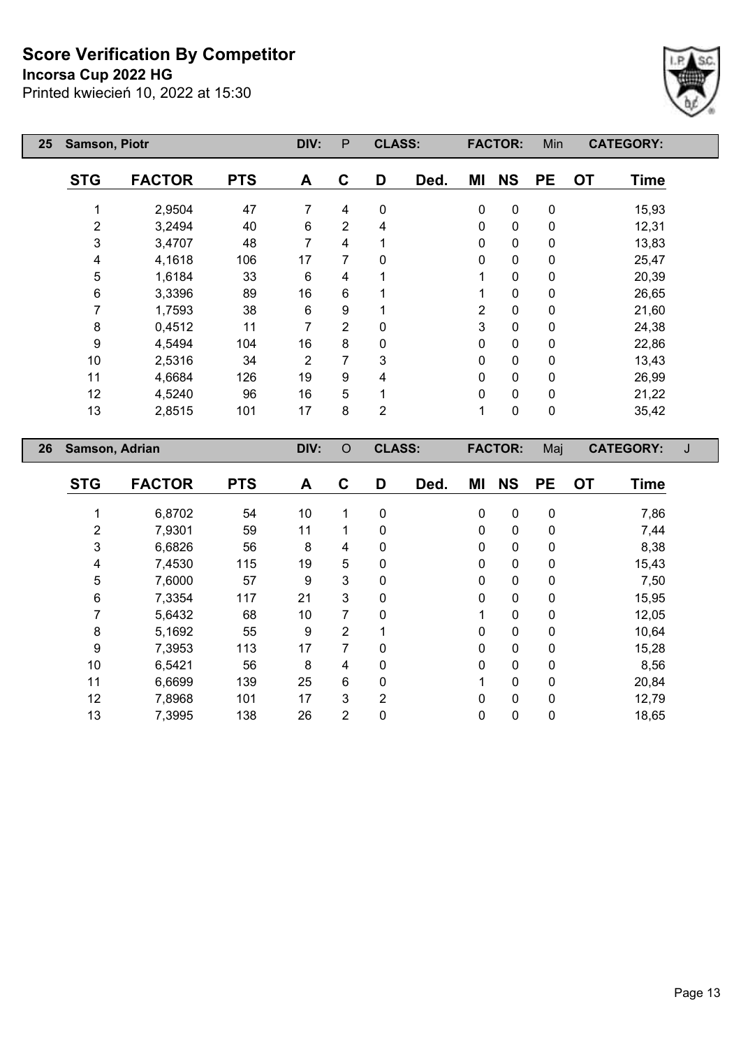**Incorsa Cup 2022 HG**

Printed kwiecień 10, 2022 at 15:30



| 25 | Samson, Piotr             |               | DIV:       | P              | <b>CLASS:</b>  |                |      | <b>FACTOR:</b> | Min            | <b>CATEGORY:</b> |                  |             |   |
|----|---------------------------|---------------|------------|----------------|----------------|----------------|------|----------------|----------------|------------------|------------------|-------------|---|
|    | <b>STG</b>                | <b>FACTOR</b> | <b>PTS</b> | A              | $\mathbf C$    | D              | Ded. | ΜI             | <b>NS</b>      | <b>PE</b>        | <b>OT</b>        | <b>Time</b> |   |
|    | 1                         | 2,9504        | 47         | 7              | 4              | $\pmb{0}$      |      | $\pmb{0}$      | $\pmb{0}$      | $\pmb{0}$        |                  | 15,93       |   |
|    | $\overline{2}$            | 3,2494        | 40         | $\,6\,$        | $\overline{2}$ | 4              |      | 0              | 0              | 0                |                  | 12,31       |   |
|    | 3                         | 3,4707        | 48         | $\overline{7}$ | 4              | 1              |      | 0              | 0              | 0                |                  | 13,83       |   |
|    | 4                         | 4,1618        | 106        | 17             | 7              | 0              |      | 0              | 0              | 0                |                  | 25,47       |   |
|    | $\sqrt{5}$                | 1,6184        | 33         | 6              | 4              | 1              |      | 1              | $\pmb{0}$      | 0                |                  | 20,39       |   |
|    | 6                         | 3,3396        | 89         | 16             | 6              | 1              |      | 1              | $\pmb{0}$      | 0                |                  | 26,65       |   |
|    | 7                         | 1,7593        | 38         | 6              | 9              | 1              |      | 2              | 0              | 0                |                  | 21,60       |   |
|    | 8                         | 0,4512        | 11         | 7              | $\overline{2}$ | 0              |      | 3              | $\pmb{0}$      | 0                |                  | 24,38       |   |
|    | 9                         | 4,5494        | 104        | 16             | 8              | 0              |      | 0              | 0              | 0                |                  | 22,86       |   |
|    | 10                        | 2,5316        | 34         | $\overline{2}$ | 7              | 3              |      | 0              | 0              | 0                |                  | 13,43       |   |
|    | 11                        | 4,6684        | 126        | 19             | 9              | 4              |      | 0              | $\pmb{0}$      | 0                |                  | 26,99       |   |
|    | 12                        | 4,5240        | 96         | 16             | 5              | 1              |      | 0              | 0              | 0                |                  | 21,22       |   |
|    | 13                        | 2,8515        | 101        | 17             | 8              | $\overline{2}$ |      | $\mathbf{1}$   | 0              | 0                |                  | 35,42       |   |
| 26 | Samson, Adrian            |               |            | DIV:           | $\circ$        | <b>CLASS:</b>  |      |                | <b>FACTOR:</b> | Maj              | <b>CATEGORY:</b> |             | J |
|    | <b>STG</b>                | <b>FACTOR</b> | <b>PTS</b> | A              | $\mathbf C$    | D              | Ded. | MI             | <b>NS</b>      | <b>PE</b>        | <b>OT</b>        | <b>Time</b> |   |
|    | 1                         | 6,8702        | 54         | 10             | 1              | $\pmb{0}$      |      | $\pmb{0}$      | $\pmb{0}$      | $\mathbf 0$      |                  | 7,86        |   |
|    | $\overline{2}$            | 7,9301        | 59         | 11             | 1              | 0              |      | 0              | $\pmb{0}$      | 0                |                  | 7,44        |   |
|    | $\ensuremath{\mathsf{3}}$ | 6,6826        | 56         | 8              | 4              | 0              |      | 0              | 0              | 0                |                  | 8,38        |   |
|    | 4                         | 7,4530        | 115        | 19             | 5              | 0              |      | 0              | 0              | 0                |                  | 15,43       |   |
|    | $\mathbf 5$               | 7,6000        | 57         | 9              | 3              | 0              |      | 0              | $\pmb{0}$      | 0                |                  | 7,50        |   |
|    | 6                         | 7,3354        | 117        | 21             | 3              | 0              |      | 0              | $\pmb{0}$      | 0                |                  | 15,95       |   |
|    | 7                         | 5,6432        | 68         | 10             | 7              | 0              |      | 1              | 0              | 0                |                  | 12,05       |   |
|    | 8                         | 5,1692        | 55         | 9              | $\overline{2}$ | 1              |      | 0              | 0              | 0                |                  | 10,64       |   |
|    | 9                         | 7,3953        | 113        | 17             | $\overline{7}$ | 0              |      | $\mathbf 0$    | 0              | 0                |                  | 15,28       |   |

 6,5421 56 8 4 0 0 0 0 8,56 6,6699 139 25 6 0 1 0 0 20,84 7,8968 101 17 3 2 0 0 0 12,79 7,3995 138 26 2 0 0 0 0 18,65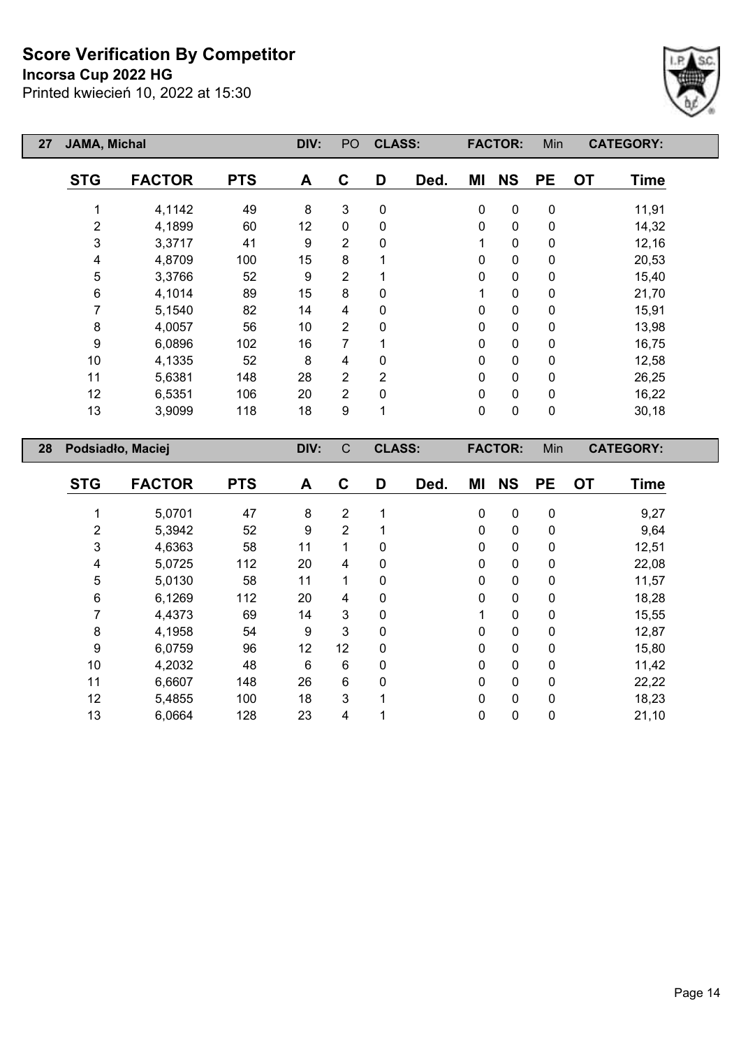#### **Incorsa Cup 2022 HG**

Printed kwiecień 10, 2022 at 15:30



| 27 | JAMA, Michal |                   |            | DIV:             | PO             | <b>CLASS:</b>  |      |             | <b>FACTOR:</b> | Min              |           | <b>CATEGORY:</b> |  |
|----|--------------|-------------------|------------|------------------|----------------|----------------|------|-------------|----------------|------------------|-----------|------------------|--|
|    | <b>STG</b>   | <b>FACTOR</b>     | <b>PTS</b> | A                | $\mathbf c$    | D              | Ded. | ΜI          | <b>NS</b>      | <b>PE</b>        | <b>OT</b> | <b>Time</b>      |  |
|    |              | 4,1142            | 49         | 8                | 3              | $\pmb{0}$      |      | $\mathbf 0$ | $\pmb{0}$      | $\pmb{0}$        |           | 11,91            |  |
|    | 2            | 4,1899            | 60         | 12               | $\mathbf 0$    | 0              |      | 0           | $\pmb{0}$      | $\mathbf 0$      |           | 14,32            |  |
|    | 3            | 3,3717            | 41         | 9                | $\overline{2}$ | 0              |      |             | $\pmb{0}$      | $\pmb{0}$        |           | 12,16            |  |
|    | 4            | 4,8709            | 100        | 15               | 8              |                |      | 0           | $\pmb{0}$      | $\pmb{0}$        |           | 20,53            |  |
|    | 5            | 3,3766            | 52         | $\boldsymbol{9}$ | $\overline{2}$ |                |      | $\mathbf 0$ | $\pmb{0}$      | $\pmb{0}$        |           | 15,40            |  |
|    | 6            | 4,1014            | 89         | 15               | 8              | 0              |      |             | $\pmb{0}$      | $\pmb{0}$        |           | 21,70            |  |
|    | 7            | 5,1540            | 82         | 14               | 4              | 0              |      | $\Omega$    | $\pmb{0}$      | $\pmb{0}$        |           | 15,91            |  |
|    | $\bf 8$      | 4,0057            | 56         | 10               | $\overline{2}$ | 0              |      | 0           | $\pmb{0}$      | $\pmb{0}$        |           | 13,98            |  |
|    | 9            | 6,0896            | 102        | 16               | 7              |                |      | 0           | $\pmb{0}$      | $\pmb{0}$        |           | 16,75            |  |
|    | 10           | 4,1335            | 52         | 8                | 4              | 0              |      | 0           | $\pmb{0}$      | $\pmb{0}$        |           | 12,58            |  |
|    | 11           | 5,6381            | 148        | 28               | $\overline{2}$ | $\overline{2}$ |      | $\mathbf 0$ | $\mathbf 0$    | $\pmb{0}$        |           | 26,25            |  |
|    | 12           | 6,5351            | 106        | 20               | $\overline{2}$ | 0              |      | $\mathbf 0$ | $\pmb{0}$      | $\pmb{0}$        |           | 16,22            |  |
|    | 13           | 3,9099            | 118        | 18               | 9              | 1              |      | $\mathbf 0$ | $\pmb{0}$      | $\pmb{0}$        |           | 30,18            |  |
| 28 |              | Podsiadło, Maciej |            | DIV:             | $\mathsf C$    | <b>CLASS:</b>  |      |             | <b>FACTOR:</b> | Min              |           | <b>CATEGORY:</b> |  |
|    | <b>STG</b>   | <b>FACTOR</b>     | <b>PTS</b> | A                | C              | D              | Ded. | ΜI          | <b>NS</b>      | <b>PE</b>        | <b>OT</b> | <b>Time</b>      |  |
|    |              | 5,0701            | 47         | 8                | $\overline{2}$ |                |      | 0           | $\mathbf 0$    | $\boldsymbol{0}$ |           | 9,27             |  |
|    | 2            | 5,3942            | 52         | 9                | $\overline{2}$ |                |      | $\mathbf 0$ | $\pmb{0}$      | $\pmb{0}$        |           | 9,64             |  |

 4,6363 58 11 1 0 0 0 0 12,51 5,0725 112 20 4 0 0 0 0 22,08 5,0130 58 11 1 0 0 0 0 11,57 6,1269 112 20 4 0 0 0 0 18,28 4,4373 69 14 3 0 1 0 0 15,55 4,1958 54 9 3 0 0 0 0 12,87 6,0759 96 12 12 0 0 0 0 15,80 4,2032 48 6 6 0 0 0 0 11,42 6,6607 148 26 6 0 0 0 0 22,22 5,4855 100 18 3 1 0 0 0 18,23 6,0664 128 23 4 1 0 0 0 21,10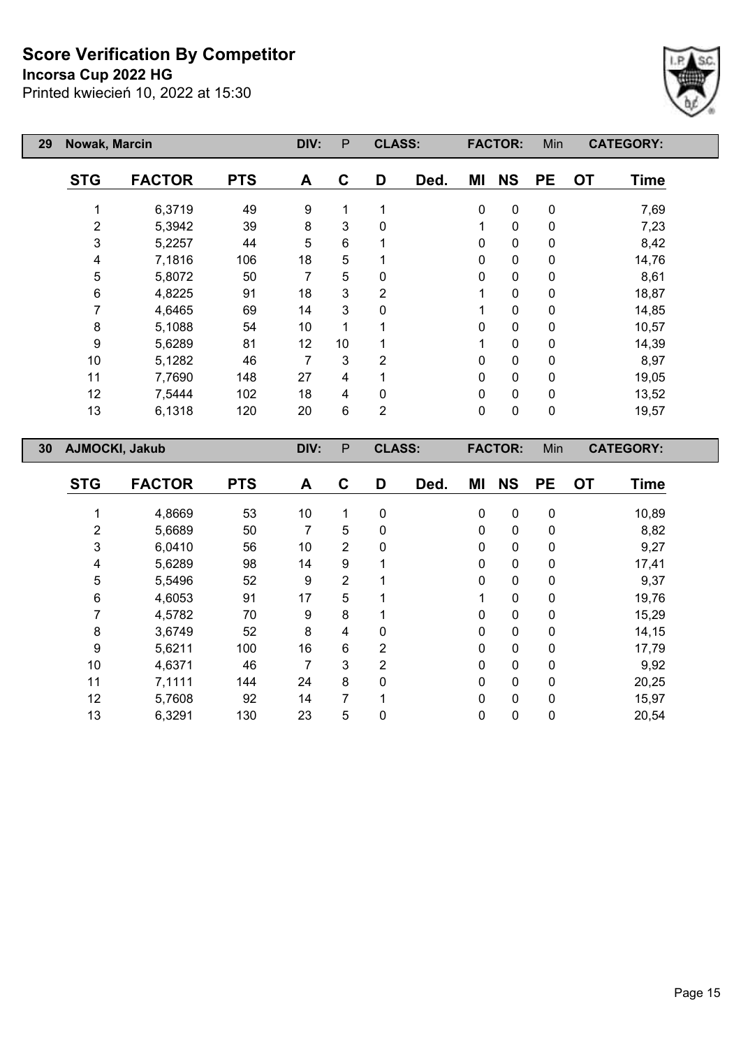**Incorsa Cup 2022 HG**



| 29              | Nowak, Marcin  |               |            | DIV: | $\mathsf{P}$   | <b>CLASS:</b>  |      |             | <b>FACTOR:</b> | Min         |           | <b>CATEGORY:</b> |  |
|-----------------|----------------|---------------|------------|------|----------------|----------------|------|-------------|----------------|-------------|-----------|------------------|--|
|                 | <b>STG</b>     | <b>FACTOR</b> | <b>PTS</b> | A    | C              | D              | Ded. | MI          | <b>NS</b>      | <b>PE</b>   | <b>OT</b> | <b>Time</b>      |  |
|                 |                | 6,3719        | 49         | 9    | 1              |                |      | $\pmb{0}$   | 0              | $\pmb{0}$   |           | 7,69             |  |
|                 | 2              | 5,3942        | 39         | 8    | 3              | $\Omega$       |      | 1           | $\mathbf 0$    | $\mathbf 0$ |           | 7,23             |  |
|                 | 3              | 5,2257        | 44         | 5    | $\,6$          |                |      | 0           | $\pmb{0}$      | $\pmb{0}$   |           | 8,42             |  |
|                 | 4              | 7,1816        | 106        | 18   | 5              |                |      | $\pmb{0}$   | 0              | $\pmb{0}$   |           | 14,76            |  |
|                 | 5              | 5,8072        | 50         | 7    | 5              | 0              |      | 0           | $\pmb{0}$      | $\pmb{0}$   |           | 8,61             |  |
|                 | 6              | 4,8225        | 91         | 18   | 3              | 2              |      | 1           | $\pmb{0}$      | $\pmb{0}$   |           | 18,87            |  |
|                 | 7              | 4,6465        | 69         | 14   | 3              | 0              |      | 1           | $\pmb{0}$      | $\pmb{0}$   |           | 14,85            |  |
|                 | 8              | 5,1088        | 54         | 10   |                |                |      | $\mathbf 0$ | $\pmb{0}$      | $\pmb{0}$   |           | 10,57            |  |
|                 | 9              | 5,6289        | 81         | 12   | 10             |                |      | 1           | $\pmb{0}$      | $\pmb{0}$   |           | 14,39            |  |
|                 | 10             | 5,1282        | 46         | 7    | 3              | $\overline{2}$ |      | 0           | $\pmb{0}$      | $\pmb{0}$   |           | 8,97             |  |
|                 | 11             | 7,7690        | 148        | 27   | 4              |                |      | 0           | $\pmb{0}$      | $\pmb{0}$   |           | 19,05            |  |
|                 | 12             | 7,5444        | 102        | 18   | 4              | 0              |      | $\mathbf 0$ | $\pmb{0}$      | $\pmb{0}$   |           | 13,52            |  |
|                 | 13             | 6,1318        | 120        | 20   | $6\phantom{1}$ | $\overline{2}$ |      | $\mathbf 0$ | $\mathbf 0$    | $\mathbf 0$ |           | 19,57            |  |
| 30 <sub>2</sub> | AJMOCKI, Jakub |               |            | DIV: | $\mathsf{P}$   | <b>CLASS:</b>  |      |             | <b>FACTOR:</b> | Min         |           | <b>CATEGORY:</b> |  |
|                 | <b>STG</b>     | <b>FACTOR</b> | <b>PTS</b> | A    | C              | D              | Ded. | ΜI          | <b>NS</b>      | <b>PE</b>   | <b>OT</b> | <b>Time</b>      |  |

| <b>STG</b> | <b>FACTOR</b> | <b>PTS</b> | A  | C              | D | Ded. | ΜI       | <b>NS</b>    | <b>PE</b> | <b>OT</b> | Time  |
|------------|---------------|------------|----|----------------|---|------|----------|--------------|-----------|-----------|-------|
|            |               |            |    |                |   |      |          |              |           |           |       |
|            | 4,8669        | 53         | 10 | 1              | 0 |      | $\Omega$ | $\mathbf{0}$ | 0         |           | 10,89 |
| 2          | 5,6689        | 50         |    | 5              | 0 |      | $\Omega$ | $\mathbf{0}$ | 0         |           | 8,82  |
| 3          | 6,0410        | 56         | 10 | $\overline{2}$ | 0 |      | 0        | 0            | 0         |           | 9,27  |
| 4          | 5,6289        | 98         | 14 | 9              |   |      | 0        | 0            | 0         |           | 17,41 |
| 5          | 5,5496        | 52         | 9  | 2              |   |      | 0        | $\mathbf{0}$ | 0         |           | 9,37  |
| 6          | 4,6053        | 91         | 17 | 5              |   |      |          | $\Omega$     | $\Omega$  |           | 19,76 |
|            | 4,5782        | 70         | 9  | 8              |   |      | 0        | 0            | 0         |           | 15,29 |
| 8          | 3,6749        | 52         | 8  | 4              | 0 |      | 0        | $\Omega$     | 0         |           | 14,15 |
| 9          | 5,6211        | 100        | 16 | 6              | 2 |      | $\Omega$ | $\Omega$     | 0         |           | 17,79 |
| 10         | 4,6371        | 46         | 7  | 3              | 2 |      | 0        | $\mathbf{0}$ | 0         |           | 9,92  |
| 11         | 7,1111        | 144        | 24 | 8              | 0 |      | 0        | $\Omega$     | $\Omega$  |           | 20,25 |
| 12         | 5,7608        | 92         | 14 | 7              |   |      | 0        | $\mathbf{0}$ | 0         |           | 15,97 |
| 13         | 6,3291        | 130        | 23 | 5              | 0 |      | 0        | 0            | 0         |           | 20,54 |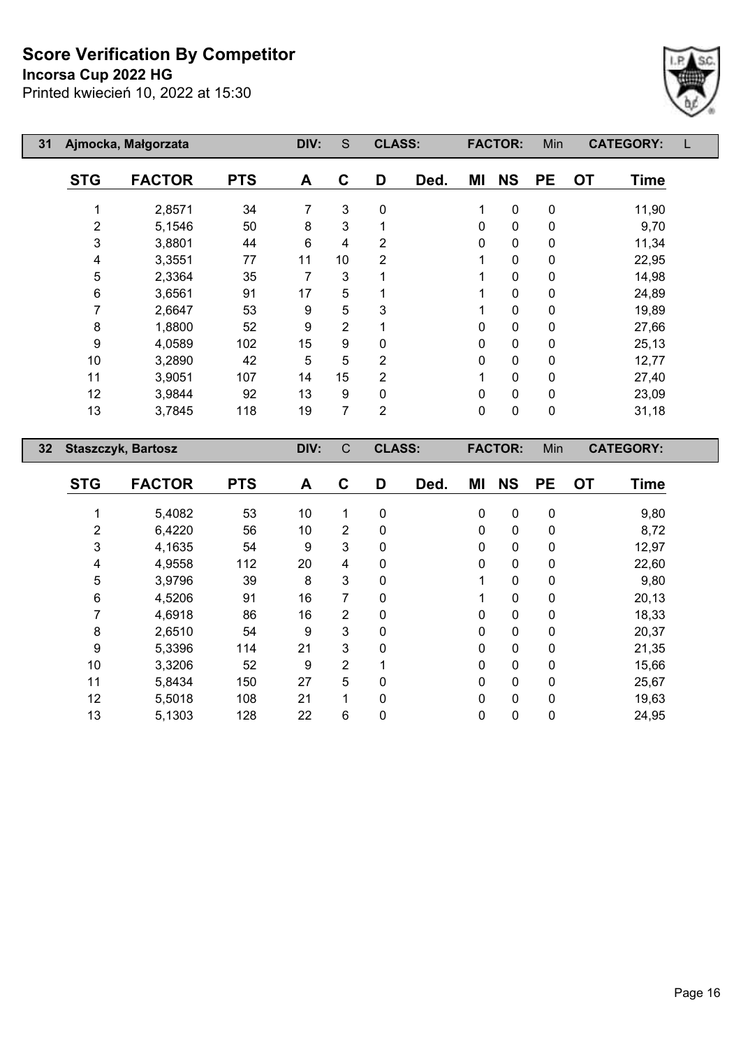**Incorsa Cup 2022 HG**

 $\overline{\phantom{a}}$ 

Г



| 31 |            | Ajmocka, Małgorzata       |            | DIV:         | S              | <b>CLASS:</b>  |             |             | <b>FACTOR:</b> | Min         | <b>CATEGORY:</b>            |  |
|----|------------|---------------------------|------------|--------------|----------------|----------------|-------------|-------------|----------------|-------------|-----------------------------|--|
|    | <b>STG</b> | <b>FACTOR</b>             | <b>PTS</b> | A            | C              | D              | Ded.        | ΜI          | <b>NS</b>      | <b>PE</b>   | <b>OT</b><br><b>Time</b>    |  |
|    |            | 2,8571                    | 34         | 7            | 3              | 0              |             | 1           | $\mathbf 0$    | $\pmb{0}$   | 11,90                       |  |
|    | 2          | 5,1546                    | 50         | 8            | 3              |                |             | $\mathbf 0$ | $\mathbf 0$    | 0           | 9,70                        |  |
|    | 3          | 3,8801                    | 44         | 6            | 4              | $\overline{2}$ |             | $\mathbf 0$ | $\mathbf 0$    | $\mathbf 0$ | 11,34                       |  |
|    | 4          | 3,3551                    | 77         | 11           | 10             | 2              |             | 1           | $\mathbf 0$    | $\pmb{0}$   | 22,95                       |  |
|    | 5          | 2,3364                    | 35         | 7            | 3              | 1              |             |             | $\mathbf 0$    | 0           | 14,98                       |  |
|    | 6          | 3,6561                    | 91         | 17           | $\overline{5}$ |                |             |             | $\mathbf 0$    | $\pmb{0}$   | 24,89                       |  |
|    |            | 2,6647                    | 53         | 9            | 5              | 3              |             | 1           | $\pmb{0}$      | 0           | 19,89                       |  |
|    | 8          | 1,8800                    | 52         | 9            | $\overline{2}$ |                |             | $\mathbf 0$ | $\mathbf 0$    | $\mathbf 0$ | 27,66                       |  |
|    | 9          | 4,0589                    | 102        | 15           | 9              | 0              |             | $\mathbf 0$ | $\mathbf 0$    | $\pmb{0}$   | 25,13                       |  |
|    | 10         | 3,2890                    | 42         | 5            | 5              | 2              |             | $\mathbf 0$ | $\mathbf 0$    | 0           | 12,77                       |  |
|    | 11         | 3,9051                    | 107        | 14           | 15             | $\overline{2}$ |             |             | $\mathbf 0$    | 0           | 27,40                       |  |
|    | 12         | 3,9844                    | 92         | 13           | 9              | 0              |             | $\mathbf 0$ | $\mathbf 0$    | $\pmb{0}$   | 23,09                       |  |
|    | 13         | 3,7845                    | 118        | 19           | 7              | $\overline{2}$ |             | $\pmb{0}$   | $\pmb{0}$      | $\pmb{0}$   | 31,18                       |  |
| 32 |            | <b>Staszczyk, Bartosz</b> |            | DIV:         | $\mathsf{C}$   | <b>CLASS:</b>  |             |             | <b>FACTOR:</b> | Min         | <b>CATEGORY:</b>            |  |
|    | CTO        | EACTOD                    | <b>DTC</b> | $\mathbf{A}$ | $\sim$         | n.             | <b>DA</b> J | NA I        | <b>NIC</b>     | nЕ          | $\mathbf{r}$<br><b>Time</b> |  |

| <b>STG</b> | <b>FACTOR</b> | <b>PTS</b> | Α  | C              | D | Ded. | MI           | <b>NS</b>    | <b>PE</b> | <b>OT</b> | <b>Time</b> |
|------------|---------------|------------|----|----------------|---|------|--------------|--------------|-----------|-----------|-------------|
|            |               |            |    | 1              |   |      |              |              |           |           |             |
|            | 5,4082        | 53         | 10 |                | 0 |      | 0            | $\mathbf 0$  | 0         |           | 9,80        |
| 2          | 6,4220        | 56         | 10 | 2              | 0 |      | $\Omega$     | 0            | 0         |           | 8,72        |
| 3          | 4,1635        | 54         | 9  | 3              | 0 |      | 0            | $\mathbf{0}$ | 0         |           | 12,97       |
| 4          | 4,9558        | 112        | 20 | 4              | 0 |      | 0            | $\mathbf{0}$ | 0         |           | 22,60       |
| 5          | 3,9796        | 39         | 8  | 3              | 0 |      |              | 0            | 0         |           | 9,80        |
| 6          | 4,5206        | 91         | 16 | 7              | 0 |      |              | 0            | 0         |           | 20,13       |
|            | 4,6918        | 86         | 16 | 2              | 0 |      | $\Omega$     | 0            | 0         |           | 18,33       |
| 8          | 2,6510        | 54         | 9  | 3              | 0 |      | 0            | 0            | 0         |           | 20,37       |
| 9          | 5,3396        | 114        | 21 | 3              | 0 |      | $\Omega$     | $\Omega$     | $\Omega$  |           | 21,35       |
| 10         | 3,3206        | 52         | 9  | $\overline{2}$ |   |      | 0            | 0            | 0         |           | 15,66       |
| 11         | 5,8434        | 150        | 27 | 5              | 0 |      | $\Omega$     | $\mathbf{0}$ | 0         |           | 25,67       |
| 12         | 5,5018        | 108        | 21 | 1              | 0 |      | $\mathbf{0}$ | $\mathbf{0}$ | 0         |           | 19,63       |
| 13         | 5,1303        | 128        | 22 | 6              | 0 |      | 0            | 0            | 0         |           | 24,95       |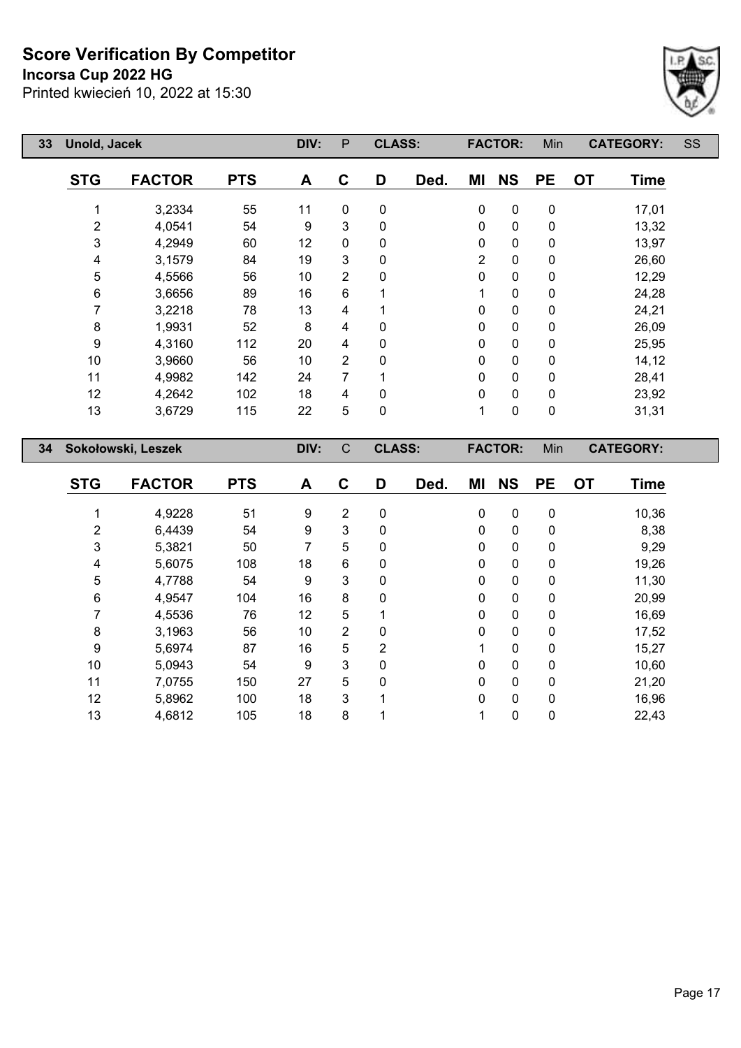**Incorsa Cup 2022 HG**

Printed kwiecień 10, 2022 at 15:30



| 33 | <b>Unold, Jacek</b> |                    |            | DIV: | $\mathsf{P}$   | <b>CLASS:</b> |      |           | <b>FACTOR:</b>           | Min         |           | <b>CATEGORY:</b> | SS |
|----|---------------------|--------------------|------------|------|----------------|---------------|------|-----------|--------------------------|-------------|-----------|------------------|----|
|    | <b>STG</b>          | <b>FACTOR</b>      | <b>PTS</b> | A    | $\mathbf c$    | D             | Ded. | ΜI        | <b>NS</b>                | <b>PE</b>   | <b>OT</b> | <b>Time</b>      |    |
|    |                     | 3,2334             | 55         | 11   | $\mathbf 0$    | 0             |      | $\pmb{0}$ | $\mathbf 0$              | $\pmb{0}$   |           | 17,01            |    |
|    | 2                   | 4,0541             | 54         | 9    | 3              | 0             |      | 0         | $\mathbf 0$              | $\pmb{0}$   |           | 13,32            |    |
|    | 3                   | 4,2949             | 60         | 12   | 0              | 0             |      | $\pmb{0}$ | $\pmb{0}$                | $\pmb{0}$   |           | 13,97            |    |
|    | 4                   | 3,1579             | 84         | 19   | 3              | 0             |      | 2         | 0                        | 0           |           | 26,60            |    |
|    | 5                   | 4,5566             | 56         | 10   | $\overline{2}$ | 0             |      | 0         | $\mathbf 0$              | $\mathbf 0$ |           | 12,29            |    |
|    | 6                   | 3,6656             | 89         | 16   | 6              | 1             |      | 1         | $\pmb{0}$                | $\pmb{0}$   |           | 24,28            |    |
|    | 7                   | 3,2218             | 78         | 13   | 4              | 1             |      | 0         | $\pmb{0}$                | $\pmb{0}$   |           | 24,21            |    |
|    | 8                   | 1,9931             | 52         | 8    | 4              | 0             |      | 0         | $\mathbf 0$              | $\pmb{0}$   |           | 26,09            |    |
|    | 9                   | 4,3160             | 112        | 20   | 4              | $\pmb{0}$     |      | 0         | $\pmb{0}$                | $\pmb{0}$   |           | 25,95            |    |
|    | 10                  | 3,9660             | 56         | 10   | $\overline{2}$ | 0             |      | 0         | $\mathbf 0$<br>$\pmb{0}$ |             |           | 14,12            |    |
|    | 11                  | 4,9982             | 142        | 24   | 7              | 1             |      | 0         | $\mathbf 0$              | 0           |           | 28,41            |    |
|    | 12                  | 4,2642             | 102        | 18   | 4              | 0             |      | 0         | $\mathbf 0$              | $\mathbf 0$ |           | 23,92            |    |
|    | 13                  | 3,6729             | 115        | 22   | 5              | 0             |      | 1         | $\pmb{0}$                | $\pmb{0}$   |           | 31,31            |    |
| 34 |                     | Sokołowski, Leszek |            | DIV: | $\mathsf C$    | <b>CLASS:</b> |      |           | <b>FACTOR:</b>           | Min         |           | <b>CATEGORY:</b> |    |
|    |                     |                    |            |      |                |               |      |           |                          |             |           |                  |    |
|    | <b>STG</b>          | <b>FACTOR</b>      | <b>PTS</b> | A    | C              | D             | Ded. | ΜI        | <b>NS</b>                | <b>PE</b>   | <b>OT</b> | <b>Time</b>      |    |
|    | 1                   | 4,9228             | 51         | 9    | $\overline{2}$ | 0             |      | 0         | $\mathbf 0$              | $\pmb{0}$   |           | 10,36            |    |
|    | 2                   | 6,4439             | 54         | 9    | 3              | $\mathbf 0$   |      | 0         | $\mathbf 0$              | 0           |           | 8,38             |    |
|    | 3                   | 5,3821             | 50         | 7    | 5              | 0             |      | 0         | $\mathbf 0$              | $\pmb{0}$   |           | 9,29             |    |
|    | 4                   | 5,6075             | 108        | 18   | 6              | 0             |      | 0         | $\mathbf 0$              | $\pmb{0}$   |           | 19,26            |    |
|    | 5                   | 4,7788             | 54         | 9    | 3              | 0             |      | 0         | $\mathbf 0$              | 0           |           | 11,30            |    |
|    | 6                   | 4,9547             | 104        | 16   | 8              | 0             |      | 0         | 0                        | 0           |           | 20,99            |    |

 4,5536 76 12 5 1 0 0 0 16,69 3,1963 56 10 2 0 0 0 0 17,52 5,6974 87 16 5 2 1 0 0 15,27 5,0943 54 9 3 0 0 0 0 10,60 7,0755 150 27 5 0 0 0 0 21,20 5,8962 100 18 3 1 0 0 0 16,96 4,6812 105 18 8 1 1 0 0 22,43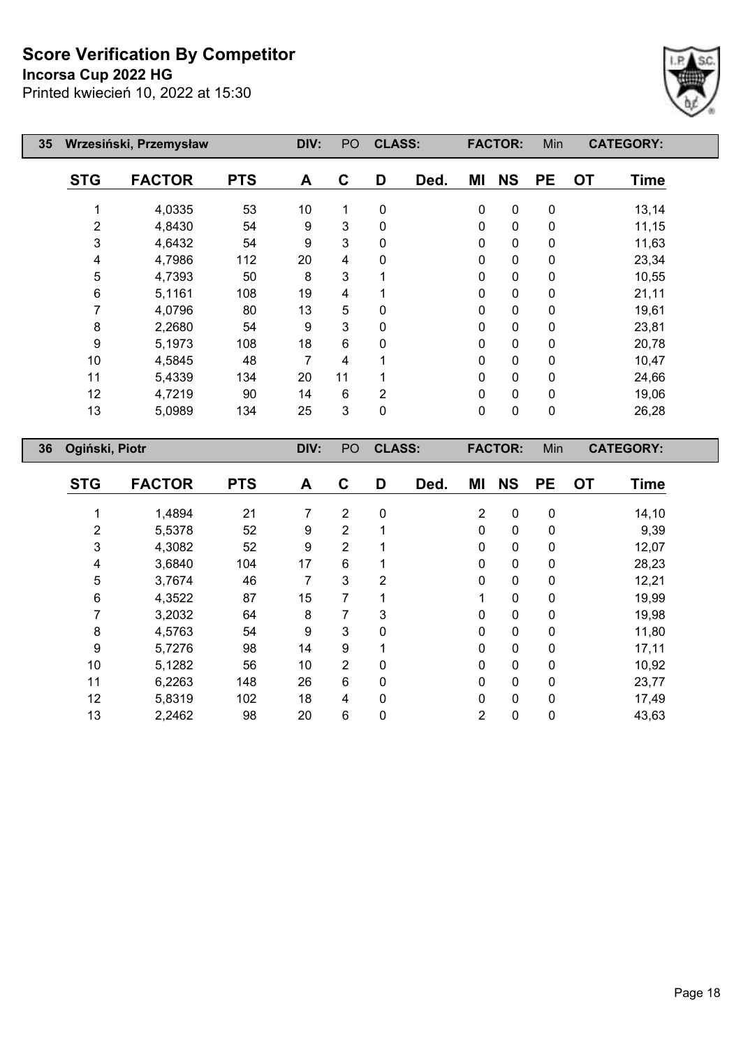## **Incorsa Cup 2022 HG**



| 35 |                | Wrzesiński, Przemysław |            | DIV: | PO | <b>CLASS:</b>  |      |             | <b>FACTOR:</b> | Min       |           | <b>CATEGORY:</b> |
|----|----------------|------------------------|------------|------|----|----------------|------|-------------|----------------|-----------|-----------|------------------|
|    | <b>STG</b>     | <b>FACTOR</b>          | <b>PTS</b> | A    | C  | D              | Ded. | ΜI          | <b>NS</b>      | <b>PE</b> | <b>OT</b> | <b>Time</b>      |
|    |                | 4,0335                 | 53         | 10   | 1  | $\mathbf 0$    |      | 0           | $\pmb{0}$      | 0         |           | 13,14            |
|    | 2              | 4,8430                 | 54         | 9    | 3  | $\Omega$       |      | 0           | $\mathbf 0$    | 0         |           | 11,15            |
|    | 3              | 4,6432                 | 54         | 9    | 3  | 0              |      | 0           | $\mathbf 0$    | 0         |           | 11,63            |
|    | 4              | 4,7986                 | 112        | 20   | 4  | 0              |      | 0           | $\mathbf 0$    | 0         |           | 23,34            |
|    | 5              | 4,7393                 | 50         | 8    | 3  |                |      | 0           | $\mathbf 0$    | 0         |           | 10,55            |
|    | 6              | 5,1161                 | 108        | 19   | 4  |                |      | 0           | 0              | 0         |           | 21,11            |
|    |                | 4,0796                 | 80         | 13   | 5  | 0              |      | 0           | 0              | 0         |           | 19,61            |
|    | 8              | 2,2680                 | 54         | 9    | 3  | $\Omega$       |      | 0           | 0              | 0         |           | 23,81            |
|    | 9              | 5,1973                 | 108        | 18   | 6  | 0              |      | 0           | 0              | 0         |           | 20,78            |
|    | 10             | 4,5845                 | 48         | 7    | 4  |                |      | 0           | 0              | 0         |           | 10,47            |
|    | 11             | 5,4339                 | 134        | 20   | 11 |                |      | 0           | 0              | 0         |           | 24,66            |
|    | 12             | 4,7219                 | 90         | 14   | 6  | $\overline{2}$ |      | 0           | 0              | 0         |           | 19,06            |
|    | 13             | 5,0989                 | 134        | 25   | 3  | 0              |      | $\mathbf 0$ | 0              | 0         |           | 26,28            |
| 36 | Ogiński, Piotr |                        |            | DIV: | PO | <b>CLASS:</b>  |      |             | <b>FACTOR:</b> | Min       |           | <b>CATEGORY:</b> |

| <b>STG</b>     | <b>FACTOR</b> | <b>PTS</b> | A  | C              | D              | Ded. | MI             | <b>NS</b>   | <b>PE</b>    | <b>OT</b> | <b>Time</b> |
|----------------|---------------|------------|----|----------------|----------------|------|----------------|-------------|--------------|-----------|-------------|
|                |               |            |    |                |                |      |                |             |              |           |             |
|                | 1,4894        | 21         | 7  | $\overline{2}$ | 0              |      | $\overline{2}$ | $\mathbf 0$ | $\mathbf 0$  |           | 14,10       |
| $\overline{2}$ | 5,5378        | 52         | 9  | $\overline{2}$ |                |      | $\mathbf{0}$   | $\mathbf 0$ | 0            |           | 9,39        |
| 3              | 4,3082        | 52         | 9  | $\overline{2}$ |                |      | 0              | 0           | 0            |           | 12,07       |
| 4              | 3,6840        | 104        | 17 | 6              |                |      | $\mathbf 0$    | 0           | 0            |           | 28,23       |
| 5              | 3,7674        | 46         | 7  | 3              | $\overline{2}$ |      | $\mathbf{0}$   | 0           | $\Omega$     |           | 12,21       |
| 6              | 4,3522        | 87         | 15 | 7              |                |      |                | 0           | 0            |           | 19,99       |
|                | 3,2032        | 64         | 8  |                | 3              |      | $\mathbf{0}$   | $\mathbf 0$ | 0            |           | 19,98       |
| 8              | 4,5763        | 54         | 9  | 3              | 0              |      | 0              | 0           | 0            |           | 11,80       |
| 9              | 5,7276        | 98         | 14 | 9              |                |      | $\mathbf 0$    | 0           | 0            |           | 17,11       |
| 10             | 5,1282        | 56         | 10 | 2              | 0              |      | $\mathbf{0}$   | 0           | $\Omega$     |           | 10,92       |
| 11             | 6,2263        | 148        | 26 | 6              | 0              |      | 0              | 0           | $\mathbf{0}$ |           | 23,77       |
| 12             | 5,8319        | 102        | 18 | 4              | 0              |      | $\mathbf{0}$   | 0           | $\Omega$     |           | 17,49       |
| 13             | 2,2462        | 98         | 20 | 6              | 0              |      | 2              | 0           | 0            |           | 43,63       |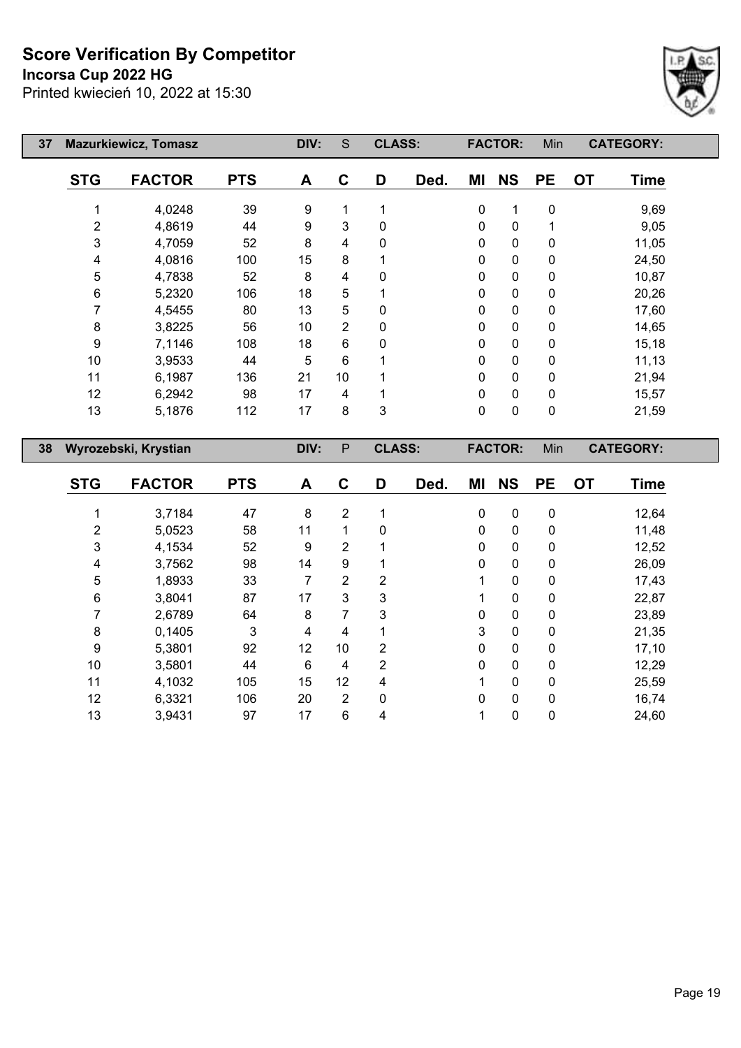# **Incorsa Cup 2022 HG**

 $\overline{\phantom{a}}$ 

E



| 37 |            | <b>Mazurkiewicz, Tomasz</b> |            | DIV: | S              | <b>CLASS:</b> |      |    | <b>FACTOR:</b> | Min       | <b>CATEGORY:</b>         |  |
|----|------------|-----------------------------|------------|------|----------------|---------------|------|----|----------------|-----------|--------------------------|--|
|    | <b>STG</b> | <b>FACTOR</b>               | <b>PTS</b> | A    | C              | D             | Ded. | ΜI | <b>NS</b>      | <b>PE</b> | <b>OT</b><br><b>Time</b> |  |
|    |            | 4,0248                      | 39         | 9    | 1              |               |      | 0  | 1              | 0         | 9,69                     |  |
|    | 2          | 4,8619                      | 44         | 9    | 3              | 0             |      | 0  | $\pmb{0}$      | 1         | 9,05                     |  |
|    | 3          | 4,7059                      | 52         | 8    | 4              | 0             |      | 0  | $\pmb{0}$      | 0         | 11,05                    |  |
|    | 4          | 4,0816                      | 100        | 15   | 8              |               |      | 0  | $\pmb{0}$      | 0         | 24,50                    |  |
|    | 5          | 4,7838                      | 52         | 8    | 4              | 0             |      | 0  | $\pmb{0}$      | 0         | 10,87                    |  |
|    | 6          | 5,2320                      | 106        | 18   | 5              |               |      | 0  | $\pmb{0}$      | 0         | 20,26                    |  |
|    |            | 4,5455                      | 80         | 13   | 5              | 0             |      | 0  | $\pmb{0}$      | 0         | 17,60                    |  |
|    | 8          | 3,8225                      | 56         | 10   | $\overline{2}$ | 0             |      | 0  | $\pmb{0}$      | 0         | 14,65                    |  |
|    | 9          | 7,1146                      | 108        | 18   | 6              | 0             |      | 0  | $\pmb{0}$      | 0         | 15,18                    |  |
|    | 10         | 3,9533                      | 44         | 5    | 6              |               |      | 0  | $\mathbf 0$    | 0         | 11,13                    |  |
|    | 11         | 6,1987                      | 136        | 21   | 10             |               |      | 0  | $\mathbf 0$    | 0         | 21,94                    |  |
|    | 12         | 6,2942                      | 98         | 17   | 4              | 1             |      | 0  | $\mathbf 0$    | 0         | 15,57                    |  |
|    | 13         | 5,1876                      | 112        | 17   | 8              | 3             |      | 0  | 0              | 0         | 21,59                    |  |
| 38 |            | Wyrozebski, Krystian        |            | DIV: | $\mathsf{P}$   | <b>CLASS:</b> |      |    | <b>FACTOR:</b> | Min       | <b>CATEGORY:</b>         |  |

| <b>STG</b> | <b>FACTOR</b> | <b>PTS</b> | A  | C              | D | Ded. | ΜI           | <b>NS</b>    | <b>PE</b> | <b>OT</b> | <b>Time</b> |
|------------|---------------|------------|----|----------------|---|------|--------------|--------------|-----------|-----------|-------------|
|            | 3,7184        | 47         | 8  | 2              |   |      | 0            | 0            | 0         |           | 12,64       |
| 2          | 5,0523        | 58         | 11 | 1              | 0 |      | $\mathbf{0}$ | $\mathbf{0}$ | 0         |           | 11,48       |
| 3          | 4,1534        | 52         | 9  | 2              |   |      | 0            | 0            | 0         |           | 12,52       |
| 4          | 3,7562        | 98         | 14 | 9              |   |      | 0            | 0            | 0         |           | 26,09       |
| 5          | 1,8933        | 33         | 7  | $\overline{2}$ | 2 |      |              | 0            | 0         |           | 17,43       |
| 6          | 3,8041        | 87         | 17 | 3              | 3 |      |              | 0            | 0         |           | 22,87       |
| 7          | 2,6789        | 64         | 8  | 7              | 3 |      | 0            | 0            | 0         |           | 23,89       |
| 8          | 0,1405        | 3          | 4  | 4              |   |      | 3            | 0            | 0         |           | 21,35       |
| 9          | 5,3801        | 92         | 12 | 10             | 2 |      | 0            | 0            | 0         |           | 17,10       |
| 10         | 3,5801        | 44         | 6  | 4              | 2 |      | $\mathbf 0$  | $\mathbf 0$  | 0         |           | 12,29       |
| 11         | 4,1032        | 105        | 15 | 12             | 4 |      | 4            | 0            | 0         |           | 25,59       |
| 12         | 6,3321        | 106        | 20 | $\overline{2}$ | 0 |      | $\mathbf{0}$ | 0            | 0         |           | 16,74       |
| 13         | 3,9431        | 97         | 17 | 6              | 4 |      |              | 0            | 0         |           | 24,60       |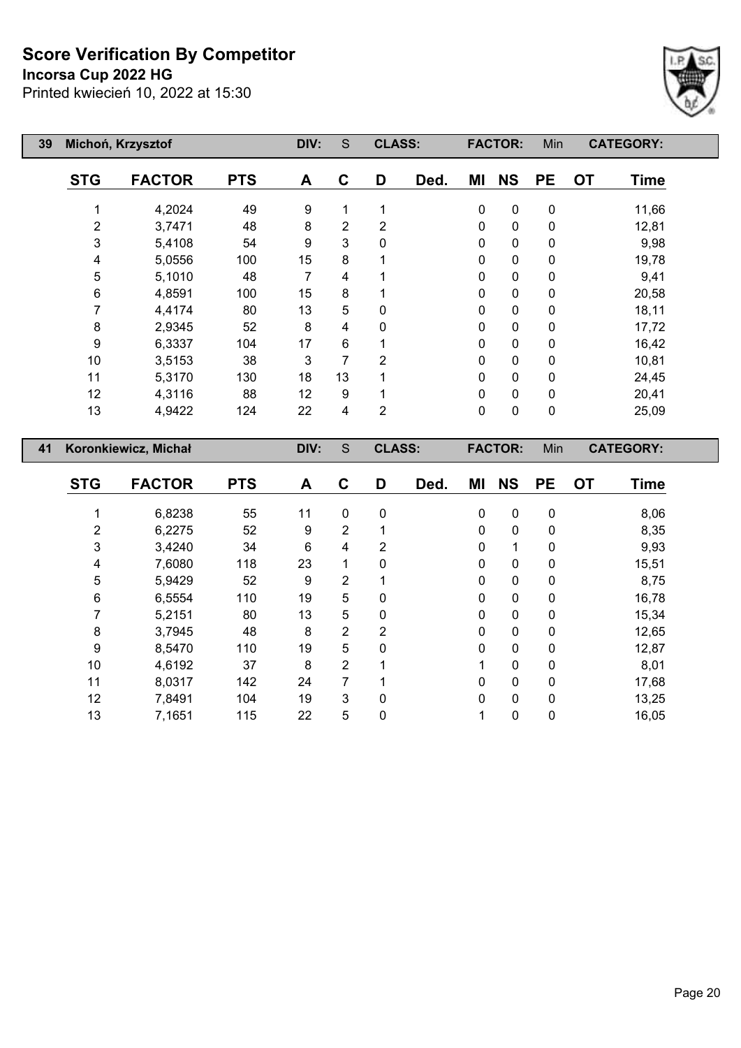**Incorsa Cup 2022 HG**

Printed kwiecień 10, 2022 at 15:30



| 39 |                  | Michoń, Krzysztof    |            | DIV:           | $\mathsf S$      | <b>CLASS:</b>  |      |           | <b>FACTOR:</b> | Min       |           | <b>CATEGORY:</b> |  |
|----|------------------|----------------------|------------|----------------|------------------|----------------|------|-----------|----------------|-----------|-----------|------------------|--|
|    | <b>STG</b>       | <b>FACTOR</b>        | <b>PTS</b> | A              | $\mathbf C$      | D              | Ded. | ΜI        | <b>NS</b>      | <b>PE</b> | <b>OT</b> | <b>Time</b>      |  |
|    | 1                | 4,2024               | 49         | 9              | 1                | 1              |      | $\pmb{0}$ | $\pmb{0}$      | $\pmb{0}$ |           | 11,66            |  |
|    | $\overline{2}$   | 3,7471               | 48         | 8              | $\overline{2}$   | $\overline{2}$ |      | 0         | $\pmb{0}$      | 0         |           | 12,81            |  |
|    | $\mathfrak{B}$   | 5,4108               | 54         | 9              | 3                | 0              |      | 0         | $\pmb{0}$      | 0         |           | 9,98             |  |
|    | 4                | 5,0556               | 100        | 15             | 8                | 1              |      | 0         | $\pmb{0}$      | 0         |           | 19,78            |  |
|    | $\sqrt{5}$       | 5,1010               | 48         | $\overline{7}$ | $\overline{4}$   | 1              |      | 0         | $\pmb{0}$      | 0         |           | 9,41             |  |
|    | 6                | 4,8591               | 100        | 15             | 8                | 1              |      | 0         | $\pmb{0}$      | 0         |           | 20,58            |  |
|    | $\overline{7}$   | 4,4174               | 80         | 13             | 5                | 0              |      | 0         | $\pmb{0}$      | 0         |           | 18,11            |  |
|    | 8                | 2,9345               | 52         | 8              | 4                | 0              |      | $\pmb{0}$ | $\mathbf 0$    | 0         |           | 17,72            |  |
|    | 9                | 6,3337               | 104        | 17             | $\,6$            | 1              |      | 0         | $\pmb{0}$      | 0         |           | 16,42            |  |
|    | 10               | 3,5153               | 38         | 3              | $\overline{7}$   | $\overline{2}$ |      | 0         | $\pmb{0}$      | 0         |           | 10,81            |  |
|    | 11               | 5,3170               | 130        | 18             | 13               | 1              |      | 0         | $\pmb{0}$      | 0         |           | 24,45            |  |
|    | 12               | 4,3116               | 88         | 12             | $\boldsymbol{9}$ | 1              |      | 0         | $\pmb{0}$      | 0         |           | 20,41            |  |
|    | 13               | 4,9422               | 124        | 22             | 4                | $\overline{2}$ |      | $\pmb{0}$ | $\pmb{0}$      | 0         |           | 25,09            |  |
|    |                  |                      |            |                |                  |                |      |           |                |           |           |                  |  |
| 41 |                  | Koronkiewicz, Michał |            | DIV:           | ${\mathsf S}$    | <b>CLASS:</b>  |      |           | <b>FACTOR:</b> | Min       |           | <b>CATEGORY:</b> |  |
|    | <b>STG</b>       | <b>FACTOR</b>        | <b>PTS</b> | A              | $\mathbf c$      | D              | Ded. | ΜI        | <b>NS</b>      | <b>PE</b> | <b>OT</b> | <b>Time</b>      |  |
|    | 1                | 6,8238               | 55         | 11             | $\pmb{0}$        | $\pmb{0}$      |      | $\pmb{0}$ | $\pmb{0}$      | $\pmb{0}$ |           | 8,06             |  |
|    | $\boldsymbol{2}$ | 6,2275               | 52         | 9              | 2                | 1              |      | 0         | $\pmb{0}$      | 0         |           | 8,35             |  |
|    | $\mathfrak{B}$   | 3,4240               | 34         | 6              | 4                | $\overline{2}$ |      | $\pmb{0}$ | 1              | 0         |           | 9,93             |  |
|    | 4                | 7,6080               | 118        | 23             | 1                | 0              |      | 0         | $\pmb{0}$      | 0         |           | 15,51            |  |
|    | 5                | 5,9429               | 52         | 9              | $\overline{2}$   | 1              |      | 0         | $\mathbf 0$    | 0         |           | 8,75             |  |
|    | 6                | 6,5554               | 110        | 19             | 5                | 0              |      | 0         | $\mathbf 0$    | 0         |           | 16,78            |  |
|    | 7                | 5,2151               | 80         | 13             | 5                | $\pmb{0}$      |      | 0         | $\pmb{0}$      | 0         |           | 15,34            |  |
|    | 8                | 3,7945               | 48         | 8              | $\overline{2}$   | $\overline{2}$ |      | $\pmb{0}$ | $\pmb{0}$      | 0         |           | 12,65            |  |
|    | 9                | 8,5470               | 110        | 19             | 5                | 0              |      | 0         | $\mathbf 0$    | 0         |           | 12,87            |  |

 4,6192 37 8 2 1 1 0 0 8,01 8,0317 142 24 7 1 0 0 0 17,68 7,8491 104 19 3 0 0 0 0 13,25 7,1651 115 22 5 0 1 0 0 16,05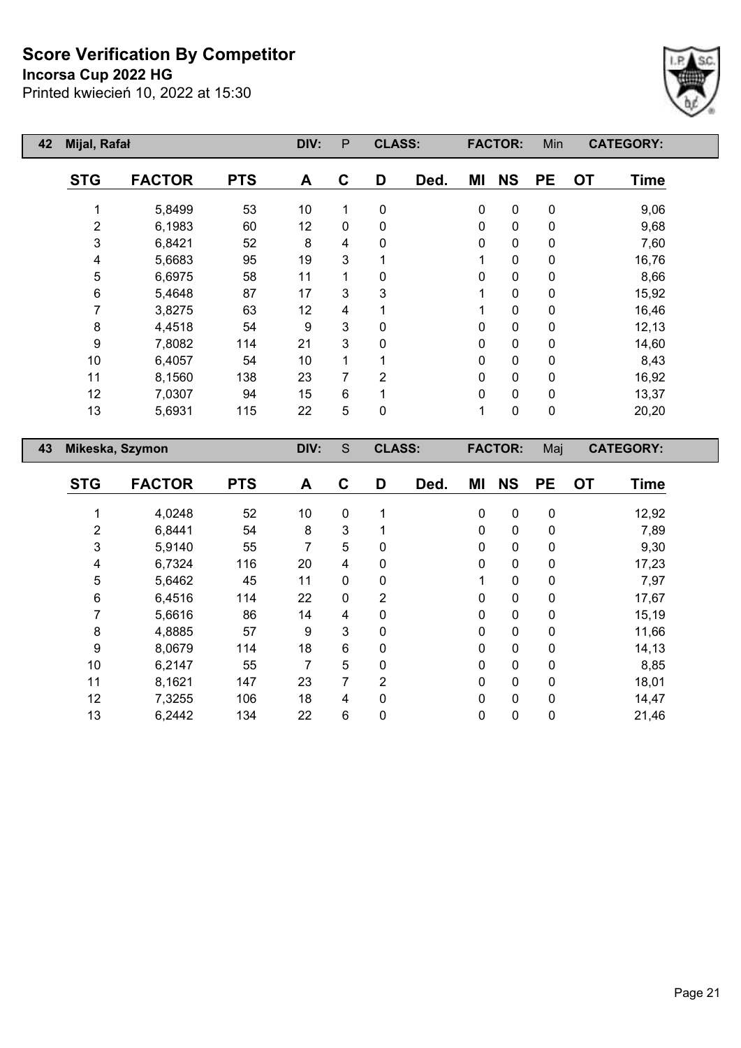**Incorsa Cup 2022 HG**



| 42 | Mijal, Rafał     |                 |            | DIV: | P | <b>CLASS:</b> |      |           | <b>FACTOR:</b> | Min       |           | <b>CATEGORY:</b> |
|----|------------------|-----------------|------------|------|---|---------------|------|-----------|----------------|-----------|-----------|------------------|
|    | <b>STG</b>       | <b>FACTOR</b>   | <b>PTS</b> | A    | C | D             | Ded. | ΜI        | <b>NS</b>      | <b>PE</b> | <b>OT</b> | <b>Time</b>      |
|    |                  | 5,8499          | 53         | 10   | 1 | $\mathbf 0$   |      | $\pmb{0}$ | $\pmb{0}$      | $\pmb{0}$ |           | 9,06             |
|    | $\overline{2}$   | 6,1983          | 60         | 12   | 0 | 0             |      | 0         | 0              | $\pmb{0}$ |           | 9,68             |
|    | 3                | 6,8421          | 52         | 8    | 4 | 0             |      | 0         | $\pmb{0}$      | $\pmb{0}$ |           | 7,60             |
|    | 4                | 5,6683          | 95         | 19   | 3 |               |      | 1         | $\pmb{0}$      | $\pmb{0}$ |           | 16,76            |
|    | 5                | 6,6975          | 58         | 11   | 1 | 0             |      | 0         | $\pmb{0}$      | $\pmb{0}$ |           | 8,66             |
|    | 6                | 5,4648          | 87         | 17   | 3 | 3             |      | 1         | $\pmb{0}$      | $\pmb{0}$ |           | 15,92            |
|    | 7                | 3,8275          | 63         | 12   | 4 |               |      | 1         | $\pmb{0}$      | $\pmb{0}$ |           | 16,46            |
|    | $\bf 8$          | 4,4518          | 54         | 9    | 3 | 0             |      | 0         | $\pmb{0}$      | $\pmb{0}$ |           | 12,13            |
|    | $\boldsymbol{9}$ | 7,8082          | 114        | 21   | 3 | 0             |      | 0         | $\pmb{0}$      | $\pmb{0}$ |           | 14,60            |
|    | 10               | 6,4057          | 54         | 10   | 1 |               |      | 0         | $\pmb{0}$      | $\pmb{0}$ |           | 8,43             |
|    | 11               | 8,1560          | 138        | 23   | 7 | 2             |      | 0         | $\pmb{0}$      | $\pmb{0}$ |           | 16,92            |
|    | 12               | 7,0307          | 94         | 15   | 6 |               |      | 0         | $\pmb{0}$      | $\pmb{0}$ |           | 13,37            |
|    | 13               | 5,6931          | 115        | 22   | 5 | $\mathbf 0$   |      | 1         | $\pmb{0}$      | $\pmb{0}$ |           | 20,20            |
| 43 |                  | Mikeska, Szymon |            | DIV: | S | <b>CLASS:</b> |      |           | <b>FACTOR:</b> | Maj       |           | <b>CATEGORY:</b> |
|    | <b>STG</b>       | <b>FACTOR</b>   | <b>PTS</b> | A    | C | D             | Ded. | ΜI        | <b>NS</b>      | <b>PE</b> | <b>OT</b> | <b>Time</b>      |

|    | 4,0248 | 52  | 10 | 0           |                | $\Omega$ | $\mathbf{0}$ | 0            | 12,92 |
|----|--------|-----|----|-------------|----------------|----------|--------------|--------------|-------|
| 2  | 6,8441 | 54  | 8  | 3           |                | 0        | 0            | 0            | 7,89  |
| 3  | 5,9140 | 55  |    | 5           | 0              | 0        | 0            | 0            | 9,30  |
| 4  | 6,7324 | 116 | 20 | 4           | 0              | 0        | 0            | $\Omega$     | 17,23 |
| 5  | 5,6462 | 45  | 11 | 0           | 0              |          | 0            | 0            | 7,97  |
| 6  | 6,4516 | 114 | 22 | $\mathbf 0$ | $\overline{2}$ | 0        | $\mathbf{0}$ | $\mathbf{0}$ | 17,67 |
|    | 5,6616 | 86  | 14 | 4           | 0              | 0        | 0            | $\Omega$     | 15,19 |
| 8  | 4,8885 | 57  | 9  | 3           | 0              | 0        | 0            | 0            | 11,66 |
| 9  | 8,0679 | 114 | 18 | 6           | $\mathbf{0}$   | ŋ        | 0            | $\mathbf{0}$ | 14,13 |
| 10 | 6,2147 | 55  |    | 5           | 0              | $\Omega$ | 0            | $\Omega$     | 8,85  |
| 11 | 8,1621 | 147 | 23 | 7           | $\overline{2}$ | 0        | $\mathbf{0}$ | $\Omega$     | 18,01 |
| 12 | 7,3255 | 106 | 18 | 4           | $\mathbf{0}$   | $\Omega$ | 0            | $\Omega$     | 14,47 |
| 13 | 6,2442 | 134 | 22 | 6           | 0              | 0        | 0            | 0            | 21,46 |
|    |        |     |    |             |                |          |              |              |       |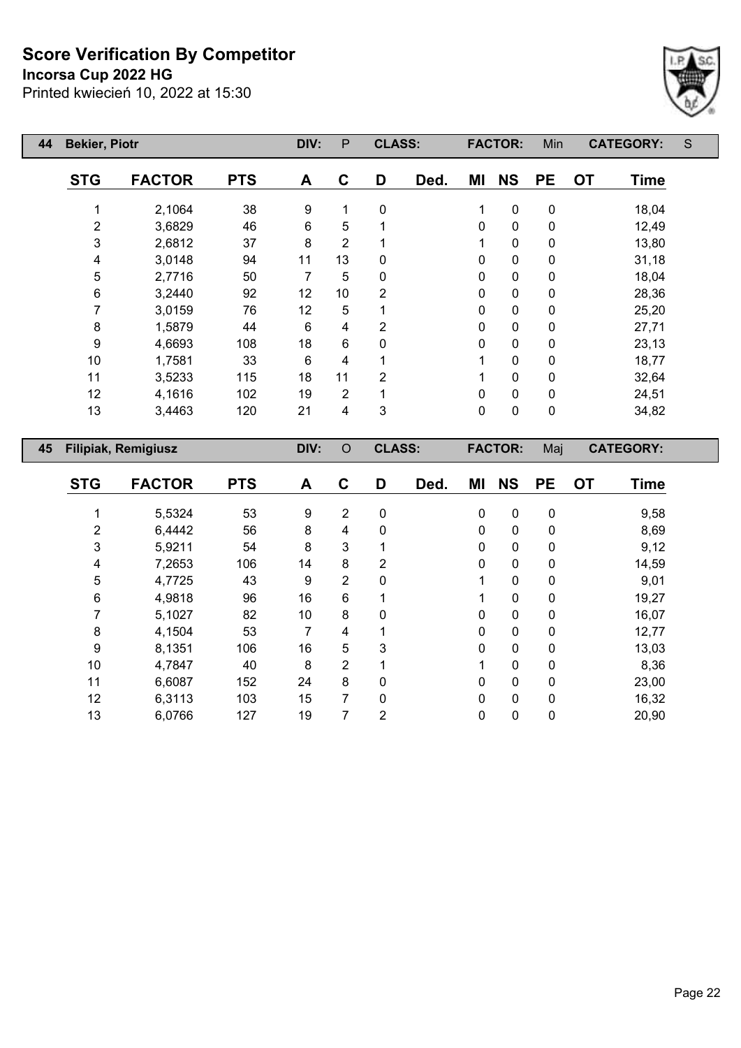**Incorsa Cup 2022 HG**



| 44<br><b>Bekier, Piotr</b> |                            |            | DIV:           | P              | <b>CLASS:</b>  |      |              | <b>FACTOR:</b> | Min         | <b>CATEGORY:</b>  | S |
|----------------------------|----------------------------|------------|----------------|----------------|----------------|------|--------------|----------------|-------------|-------------------|---|
| <b>STG</b>                 | <b>FACTOR</b>              | <b>PTS</b> | A              | C              | D              | Ded. | ΜI           | <b>NS</b>      | <b>PE</b>   | <b>OT</b><br>Time |   |
|                            | 2,1064                     | 38         | 9              | 1              | 0              |      | 1            | $\mathbf 0$    | $\mathbf 0$ | 18,04             |   |
| $\overline{2}$             | 3,6829                     | 46         | 6              | 5              |                |      | $\Omega$     | $\mathbf 0$    | 0           | 12,49             |   |
| 3                          | 2,6812                     | 37         | 8              | $\overline{2}$ |                |      |              | $\mathbf 0$    | 0           | 13,80             |   |
| 4                          | 3,0148                     | 94         | 11             | 13             | 0              |      | 0            | $\mathbf 0$    | 0           | 31,18             |   |
| 5                          | 2,7716                     | 50         | $\overline{7}$ | 5              | 0              |      | 0            | $\mathbf 0$    | 0           | 18,04             |   |
| 6                          | 3,2440                     | 92         | 12             | 10             | 2              |      | $\Omega$     | $\mathbf 0$    | 0           | 28,36             |   |
| 7                          | 3,0159                     | 76         | 12             | 5              |                |      | 0            | $\mathbf 0$    | $\mathbf 0$ | 25,20             |   |
| 8                          | 1,5879                     | 44         | 6              | 4              | $\overline{2}$ |      | 0            | $\mathbf 0$    | 0           | 27,71             |   |
| 9                          | 4,6693                     | 108        | 18             | 6              | 0              |      | 0            | $\mathbf 0$    | 0           | 23,13             |   |
| 10                         | 1,7581                     | 33         | 6              | 4              |                |      |              | $\mathbf 0$    | 0           | 18,77             |   |
| 11                         | 3,5233                     | 115        | 18             | 11             | $\overline{2}$ |      | 1            | $\mathbf 0$    | 0           | 32,64             |   |
| 12                         | 4,1616                     | 102        | 19             | $\overline{2}$ |                |      | $\mathbf{0}$ | $\mathbf 0$    | 0           | 24,51             |   |
| 13                         | 3,4463                     | 120        | 21             | 4              | 3              |      | 0            | $\mathbf 0$    | 0           | 34,82             |   |
| 45                         | <b>Filipiak, Remigiusz</b> |            | DIV:           | $\circ$        | <b>CLASS:</b>  |      |              | <b>FACTOR:</b> | Maj         | <b>CATEGORY:</b>  |   |
|                            |                            |            |                |                |                |      |              |                |             |                   |   |

| <b>STG</b> | <b>FACTOR</b> | <b>PTS</b> | A  | C              | D              | Ded. | ΜI           | <b>NS</b>    | <b>PE</b>    | <b>OT</b> | <b>Time</b> |
|------------|---------------|------------|----|----------------|----------------|------|--------------|--------------|--------------|-----------|-------------|
|            |               |            |    |                |                |      |              |              |              |           |             |
|            | 5,5324        | 53         | 9  | $\overline{2}$ | 0              |      | 0            | 0            | $\mathbf 0$  |           | 9,58        |
| 2          | 6,4442        | 56         | 8  | 4              | 0              |      | 0            | $\Omega$     | $\mathbf{0}$ |           | 8,69        |
| 3          | 5,9211        | 54         | 8  | 3              |                |      | 0            | 0            | $\mathbf 0$  |           | 9,12        |
| 4          | 7,2653        | 106        | 14 | 8              | $\overline{2}$ |      | 0            | $\mathbf{0}$ | $\mathbf 0$  |           | 14,59       |
| 5          | 4,7725        | 43         | 9  | 2              | 0              |      |              | 0            | $\mathbf{0}$ |           | 9,01        |
| 6          | 4,9818        | 96         | 16 | 6              |                |      |              | 0            | $\mathbf 0$  |           | 19,27       |
| 7          | 5,1027        | 82         | 10 | 8              | 0              |      | $\Omega$     | 0            | $\mathbf{0}$ |           | 16,07       |
| 8          | 4,1504        | 53         | 7  | 4              |                |      | 0            | 0            | $\mathbf 0$  |           | 12,77       |
| 9          | 8,1351        | 106        | 16 | 5              | 3              |      | $\Omega$     | $\Omega$     | $\Omega$     |           | 13,03       |
| 10         | 4,7847        | 40         | 8  | $\overline{2}$ |                |      |              | $\mathbf{0}$ | $\mathbf{0}$ |           | 8,36        |
| 11         | 6,6087        | 152        | 24 | 8              | $\Omega$       |      | 0            | $\Omega$     | $\Omega$     |           | 23,00       |
| 12         | 6,3113        | 103        | 15 | 7              | 0              |      | $\mathbf{0}$ | 0            | $\mathbf{0}$ |           | 16,32       |
| 13         | 6,0766        | 127        | 19 | 7              | 2              |      | 0            | 0            | $\mathbf 0$  |           | 20,90       |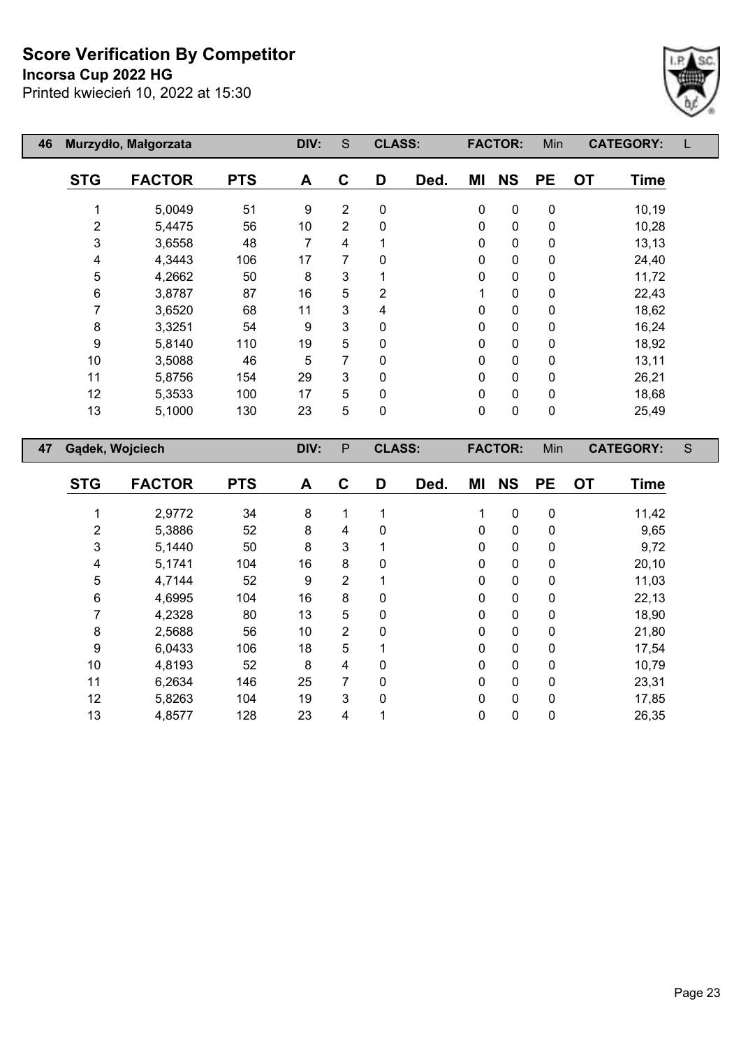**Incorsa Cup 2022 HG**

 $\overline{\phantom{a}}$ 

E



| 46 |                 | Murzydło, Małgorzata |            | DIV: | S            | <b>CLASS:</b> |      |             | <b>FACTOR:</b> | Min         | <b>CATEGORY:</b>         |   |
|----|-----------------|----------------------|------------|------|--------------|---------------|------|-------------|----------------|-------------|--------------------------|---|
|    | <b>STG</b>      | <b>FACTOR</b>        | <b>PTS</b> | A    | $\mathbf C$  | D             | Ded. | MI          | <b>NS</b>      | <b>PE</b>   | <b>OT</b><br><b>Time</b> |   |
|    |                 | 5,0049               | 51         | 9    | 2            | 0             |      | $\mathbf 0$ | $\mathbf 0$    | $\mathbf 0$ | 10,19                    |   |
|    | $\overline{2}$  | 5,4475               | 56         | 10   | 2            | 0             |      | $\mathbf 0$ | 0              | 0           | 10,28                    |   |
|    | 3               | 3,6558               | 48         | 7    | 4            |               |      | $\mathbf 0$ | 0              | $\pmb{0}$   | 13,13                    |   |
|    | 4               | 4,3443               | 106        | 17   | 7            | $\mathbf{0}$  |      | $\mathbf 0$ | $\mathbf 0$    | 0           | 24,40                    |   |
|    | 5               | 4,2662               | 50         | 8    | 3            |               |      | $\mathbf 0$ | 0              | 0           | 11,72                    |   |
|    | 6               | 3,8787               | 87         | 16   | 5            | 2             |      | 1           | 0              | 0           | 22,43                    |   |
|    |                 | 3,6520               | 68         | 11   | 3            | 4             |      | $\mathbf 0$ | 0              | 0           | 18,62                    |   |
|    | 8               | 3,3251               | 54         | 9    | 3            | 0             |      | $\mathbf 0$ | 0              | 0           | 16,24                    |   |
|    | 9               | 5,8140               | 110        | 19   | 5            | 0             |      | $\mathbf 0$ | $\Omega$       | 0           | 18,92                    |   |
|    | 10              | 3,5088               | 46         | 5    | 7            | 0             |      | 0           | 0              | $\mathbf 0$ | 13,11                    |   |
|    | 11              | 5,8756               | 154        | 29   | 3            | 0             |      | 0           | 0              | 0           | 26,21                    |   |
|    | 12              | 5,3533               | 100        | 17   | 5            | 0             |      | 0           | $\mathbf 0$    | 0           | 18,68                    |   |
|    | 13              | 5,1000               | 130        | 23   | 5            | 0             |      | $\pmb{0}$   | 0              | $\pmb{0}$   | 25,49                    |   |
| 47 | Gądek, Wojciech |                      |            | DIV: | $\mathsf{P}$ | <b>CLASS:</b> |      |             | <b>FACTOR:</b> | Min         | <b>CATEGORY:</b>         | S |
|    |                 |                      |            |      |              |               |      |             |                |             |                          |   |

| <b>STG</b> | <b>FACTOR</b> | <b>PTS</b> | A  | C              | D           | Ded. | ΜI | <b>NS</b> | <b>PE</b>   | <b>OT</b> | Time  |
|------------|---------------|------------|----|----------------|-------------|------|----|-----------|-------------|-----------|-------|
|            | 2,9772        | 34         | 8  | 1              |             |      | 1  | 0         | 0           |           | 11,42 |
| 2          | 5,3886        | 52         | 8  | 4              | 0           |      | 0  | 0         | 0           |           | 9,65  |
| 3          | 5,1440        | 50         | 8  | 3              |             |      | 0  | 0         | 0           |           | 9,72  |
| 4          | 5,1741        | 104        | 16 | 8              | 0           |      | 0  | 0         | 0           |           | 20,10 |
| 5          | 4,7144        | 52         | 9  | $\overline{2}$ |             |      | 0  | 0         | 0           |           | 11,03 |
| 6          | 4,6995        | 104        | 16 | 8              | 0           |      | 0  | 0         | 0           |           | 22,13 |
|            | 4,2328        | 80         | 13 | 5              | 0           |      | 0  | 0         | 0           |           | 18,90 |
| 8          | 2,5688        | 56         | 10 | 2              | 0           |      | 0  | 0         | 0           |           | 21,80 |
| 9          | 6,0433        | 106        | 18 | 5              | 1           |      | 0  | 0         | 0           |           | 17,54 |
| 10         | 4,8193        | 52         | 8  | 4              | 0           |      | 0  | 0         | 0           |           | 10,79 |
| 11         | 6,2634        | 146        | 25 | 7              | $\mathbf 0$ |      | 0  | 0         | $\mathbf 0$ |           | 23,31 |
| 12         | 5,8263        | 104        | 19 | 3              | $\mathbf 0$ |      | 0  | 0         | 0           |           | 17,85 |
| 13         | 4,8577        | 128        | 23 | 4              |             |      | 0  | 0         | 0           |           | 26,35 |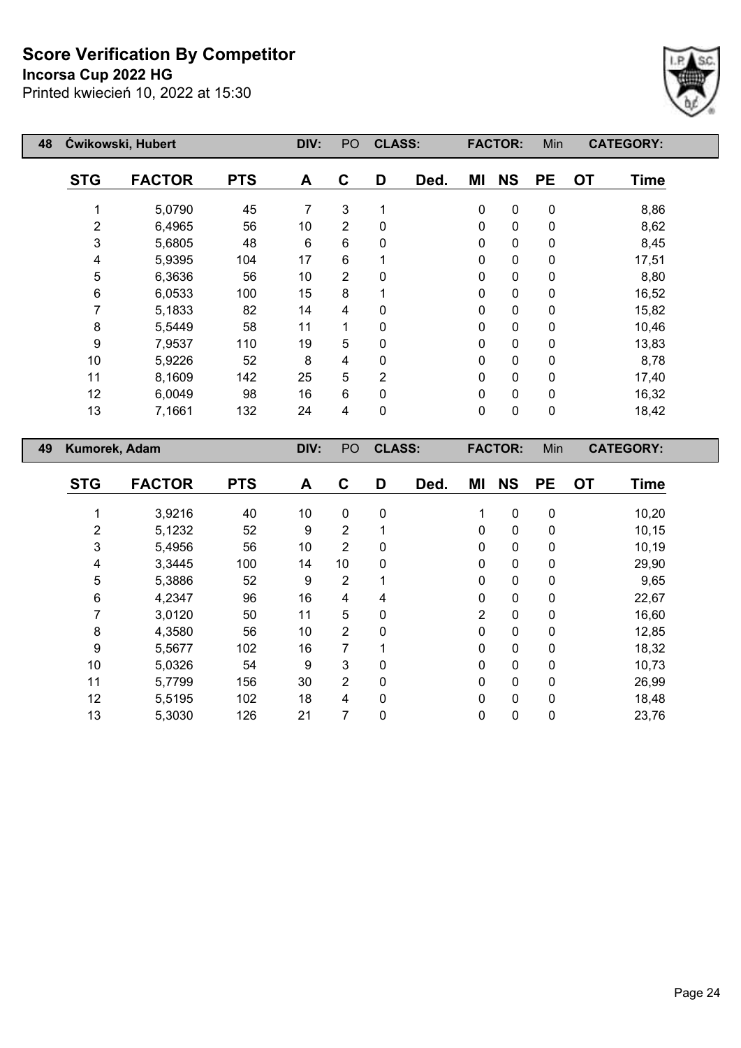## **Incorsa Cup 2022 HG**



| 48 |                | Ćwikowski, Hubert |            | DIV: | PO | <b>CLASS:</b>  |      |             | <b>FACTOR:</b> | Min         |           | <b>CATEGORY:</b> |
|----|----------------|-------------------|------------|------|----|----------------|------|-------------|----------------|-------------|-----------|------------------|
|    | <b>STG</b>     | <b>FACTOR</b>     | <b>PTS</b> | A    | C  | D              | Ded. | ΜI          | <b>NS</b>      | <b>PE</b>   | <b>OT</b> | <b>Time</b>      |
|    |                | 5,0790            | 45         | 7    | 3  | 1              |      | $\pmb{0}$   | $\pmb{0}$      | $\pmb{0}$   |           | 8,86             |
|    | $\overline{2}$ | 6,4965            | 56         | 10   | 2  | $\mathbf{0}$   |      | $\mathbf 0$ | 0              | $\mathbf 0$ |           | 8,62             |
|    | 3              | 5,6805            | 48         | 6    | 6  | 0              |      | $\mathbf 0$ | 0              | $\pmb{0}$   |           | 8,45             |
|    | 4              | 5,9395            | 104        | 17   | 6  |                |      | $\mathbf 0$ | 0              | $\mathbf 0$ |           | 17,51            |
|    | 5              | 6,3636            | 56         | 10   | 2  | $\mathbf 0$    |      | 0           | 0              | $\mathbf 0$ |           | 8,80             |
|    | 6              | 6,0533            | 100        | 15   | 8  |                |      | 0           | 0              | $\mathbf 0$ |           | 16,52            |
|    |                | 5,1833            | 82         | 14   | 4  | $\Omega$       |      | 0           | 0              | $\mathbf 0$ |           | 15,82            |
|    | 8              | 5,5449            | 58         | 11   | 1  | $\Omega$       |      | 0           | 0              | $\mathbf 0$ |           | 10,46            |
|    | 9              | 7,9537            | 110        | 19   | 5  | $\mathbf{0}$   |      | 0           | 0              | $\mathbf 0$ |           | 13,83            |
|    | 10             | 5,9226            | 52         | 8    | 4  | 0              |      | 0           | 0              | $\pmb{0}$   |           | 8,78             |
|    | 11             | 8,1609            | 142        | 25   | 5  | $\overline{2}$ |      | 0           | 0              | $\pmb{0}$   |           | 17,40            |
|    | 12             | 6,0049            | 98         | 16   | 6  | $\mathbf{0}$   |      | 0           | 0              | $\mathbf 0$ |           | 16,32            |
|    | 13             | 7,1661            | 132        | 24   | 4  | 0              |      | 0           | 0              | $\pmb{0}$   |           | 18,42            |
| 49 | Kumorek, Adam  |                   |            | DIV: | PO | <b>CLASS:</b>  |      |             | <b>FACTOR:</b> | Min         |           | <b>CATEGORY:</b> |

| <b>STG</b>     | <b>FACTOR</b> | <b>PTS</b> | A  | C              | D           | Ded. | ΜI             | <b>NS</b>   | <b>PE</b>   | <b>OT</b> | <b>Time</b> |
|----------------|---------------|------------|----|----------------|-------------|------|----------------|-------------|-------------|-----------|-------------|
|                | 3,9216        | 40         | 10 | $\mathbf 0$    | $\mathbf 0$ |      | 1              | $\pmb{0}$   | 0           |           | 10,20       |
| $\overline{2}$ | 5,1232        | 52         | 9  | $\overline{2}$ |             |      | 0              | $\mathbf 0$ | 0           |           | 10, 15      |
| 3              | 5,4956        | 56         | 10 | $\overline{2}$ | 0           |      | 0              | $\mathbf 0$ | 0           |           | 10,19       |
| 4              | 3,3445        | 100        | 14 | 10             | 0           |      | 0              | 0           | 0           |           | 29,90       |
| 5              | 5,3886        | 52         | 9  | $\overline{2}$ |             |      | $\Omega$       | 0           | 0           |           | 9,65        |
| 6              | 4,2347        | 96         | 16 | 4              | 4           |      | 0              | 0           | 0           |           | 22,67       |
| 7              | 3,0120        | 50         | 11 | 5              | 0           |      | $\overline{2}$ | $\mathbf 0$ | 0           |           | 16,60       |
| 8              | 4,3580        | 56         | 10 | $\overline{2}$ | 0           |      | 0              | $\pmb{0}$   | 0           |           | 12,85       |
| 9              | 5,5677        | 102        | 16 | 7              | 1           |      | 0              | $\mathbf 0$ | $\mathbf 0$ |           | 18,32       |
| 10             | 5,0326        | 54         | 9  | 3              | $\Omega$    |      | 0              | $\mathbf 0$ | 0           |           | 10,73       |
| 11             | 5,7799        | 156        | 30 | $\overline{2}$ | 0           |      | $\mathbf 0$    | $\mathbf 0$ | 0           |           | 26,99       |
| 12             | 5,5195        | 102        | 18 | 4              | $\mathbf 0$ |      | 0              | $\mathbf 0$ | 0           |           | 18,48       |
| 13             | 5,3030        | 126        | 21 | 7              | 0           |      | 0              | 0           | 0           |           | 23,76       |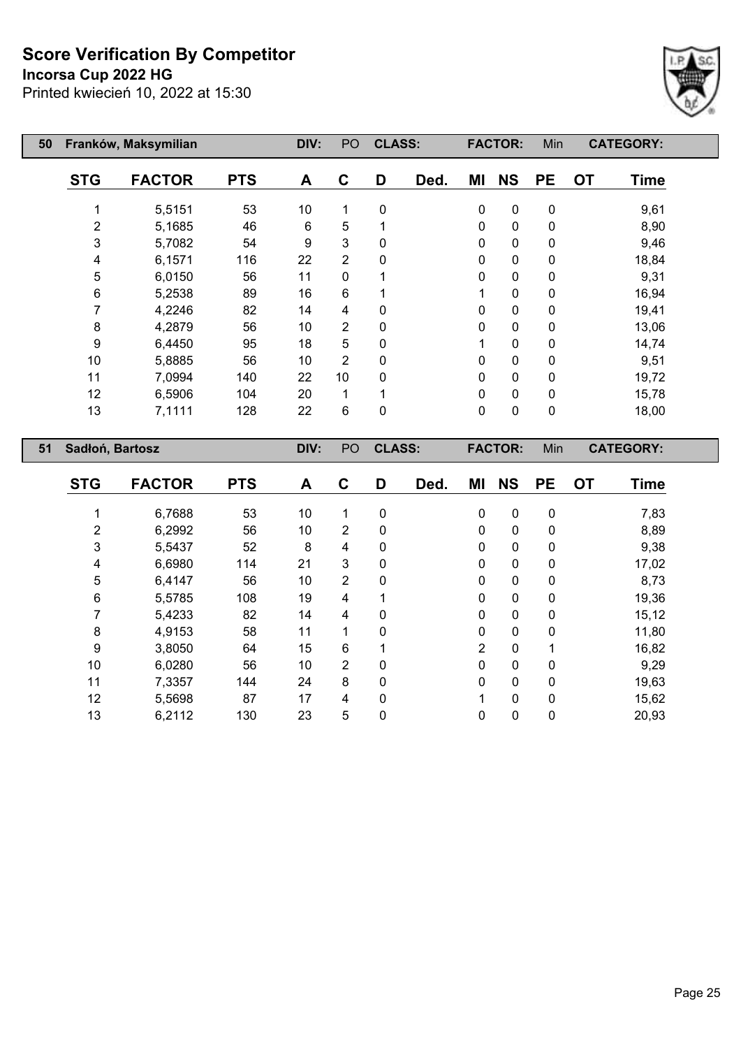#### **Incorsa Cup 2022 HG**



| 50 |            | Franków, Maksymilian |            | DIV: | PO <sub></sub> | <b>CLASS:</b> |      |           | <b>FACTOR:</b> | Min       |           | <b>CATEGORY:</b> |
|----|------------|----------------------|------------|------|----------------|---------------|------|-----------|----------------|-----------|-----------|------------------|
|    | <b>STG</b> | <b>FACTOR</b>        | <b>PTS</b> | A    | C              | D             | Ded. | ΜI        | <b>NS</b>      | <b>PE</b> | <b>OT</b> | <b>Time</b>      |
|    |            | 5,5151               | 53         | 10   |                | 0             |      | $\pmb{0}$ | $\pmb{0}$      | 0         |           | 9,61             |
|    | 2          | 5,1685               | 46         | 6    | 5              |               |      | 0         | $\pmb{0}$      | 0         |           | 8,90             |
|    | 3          | 5,7082               | 54         | 9    | 3              | 0             |      | 0         | $\pmb{0}$      | 0         |           | 9,46             |
|    | 4          | 6,1571               | 116        | 22   | $\overline{2}$ | 0             |      | 0         | $\mathbf 0$    | 0         |           | 18,84            |
|    | 5          | 6,0150               | 56         | 11   | $\mathbf{0}$   |               |      | 0         | $\mathbf 0$    | 0         |           | 9,31             |
|    | 6          | 5,2538               | 89         | 16   | 6              |               |      | 1         | $\mathbf 0$    | 0         |           | 16,94            |
|    | 7          | 4,2246               | 82         | 14   | 4              | 0             |      | 0         | $\pmb{0}$      | 0         |           | 19,41            |
|    | 8          | 4,2879               | 56         | 10   | $\overline{2}$ | 0             |      | 0         | 0              | 0         |           | 13,06            |
|    | 9          | 6,4450               | 95         | 18   | 5              | 0             |      |           | 0              | 0         |           | 14,74            |
|    | 10         | 5,8885               | 56         | 10   | $\overline{2}$ | 0             |      | 0         | $\pmb{0}$      | 0         |           | 9,51             |
|    | 11         | 7,0994               | 140        | 22   | 10             | $\Omega$      |      | 0         | $\mathbf 0$    | 0         |           | 19,72            |
|    | 12         | 6,5906               | 104        | 20   |                |               |      | 0         | $\pmb{0}$      | 0         |           | 15,78            |
|    | 13         | 7,1111               | 128        | 22   | 6              | 0             |      | 0         | $\pmb{0}$      | 0         |           | 18,00            |

| 51 | Sadłoń, Bartosz |               |            | DIV: | PO             | <b>CLASS:</b> |      |                | <b>FACTOR:</b> | Min       |           | <b>CATEGORY:</b> |  |
|----|-----------------|---------------|------------|------|----------------|---------------|------|----------------|----------------|-----------|-----------|------------------|--|
|    | <b>STG</b>      | <b>FACTOR</b> | <b>PTS</b> | A    | C              | D             | Ded. | ΜI             | <b>NS</b>      | <b>PE</b> | <b>OT</b> | <b>Time</b>      |  |
|    |                 | 6,7688        | 53         | 10   | 1              | 0             |      | 0              | $\mathbf 0$    | 0         |           | 7,83             |  |
|    | 2               | 6,2992        | 56         | 10   | $\overline{2}$ | 0             |      | 0              | $\mathbf 0$    | 0         |           | 8,89             |  |
|    | $\mathbf{3}$    | 5,5437        | 52         | 8    | 4              | 0             |      | 0              | $\pmb{0}$      | 0         |           | 9,38             |  |
|    | 4               | 6,6980        | 114        | 21   | 3              | 0             |      | 0              | 0              | 0         |           | 17,02            |  |
|    | 5               | 6,4147        | 56         | 10   | 2              | 0             |      | 0              | $\mathbf 0$    | 0         |           | 8,73             |  |
|    | 6               | 5,5785        | 108        | 19   | 4              | 1             |      | 0              | $\mathbf 0$    | 0         |           | 19,36            |  |
|    | 7               | 5,4233        | 82         | 14   | 4              | 0             |      | 0              | $\mathbf 0$    | 0         |           | 15,12            |  |
|    | 8               | 4,9153        | 58         | 11   |                | 0             |      | 0              | $\mathbf 0$    | 0         |           | 11,80            |  |
|    | 9               | 3,8050        | 64         | 15   | 6              |               |      | $\overline{2}$ | 0              | 1         |           | 16,82            |  |
|    | 10              | 6,0280        | 56         | 10   | 2              | $\mathbf 0$   |      | 0              | $\mathbf 0$    | 0         |           | 9,29             |  |
|    | 11              | 7,3357        | 144        | 24   | 8              | 0             |      | 0              | $\mathbf 0$    | 0         |           | 19,63            |  |
|    | 12              | 5,5698        | 87         | 17   | 4              | $\Omega$      |      |                | $\mathbf 0$    | 0         |           | 15,62            |  |
|    | 13              | 6,2112        | 130        | 23   | 5              | 0             |      | 0              | 0              | 0         |           | 20,93            |  |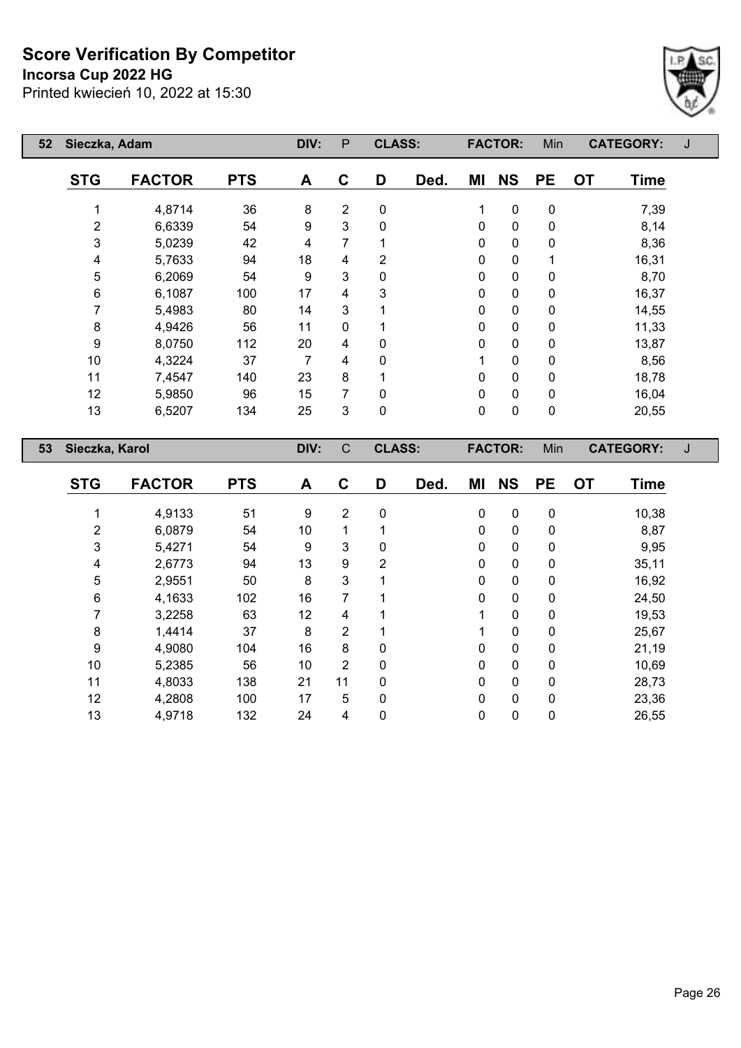#### **Incorsa Cup 2022 HG**

Printed kwiecień 10, 2022 at 15:30



| 52 | Sieczka, Adam  |               |            | DIV: | $\mathsf{P}$   | <b>CLASS:</b>  |      |              | <b>FACTOR:</b> | Min       |           | <b>CATEGORY:</b> | J |
|----|----------------|---------------|------------|------|----------------|----------------|------|--------------|----------------|-----------|-----------|------------------|---|
|    | <b>STG</b>     | <b>FACTOR</b> | <b>PTS</b> | A    | $\mathbf c$    | D              | Ded. | MI           | <b>NS</b>      | <b>PE</b> | <b>OT</b> | <b>Time</b>      |   |
|    | 1              | 4,8714        | 36         | 8    | $\overline{2}$ | 0              |      | 1            | $\pmb{0}$      | 0         |           | 7,39             |   |
|    | $\overline{c}$ | 6,6339        | 54         | 9    | 3              | 0              |      | 0            | $\pmb{0}$      | 0         |           | 8,14             |   |
|    | 3              | 5,0239        | 42         | 4    | 7              |                |      | 0            | $\pmb{0}$      | 0         |           | 8,36             |   |
|    | 4              | 5,7633        | 94         | 18   | 4              | $\overline{2}$ |      | $\mathbf{0}$ | $\pmb{0}$      | 1         |           | 16,31            |   |
|    | 5              | 6,2069        | 54         | 9    | 3              | 0              |      | 0            | $\pmb{0}$      | 0         |           | 8,70             |   |
|    | 6              | 6,1087        | 100        | 17   | 4              | 3              |      | 0            | $\mathbf 0$    | 0         |           | 16,37            |   |
|    | 7              | 5,4983        | 80         | 14   | 3              |                |      | 0            | 0              | 0         |           | 14,55            |   |
|    | 8              | 4,9426        | 56         | 11   | 0              |                |      | 0            | 0              | 0         |           | 11,33            |   |
|    | 9              | 8,0750        | 112        | 20   | 4              | 0              |      | 0            | 0              | 0         |           | 13,87            |   |
|    | 10             | 4,3224        | 37         | 7    | 4              | 0              |      |              | $\pmb{0}$      | 0         |           | 8,56             |   |
|    | 11             | 7,4547        | 140        | 23   | 8              |                |      | 0            | $\pmb{0}$      | 0         |           | 18,78            |   |
|    | 12             | 5,9850        | 96         | 15   | 7              | 0              |      | 0            | $\mathbf 0$    | 0         |           | 16,04            |   |
|    | 13             | 6,5207        | 134        | 25   | 3              | 0              |      | $\mathbf 0$  | 0              | 0         |           | 20,55            |   |
| 53 | Sieczka, Karol |               |            | DIV: | $\mathsf{C}$   | <b>CLASS:</b>  |      |              | <b>FACTOR:</b> | Min       |           | <b>CATEGORY:</b> | J |
|    | <b>STG</b>     | <b>FACTOR</b> | <b>PTS</b> | A    | $\mathbf C$    | D              | Ded. | ΜI           | <b>NS</b>      | <b>PE</b> | <b>OT</b> | <b>Time</b>      |   |
|    |                | 4,9133        | 51         | 9    | $\overline{2}$ | 0              |      | 0            | $\mathbf 0$    | 0         |           | 10,38            |   |
|    | 2              | 6,0879        | 54         | 10   | 1              |                |      | 0            | 0              | 0         |           | 8,87             |   |

 5,4271 54 9 3 0 0 0 0 9,95 2,6773 94 13 9 2 0 0 0 35,11 2,9551 50 8 3 1 0 0 0 16,92 4,1633 102 16 7 1 0 0 0 24,50 3,2258 63 12 4 1 1 0 0 19,53 1,4414 37 8 2 1 1 0 0 25,67 4,9080 104 16 8 0 0 0 0 21,19 5,2385 56 10 2 0 0 0 0 10,69 4,8033 138 21 11 0 0 0 0 28,73 4,2808 100 17 5 0 0 0 0 23,36 4,9718 132 24 4 0 0 0 0 26,55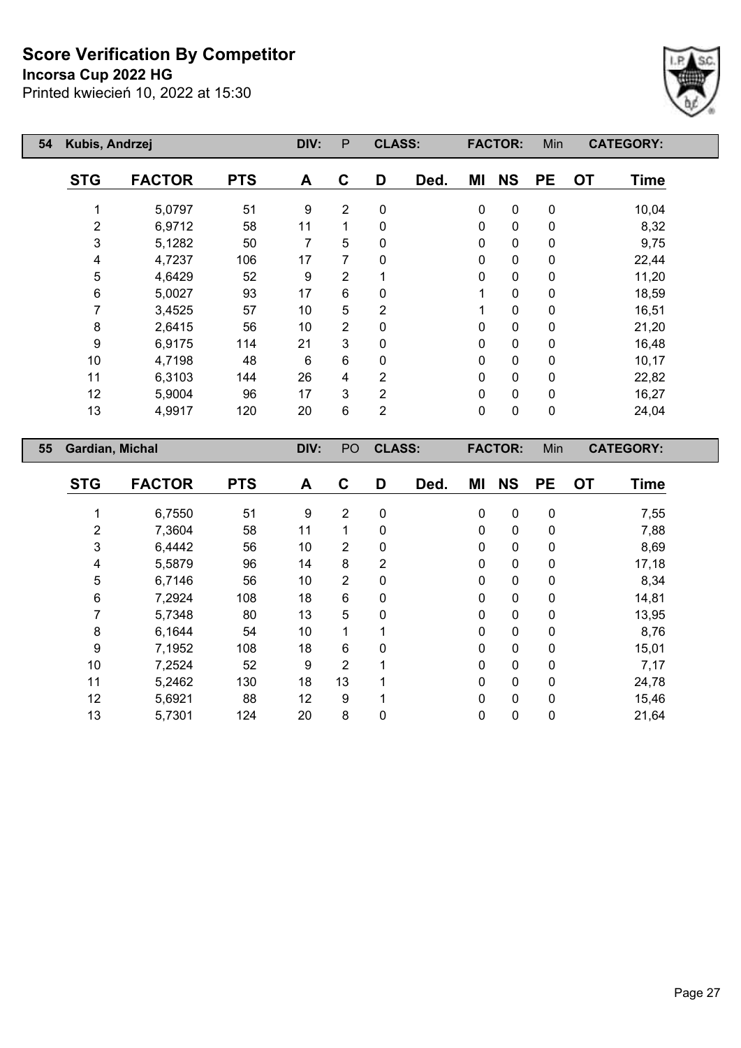**Incorsa Cup 2022 HG**



| 54 | Kubis, Andrzej  |               |            | DIV: | P              | <b>CLASS:</b>  |      |              | <b>FACTOR:</b> | Min         | <b>CATEGORY:</b>         |
|----|-----------------|---------------|------------|------|----------------|----------------|------|--------------|----------------|-------------|--------------------------|
|    | <b>STG</b>      | <b>FACTOR</b> | <b>PTS</b> | A    | $\mathbf C$    | D              | Ded. | ΜI           | <b>NS</b>      | <b>PE</b>   | <b>OT</b><br><b>Time</b> |
|    |                 | 5,0797        | 51         | 9    | $\overline{2}$ | $\mathbf 0$    |      | 0            | $\mathbf 0$    | $\mathbf 0$ | 10,04                    |
|    | $\overline{2}$  | 6,9712        | 58         | 11   | 1              | 0              |      | $\mathbf 0$  | $\pmb{0}$      | $\pmb{0}$   | 8,32                     |
|    | 3               | 5,1282        | 50         | 7    | 5              | 0              |      | $\mathbf 0$  | $\mathbf 0$    | $\mathbf 0$ | 9,75                     |
|    | 4               | 4,7237        | 106        | 17   | 7              | 0              |      | $\mathbf 0$  | $\pmb{0}$      | $\pmb{0}$   | 22,44                    |
|    | 5               | 4,6429        | 52         | 9    | $\overline{2}$ |                |      | $\mathbf 0$  | $\pmb{0}$      | $\mathbf 0$ | 11,20                    |
|    | 6               | 5,0027        | 93         | 17   | 6              | 0              |      |              | $\pmb{0}$      | $\pmb{0}$   | 18,59                    |
|    | 7               | 3,4525        | 57         | 10   | 5              | 2              |      |              | $\mathbf 0$    | $\mathbf 0$ | 16,51                    |
|    | 8               | 2,6415        | 56         | 10   | $\overline{2}$ | 0              |      | $\Omega$     | $\mathbf 0$    | $\pmb{0}$   | 21,20                    |
|    | 9               | 6,9175        | 114        | 21   | 3              | 0              |      | $\mathbf{0}$ | $\pmb{0}$      | $\pmb{0}$   | 16,48                    |
|    | 10              | 4,7198        | 48         | 6    | 6              | 0              |      | 0            | $\mathbf 0$    | $\mathbf 0$ | 10,17                    |
|    | 11              | 6,3103        | 144        | 26   | 4              | $\overline{2}$ |      | $\mathbf 0$  | $\pmb{0}$      | $\pmb{0}$   | 22,82                    |
|    | 12              | 5,9004        | 96         | 17   | 3              | 2              |      | 0            | $\pmb{0}$      | $\pmb{0}$   | 16,27                    |
|    | 13              | 4,9917        | 120        | 20   | 6              | $\overline{2}$ |      | 0            | $\pmb{0}$      | $\pmb{0}$   | 24,04                    |
| 55 | Gardian, Michal |               |            | DIV: | PO             | <b>CLASS:</b>  |      |              | <b>FACTOR:</b> | Min         | <b>CATEGORY:</b>         |
|    |                 |               |            |      |                |                |      |              |                |             |                          |

| <b>STG</b> | <b>FACTOR</b> | <b>PTS</b> | A  | C              | D              | Ded. | ΜI | <b>NS</b>    | <b>PE</b>   | <b>OT</b> | <b>Time</b> |
|------------|---------------|------------|----|----------------|----------------|------|----|--------------|-------------|-----------|-------------|
|            | 6,7550        | 51         | 9  | 2              | 0              |      | 0  | 0            | 0           |           | 7,55        |
| 2          | 7,3604        | 58         | 11 |                | 0              |      | 0  | 0            | 0           |           | 7,88        |
| 3          | 6,4442        | 56         | 10 | 2              | 0              |      | 0  | 0            | 0           |           | 8,69        |
| 4          | 5,5879        | 96         | 14 | 8              | $\overline{2}$ |      | 0  | 0            | 0           |           | 17,18       |
| 5          | 6,7146        | 56         | 10 | $\overline{2}$ | 0              |      | 0  | $\mathbf{0}$ | 0           |           | 8,34        |
| 6          | 7,2924        | 108        | 18 | 6              | 0              |      | 0  | 0            | 0           |           | 14,81       |
| 7          | 5,7348        | 80         | 13 | 5              | 0              |      | 0  | $\mathbf{0}$ | 0           |           | 13,95       |
| 8          | 6,1644        | 54         | 10 |                |                |      | 0  | $\mathbf{0}$ | 0           |           | 8,76        |
| 9          | 7,1952        | 108        | 18 | 6              | 0              |      | 0  | 0            | $\mathbf 0$ |           | 15,01       |
| 10         | 7,2524        | 52         | 9  | 2              |                |      | 0  | 0            | 0           |           | 7,17        |
| 11         | 5,2462        | 130        | 18 | 13             | 4              |      | 0  | 0            | $\mathbf 0$ |           | 24,78       |
| 12         | 5,6921        | 88         | 12 | 9              |                |      | 0  | $\mathbf{0}$ | 0           |           | 15,46       |
| 13         | 5,7301        | 124        | 20 | 8              | 0              |      | 0  | 0            | 0           |           | 21,64       |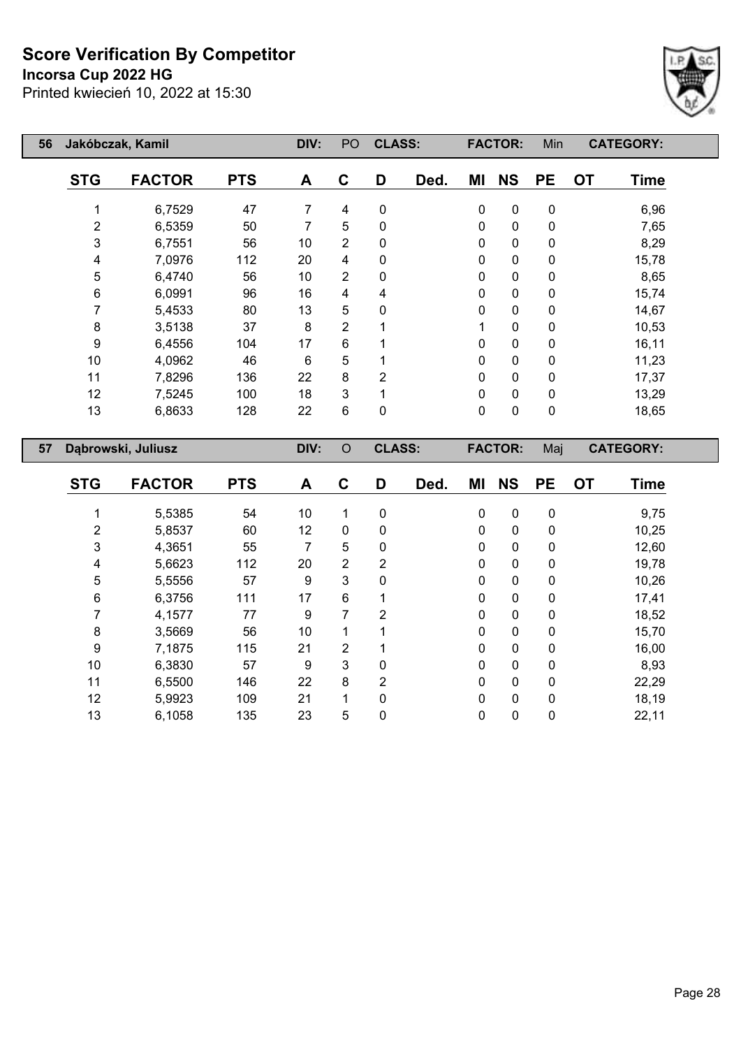## **Incorsa Cup 2022 HG**

Printed kwiecień 10, 2022 at 15:30



| 56 |                | Jakóbczak, Kamil   |            | DIV:           | PO             | <b>CLASS:</b>  |      |           | <b>FACTOR:</b> | Min              |           | <b>CATEGORY:</b> |
|----|----------------|--------------------|------------|----------------|----------------|----------------|------|-----------|----------------|------------------|-----------|------------------|
|    | <b>STG</b>     | <b>FACTOR</b>      | <b>PTS</b> | A              | $\mathbf C$    | D              | Ded. | MI        | <b>NS</b>      | <b>PE</b>        | <b>OT</b> | <b>Time</b>      |
|    | 1              | 6,7529             | 47         | $\overline{7}$ | 4              | $\pmb{0}$      |      | $\pmb{0}$ | $\pmb{0}$      | 0                |           | 6,96             |
|    | $\overline{c}$ | 6,5359             | 50         | $\overline{7}$ | 5              | $\pmb{0}$      |      | 0         | 0              | 0                |           | 7,65             |
|    | $\mathfrak{B}$ | 6,7551             | 56         | 10             | $\overline{2}$ | $\mathbf 0$    |      | 0         | 0              | 0                |           | 8,29             |
|    | 4              | 7,0976             | 112        | 20             | 4              | $\pmb{0}$      |      | 0         | 0              | 0                |           | 15,78            |
|    | 5              | 6,4740             | 56         | 10             | $\overline{2}$ | $\pmb{0}$      |      | 0         | 0              | 0                |           | 8,65             |
|    | 6              | 6,0991             | 96         | 16             | 4              | 4              |      | 0         | 0              | 0                |           | 15,74            |
|    | $\overline{7}$ | 5,4533             | 80         | 13             | 5              | $\pmb{0}$      |      | 0         | 0              | 0                |           | 14,67            |
|    | 8              | 3,5138             | 37         | $\bf 8$        | $\overline{2}$ | 1              |      | 1         | 0              | 0                |           | 10,53            |
|    | 9              | 6,4556             | 104        | 17             | 6              | 1              |      | 0         | 0              | 0                |           | 16,11            |
|    | 10             | 4,0962             | 46         | 6              | 5              | 1              |      | 0         | 0              | 0                |           | 11,23            |
|    | 11             | 7,8296             | 136        | 22             | 8              | $\overline{2}$ |      | 0         | 0              | 0                |           | 17,37            |
|    | 12             | 7,5245             | 100        | 18             | 3              | $\mathbf{1}$   |      | 0         | 0              | 0                |           | 13,29            |
|    | 13             | 6,8633             | 128        | 22             | 6              | $\mathbf 0$    |      | 0         | 0              | 0                |           | 18,65            |
|    |                |                    |            |                |                |                |      |           |                |                  |           |                  |
|    |                |                    |            |                |                |                |      |           |                |                  |           |                  |
| 57 |                | Dąbrowski, Juliusz |            | DIV:           | $\circ$        | <b>CLASS:</b>  |      |           | <b>FACTOR:</b> | Maj              |           | <b>CATEGORY:</b> |
|    | <b>STG</b>     | <b>FACTOR</b>      | <b>PTS</b> | A              | $\mathbf C$    | D              | Ded. | MI        | <b>NS</b>      | <b>PE</b>        | <b>OT</b> | <b>Time</b>      |
|    | 1              | 5,5385             | 54         | 10             | 1              | $\mathbf 0$    |      | 0         | 0              | 0                |           |                  |
|    | $\overline{2}$ | 5,8537             | 60         | 12             | $\pmb{0}$      | $\pmb{0}$      |      | 0         | 0              | 0                |           | 9,75<br>10,25    |
|    | $\mathfrak{B}$ | 4,3651             | 55         | $\overline{7}$ | 5              | $\pmb{0}$      |      | 0         | $\mathbf 0$    | 0                |           | 12,60            |
|    | 4              | 5,6623             | 112        | 20             | $\overline{2}$ | $\overline{2}$ |      | 0         | 0              | 0                |           | 19,78            |
|    | 5              | 5,5556             | 57         | 9              | 3              | $\mathbf 0$    |      | 0         | 0              | 0                |           | 10,26            |
|    | 6              | 6,3756             | 111        | 17             | 6              | 1              |      | 0         | 0              | 0                |           | 17,41            |
|    | 7              | 4,1577             | 77         | 9              | $\overline{7}$ | $\overline{2}$ |      | 0         | 0              | 0                |           | 18,52            |
|    | 8              | 3,5669             | 56         | 10             | $\mathbf{1}$   | 1              |      | 0         | 0              | 0                |           | 15,70            |
|    | 9              | 7,1875             | 115        | 21             | 2              | 1              |      | 0         | 0              | 0                |           | 16,00            |
|    | 10             | 6,3830             | 57         | 9              | 3              | $\pmb{0}$      |      | 0         | $\mathbf 0$    | $\boldsymbol{0}$ |           | 8,93             |

 5,9923 109 21 1 0 0 0 0 18,19 6,1058 135 23 5 0 0 0 0 22,11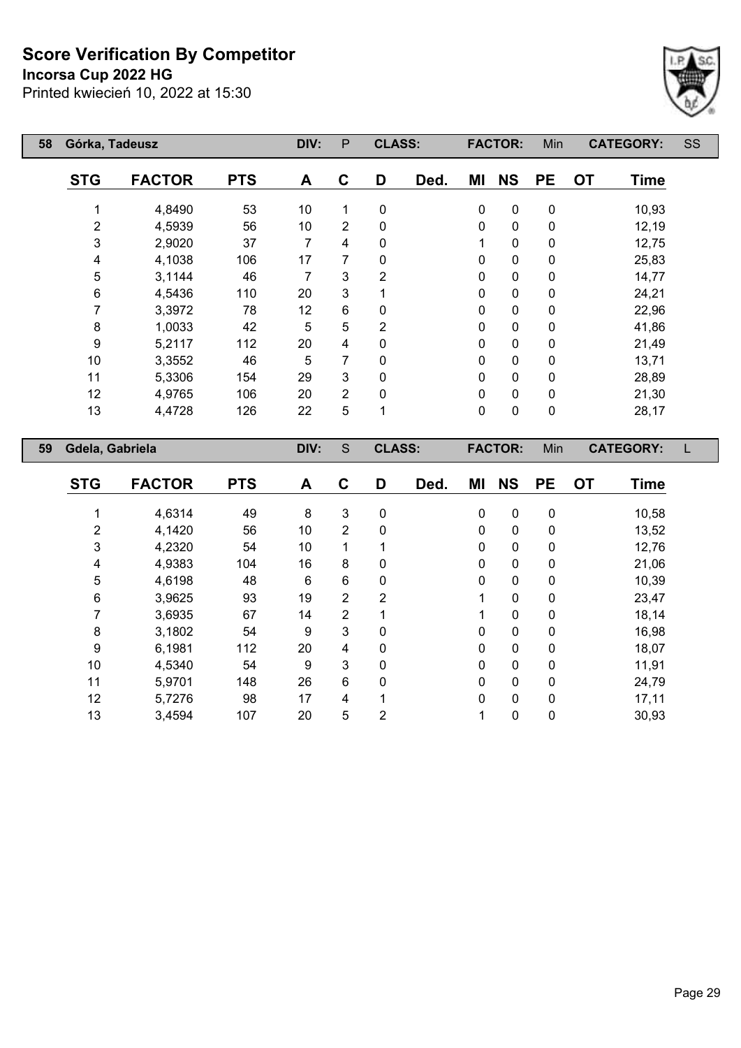**Incorsa Cup 2022 HG**



| 58 | Górka, Tadeusz  |               |            | DIV: | P              | <b>CLASS:</b>  |      |             | <b>FACTOR:</b> | Min         | <b>CATEGORY:</b>         | SS |
|----|-----------------|---------------|------------|------|----------------|----------------|------|-------------|----------------|-------------|--------------------------|----|
|    | <b>STG</b>      | <b>FACTOR</b> | <b>PTS</b> | A    | C              | D              | Ded. | ΜI          | <b>NS</b>      | <b>PE</b>   | <b>OT</b><br><b>Time</b> |    |
|    |                 | 4,8490        | 53         | 10   |                | 0              |      | 0           | 0              | 0           | 10,93                    |    |
|    | $\overline{c}$  | 4,5939        | 56         | 10   | $\overline{2}$ | 0              |      | 0           | $\mathbf 0$    | $\mathbf 0$ | 12,19                    |    |
|    | 3               | 2,9020        | 37         | 7    | 4              | 0              |      | 1           | 0              | $\mathbf 0$ | 12,75                    |    |
|    | 4               | 4,1038        | 106        | 17   | 7              | 0              |      | 0           | $\mathbf 0$    | 0           | 25,83                    |    |
|    | 5               | 3,1144        | 46         | 7    | 3              | $\overline{2}$ |      | 0           | $\mathbf 0$    | $\mathbf 0$ | 14,77                    |    |
|    | 6               | 4,5436        | 110        | 20   | 3              |                |      | 0           | 0              | $\mathbf 0$ | 24,21                    |    |
|    | 7               | 3,3972        | 78         | 12   | 6              | 0              |      | 0           | $\mathbf 0$    | 0           | 22,96                    |    |
|    | 8               | 1,0033        | 42         | 5    | 5              | $\overline{2}$ |      | 0           | $\mathbf 0$    | $\mathbf 0$ | 41,86                    |    |
|    | 9               | 5,2117        | 112        | 20   | 4              | $\mathbf{0}$   |      | 0           | $\mathbf 0$    | $\mathbf 0$ | 21,49                    |    |
|    | 10              | 3,3552        | 46         | 5    | 7              | $\mathbf{0}$   |      | 0           | 0              | $\mathbf 0$ | 13,71                    |    |
|    | 11              | 5,3306        | 154        | 29   | 3              | 0              |      | 0           | $\mathbf 0$    | 0           | 28,89                    |    |
|    | 12              | 4,9765        | 106        | 20   | $\overline{2}$ | 0              |      | 0           | $\mathbf 0$    | $\mathbf 0$ | 21,30                    |    |
|    | 13              | 4,4728        | 126        | 22   | 5              | 1              |      | $\mathbf 0$ | 0              | $\pmb{0}$   | 28,17                    |    |
| 59 | Gdela, Gabriela |               |            | DIV: | S              | <b>CLASS:</b>  |      |             | <b>FACTOR:</b> | Min         | <b>CATEGORY:</b>         |    |
|    | <b>STG</b>      | <b>FACTOR</b> | <b>PTS</b> | A    | C              | D              | Ded. | ΜI          | <b>NS</b>      | <b>PE</b>   | <b>OT</b><br><b>Time</b> |    |

| 516 | FACIOR | P I S | A  | C              | υ | Ded. | MI           | NS.          | PE. | ΟI | l ime |
|-----|--------|-------|----|----------------|---|------|--------------|--------------|-----|----|-------|
|     | 4,6314 | 49    | 8  | 3              | 0 |      | 0            | 0            | 0   |    | 10,58 |
| 2   | 4,1420 | 56    | 10 | 2              | 0 |      | 0            | 0            | 0   |    | 13,52 |
| 3   | 4,2320 | 54    | 10 |                |   |      | $\mathbf{0}$ | 0            | 0   |    | 12,76 |
| 4   | 4,9383 | 104   | 16 | 8              | 0 |      | 0            | 0            | 0   |    | 21,06 |
| 5   | 4,6198 | 48    | 6  | 6              | 0 |      | 0            | 0            | 0   |    | 10,39 |
| 6   | 3,9625 | 93    | 19 | $\overline{2}$ | 2 |      |              | 0            | 0   |    | 23,47 |
|     | 3,6935 | 67    | 14 | 2              |   |      |              | 0            | 0   |    | 18,14 |
| 8   | 3,1802 | 54    | 9  | 3              | 0 |      | 0            | $\mathbf{0}$ | 0   |    | 16,98 |
| 9   | 6,1981 | 112   | 20 | 4              | 0 |      | $\mathbf{0}$ | $\mathbf{0}$ | 0   |    | 18,07 |
| 10  | 4,5340 | 54    | 9  | 3              | 0 |      | 0            | 0            | 0   |    | 11,91 |
| 11  | 5,9701 | 148   | 26 | $6\phantom{1}$ | 0 |      | $\mathbf{0}$ | $\mathbf{0}$ | 0   |    | 24,79 |
| 12  | 5,7276 | 98    | 17 | 4              |   |      | $\mathbf 0$  | 0            | 0   |    | 17,11 |
| 13  | 3,4594 | 107   | 20 | 5              | 2 |      |              | 0            | 0   |    | 30,93 |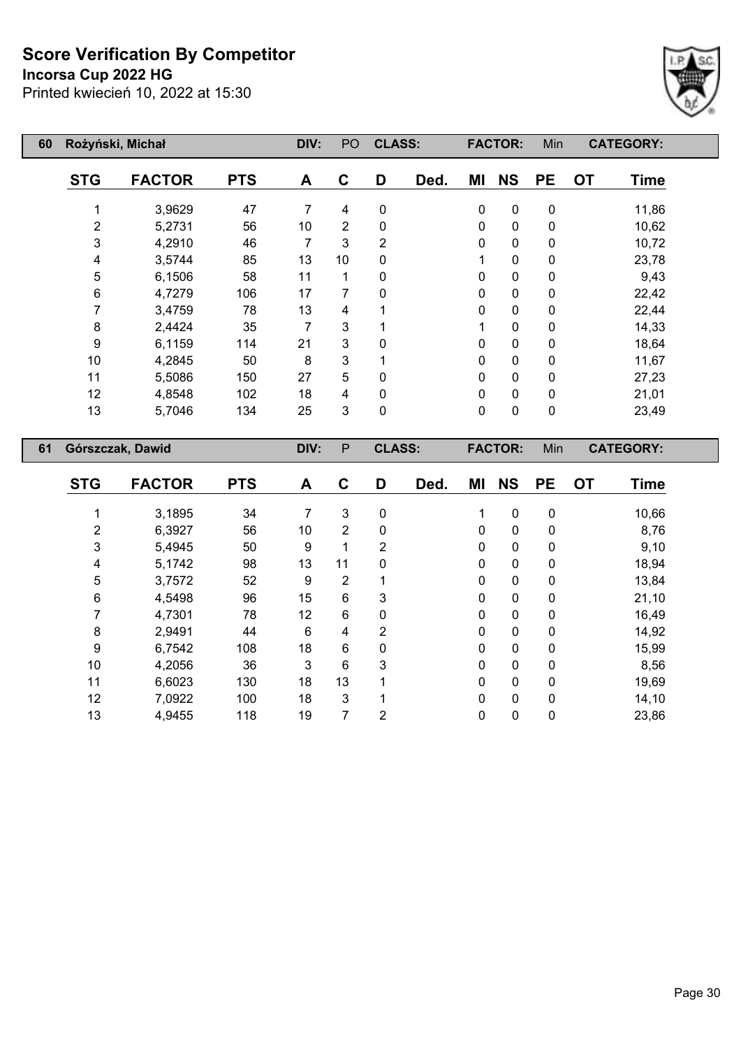## **Incorsa Cup 2022 HG**



| 60 |                  | Rożyński, Michał | DIV:       | PO | <b>CLASS:</b>  |                |      | <b>FACTOR:</b> | Min            | <b>CATEGORY:</b> |                          |  |
|----|------------------|------------------|------------|----|----------------|----------------|------|----------------|----------------|------------------|--------------------------|--|
|    | <b>STG</b>       | <b>FACTOR</b>    | <b>PTS</b> | A  | $\mathbf C$    | D              | Ded. | ΜI             | <b>NS</b>      | <b>PE</b>        | <b>OT</b><br><b>Time</b> |  |
|    |                  | 3,9629           | 47         | 7  | 4              | $\mathbf 0$    |      | $\mathbf 0$    | $\mathbf 0$    | $\mathbf 0$      | 11,86                    |  |
|    | 2                | 5,2731           | 56         | 10 | $\overline{2}$ | 0              |      | 0              | $\mathbf 0$    | $\mathbf 0$      | 10,62                    |  |
|    | 3                | 4,2910           | 46         | 7  | 3              | $\overline{2}$ |      | 0              | $\mathbf 0$    | $\mathbf 0$      | 10,72                    |  |
|    | 4                | 3,5744           | 85         | 13 | 10             | 0              |      |                | $\mathbf 0$    | $\mathbf 0$      | 23,78                    |  |
|    | $\mathbf 5$      | 6,1506           | 58         | 11 | 1              | 0              |      | 0              | $\pmb{0}$      | 0                | 9,43                     |  |
|    | 6                | 4,7279           | 106        | 17 | 7              | 0              |      | 0              | $\pmb{0}$      | $\mathbf 0$      | 22,42                    |  |
|    | 7                | 3,4759           | 78         | 13 | 4              |                |      | 0              | $\mathbf 0$    | $\mathbf 0$      | 22,44                    |  |
|    | 8                | 2,4424           | 35         | 7  | 3              |                |      | 1              | $\mathbf 0$    | $\mathbf 0$      | 14,33                    |  |
|    | 9                | 6,1159           | 114        | 21 | 3              | 0              |      | 0              | $\mathbf 0$    | $\mathbf 0$      | 18,64                    |  |
|    | 10               | 4,2845           | 50         | 8  | 3              |                |      | 0              | $\mathbf 0$    | $\mathbf 0$      | 11,67                    |  |
|    | 11               | 5,5086           | 150        | 27 | 5              | 0              |      | 0              | $\mathbf 0$    | $\mathbf 0$      | 27,23                    |  |
|    | 12               | 4,8548           | 102        | 18 | 4              | 0              |      | 0              | $\mathbf 0$    | $\mathbf 0$      | 21,01                    |  |
|    | 13               | 5,7046           | 134        | 25 | 3              | 0              |      | 0              | $\mathbf 0$    | $\mathbf 0$      | 23,49                    |  |
| 61 | Górszczak, Dawid |                  |            |    | P              | <b>CLASS:</b>  |      |                | <b>FACTOR:</b> | Min              | <b>CATEGORY:</b>         |  |

| <b>STG</b> | <b>FACTOR</b> | <b>PTS</b> | A  | C              | D            | Ded. | ΜI           | <b>NS</b>   | <b>PE</b>    | <b>OT</b> | <b>Time</b> |
|------------|---------------|------------|----|----------------|--------------|------|--------------|-------------|--------------|-----------|-------------|
|            | 3,1895        | 34         | 7  | 3              | 0            |      | 1            | $\mathbf 0$ | 0            |           | 10,66       |
| 2          | 6,3927        | 56         | 10 | $\overline{2}$ | $\mathbf{0}$ |      | 0            | 0           | 0            |           | 8,76        |
| 3          | 5,4945        | 50         | 9  | 1              | 2            |      | 0            | $\mathbf 0$ | 0            |           | 9,10        |
| 4          | 5,1742        | 98         | 13 | 11             | $\mathbf{0}$ |      | 0            | 0           | $\mathbf 0$  |           | 18,94       |
| 5          | 3,7572        | 52         | 9  | $\overline{2}$ |              |      | $\mathbf 0$  | $\mathbf 0$ | $\mathbf 0$  |           | 13,84       |
| 6          | 4,5498        | 96         | 15 | 6              | 3            |      | 0            | 0           | $\mathbf 0$  |           | 21,10       |
| 7          | 4,7301        | 78         | 12 | 6              | 0            |      | $\mathbf 0$  | $\mathbf 0$ | 0            |           | 16,49       |
| 8          | 2,9491        | 44         | 6  | 4              | 2            |      | $\mathbf 0$  | 0           | 0            |           | 14,92       |
| 9          | 6,7542        | 108        | 18 | 6              | $\mathbf{0}$ |      | $\mathbf{0}$ | 0           | $\mathbf{0}$ |           | 15,99       |
| 10         | 4,2056        | 36         | 3  | 6              | 3            |      | 0            | 0           | 0            |           | 8,56        |
| 11         | 6,6023        | 130        | 18 | 13             |              |      | $\mathbf 0$  | 0           | 0            |           | 19,69       |
| 12         | 7,0922        | 100        | 18 | $\mathbf{3}$   |              |      | 0            | 0           | $\mathbf{0}$ |           | 14,10       |
| 13         | 4,9455        | 118        | 19 | 7              | 2            |      | 0            | 0           | $\mathbf 0$  |           | 23,86       |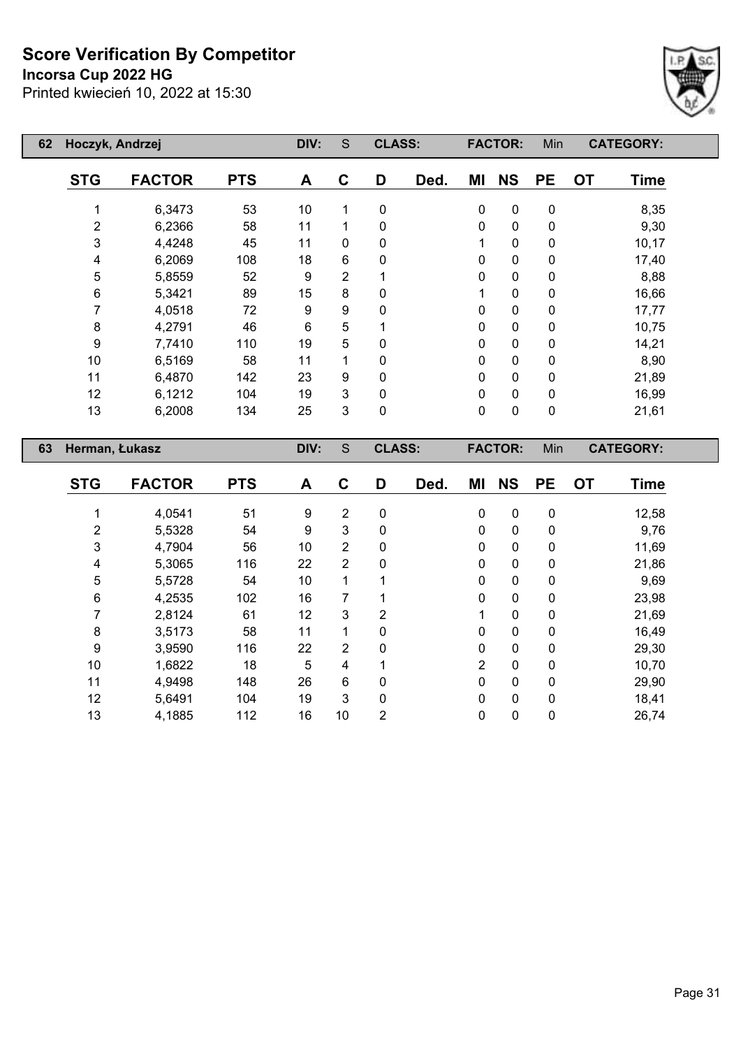**Incorsa Cup 2022 HG**



| 62 | Hoczyk, Andrzej |               |            | DIV:           | S              | <b>CLASS:</b> |      |              | <b>FACTOR:</b> | Min       | <b>CATEGORY:</b>         |  |
|----|-----------------|---------------|------------|----------------|----------------|---------------|------|--------------|----------------|-----------|--------------------------|--|
|    | <b>STG</b>      | <b>FACTOR</b> | <b>PTS</b> | A              | $\mathbf c$    | D             | Ded. | ΜI           | <b>NS</b>      | <b>PE</b> | <b>OT</b><br><b>Time</b> |  |
|    |                 | 6,3473        | 53         | 10             | 1              | $\mathbf 0$   |      | $\mathbf 0$  | 0              | 0         | 8,35                     |  |
|    | $\overline{c}$  | 6,2366        | 58         | 11             | 1              | 0             |      | $\mathbf 0$  | 0              | 0         | 9,30                     |  |
|    | 3               | 4,4248        | 45         | 11             | 0              | 0             |      | 1            | 0              | 0         | 10,17                    |  |
|    | 4               | 6,2069        | 108        | 18             | 6              | 0             |      | 0            | 0              | 0         | 17,40                    |  |
|    | 5               | 5,8559        | 52         | 9              | $\overline{2}$ |               |      | 0            | $\pmb{0}$      | 0         | 8,88                     |  |
|    | 6               | 5,3421        | 89         | 15             | 8              | 0             |      | 1            | 0              | 0         | 16,66                    |  |
|    | 7               | 4,0518        | 72         | 9              | 9              | $\mathbf{0}$  |      | $\mathbf{0}$ | 0              | 0         | 17,77                    |  |
|    | 8               | 4,2791        | 46         | $6\phantom{1}$ | 5              |               |      | 0            | 0              | 0         | 10,75                    |  |
|    | 9               | 7,7410        | 110        | 19             | 5              | 0             |      | 0            | 0              | 0         | 14,21                    |  |
|    | 10              | 6,5169        | 58         | 11             | 1              | 0             |      | 0            | 0              | 0         | 8,90                     |  |
|    | 11              | 6,4870        | 142        | 23             | 9              | $\Omega$      |      | $\mathbf 0$  | 0              | 0         | 21,89                    |  |
|    | 12              | 6,1212        | 104        | 19             | 3              | $\mathbf 0$   |      | 0            | $\pmb{0}$      | 0         | 16,99                    |  |
|    | 13              | 6,2008        | 134        | 25             | 3              | $\mathbf 0$   |      | $\mathbf 0$  | $\pmb{0}$      | $\pmb{0}$ | 21,61                    |  |
| 63 | Herman, Łukasz  |               |            | DIV:           | S              | <b>CLASS:</b> |      |              | <b>FACTOR:</b> | Min       | <b>CATEGORY:</b>         |  |
|    | <b>STG</b>      | <b>FACTOR</b> | <b>PTS</b> | A              | C              | D             | Ded. | ΜI           | <b>NS</b>      | <b>PE</b> | <b>OT</b><br><b>Time</b> |  |

| <b>STG</b> | <b>FACTOR</b> | <b>PTS</b> | A  | C              | D        | Ded. | ΜI             | <b>NS</b>    | <b>PE</b>    | <b>OT</b> | <b>Time</b> |
|------------|---------------|------------|----|----------------|----------|------|----------------|--------------|--------------|-----------|-------------|
|            |               |            |    |                |          |      |                |              |              |           |             |
|            | 4,0541        | 51         | 9  | $\overline{2}$ | 0        |      | $\Omega$       | $\mathbf{0}$ | 0            |           | 12,58       |
| 2          | 5,5328        | 54         | 9  | 3              | 0        |      | $\Omega$       | 0            | 0            |           | 9,76        |
| 3          | 4,7904        | 56         | 10 | 2              | 0        |      | 0              | 0            | 0            |           | 11,69       |
| 4          | 5,3065        | 116        | 22 | $\overline{2}$ | 0        |      | $\Omega$       | 0            | 0            |           | 21,86       |
| 5          | 5,5728        | 54         | 10 |                |          |      | 0              | 0            | 0            |           | 9,69        |
| 6          | 4,2535        | 102        | 16 | 7              |          |      | 0              | $\Omega$     | $\mathbf{0}$ |           | 23,98       |
|            | 2,8124        | 61         | 12 | 3              | 2        |      |                | 0            | 0            |           | 21,69       |
| 8          | 3,5173        | 58         | 11 | 1              | 0        |      | 0              | $\mathbf{0}$ | 0            |           | 16,49       |
| 9          | 3,9590        | 116        | 22 | $\overline{2}$ | $\Omega$ |      | $\Omega$       | $\Omega$     | $\Omega$     |           | 29,30       |
| 10         | 1,6822        | 18         | 5  | 4              |          |      | $\overline{2}$ | $\mathbf{0}$ | $\mathbf 0$  |           | 10,70       |
| 11         | 4,9498        | 148        | 26 | 6              | 0        |      | $\Omega$       | $\Omega$     | $\Omega$     |           | 29,90       |
| 12         | 5,6491        | 104        | 19 | 3              | 0        |      | $\Omega$       | 0            | 0            |           | 18,41       |
| 13         | 4,1885        | 112        | 16 | 10             | 2        |      | 0              | 0            | 0            |           | 26,74       |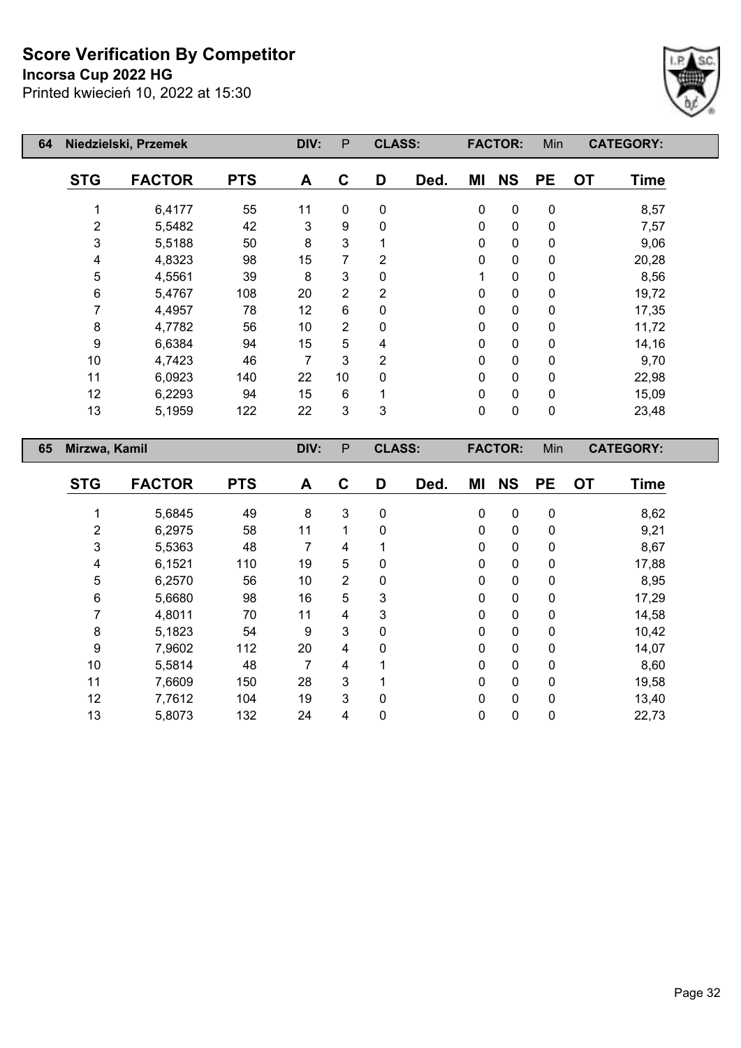#### **Incorsa Cup 2022 HG**

Printed kwiecień 10, 2022 at 15:30



| 64 |                | Niedzielski, Przemek |            | DIV: | P              | <b>CLASS:</b>  |      |             | <b>FACTOR:</b> | Min       | <b>CATEGORY:</b>         |  |
|----|----------------|----------------------|------------|------|----------------|----------------|------|-------------|----------------|-----------|--------------------------|--|
|    | <b>STG</b>     | <b>FACTOR</b>        | <b>PTS</b> | A    | C              | D              | Ded. | ΜI          | <b>NS</b>      | <b>PE</b> | <b>OT</b><br><b>Time</b> |  |
|    | 1              | 6,4177               | 55         | 11   | 0              | $\pmb{0}$      |      | 0           | $\pmb{0}$      | $\pmb{0}$ | 8,57                     |  |
|    | $\overline{2}$ | 5,5482               | 42         | 3    | 9              | $\pmb{0}$      |      | $\mathbf 0$ | $\pmb{0}$      | $\pmb{0}$ | 7,57                     |  |
|    | 3              | 5,5188               | 50         | 8    | 3              | 1              |      | 0           | 0              | 0         | 9,06                     |  |
|    | 4              | 4,8323               | 98         | 15   | 7              | $\overline{2}$ |      | 0           | $\pmb{0}$      | $\pmb{0}$ | 20,28                    |  |
|    | 5              | 4,5561               | 39         | 8    | 3              | $\mathbf 0$    |      | 1           | $\pmb{0}$      | $\pmb{0}$ | 8,56                     |  |
|    | 6              | 5,4767               | 108        | 20   | 2              | 2              |      | 0           | 0              | 0         | 19,72                    |  |
|    | 7              | 4,4957               | 78         | 12   | 6              | 0              |      | $\mathbf 0$ | $\pmb{0}$      | 0         | 17,35                    |  |
|    | 8              | 4,7782               | 56         | 10   | $\overline{2}$ | 0              |      | 0           | $\pmb{0}$      | 0         | 11,72                    |  |
|    | 9              | 6,6384               | 94         | 15   | 5              | 4              |      | $\pmb{0}$   | 0              | 0         | 14,16                    |  |
|    | 10             | 4,7423               | 46         | 7    | 3              | 2              |      | 0           | 0              | 0         | 9,70                     |  |
|    | 11             | 6,0923               | 140        | 22   | 10             | 0              |      | 0           | $\pmb{0}$      | $\pmb{0}$ | 22,98                    |  |
|    | 12             | 6,2293               | 94         | 15   | 6              |                |      | $\mathbf 0$ | $\pmb{0}$      | 0         | 15,09                    |  |
|    | 13             | 5,1959               | 122        | 22   | 3              | $\mathbf{3}$   |      | 0           | 0              | 0         | 23,48                    |  |
| 65 | Mirzwa, Kamil  |                      |            | DIV: | P              | <b>CLASS:</b>  |      |             | <b>FACTOR:</b> | Min       | <b>CATEGORY:</b>         |  |
|    | <b>STG</b>     | <b>FACTOR</b>        | <b>PTS</b> | A    | C              | D              | Ded. | ΜI          | <b>NS</b>      | <b>PE</b> | <b>OT</b><br><b>Time</b> |  |
|    | 1              | 5,6845               | 49         | 8    | 3              | $\pmb{0}$      |      | $\pmb{0}$   | $\pmb{0}$      | 0         | 8,62                     |  |

 6,2975 58 11 1 0 0 0 0 9,21 5,5363 48 7 4 1 0 0 0 8,67 6,1521 110 19 5 0 0 0 0 17,88 6,2570 56 10 2 0 0 0 0 8,95 5,6680 98 16 5 3 0 0 0 17,29 4,8011 70 11 4 3 0 0 0 14,58 5,1823 54 9 3 0 0 0 0 10,42 7,9602 112 20 4 0 0 0 0 14,07 5,5814 48 7 4 1 0 0 0 8,60 7,6609 150 28 3 1 0 0 0 19,58 7,7612 104 19 3 0 0 0 0 13,40 5,8073 132 24 4 0 0 0 0 22,73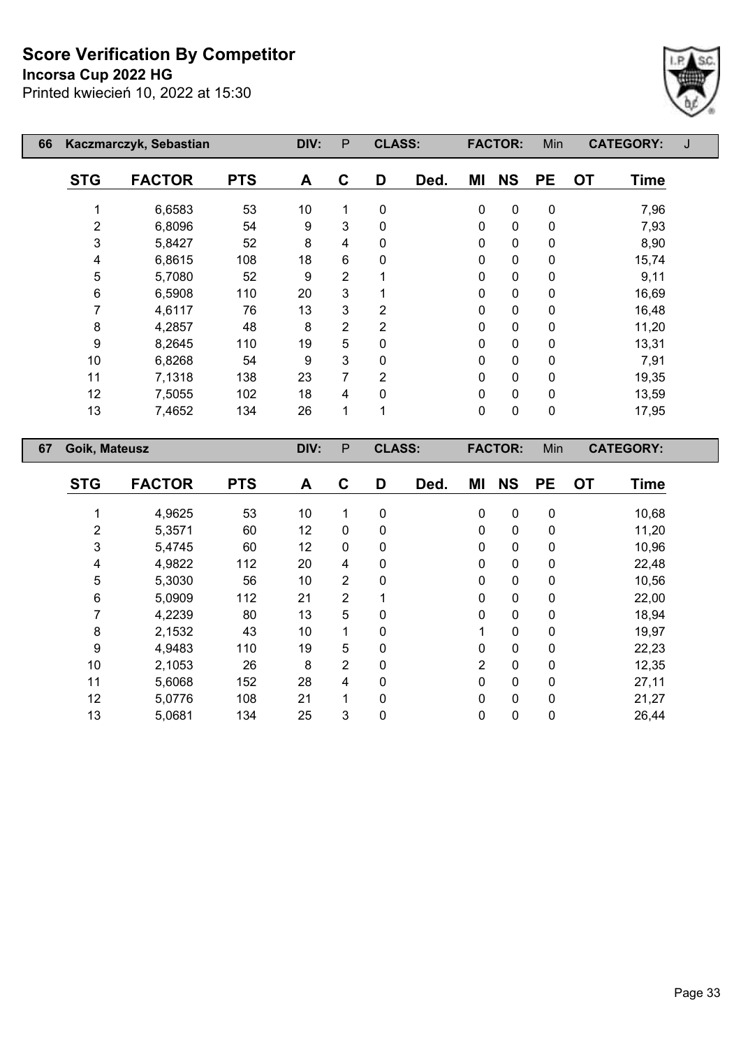**Incorsa Cup 2022 HG**



| 66 |            | Kaczmarczyk, Sebastian |            |    | P              | <b>CLASS:</b>  |      |    | <b>FACTOR:</b> | Min         | <b>CATEGORY:</b>         |  |
|----|------------|------------------------|------------|----|----------------|----------------|------|----|----------------|-------------|--------------------------|--|
|    | <b>STG</b> | <b>FACTOR</b>          | <b>PTS</b> | A  | C              | D              | Ded. | ΜI | <b>NS</b>      | <b>PE</b>   | <b>OT</b><br><b>Time</b> |  |
|    |            | 6,6583                 | 53         | 10 | 1              | $\mathbf{0}$   |      | 0  | $\mathbf 0$    | $\mathbf 0$ | 7,96                     |  |
|    | 2          | 6,8096                 | 54         | 9  | 3              | 0              |      | 0  | 0              | 0           | 7,93                     |  |
|    | 3          | 5,8427                 | 52         | 8  | 4              | 0              |      | 0  | $\mathbf 0$    | 0           | 8,90                     |  |
|    | 4          | 6,8615                 | 108        | 18 | 6              | 0              |      | 0  | $\mathbf 0$    | 0           | 15,74                    |  |
|    | 5          | 5,7080                 | 52         | 9  | $\overline{2}$ |                |      | 0  | $\mathbf 0$    | 0           | 9,11                     |  |
|    | 6          | 6,5908                 | 110        | 20 | 3              |                |      | 0  | $\mathbf 0$    | 0           | 16,69                    |  |
|    |            | 4,6117                 | 76         | 13 | 3              | 2              |      | 0  | $\mathbf 0$    | 0           | 16,48                    |  |
|    | 8          | 4,2857                 | 48         | 8  | $\overline{2}$ | 2              |      | 0  | $\mathbf 0$    | $\mathbf 0$ | 11,20                    |  |
|    | 9          | 8,2645                 | 110        | 19 | 5              | 0              |      | 0  | $\mathbf 0$    | 0           | 13,31                    |  |
|    | 10         | 6,8268                 | 54         | 9  | 3              | 0              |      | 0  | $\mathbf 0$    | 0           | 7,91                     |  |
|    | 11         | 7,1318                 | 138        | 23 | 7              | $\overline{2}$ |      | 0  | $\mathbf 0$    | 0           | 19,35                    |  |
|    | 12         | 7,5055                 | 102        | 18 | 4              | 0              |      | 0  | $\mathbf 0$    | 0           | 13,59                    |  |
|    | 13         | 7,4652                 | 134        | 26 | 1              | 1              |      | 0  | $\mathbf 0$    | 0           | 17,95                    |  |
| 67 |            | Goik, Mateusz          |            |    | P              | <b>CLASS:</b>  |      |    | <b>FACTOR:</b> | Min         | <b>CATEGORY:</b>         |  |

| <b>STG</b> | <b>FACTOR</b> | <b>PTS</b> | A  | C              | D | Ded. | ΜI             | <b>NS</b>   | <b>PE</b>    | <b>OT</b> | <b>Time</b> |
|------------|---------------|------------|----|----------------|---|------|----------------|-------------|--------------|-----------|-------------|
|            | 4,9625        | 53         | 10 | 1              | 0 |      | $\mathbf 0$    | $\mathbf 0$ | 0            |           | 10,68       |
| 2          | 5,3571        | 60         | 12 | $\mathbf 0$    | 0 |      | $\mathbf{0}$   | 0           | 0            |           | 11,20       |
| 3          | 5,4745        | 60         | 12 | $\mathbf 0$    | 0 |      | 0              | 0           | 0            |           | 10,96       |
| 4          | 4,9822        | 112        | 20 | 4              | 0 |      | $\mathbf 0$    | 0           | 0            |           | 22,48       |
| 5          | 5,3030        | 56         | 10 | $\overline{2}$ | 0 |      | $\mathbf 0$    | $\mathbf 0$ | $\mathbf{0}$ |           | 10,56       |
| 6          | 5,0909        | 112        | 21 | $\overline{2}$ |   |      | $\mathbf 0$    | $\mathbf 0$ | 0            |           | 22,00       |
| 7          | 4,2239        | 80         | 13 | 5              | 0 |      | $\mathbf 0$    | $\mathbf 0$ | 0            |           | 18,94       |
| 8          | 2,1532        | 43         | 10 | $\mathbf 1$    | 0 |      | 1              | $\Omega$    | $\mathbf{0}$ |           | 19,97       |
| 9          | 4,9483        | 110        | 19 | 5              | 0 |      | $\mathbf 0$    | $\mathbf 0$ | 0            |           | 22,23       |
| 10         | 2,1053        | 26         | 8  | $\overline{2}$ | 0 |      | $\overline{2}$ | $\mathbf 0$ | 0            |           | 12,35       |
| 11         | 5,6068        | 152        | 28 | 4              | 0 |      | 0              | 0           | 0            |           | 27,11       |
| 12         | 5,0776        | 108        | 21 | 1              | 0 |      | 0              | 0           | $\mathbf{0}$ |           | 21,27       |
| 13         | 5,0681        | 134        | 25 | 3              | 0 |      | 0              | 0           | 0            |           | 26,44       |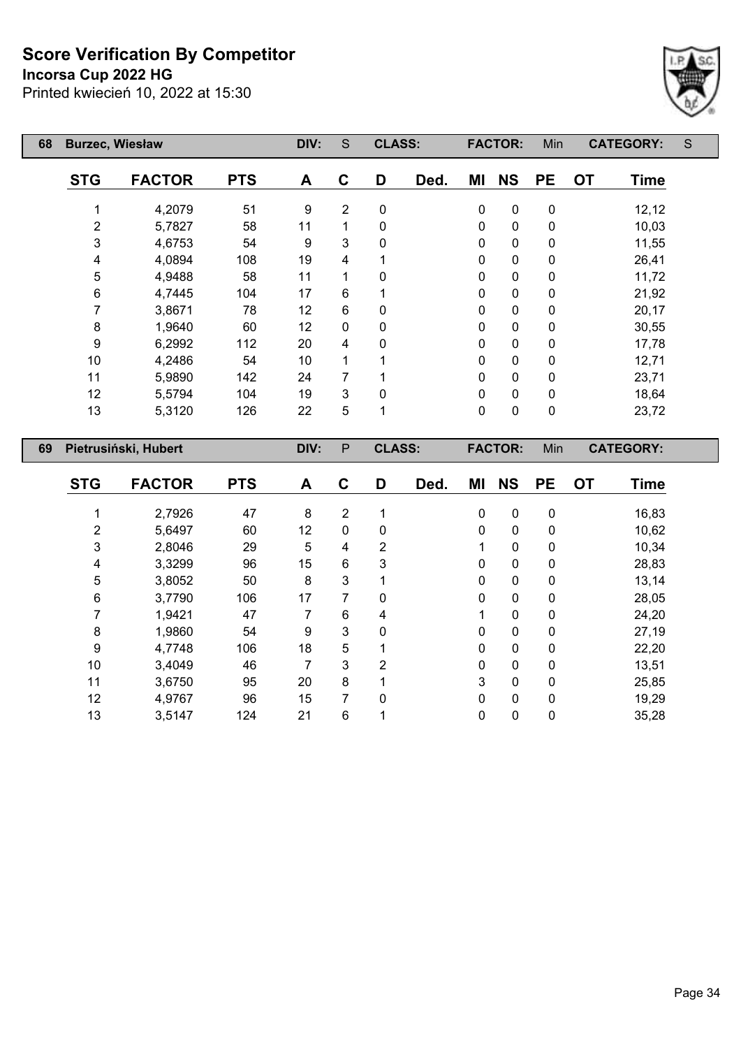**Incorsa Cup 2022 HG**

Printed kwiecień 10, 2022 at 15:30



| 68 | <b>Burzec, Wiesław</b> |                      |            | DIV: | S              | <b>CLASS:</b> |      |             | <b>FACTOR:</b> | Min       | <b>CATEGORY:</b> |             | S |
|----|------------------------|----------------------|------------|------|----------------|---------------|------|-------------|----------------|-----------|------------------|-------------|---|
|    | <b>STG</b>             | <b>FACTOR</b>        | <b>PTS</b> | A    | C              | D             | Ded. | ΜI          | <b>NS</b>      | <b>PE</b> | <b>OT</b>        | <b>Time</b> |   |
|    | 1                      | 4,2079               | 51         | 9    | $\overline{2}$ | $\mathbf 0$   |      | $\mathbf 0$ | $\pmb{0}$      | $\pmb{0}$ |                  | 12,12       |   |
|    | 2                      | 5,7827               | 58         | 11   | 1              | 0             |      | $\mathbf 0$ | $\pmb{0}$      | $\pmb{0}$ |                  | 10,03       |   |
|    | 3                      | 4,6753               | 54         | 9    | 3              | $\mathbf 0$   |      | $\pmb{0}$   | $\pmb{0}$      | 0         |                  | 11,55       |   |
|    | 4                      | 4,0894               | 108        | 19   | 4              |               |      | 0           | $\pmb{0}$      | $\pmb{0}$ |                  | 26,41       |   |
|    | 5                      | 4,9488               | 58         | 11   | 1              | $\Omega$      |      | $\pmb{0}$   | $\pmb{0}$      | $\pmb{0}$ |                  | 11,72       |   |
|    | 6                      | 4,7445               | 104        | 17   | $6\phantom{1}$ |               |      | 0           | $\pmb{0}$      | $\pmb{0}$ |                  | 21,92       |   |
|    | 7                      | 3,8671               | 78         | 12   | $\,6$          | $\mathbf 0$   |      | 0           | $\pmb{0}$      | $\pmb{0}$ |                  | 20,17       |   |
|    | 8                      | 1,9640               | 60         | 12   | 0              | 0             |      | 0           | $\pmb{0}$      | $\pmb{0}$ |                  | 30,55       |   |
|    | 9                      | 6,2992               | 112        | 20   | 4              | 0             |      | 0           | $\pmb{0}$      | $\pmb{0}$ |                  | 17,78       |   |
|    | 10                     | 4,2486               | 54         | 10   | 1              |               |      | $\mathbf 0$ | $\pmb{0}$      | 0         |                  | 12,71       |   |
|    | 11                     | 5,9890               | 142        | 24   | 7              |               |      | 0           | $\pmb{0}$      | $\pmb{0}$ |                  | 23,71       |   |
|    | 12                     | 5,5794               | 104        | 19   | 3              | $\Omega$      |      | 0           | $\pmb{0}$      | $\pmb{0}$ |                  | 18,64       |   |
|    | 13                     | 5,3120               | 126        | 22   | 5              |               |      | $\pmb{0}$   | $\pmb{0}$      | $\pmb{0}$ |                  | 23,72       |   |
| 69 |                        | Pietrusiński, Hubert |            | DIV: | $\mathsf{P}$   | <b>CLASS:</b> |      |             | <b>FACTOR:</b> | Min       | <b>CATEGORY:</b> |             |   |
|    | <b>STG</b>             | <b>FACTOR</b>        | <b>PTS</b> | A    | C              | D             | Ded. | ΜI          | <b>NS</b>      | <b>PE</b> | <b>OT</b>        | <b>Time</b> |   |
|    |                        | 2,7926               | 47         | 8    | $\overline{2}$ |               |      | 0           | $\pmb{0}$      | $\pmb{0}$ |                  | 16,83       |   |
|    | 2                      | 5,6497               | 60         | 12   | 0              | 0             |      | 0           | $\pmb{0}$      | 0         |                  | 10,62       |   |

 2,8046 29 5 4 2 1 0 0 10,34 3,3299 96 15 6 3 0 0 0 28,83 3,8052 50 8 3 1 0 0 0 13,14 3,7790 106 17 7 0 0 0 0 28,05 1,9421 47 7 6 4 1 0 0 24,20 1,9860 54 9 3 0 0 0 0 27,19 4,7748 106 18 5 1 0 0 0 22,20 3,4049 46 7 3 2 0 0 0 13,51 3,6750 95 20 8 1 3 0 0 25,85 4,9767 96 15 7 0 0 0 0 19,29 3,5147 124 21 6 1 0 0 0 35,28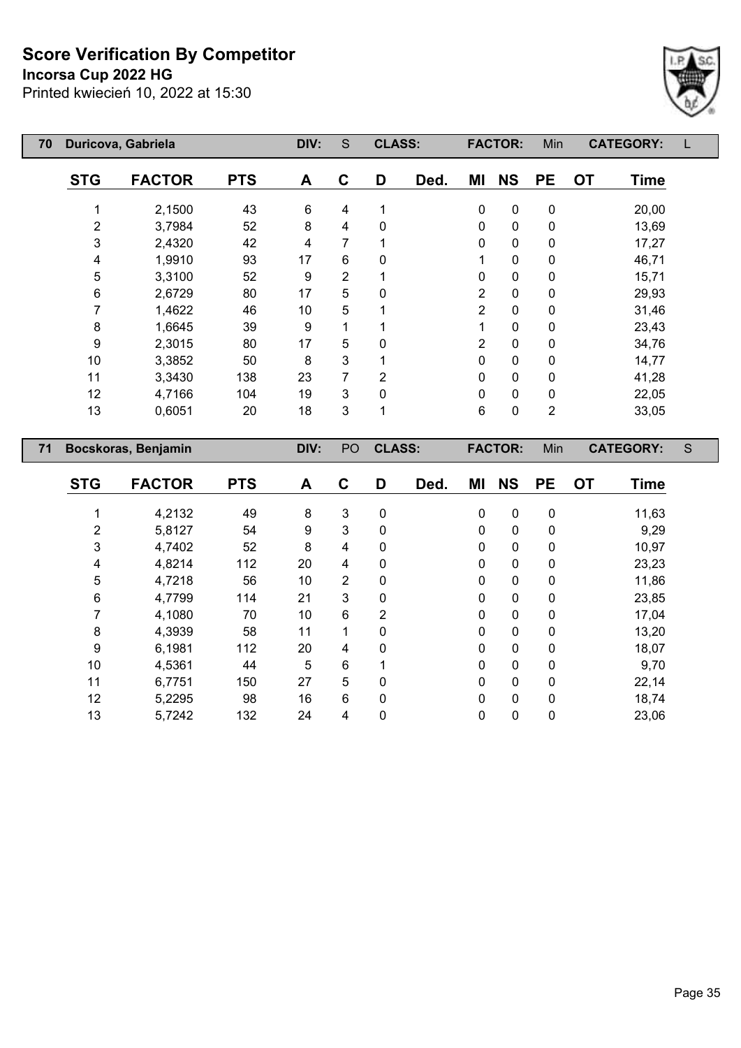**Incorsa Cup 2022 HG**

Printed kwiecień 10, 2022 at 15:30



| 70 | Duricova, Gabriela |                     | DIV:       | S    | <b>CLASS:</b>  |                |      | <b>FACTOR:</b> | Min            |             | <b>CATEGORY:</b> |                  |   |
|----|--------------------|---------------------|------------|------|----------------|----------------|------|----------------|----------------|-------------|------------------|------------------|---|
|    | <b>STG</b>         | <b>FACTOR</b>       | <b>PTS</b> | A    | $\mathbf c$    | D              | Ded. | MI             | <b>NS</b>      | <b>PE</b>   | <b>OT</b>        | <b>Time</b>      |   |
|    | 1                  | 2,1500              | 43         | 6    | 4              | 1              |      | $\pmb{0}$      | $\pmb{0}$      | $\pmb{0}$   |                  | 20,00            |   |
|    | $\overline{2}$     | 3,7984              | 52         | 8    | 4              | 0              |      | 0              | $\pmb{0}$      | $\pmb{0}$   |                  | 13,69            |   |
|    | 3                  | 2,4320              | 42         | 4    | 7              |                |      | 0              | 0              | 0           |                  | 17,27            |   |
|    | 4                  | 1,9910              | 93         | 17   | 6              | 0              |      |                | 0              | $\pmb{0}$   |                  | 46,71            |   |
|    | 5                  | 3,3100              | 52         | 9    | $\overline{2}$ |                |      | 0              | $\pmb{0}$      | 0           |                  | 15,71            |   |
|    | $\,6$              | 2,6729              | 80         | 17   | 5              | 0              |      | $\overline{2}$ | 0              | 0           |                  | 29,93            |   |
|    | 7                  | 1,4622              | 46         | 10   | 5              |                |      | $\overline{2}$ | 0              | 0           |                  | 31,46            |   |
|    | 8                  | 1,6645              | 39         | 9    | 1              |                |      |                | 0              | 0           |                  | 23,43            |   |
|    | 9                  | 2,3015              | 80         | 17   | 5              | 0              |      | 2              | 0              | $\mathbf 0$ |                  | 34,76            |   |
|    | 10                 | 3,3852              | 50         | 8    | 3              |                |      | 0              | 0              | 0           |                  | 14,77            |   |
|    | 11                 | 3,3430              | 138        | 23   | 7              | $\overline{2}$ |      | $\Omega$       | 0              | $\pmb{0}$   |                  | 41,28            |   |
|    | 12                 | 4,7166              | 104        | 19   | 3              | 0              |      | 0              | 0              | 0           |                  | 22,05            |   |
|    | 13                 | 0,6051              | 20         | 18   | 3              | 1              |      | 6              | $\pmb{0}$      | 2           |                  | 33,05            |   |
| 71 |                    | Bocskoras, Benjamin |            | DIV: | PO             | <b>CLASS:</b>  |      |                | <b>FACTOR:</b> | Min         |                  | <b>CATEGORY:</b> | S |
|    | <b>STG</b>         | <b>FACTOR</b>       | <b>PTS</b> | A    | $\mathbf C$    | D              | Ded. | ΜI             | <b>NS</b>      | <b>PE</b>   | <b>OT</b>        | <b>Time</b>      |   |
|    |                    | 4,2132              | 49         | 8    | 3              | 0              |      | 0              | $\pmb{0}$      | $\pmb{0}$   |                  | 11,63            |   |
|    | $\overline{2}$     | 5,8127              | 54         | 9    | 3              | 0              |      | 0              | 0              | 0           |                  | 9,29             |   |

 4,7402 52 8 4 0 0 0 0 10,97 4,8214 112 20 4 0 0 0 0 23,23 4,7218 56 10 2 0 0 0 0 11,86 4,7799 114 21 3 0 0 0 0 23,85 4,1080 70 10 6 2 0 0 0 17,04 4,3939 58 11 1 0 0 0 0 13,20 6,1981 112 20 4 0 0 0 0 18,07 4,5361 44 5 6 1 0 0 0 9,70 6,7751 150 27 5 0 0 0 0 22,14 5,2295 98 16 6 0 0 0 0 18,74 5,7242 132 24 4 0 0 0 0 23,06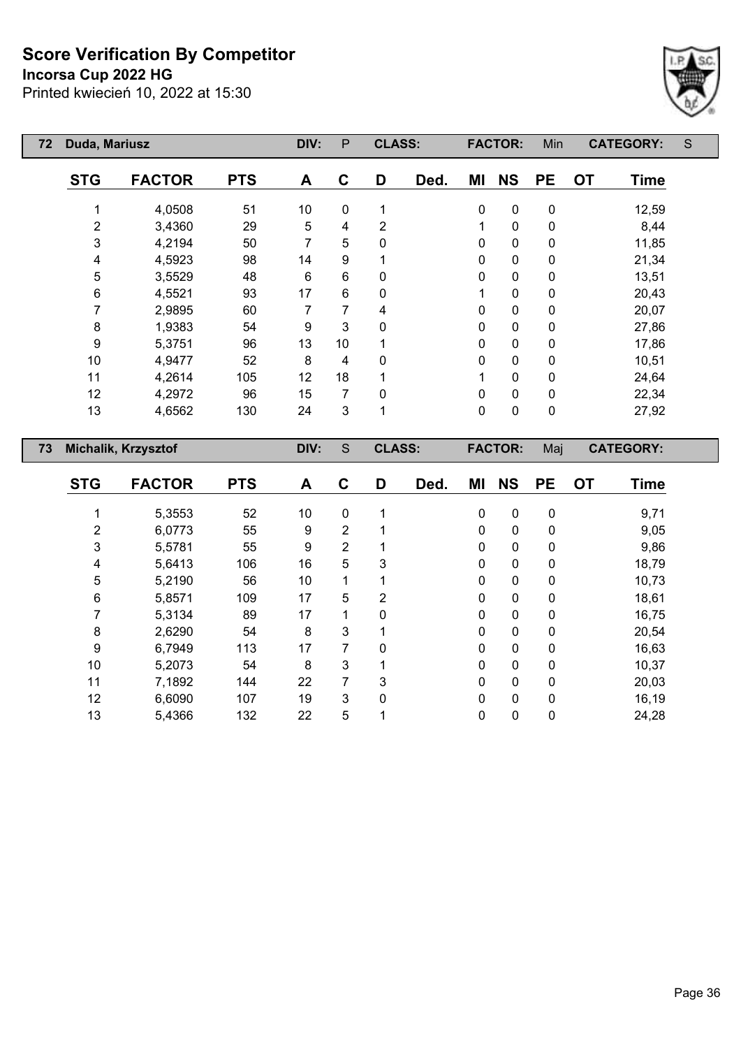**Incorsa Cup 2022 HG**



| 72 | Duda, Mariusz  |                     |            |                | P              | <b>CLASS:</b> |            |              | <b>FACTOR:</b> | Min       | <b>CATEGORY:</b>            | S |
|----|----------------|---------------------|------------|----------------|----------------|---------------|------------|--------------|----------------|-----------|-----------------------------|---|
|    | <b>STG</b>     | <b>FACTOR</b>       | <b>PTS</b> | A              | $\mathbf C$    | D             | Ded.       | ΜI           | <b>NS</b>      | <b>PE</b> | <b>OT</b><br>Time           |   |
|    | 1              | 4,0508              | 51         | 10             | $\mathbf 0$    | 1             |            | $\mathbf 0$  | 0              | 0         | 12,59                       |   |
|    | $\overline{2}$ | 3,4360              | 29         | $\sqrt{5}$     | 4              | 2             |            | 1            | 0              | 0         | 8,44                        |   |
|    | 3              | 4,2194              | 50         | $\overline{7}$ | 5              | 0             |            | 0            | 0              | 0         | 11,85                       |   |
|    | 4              | 4,5923              | 98         | 14             | 9              |               |            | 0            | 0              | 0         | 21,34                       |   |
|    | 5              | 3,5529              | 48         | 6              | $6\phantom{1}$ | 0             |            | $\mathbf 0$  | 0              | 0         | 13,51                       |   |
|    | 6              | 4,5521              | 93         | 17             | 6              | 0             |            | 1            | 0              | 0         | 20,43                       |   |
|    | 7              | 2,9895              | 60         | 7              | 7              | 4             |            | 0            | 0              | 0         | 20,07                       |   |
|    | 8              | 1,9383              | 54         | 9              | 3              | $\mathbf 0$   |            | $\mathbf{0}$ | 0              | 0         | 27,86                       |   |
|    | 9              | 5,3751              | 96         | 13             | 10             |               |            | 0            | 0              | 0         | 17,86                       |   |
|    | 10             | 4,9477              | 52         | 8              | 4              | $\Omega$      |            | $\mathbf 0$  | 0              | 0         | 10,51                       |   |
|    | 11             | 4,2614              | 105        | 12             | 18             |               |            | 1            | 0              | 0         | 24,64                       |   |
|    | 12             | 4,2972              | 96         | 15             | 7              | 0             |            | 0            | 0              | 0         | 22,34                       |   |
|    | 13             | 4,6562              | 130        | 24             | 3              | 1             |            | $\mathbf 0$  | 0              | 0         | 27,92                       |   |
| 73 |                | Michalik, Krzysztof |            | DIV:           | S              | <b>CLASS:</b> |            |              | <b>FACTOR:</b> | Maj       | <b>CATEGORY:</b>            |   |
|    | <b>CTO</b>     | <b>EACTOD</b>       | <b>DTC</b> | $\mathbf{A}$   | $\sim$         | D.            | <b>DAN</b> | NA I         | <b>NIC</b>     | ĐЕ.       | <b>Time</b><br>$\mathbf{r}$ |   |

| <b>STG</b> | <b>FACTOR</b> | <b>PTS</b> | A  | C | D        | Ded. | ΜI           | <b>NS</b>    | <b>PE</b>   | <b>OT</b> | <b>Time</b> |
|------------|---------------|------------|----|---|----------|------|--------------|--------------|-------------|-----------|-------------|
|            |               |            |    |   | 1        |      |              | $\mathbf 0$  |             |           |             |
|            | 5,3553        | 52         | 10 | 0 |          |      | 0            |              | 0           |           | 9,71        |
| 2          | 6,0773        | 55         | 9  | 2 | 4        |      | 0            | 0            | 0           |           | 9,05        |
| 3          | 5,5781        | 55         | 9  | 2 |          |      | 0            | 0            | 0           |           | 9,86        |
| 4          | 5,6413        | 106        | 16 | 5 | 3        |      | 0            | 0            | 0           |           | 18,79       |
| 5          | 5,2190        | 56         | 10 | 1 |          |      | 0            | 0            | 0           |           | 10,73       |
| 6          | 5,8571        | 109        | 17 | 5 | 2        |      | 0            | 0            | 0           |           | 18,61       |
|            | 5,3134        | 89         | 17 | 1 | $\Omega$ |      | $\mathbf{0}$ | 0            | 0           |           | 16,75       |
| 8          | 2,6290        | 54         | 8  | 3 |          |      | 0            | 0            | 0           |           | 20,54       |
| 9          | 6,7949        | 113        | 17 | 7 | $\Omega$ |      | $\Omega$     | $\mathbf{0}$ | 0           |           | 16,63       |
| 10         | 5,2073        | 54         | 8  | 3 |          |      | 0            | 0            | 0           |           | 10,37       |
| 11         | 7,1892        | 144        | 22 | 7 | 3        |      | $\mathbf 0$  | $\mathbf{0}$ | $\mathbf 0$ |           | 20,03       |
| 12         | 6,6090        | 107        | 19 | 3 | 0        |      | $\mathbf{0}$ | 0            | 0           |           | 16,19       |
| 13         | 5,4366        | 132        | 22 | 5 |          |      | 0            | 0            | 0           |           | 24,28       |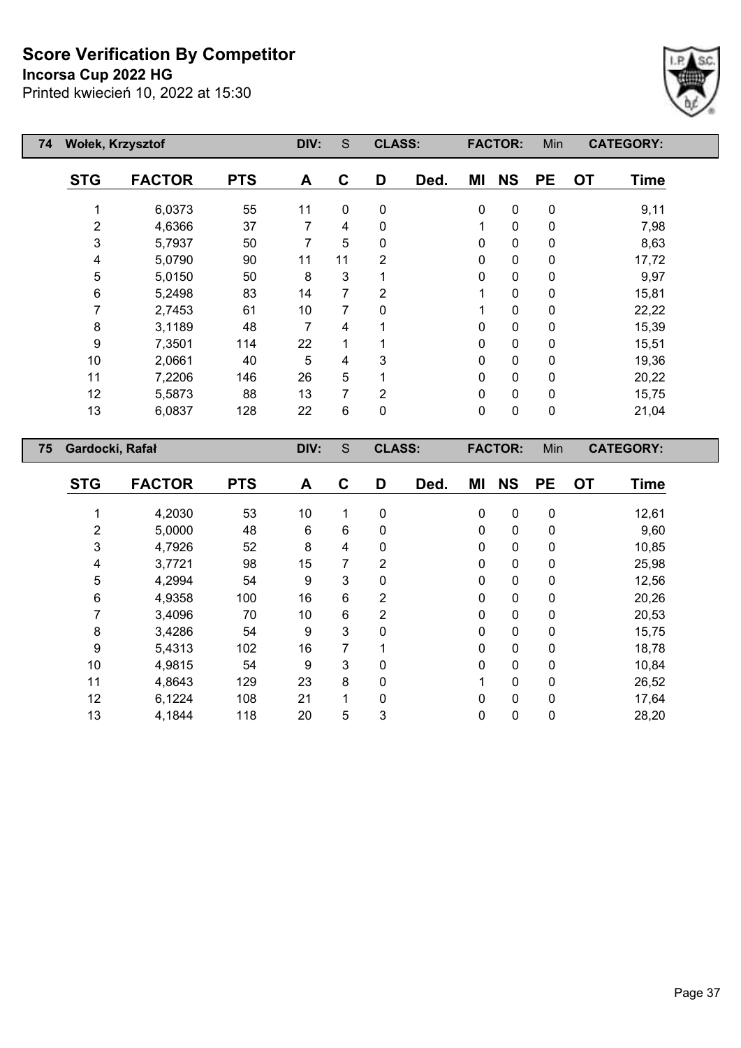**Incorsa Cup 2022 HG**

Printed kwiecień 10, 2022 at 15:30



| 74 | Wołek, Krzysztof |               | DIV:       | S                | <b>CLASS:</b>  |                |      | <b>FACTOR:</b> | Min            |           | <b>CATEGORY:</b> |                  |  |
|----|------------------|---------------|------------|------------------|----------------|----------------|------|----------------|----------------|-----------|------------------|------------------|--|
|    | <b>STG</b>       | <b>FACTOR</b> | <b>PTS</b> | A                | $\mathbf{C}$   | D              | Ded. | ΜI             | <b>NS</b>      | <b>PE</b> | <b>OT</b>        | <b>Time</b>      |  |
|    |                  | 6,0373        | 55         | 11               | $\mathbf 0$    | $\pmb{0}$      |      | $\pmb{0}$      | $\pmb{0}$      | $\pmb{0}$ |                  | 9,11             |  |
|    | $\overline{2}$   | 4,6366        | 37         | $\overline{7}$   | 4              | $\pmb{0}$      |      | 1              | $\pmb{0}$      | $\pmb{0}$ |                  | 7,98             |  |
|    | 3                | 5,7937        | 50         | 7                | 5              | 0              |      | 0              | $\pmb{0}$      | $\pmb{0}$ |                  | 8,63             |  |
|    | 4                | 5,0790        | 90         | 11               | 11             | $\overline{2}$ |      | 0              | $\pmb{0}$      | 0         |                  | 17,72            |  |
|    | 5                | 5,0150        | 50         | 8                | 3              |                |      | 0              | $\pmb{0}$      | 0         |                  | 9,97             |  |
|    | 6                | 5,2498        | 83         | 14               | $\overline{7}$ | $\overline{2}$ |      | 1              | 0              | $\pmb{0}$ |                  | 15,81            |  |
|    | 7                | 2,7453        | 61         | 10               | 7              | 0              |      | 1              | 0              | 0         |                  | 22,22            |  |
|    | $\bf 8$          | 3,1189        | 48         | $\overline{7}$   | 4              |                |      | 0              | 0              | 0         |                  | 15,39            |  |
|    | 9                | 7,3501        | 114        | 22               | 1              |                |      | 0              | 0              | 0         |                  | 15,51            |  |
|    | 10               | 2,0661        | 40         | 5                | 4              | 3              |      | 0              | $\pmb{0}$      | $\pmb{0}$ |                  | 19,36            |  |
|    | 11               | 7,2206        | 146        | 26               | 5              |                |      | 0              | $\pmb{0}$      | $\pmb{0}$ |                  | 20,22            |  |
|    | 12               | 5,5873        | 88         | 13               | 7              | $\overline{2}$ |      | 0              | $\pmb{0}$      | $\pmb{0}$ |                  | 15,75            |  |
|    | 13               | 6,0837        | 128        | 22               | 6              | $\pmb{0}$      |      | $\mathbf 0$    | $\pmb{0}$      | $\pmb{0}$ |                  | 21,04            |  |
| 75 | Gardocki, Rafał  |               |            | DIV:             | S              | <b>CLASS:</b>  |      |                | <b>FACTOR:</b> | Min       |                  | <b>CATEGORY:</b> |  |
|    | <b>STG</b>       | <b>FACTOR</b> | <b>PTS</b> | $\blacktriangle$ | $\mathbf C$    | D              | Ded. | MI             | <b>NS</b>      | <b>PE</b> | <b>OT</b>        | <b>Time</b>      |  |
|    |                  | 4,2030        | 53         | 10 <sup>°</sup>  | 1              | $\pmb{0}$      |      | $\mathbf 0$    | $\mathbf 0$    | $\pmb{0}$ |                  | 12,61            |  |
|    | 2                | 5,0000        | 48         | $6\phantom{1}$   | 6              | 0              |      | 0              | 0              | 0         |                  | 9,60             |  |

 4,7926 52 8 4 0 0 0 0 10,85 3,7721 98 15 7 2 0 0 0 25,98 4,2994 54 9 3 0 0 0 0 12,56 4,9358 100 16 6 2 0 0 0 20,26 3,4096 70 10 6 2 0 0 0 20,53 3,4286 54 9 3 0 0 0 0 15,75 5,4313 102 16 7 1 0 0 0 18,78 4,9815 54 9 3 0 0 0 0 10,84 4,8643 129 23 8 0 1 0 0 26,52 6,1224 108 21 1 0 0 0 0 17,64 4,1844 118 20 5 3 0 0 0 28,20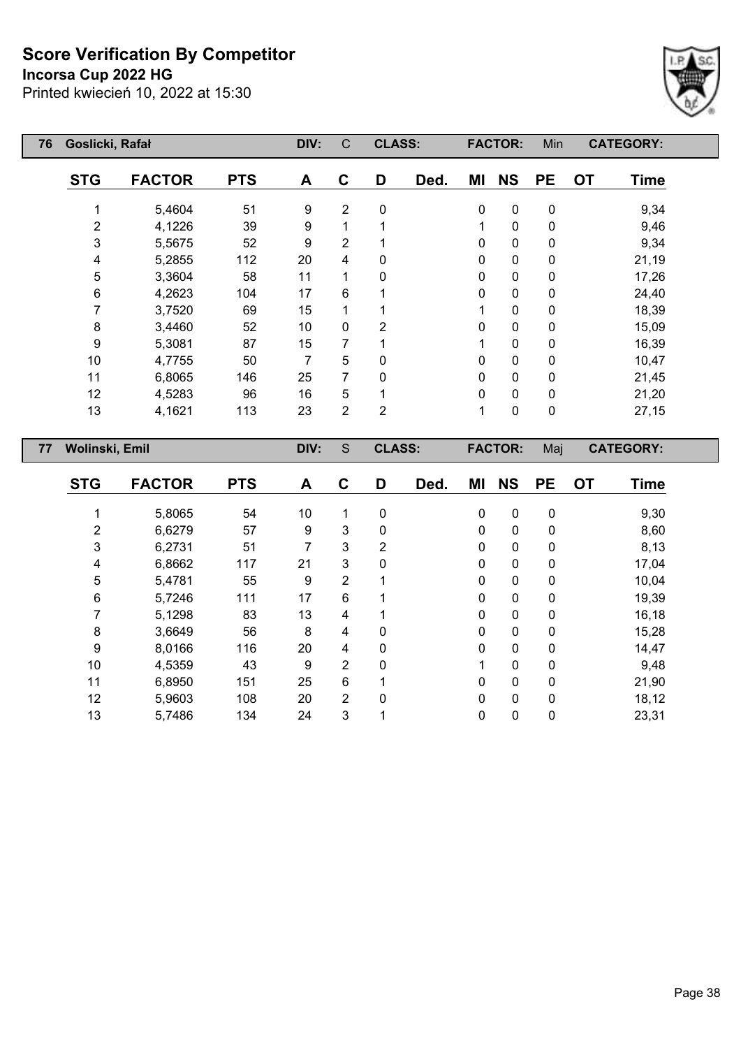**Incorsa Cup 2022 HG**



| 76             | Goslicki, Rafał |            | DIV: | $\mathsf{C}$   | <b>CLASS:</b>  |      |              | <b>FACTOR:</b> | Min       | <b>CATEGORY:</b>  |  |
|----------------|-----------------|------------|------|----------------|----------------|------|--------------|----------------|-----------|-------------------|--|
| <b>STG</b>     | <b>FACTOR</b>   | <b>PTS</b> | A    | C              | D              | Ded. | ΜI           | <b>NS</b>      | <b>PE</b> | <b>OT</b><br>Time |  |
| 1              | 5,4604          | 51         | 9    | $\overline{2}$ | $\pmb{0}$      |      | $\mathbf 0$  | $\mathbf 0$    | 0         | 9,34              |  |
| $\overline{2}$ | 4,1226          | 39         | 9    | 1              |                |      |              | 0              | 0         | 9,46              |  |
| 3              | 5,5675          | 52         | 9    | 2              |                |      | $\mathbf{0}$ | $\pmb{0}$      | 0         | 9,34              |  |
| 4              | 5,2855          | 112        | 20   | 4              | 0              |      | 0            | 0              | 0         | 21,19             |  |
| 5              | 3,3604          | 58         | 11   | 1              | 0              |      | 0            | $\mathbf 0$    | 0         | 17,26             |  |
| 6              | 4,2623          | 104        | 17   | $6\phantom{1}$ |                |      | 0            | 0              | 0         | 24,40             |  |
| 7              | 3,7520          | 69         | 15   | 1              |                |      |              | 0              | 0         | 18,39             |  |
| 8              | 3,4460          | 52         | 10   | $\mathbf 0$    | $\overline{2}$ |      | 0            | 0              | 0         | 15,09             |  |
| 9              | 5,3081          | 87         | 15   | 7              |                |      |              | 0              | 0         | 16,39             |  |
| 10             | 4,7755          | 50         | 7    | 5              | 0              |      | $\Omega$     | 0              | 0         | 10,47             |  |
| 11             | 6,8065          | 146        | 25   | $\overline{7}$ | $\Omega$       |      | $\Omega$     | 0              | 0         | 21,45             |  |
| 12             | 4,5283          | 96         | 16   | 5              |                |      | $\Omega$     | 0              | 0         | 21,20             |  |
| 13             | 4,1621          | 113        | 23   | $\overline{2}$ | $\overline{2}$ |      |              | 0              | 0         | 27,15             |  |
| 77             | Wolinski, Emil  |            | DIV: | S              | <b>CLASS:</b>  |      |              | <b>FACTOR:</b> | Maj       | <b>CATEGORY:</b>  |  |
| <b>STG</b>     | <b>FACTOR</b>   | <b>PTS</b> | A    | C              | D              | Ded. | ΜI           | <b>NS</b>      | <b>PE</b> | <b>OT</b><br>Time |  |

| 51G | <b>FACIOR</b> | P I S | A  | U              | IJ | Dea. | ML       | N5 | ۲E           | υı | <b>lime</b> |
|-----|---------------|-------|----|----------------|----|------|----------|----|--------------|----|-------------|
|     |               |       |    |                |    |      |          |    |              |    |             |
|     | 5,8065        | 54    | 10 | 1              | 0  |      | 0        | 0  | 0            |    | 9,30        |
| 2   | 6,6279        | 57    | 9  | 3              | 0  |      | 0        | 0  | 0            |    | 8,60        |
| 3   | 6,2731        | 51    |    | 3              | 2  |      | 0        | 0  | 0            |    | 8,13        |
| 4   | 6,8662        | 117   | 21 | $\mathbf{3}$   | 0  |      | 0        | 0  | 0            |    | 17,04       |
| 5   | 5,4781        | 55    | 9  | $\overline{2}$ |    |      | 0        | 0  | 0            |    | 10,04       |
| 6   | 5,7246        | 111   | 17 | 6              |    |      | $\Omega$ | 0  | 0            |    | 19,39       |
|     | 5,1298        | 83    | 13 | 4              |    |      | 0        | 0  | 0            |    | 16,18       |
| 8   | 3,6649        | 56    | 8  | 4              | 0  |      | 0        | 0  | $\mathbf{0}$ |    | 15,28       |
| 9   | 8,0166        | 116   | 20 | 4              | 0  |      | 0        | 0  | 0            |    | 14,47       |
| 10  | 4,5359        | 43    | 9  | $\overline{2}$ | 0  |      |          | 0  | 0            |    | 9,48        |
| 11  | 6,8950        | 151   | 25 | 6              |    |      | 0        | 0  | $\mathbf{0}$ |    | 21,90       |
| 12  | 5,9603        | 108   | 20 | $\overline{2}$ | 0  |      | 0        | 0  | 0            |    | 18,12       |
| 13  | 5,7486        | 134   | 24 | 3              |    |      | 0        | 0  | 0            |    | 23,31       |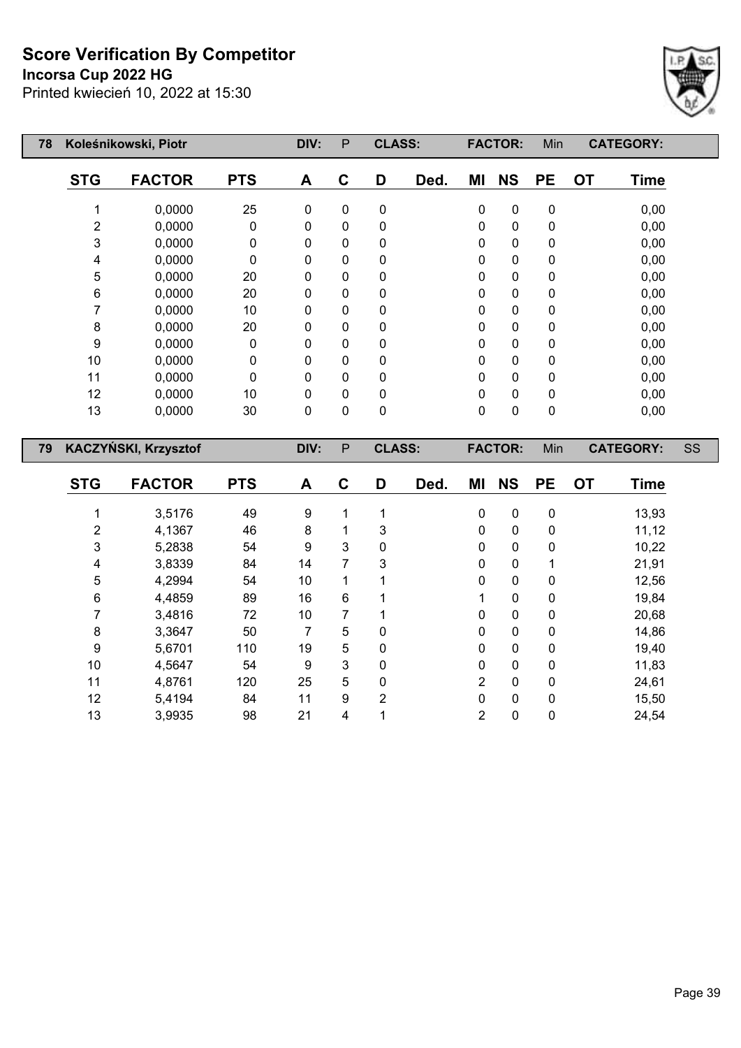## **Incorsa Cup 2022 HG**



| 78 |                         | Koleśnikowski, Piotr |             | DIV:             | ${\sf P}$        | <b>CLASS:</b>  |      |                | <b>FACTOR:</b> | Min         |           | <b>CATEGORY:</b> |    |
|----|-------------------------|----------------------|-------------|------------------|------------------|----------------|------|----------------|----------------|-------------|-----------|------------------|----|
|    | <b>STG</b>              | <b>FACTOR</b>        | <b>PTS</b>  | A                | $\mathbf c$      | D              | Ded. | MI             | <b>NS</b>      | <b>PE</b>   | <b>OT</b> | <b>Time</b>      |    |
|    | 1                       | 0,0000               | 25          | $\mathbf 0$      | 0                | 0              |      | 0              | $\pmb{0}$      | $\pmb{0}$   |           | 0,00             |    |
|    | $\overline{c}$          | 0,0000               | $\pmb{0}$   | 0                | $\pmb{0}$        | 0              |      | 0              | $\pmb{0}$      | $\pmb{0}$   |           | 0,00             |    |
|    | 3                       | 0,0000               | $\mathbf 0$ | 0                | 0                | 0              |      | 0              | 0              | 0           |           | 0,00             |    |
|    | 4                       | 0,0000               | 0           | 0                | 0                | 0              |      | 0              | 0              | 0           |           | 0,00             |    |
|    | 5                       | 0,0000               | 20          | 0                | $\mathbf 0$      | 0              |      | $\pmb{0}$      | $\pmb{0}$      | 0           |           | 0,00             |    |
|    | 6                       | 0,0000               | 20          | 0                | 0                | 0              |      | 0              | $\pmb{0}$      | 0           |           | 0,00             |    |
|    | $\overline{7}$          | 0,0000               | 10          | 0                | 0                | 0              |      | 0              | $\pmb{0}$      | 0           |           | 0,00             |    |
|    | 8                       | 0,0000               | 20          | 0                | 0                | 0              |      | 0              | $\pmb{0}$      | $\pmb{0}$   |           | 0,00             |    |
|    | $\boldsymbol{9}$        | 0,0000               | $\pmb{0}$   | 0                | 0                | 0              |      | 0              | $\pmb{0}$      | 0           |           | 0,00             |    |
|    | 10                      | 0,0000               | 0           | $\mathbf{0}$     | 0                | 0              |      | 0              | 0              | 0           |           | 0,00             |    |
|    | 11                      | 0,0000               | $\pmb{0}$   | 0                | 0                | 0              |      | 0              | $\pmb{0}$      | 0           |           | 0,00             |    |
|    | 12                      | 0,0000               | 10          | $\pmb{0}$        | $\mathbf 0$      | 0              |      | $\pmb{0}$      | $\pmb{0}$      | $\pmb{0}$   |           | 0,00             |    |
|    | 13                      | 0,0000               | 30          | 0                | $\overline{0}$   | 0              |      | $\mathbf 0$    | $\mathbf 0$    | $\mathbf 0$ |           | 0,00             |    |
|    |                         |                      |             |                  |                  |                |      |                |                |             |           |                  |    |
| 79 |                         | KACZYŃSKI, Krzysztof |             | DIV:             | $\sf P$          | <b>CLASS:</b>  |      |                | <b>FACTOR:</b> | Min         |           | <b>CATEGORY:</b> | SS |
|    |                         |                      |             |                  |                  |                |      |                |                |             |           |                  |    |
|    | <b>STG</b>              | <b>FACTOR</b>        | <b>PTS</b>  | A                | $\mathbf C$      | D              | Ded. | MI             | <b>NS</b>      | <b>PE</b>   | <b>OT</b> | <b>Time</b>      |    |
|    | 1                       | 3,5176               | 49          | $\boldsymbol{9}$ | 1                | 1              |      | 0              | $\pmb{0}$      | $\pmb{0}$   |           | 13,93            |    |
|    | $\overline{\mathbf{c}}$ | 4,1367               | 46          | 8                | 1                | 3              |      | 0              | $\pmb{0}$      | 0           |           | 11,12            |    |
|    | 3                       | 5,2838               | 54          | 9                | 3                | 0              |      | 0              | $\pmb{0}$      | 0           |           | 10,22            |    |
|    | 4                       | 3,8339               | 84          | 14               | $\overline{7}$   | 3              |      | 0              | $\pmb{0}$      | 1           |           | 21,91            |    |
|    | 5                       | 4,2994               | 54          | 10               | $\mathbf{1}$     | 1              |      | 0              | $\pmb{0}$      | 0           |           | 12,56            |    |
|    | 6                       | 4,4859               | 89          | 16               | $\,6\,$          | 1              |      | 1              | $\pmb{0}$      | 0           |           | 19,84            |    |
|    | $\overline{7}$          | 3,4816               | 72          | 10               | 7                | 1              |      | 0              | $\pmb{0}$      | $\pmb{0}$   |           | 20,68            |    |
|    | 8                       | 3,3647               | 50          | 7                | 5                | 0              |      | 0              | $\pmb{0}$      | $\pmb{0}$   |           | 14,86            |    |
|    | $\boldsymbol{9}$        | 5,6701               | 110         | 19               | 5                | 0              |      | 0              | $\pmb{0}$      | $\pmb{0}$   |           | 19,40            |    |
|    | 10                      | 4,5647               | 54          | 9                | 3                | 0              |      | 0              | 0              | 0           |           | 11,83            |    |
|    | 11                      | 4,8761               | 120         | 25               | 5                | 0              |      | $\overline{c}$ | 0              | 0           |           | 24,61            |    |
|    | 12                      | 5,4194               | 84          | 11               | $\boldsymbol{9}$ | $\overline{2}$ |      | $\mathbf 0$    | 0              | 0           |           | 15,50            |    |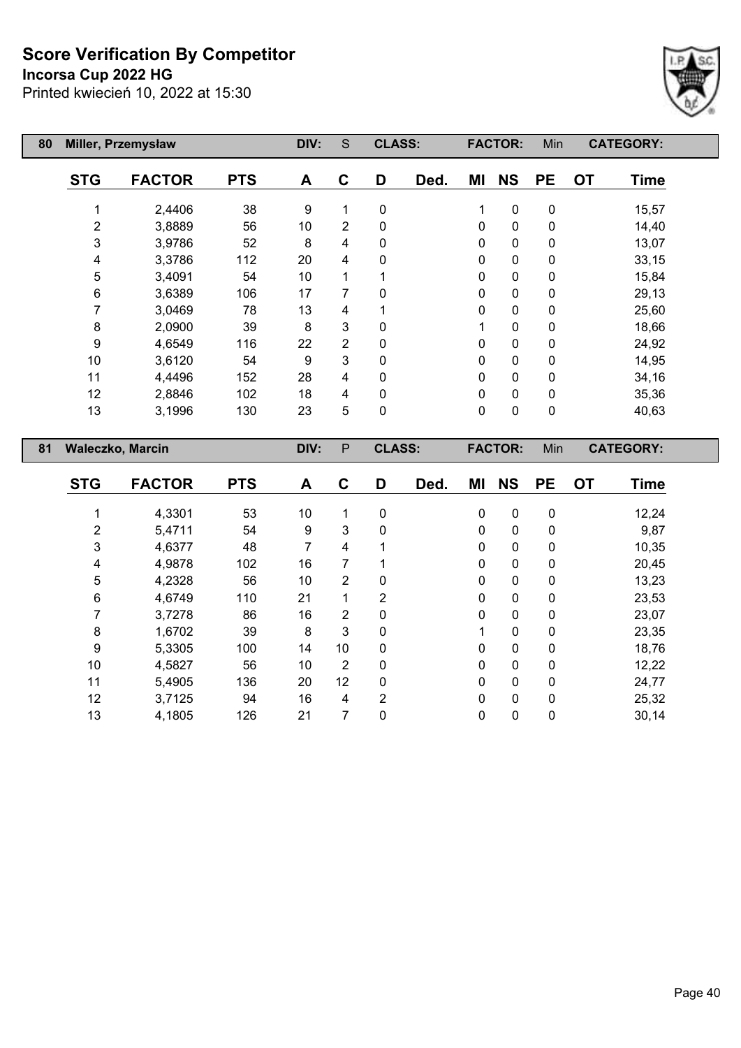#### **Incorsa Cup 2022 HG**



| 80 |                | Miller, Przemysław      |            | DIV: | S | <b>CLASS:</b> |      |              | <b>FACTOR:</b> | Min       |           | <b>CATEGORY:</b> |
|----|----------------|-------------------------|------------|------|---|---------------|------|--------------|----------------|-----------|-----------|------------------|
|    | <b>STG</b>     | <b>FACTOR</b>           | <b>PTS</b> | A    | C | D             | Ded. | ΜI           | <b>NS</b>      | <b>PE</b> | <b>OT</b> | <b>Time</b>      |
|    |                | 2,4406                  | 38         | 9    | 1 | 0             |      | 1            | $\pmb{0}$      | 0         |           | 15,57            |
|    | $\overline{2}$ | 3,8889                  | 56         | 10   | 2 | 0             |      | $\mathbf 0$  | $\mathbf 0$    | 0         |           | 14,40            |
|    | 3              | 3,9786                  | 52         | 8    | 4 | 0             |      | 0            | 0              | 0         |           | 13,07            |
|    | 4              | 3,3786                  | 112        | 20   | 4 | 0             |      | 0            | 0              | 0         |           | 33,15            |
|    | 5              | 3,4091                  | 54         | 10   | 1 |               |      | 0            | 0              | 0         |           | 15,84            |
|    | 6              | 3,6389                  | 106        | 17   | 7 | 0             |      | $\mathbf{0}$ | 0              | 0         |           | 29,13            |
|    |                | 3,0469                  | 78         | 13   | 4 |               |      | $\mathbf{0}$ | 0              | 0         |           | 25,60            |
|    | 8              | 2,0900                  | 39         | 8    | 3 | 0             |      |              | 0              | 0         |           | 18,66            |
|    | 9              | 4,6549                  | 116        | 22   | 2 | 0             |      | 0            | 0              | 0         |           | 24,92            |
|    | 10             | 3,6120                  | 54         | 9    | 3 | 0             |      | 0            | $\mathbf 0$    | 0         |           | 14,95            |
|    | 11             | 4,4496                  | 152        | 28   | 4 | 0             |      | $\mathbf 0$  | 0              | 0         |           | 34,16            |
|    | 12             | 2,8846                  | 102        | 18   | 4 | 0             |      | $\mathbf 0$  | 0              | 0         |           | 35,36            |
|    | 13             | 3,1996                  | 130        | 23   | 5 | 0             |      | $\mathbf 0$  | 0              | 0         |           | 40,63            |
| 81 |                | <b>Waleczko, Marcin</b> |            | DIV: | P | <b>CLASS:</b> |      |              | <b>FACTOR:</b> | Min       |           | <b>CATEGORY:</b> |

| <b>STG</b> | <b>FACTOR</b> | <b>PTS</b> | A  | C              | D            | Ded. | ΜI          | <b>NS</b>   | <b>PE</b>    | <b>OT</b> | <b>Time</b> |
|------------|---------------|------------|----|----------------|--------------|------|-------------|-------------|--------------|-----------|-------------|
|            | 4,3301        | 53         | 10 | 1              | 0            |      | $\pmb{0}$   | $\mathbf 0$ | $\mathbf 0$  |           | 12,24       |
| 2          | 5,4711        | 54         | 9  | 3              | 0            |      | 0           | 0           | 0            |           | 9,87        |
| 3          | 4,6377        | 48         | 7  | 4              | 1            |      | $\mathbf 0$ | $\mathbf 0$ | 0            |           | 10,35       |
| 4          | 4,9878        | 102        | 16 | 7              |              |      | 0           | 0           | 0            |           | 20,45       |
| 5          | 4,2328        | 56         | 10 | $\overline{2}$ | $\mathbf 0$  |      | $\mathbf 0$ | $\mathbf 0$ | $\mathbf{0}$ |           | 13,23       |
| 6          | 4,6749        | 110        | 21 | 1              | 2            |      | 0           | 0           | 0            |           | 23,53       |
| 7          | 3,7278        | 86         | 16 | $\overline{2}$ | 0            |      | 0           | 0           | $\mathbf{0}$ |           | 23,07       |
| 8          | 1,6702        | 39         | 8  | 3              | $\mathbf{0}$ |      | 1           | $\mathbf 0$ | $\mathbf{0}$ |           | 23,35       |
| 9          | 5,3305        | 100        | 14 | 10             | 0            |      | $\mathbf 0$ | $\mathbf 0$ | 0            |           | 18,76       |
| 10         | 4,5827        | 56         | 10 | $\overline{2}$ | $\mathbf{0}$ |      | $\mathbf 0$ | $\mathbf 0$ | $\Omega$     |           | 12,22       |
| 11         | 5,4905        | 136        | 20 | 12             | 0            |      | 0           | 0           | 0            |           | 24,77       |
| 12         | 3,7125        | 94         | 16 | 4              | 2            |      | $\mathbf 0$ | $\mathbf 0$ | $\mathbf{0}$ |           | 25,32       |
| 13         | 4,1805        | 126        | 21 | 7              | 0            |      | 0           | 0           | 0            |           | 30,14       |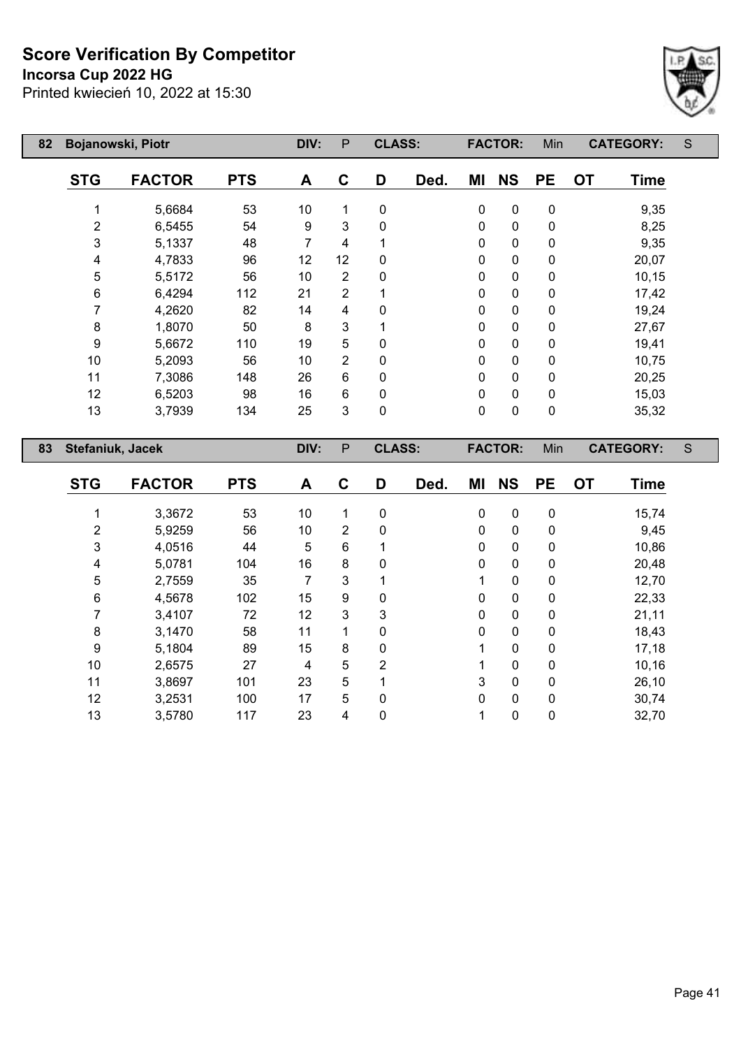# **Incorsa Cup 2022 HG**



| 82 | Bojanowski, Piotr |               |            | DIV: | P              | <b>CLASS:</b> |      |             | <b>FACTOR:</b> | Min       | <b>CATEGORY:</b>         | S |
|----|-------------------|---------------|------------|------|----------------|---------------|------|-------------|----------------|-----------|--------------------------|---|
|    | <b>STG</b>        | <b>FACTOR</b> | <b>PTS</b> | A    | C              | D             | Ded. | ΜI          | <b>NS</b>      | <b>PE</b> | <b>OT</b><br><b>Time</b> |   |
|    |                   | 5,6684        | 53         | 10   | 1              | 0             |      | $\mathbf 0$ | 0              | 0         | 9,35                     |   |
|    | $\overline{2}$    | 6,5455        | 54         | 9    | 3              | 0             |      | 0           | 0              | 0         | 8,25                     |   |
|    | 3                 | 5,1337        | 48         | 7    | 4              |               |      | $\mathbf 0$ | 0              | 0         | 9,35                     |   |
|    | 4                 | 4,7833        | 96         | 12   | 12             | 0             |      | 0           | 0              | 0         | 20,07                    |   |
|    | 5                 | 5,5172        | 56         | 10   | $\overline{2}$ | 0             |      | 0           | 0              | 0         | 10,15                    |   |
|    | 6                 | 6,4294        | 112        | 21   | $\overline{2}$ |               |      | 0           | 0              | $\pmb{0}$ | 17,42                    |   |
|    | 7                 | 4,2620        | 82         | 14   | 4              | 0             |      | 0           | 0              | 0         | 19,24                    |   |
|    | 8                 | 1,8070        | 50         | 8    | 3              |               |      | 0           | 0              | 0         | 27,67                    |   |
|    | 9                 | 5,6672        | 110        | 19   | 5              | 0             |      | 0           | 0              | 0         | 19,41                    |   |
|    | 10                | 5,2093        | 56         | 10   | $\overline{2}$ | 0             |      | 0           | 0              | 0         | 10,75                    |   |
|    | 11                | 7,3086        | 148        | 26   | 6              | 0             |      | 0           | 0              | 0         | 20,25                    |   |
|    | 12                | 6,5203        | 98         | 16   | 6              | 0             |      | 0           | 0              | 0         | 15,03                    |   |
|    | 13                | 3,7939        | 134        | 25   | 3              | 0             |      | 0           | $\mathbf 0$    | 0         | 35,32                    |   |
| 83 | Stefaniuk, Jacek  |               |            | DIV: | $\mathsf{P}$   | <b>CLASS:</b> |      |             | <b>FACTOR:</b> | Min       | <b>CATEGORY:</b>         | S |
|    | <b>STG</b>        | <b>FACTOR</b> | <b>PTS</b> | A    | C              | D             | Ded. | ΜI          | <b>NS</b>      | <b>PE</b> | <b>OT</b><br><b>Time</b> |   |

| ১।ড | <b>FAUIUR</b> | PI 5 | A  | v              | ע | Dea. | <b>IVII</b> | NJ           | PE. | U I | <b>Time</b> |
|-----|---------------|------|----|----------------|---|------|-------------|--------------|-----|-----|-------------|
|     | 3,3672        | 53   | 10 | 1              | 0 |      | 0           | 0            | 0   |     | 15,74       |
| 2   | 5,9259        | 56   | 10 | $\overline{2}$ | 0 |      | $\Omega$    | $\mathbf{0}$ | 0   |     | 9,45        |
| 3   | 4,0516        | 44   | 5  | 6              |   |      | 0           | 0            | 0   |     | 10,86       |
| 4   | 5,0781        | 104  | 16 | 8              | 0 |      | 0           | 0            | 0   |     | 20,48       |
| 5   | 2,7559        | 35   | 7  | 3              |   |      |             | $\mathbf{0}$ | 0   |     | 12,70       |
| 6   | 4,5678        | 102  | 15 | 9              | 0 |      | 0           | $\mathbf{0}$ | 0   |     | 22,33       |
|     | 3,4107        | 72   | 12 | 3              | 3 |      | 0           | $\mathbf{0}$ | 0   |     | 21,11       |
| 8   | 3,1470        | 58   | 11 | 1              | 0 |      | $\Omega$    | $\mathbf{0}$ | 0   |     | 18,43       |
| 9   | 5,1804        | 89   | 15 | 8              | 0 |      |             | $\mathbf{0}$ | 0   |     | 17,18       |
| 10  | 2,6575        | 27   | 4  | 5              | 2 |      |             | $\mathbf{0}$ | 0   |     | 10,16       |
| 11  | 3,8697        | 101  | 23 | 5              |   |      | 3           | $\mathbf{0}$ | 0   |     | 26,10       |
| 12  | 3,2531        | 100  | 17 | 5              | 0 |      | 0           | $\mathbf{0}$ | 0   |     | 30,74       |
| 13  | 3,5780        | 117  | 23 | 4              | 0 |      |             | 0            | 0   |     | 32,70       |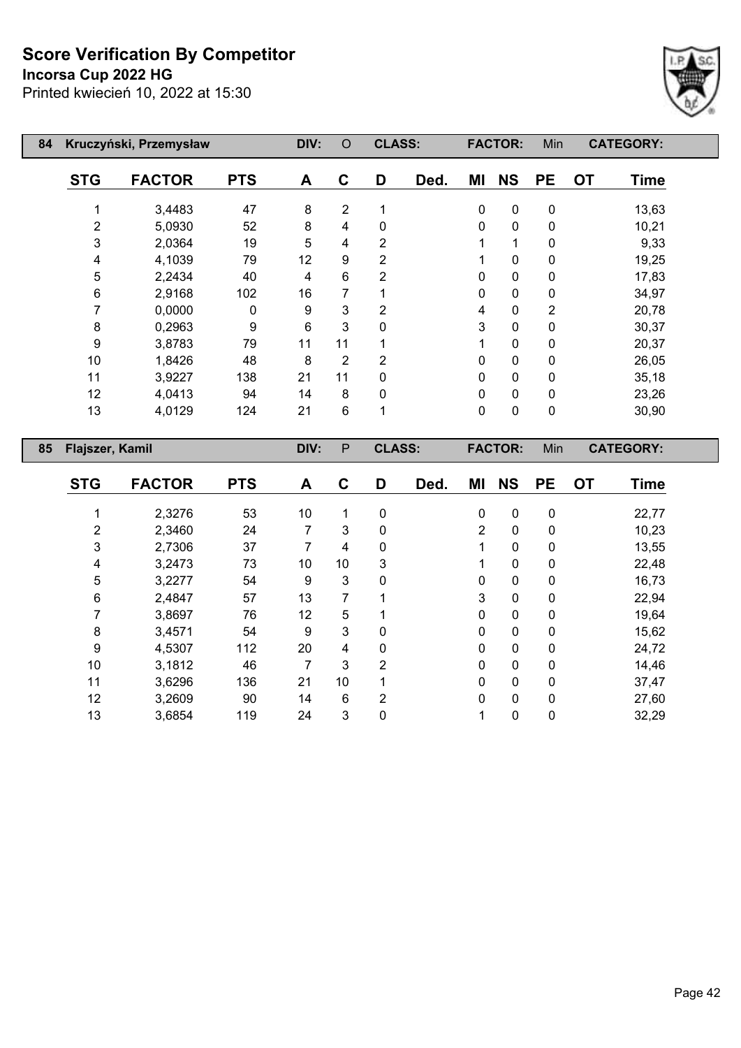**Incorsa Cup 2022 HG**



| 84 |                 | Kruczyński, Przemysław |            | DIV: | O              | <b>CLASS:</b>  |      |             | <b>FACTOR:</b> | Min            |           | <b>CATEGORY:</b> |
|----|-----------------|------------------------|------------|------|----------------|----------------|------|-------------|----------------|----------------|-----------|------------------|
|    | <b>STG</b>      | <b>FACTOR</b>          | <b>PTS</b> | A    | C              | D              | Ded. | ΜI          | <b>NS</b>      | <b>PE</b>      | <b>OT</b> | <b>Time</b>      |
|    |                 | 3,4483                 | 47         | 8    | $\overline{2}$ |                |      | $\mathbf 0$ | $\pmb{0}$      | $\pmb{0}$      |           | 13,63            |
|    | $\overline{2}$  | 5,0930                 | 52         | 8    | 4              | 0              |      | 0           | $\mathbf 0$    | 0              |           | 10,21            |
|    | 3               | 2,0364                 | 19         | 5    | 4              | $\overline{2}$ |      | 1           | 1              | 0              |           | 9,33             |
|    | 4               | 4,1039                 | 79         | 12   | 9              | 2              |      | 1           | 0              | 0              |           | 19,25            |
|    | 5               | 2,2434                 | 40         | 4    | 6              | 2              |      | 0           | 0              | 0              |           | 17,83            |
|    | 6               | 2,9168                 | 102        | 16   | 7              |                |      | 0           | 0              | 0              |           | 34,97            |
|    |                 | 0,0000                 | 0          | 9    | 3              | 2              |      | 4           | 0              | $\overline{2}$ |           | 20,78            |
|    | 8               | 0,2963                 | 9          | 6    | 3              | 0              |      | 3           | 0              | 0              |           | 30,37            |
|    | 9               | 3,8783                 | 79         | 11   | 11             |                |      | 1           | 0              | $\mathbf 0$    |           | 20,37            |
|    | 10              | 1,8426                 | 48         | 8    | 2              | 2              |      | 0           | $\mathbf 0$    | $\pmb{0}$      |           | 26,05            |
|    | 11              | 3,9227                 | 138        | 21   | 11             | 0              |      | 0           | $\mathbf 0$    | $\pmb{0}$      |           | 35,18            |
|    | 12              | 4,0413                 | 94         | 14   | 8              | 0              |      | 0           | $\mathbf 0$    | $\mathbf 0$    |           | 23,26            |
|    | 13              | 4,0129                 | 124        | 21   | 6              | 1              |      | 0           | 0              | $\pmb{0}$      |           | 30,90            |
| 85 | Flajszer, Kamil |                        |            | DIV: | P              | <b>CLASS:</b>  |      |             | <b>FACTOR:</b> | Min            |           | <b>CATEGORY:</b> |

| <b>STG</b> | <b>FACTOR</b> | <b>PTS</b> | A  | C              | D              | Ded. | ΜI             | <b>NS</b>   | <b>PE</b>    | <b>OT</b> | <b>Time</b> |
|------------|---------------|------------|----|----------------|----------------|------|----------------|-------------|--------------|-----------|-------------|
|            | 2,3276        | 53         | 10 | 1              | 0              |      | $\mathbf 0$    | $\mathbf 0$ | 0            |           | 22,77       |
| 2          | 2,3460        | 24         | 7  | 3              | 0              |      | $\overline{2}$ | 0           | 0            |           | 10,23       |
| 3          | 2,7306        | 37         | 7  | 4              | 0              |      | 1              | 0           | 0            |           | 13,55       |
| 4          | 3,2473        | 73         | 10 | 10             | 3              |      |                | $\mathbf 0$ | 0            |           | 22,48       |
| 5          | 3,2277        | 54         | 9  | 3              | 0              |      | 0              | $\mathbf 0$ | $\mathbf{0}$ |           | 16,73       |
| 6          | 2,4847        | 57         | 13 | 7              |                |      | 3              | $\mathbf 0$ | 0            |           | 22,94       |
| 7          | 3,8697        | 76         | 12 | 5              |                |      | $\mathbf 0$    | $\mathbf 0$ | 0            |           | 19,64       |
| 8          | 3,4571        | 54         | 9  | 3              | 0              |      | 0              | 0           | $\mathbf{0}$ |           | 15,62       |
| 9          | 4,5307        | 112        | 20 | 4              | 0              |      | 0              | $\mathbf 0$ | 0            |           | 24,72       |
| 10         | 3,1812        | 46         | 7  | 3              | $\overline{2}$ |      | $\mathbf 0$    | $\mathbf 0$ | $\mathbf{0}$ |           | 14,46       |
| 11         | 3,6296        | 136        | 21 | 10             |                |      | $\mathbf 0$    | 0           | 0            |           | 37,47       |
| 12         | 3,2609        | 90         | 14 | $6\phantom{1}$ | 2              |      | 0              | $\mathbf 0$ | $\mathbf{0}$ |           | 27,60       |
| 13         | 3,6854        | 119        | 24 | $\mathfrak{B}$ | 0              |      | 1              | $\mathbf 0$ | 0            |           | 32,29       |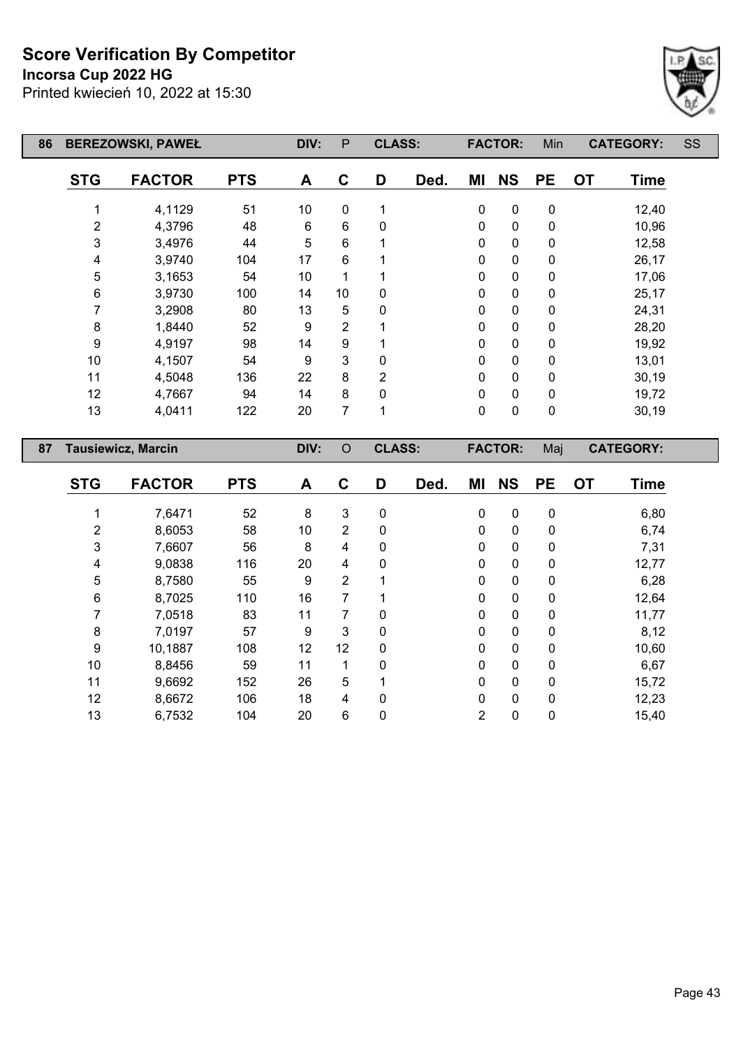**Incorsa Cup 2022 HG**

Printed kwiecień 10, 2022 at 15:30



| 86 | <b>BEREZOWSKI, PAWEŁ</b> |                           |            | DIV: | $\mathsf{P}$   | <b>CLASS:</b> |      |             | <b>FACTOR:</b> | Min       |           | <b>CATEGORY:</b> | SS |
|----|--------------------------|---------------------------|------------|------|----------------|---------------|------|-------------|----------------|-----------|-----------|------------------|----|
|    | <b>STG</b>               | <b>FACTOR</b>             | <b>PTS</b> | A    | C              | D             | Ded. | ΜI          | <b>NS</b>      | <b>PE</b> | <b>OT</b> | <b>Time</b>      |    |
|    |                          | 4,1129                    | 51         | 10   | 0              | 1             |      | $\pmb{0}$   | $\pmb{0}$      | $\pmb{0}$ |           | 12,40            |    |
|    | $\overline{2}$           | 4,3796                    | 48         | 6    | 6              | 0             |      | 0           | $\mathbf 0$    | 0         |           | 10,96            |    |
|    | 3                        | 3,4976                    | 44         | 5    | 6              | 1             |      | $\mathbf 0$ | $\pmb{0}$      | $\pmb{0}$ |           | 12,58            |    |
|    | 4                        | 3,9740                    | 104        | 17   | 6              |               |      | 0           | $\pmb{0}$      | $\pmb{0}$ |           | 26,17            |    |
|    | 5                        | 3,1653                    | 54         | 10   |                |               |      | 0           | $\mathbf 0$    | 0         |           | 17,06            |    |
|    | $\,6$                    | 3,9730                    | 100        | 14   | 10             | 0             |      | $\mathbf 0$ | $\pmb{0}$      | $\pmb{0}$ |           | 25,17            |    |
|    | 7                        | 3,2908                    | 80         | 13   | 5              | 0             |      | $\pmb{0}$   | $\pmb{0}$      | 0         |           | 24,31            |    |
|    | $\bf 8$                  | 1,8440                    | 52         | 9    | 2              |               |      | 0           | $\pmb{0}$      | 0         |           | 28,20            |    |
|    | $\boldsymbol{9}$         | 4,9197                    | 98         | 14   | 9              |               |      | 0           | $\pmb{0}$      | 0         |           | 19,92            |    |
|    | 10                       | 4,1507                    | 54         | 9    | 3              | 0             |      | $\mathbf 0$ | $\pmb{0}$      | $\pmb{0}$ |           | 13,01            |    |
|    | 11                       | 4,5048                    | 136        | 22   | 8              | 2             |      | 0           | $\mathbf 0$    | $\pmb{0}$ |           | 30,19            |    |
|    | 12                       | 4,7667                    | 94         | 14   | 8              | $\Omega$      |      | $\pmb{0}$   | $\pmb{0}$      | 0         |           | 19,72            |    |
|    | 13                       | 4,0411                    | 122        | 20   | 7              | 1             |      | $\pmb{0}$   | $\pmb{0}$      | $\pmb{0}$ |           | 30,19            |    |
| 87 |                          | <b>Tausiewicz, Marcin</b> |            | DIV: | $\circ$        | <b>CLASS:</b> |      |             | <b>FACTOR:</b> | Maj       |           | <b>CATEGORY:</b> |    |
|    | <b>STG</b>               | <b>FACTOR</b>             | <b>PTS</b> | A    | C              | D             | Ded. | ΜI          | <b>NS</b>      | <b>PE</b> | <b>OT</b> | <b>Time</b>      |    |
|    |                          | 7,6471                    | 52         | 8    | 3              | 0             |      | 0           | 0              | $\pmb{0}$ |           | 6,80             |    |
|    | $\overline{2}$           | 8,6053                    | 58         | 10   | $\overline{2}$ | 0             |      | 0           | $\mathbf 0$    | 0         |           | 6,74             |    |

 7,6607 56 8 4 0 0 0 0 7,31 9,0838 116 20 4 0 0 0 0 12,77 8,7580 55 9 2 1 0 0 0 6,28 8,7025 110 16 7 1 0 0 0 12,64 7,0518 83 11 7 0 0 0 0 11,77 7,0197 57 9 3 0 0 0 0 8,12 10,1887 108 12 12 0 0 0 0 10,60 8,8456 59 11 1 0 0 0 0 6,67 9,6692 152 26 5 1 0 0 0 15,72 8,6672 106 18 4 0 0 0 0 12,23 6,7532 104 20 6 0 2 0 0 15,40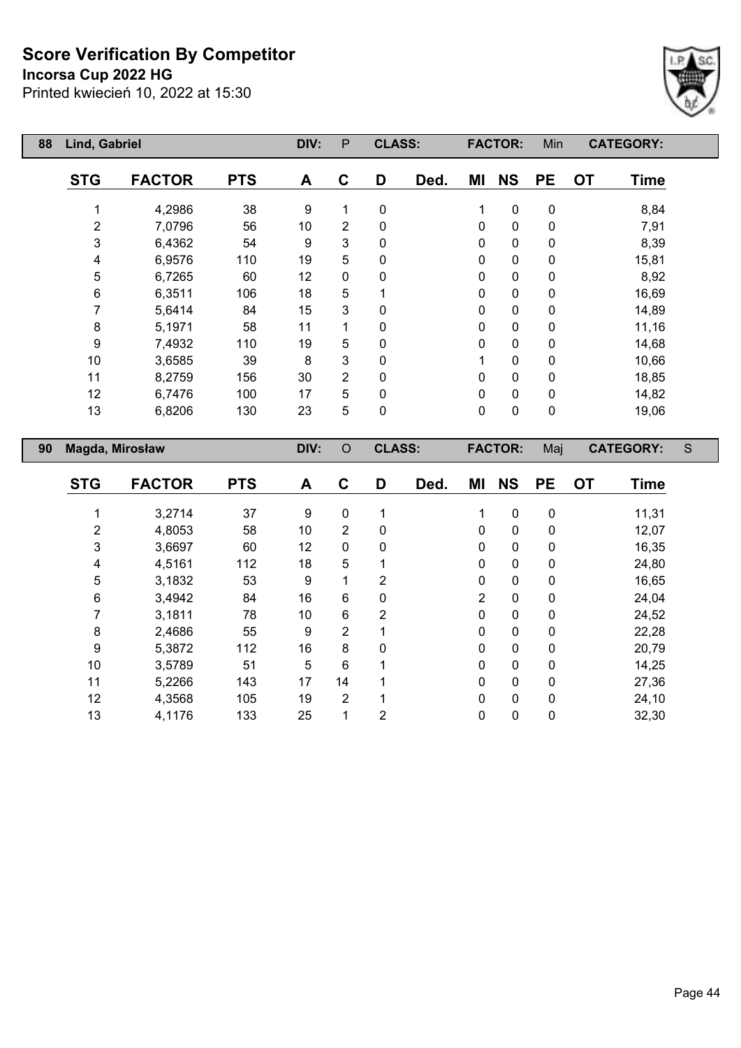**Incorsa Cup 2022 HG**

Printed kwiecień 10, 2022 at 15:30



| 88 | Lind, Gabriel           |               |            | DIV: | $\mathsf{P}$   | <b>CLASS:</b>  |      |                | <b>FACTOR:</b> | Min         |           | <b>CATEGORY:</b> |   |
|----|-------------------------|---------------|------------|------|----------------|----------------|------|----------------|----------------|-------------|-----------|------------------|---|
|    | <b>STG</b>              | <b>FACTOR</b> | <b>PTS</b> | A    | $\mathbf C$    | D              | Ded. | ΜI             | <b>NS</b>      | <b>PE</b>   | OT        | <b>Time</b>      |   |
|    | 1                       | 4,2986        | 38         | 9    | 1              | $\pmb{0}$      |      | 1              | $\pmb{0}$      | $\pmb{0}$   |           | 8,84             |   |
|    | 2                       | 7,0796        | 56         | $10$ | $\overline{c}$ | $\pmb{0}$      |      | 0              | $\mathbf 0$    | 0           |           | 7,91             |   |
|    | 3                       | 6,4362        | 54         | 9    | 3              | $\mathbf 0$    |      | $\mathbf 0$    | 0              | $\pmb{0}$   |           | 8,39             |   |
|    | 4                       | 6,9576        | 110        | 19   | 5              | $\mathbf 0$    |      | 0              | 0              | 0           |           | 15,81            |   |
|    | 5                       | 6,7265        | 60         | 12   | 0              | 0              |      | 0              | $\mathbf 0$    | 0           |           | 8,92             |   |
|    | $\,6$                   | 6,3511        | 106        | 18   | 5              | 1              |      | 0              | $\mathbf 0$    | 0           |           | 16,69            |   |
|    | 7                       | 5,6414        | 84         | 15   | 3              | 0              |      | $\pmb{0}$      | $\mathbf 0$    | 0           |           | 14,89            |   |
|    | 8                       | 5,1971        | 58         | 11   | 1              | 0              |      | $\pmb{0}$      | 0              | $\pmb{0}$   |           | 11,16            |   |
|    | 9                       | 7,4932        | 110        | 19   | 5              | $\mathbf 0$    |      | 0              | $\pmb{0}$      | 0           |           | 14,68            |   |
|    | 10                      | 3,6585        | 39         | 8    | 3              | 0              |      | 1              | 0              | 0           |           | 10,66            |   |
|    | 11                      | 8,2759        | 156        | 30   | $\overline{2}$ | $\mathbf 0$    |      | 0              | $\mathbf 0$    | 0           |           | 18,85            |   |
|    | 12                      | 6,7476        | 100        | 17   | 5              | $\pmb{0}$      |      | $\pmb{0}$      | $\mathbf 0$    | 0           |           | 14,82            |   |
|    | 13                      | 6,8206        | 130        | 23   | 5              | $\pmb{0}$      |      | $\mathbf 0$    | $\mathbf 0$    | $\pmb{0}$   |           | 19,06            |   |
|    |                         |               |            |      |                |                |      |                |                |             |           |                  |   |
| 90 | Magda, Mirosław         |               |            | DIV: | $\circ$        | <b>CLASS:</b>  |      |                | <b>FACTOR:</b> | Maj         |           | <b>CATEGORY:</b> | S |
|    | <b>STG</b>              | <b>FACTOR</b> | <b>PTS</b> | A    | $\mathbf C$    | D              | Ded. | ΜI             | <b>NS</b>      | <b>PE</b>   | <b>OT</b> | <b>Time</b>      |   |
|    | 1                       | 3,2714        | 37         | 9    | 0              | 1              |      | 1              | $\pmb{0}$      | $\pmb{0}$   |           | 11,31            |   |
|    | 2                       | 4,8053        | 58         | 10   | $\overline{2}$ | 0              |      | 0              | 0              | 0           |           | 12,07            |   |
|    | 3                       | 3,6697        | 60         | 12   | 0              | 0              |      | $\pmb{0}$      | 0              | $\pmb{0}$   |           | 16,35            |   |
|    | $\overline{\mathbf{4}}$ | 4,5161        | 112        | 18   | 5              | 1              |      | 0              | 0              | 0           |           | 24,80            |   |
|    | 5                       | 3,1832        | 53         | 9    | 1              | $\overline{2}$ |      | 0              | $\mathbf 0$    | 0           |           | 16,65            |   |
|    | $\,6$                   | 3,4942        | 84         | 16   | 6              | 0              |      | $\overline{2}$ | 0              | 0           |           | 24,04            |   |
|    | $\overline{7}$          | 3,1811        | 78         | 10   | 6              | $\overline{2}$ |      | 0              | $\mathbf 0$    | $\mathbf 0$ |           | 24,52            |   |

 2,4686 55 9 2 1 0 0 0 22,28 5,3872 112 16 8 0 0 0 0 20,79 3,5789 51 5 6 1 0 0 0 14,25 5,2266 143 17 14 1 0 0 0 27,36 4,3568 105 19 2 1 0 0 0 24,10 4,1176 133 25 1 2 0 0 0 32,30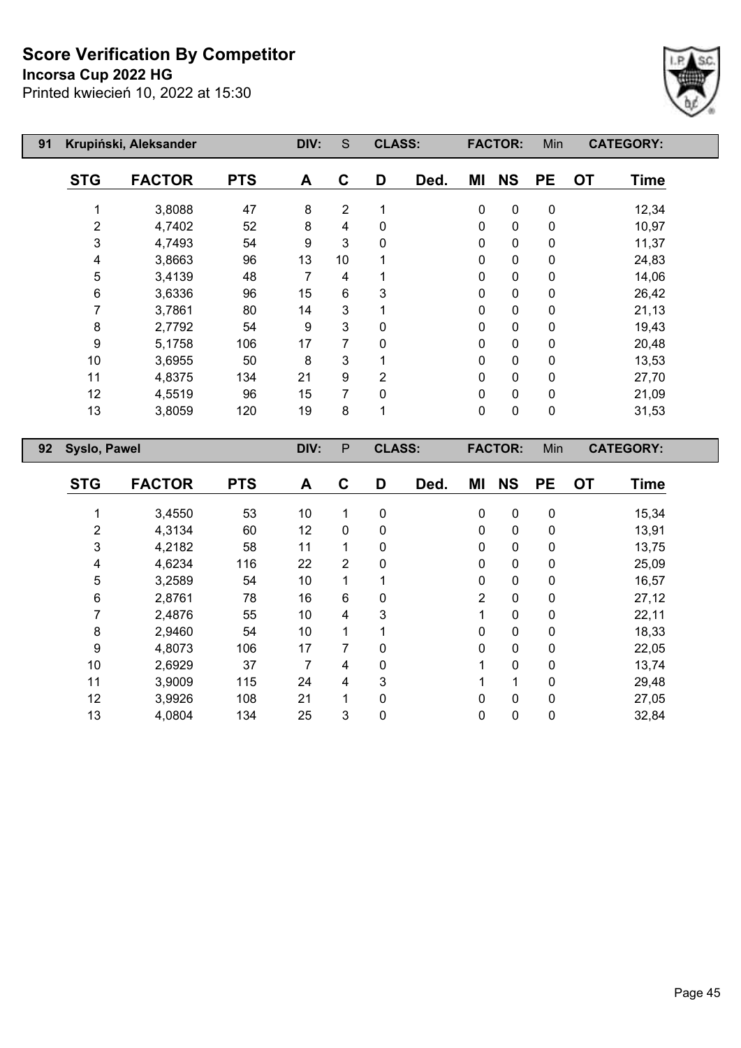**Incorsa Cup 2022 HG**



| 91 |                     | Krupiński, Aleksander |            | DIV:           | S              | <b>CLASS:</b>  |      |              | <b>FACTOR:</b> | Min         | <b>CATEGORY:</b>         |
|----|---------------------|-----------------------|------------|----------------|----------------|----------------|------|--------------|----------------|-------------|--------------------------|
|    | <b>STG</b>          | <b>FACTOR</b>         | <b>PTS</b> | A              | C              | D              | Ded. | ΜI           | <b>NS</b>      | <b>PE</b>   | <b>OT</b><br><b>Time</b> |
|    |                     | 3,8088                | 47         | 8              | $\overline{2}$ |                |      | 0            | $\pmb{0}$      | $\pmb{0}$   | 12,34                    |
|    | $\overline{2}$      | 4,7402                | 52         | 8              | 4              | 0              |      | $\mathbf{0}$ | 0              | 0           | 10,97                    |
|    | 3                   | 4,7493                | 54         | 9              | 3              | 0              |      | $\mathbf{0}$ | $\pmb{0}$      | $\pmb{0}$   | 11,37                    |
|    | 4                   | 3,8663                | 96         | 13             | 10             | 1              |      | $\mathbf{0}$ | $\pmb{0}$      | $\pmb{0}$   | 24,83                    |
|    | 5                   | 3,4139                | 48         | $\overline{7}$ | 4              |                |      | $\Omega$     | $\mathbf 0$    | $\mathbf 0$ | 14,06                    |
|    | 6                   | 3,6336                | 96         | 15             | 6              | 3              |      | $\mathbf{0}$ | $\mathbf 0$    | $\mathbf 0$ | 26,42                    |
|    | 7                   | 3,7861                | 80         | 14             | 3              | 1              |      | $\mathbf{0}$ | $\mathbf 0$    | $\pmb{0}$   | 21,13                    |
|    | 8                   | 2,7792                | 54         | 9              | 3              | 0              |      | $\mathbf{0}$ | $\mathbf 0$    | 0           | 19,43                    |
|    | 9                   | 5,1758                | 106        | 17             | 7              | 0              |      | $\mathbf{0}$ | $\mathbf 0$    | $\mathbf 0$ | 20,48                    |
|    | 10                  | 3,6955                | 50         | 8              | 3              | 1              |      | $\mathbf{0}$ | $\mathbf 0$    | 0           | 13,53                    |
|    | 11                  | 4,8375                | 134        | 21             | 9              | $\overline{2}$ |      | $\Omega$     | $\mathbf 0$    | 0           | 27,70                    |
|    | 12                  | 4,5519                | 96         | 15             | 7              | 0              |      | $\Omega$     | $\mathbf 0$    | $\mathbf 0$ | 21,09                    |
|    | 13                  | 3,8059                | 120        | 19             | 8              | 1              |      | $\mathbf 0$  | $\mathbf 0$    | $\pmb{0}$   | 31,53                    |
| 92 | <b>Syslo, Pawel</b> |                       |            | DIV:           | $\mathsf{P}$   | <b>CLASS:</b>  |      |              | <b>FACTOR:</b> | Min         | <b>CATEGORY:</b>         |
|    |                     |                       |            |                |                |                |      |              |                |             |                          |

| <b>STG</b> | <b>FACTOR</b> | <b>PTS</b> | A  | С           | D        | Ded. | ΜI           | <b>NS</b>    | <b>PE</b> | <b>OT</b> | <b>Time</b> |
|------------|---------------|------------|----|-------------|----------|------|--------------|--------------|-----------|-----------|-------------|
|            | 3,4550        | 53         | 10 |             | 0        |      | $\mathbf{0}$ | $\Omega$     | 0         |           | 15,34       |
| 2          | 4,3134        | 60         | 12 | $\mathbf 0$ | 0        |      | $\mathbf{0}$ | $\mathbf{0}$ | 0         |           | 13,91       |
| 3          | 4,2182        | 58         | 11 | 1           | 0        |      | $\Omega$     | $\Omega$     | 0         |           | 13,75       |
| 4          | 4,6234        | 116        | 22 | 2           | 0        |      | 0            | $\Omega$     | 0         |           | 25,09       |
| 5          | 3,2589        | 54         | 10 | 1           |          |      | $\Omega$     | $\Omega$     | 0         |           | 16,57       |
| 6          | 2,8761        | 78         | 16 | 6           | 0        |      | 2            | $\mathbf 0$  | 0         |           | 27,12       |
|            | 2,4876        | 55         | 10 | 4           | 3        |      |              | $\Omega$     | 0         |           | 22,11       |
| 8          | 2,9460        | 54         | 10 |             |          |      | 0            | $\Omega$     | 0         |           | 18,33       |
| 9          | 4,8073        | 106        | 17 | 7           | $\Omega$ |      | 0            | $\Omega$     | 0         |           | 22,05       |
| 10         | 2,6929        | 37         | 7  | 4           | 0        |      |              | $\mathbf{0}$ | 0         |           | 13,74       |
| 11         | 3,9009        | 115        | 24 | 4           | 3        |      |              |              | 0         |           | 29,48       |
| 12         | 3,9926        | 108        | 21 | 1           | 0        |      | $\mathbf{0}$ | $\mathbf{0}$ | 0         |           | 27,05       |
| 13         | 4,0804        | 134        | 25 | 3           | 0        |      | 0            | $\mathbf 0$  | 0         |           | 32,84       |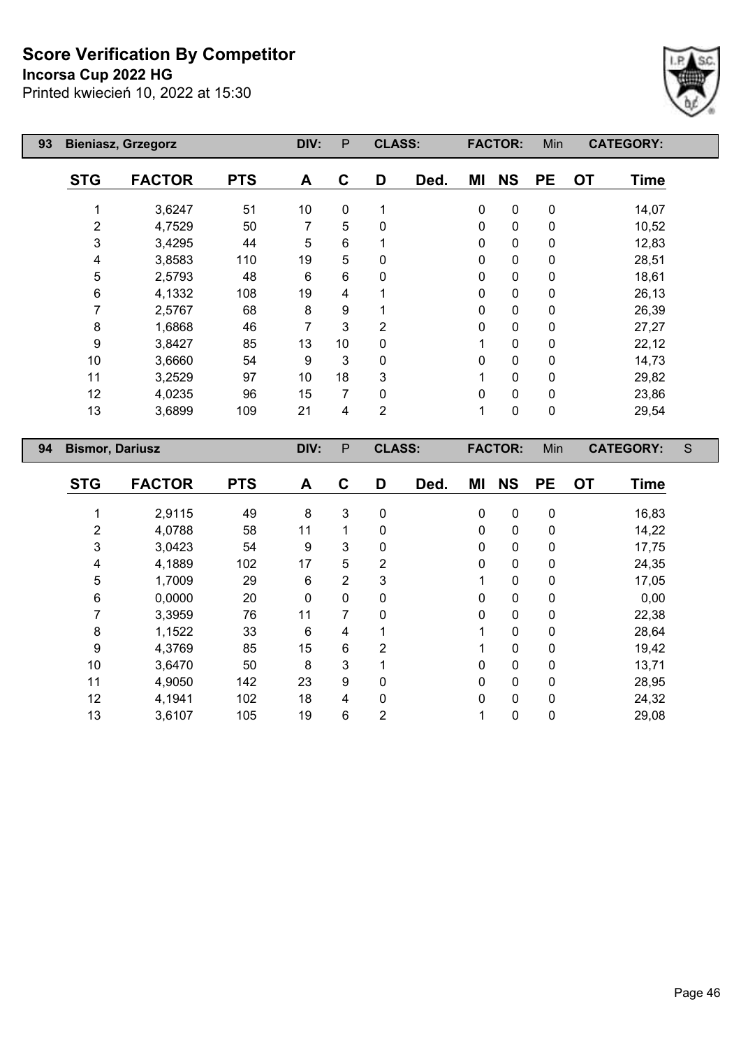# **Incorsa Cup 2022 HG**



| 93 |                        | <b>Bieniasz, Grzegorz</b> |            | DIV: | P            | <b>CLASS:</b>  |      |              | <b>FACTOR:</b> | Min         | <b>CATEGORY:</b>         |   |
|----|------------------------|---------------------------|------------|------|--------------|----------------|------|--------------|----------------|-------------|--------------------------|---|
|    | <b>STG</b>             | <b>FACTOR</b>             | <b>PTS</b> | A    | C            | D              | Ded. | ΜI           | <b>NS</b>      | <b>PE</b>   | <b>OT</b><br><b>Time</b> |   |
|    | 1                      | 3,6247                    | 51         | 10   | 0            | 1              |      | 0            | $\mathbf 0$    | 0           | 14,07                    |   |
|    | $\overline{2}$         | 4,7529                    | 50         | 7    | 5            | 0              |      | $\mathbf 0$  | $\mathbf 0$    | $\pmb{0}$   | 10,52                    |   |
|    | 3                      | 3,4295                    | 44         | 5    | 6            |                |      | $\mathbf 0$  | $\mathbf 0$    | 0           | 12,83                    |   |
|    | 4                      | 3,8583                    | 110        | 19   | 5            | 0              |      | $\mathbf 0$  | $\mathbf 0$    | 0           | 28,51                    |   |
|    | 5                      | 2,5793                    | 48         | 6    | 6            | 0              |      | $\mathbf{0}$ | $\pmb{0}$      | $\pmb{0}$   | 18,61                    |   |
|    | 6                      | 4,1332                    | 108        | 19   | 4            |                |      | $\mathbf{0}$ | $\pmb{0}$      | $\pmb{0}$   | 26,13                    |   |
|    | 7                      | 2,5767                    | 68         | 8    | 9            |                |      | $\mathbf{0}$ | $\pmb{0}$      | $\pmb{0}$   | 26,39                    |   |
|    | 8                      | 1,6868                    | 46         | 7    | 3            | 2              |      | $\mathbf{0}$ | $\mathbf 0$    | $\pmb{0}$   | 27,27                    |   |
|    | 9                      | 3,8427                    | 85         | 13   | 10           | 0              |      | 1            | $\mathbf 0$    | $\mathbf 0$ | 22,12                    |   |
|    | 10                     | 3,6660                    | 54         | 9    | 3            | 0              |      | $\mathbf{0}$ | $\mathbf 0$    | $\pmb{0}$   | 14,73                    |   |
|    | 11                     | 3,2529                    | 97         | 10   | 18           | 3              |      | 1            | $\pmb{0}$      | $\pmb{0}$   | 29,82                    |   |
|    | 12                     | 4,0235                    | 96         | 15   | 7            | $\Omega$       |      | $\mathbf{0}$ | $\pmb{0}$      | $\pmb{0}$   | 23,86                    |   |
|    | 13                     | 3,6899                    | 109        | 21   | 4            | $\overline{2}$ |      | 1            | $\mathbf 0$    | 0           | 29,54                    |   |
| 94 | <b>Bismor, Dariusz</b> |                           |            | DIV: | $\mathsf{P}$ | <b>CLASS:</b>  |      |              | <b>FACTOR:</b> | Min         | <b>CATEGORY:</b>         | S |

| <b>STG</b> | <b>FACTOR</b> | <b>PTS</b> | A  | C | D | Ded. | ΜI | <b>NS</b> | <b>PE</b>   | <b>OT</b> | <b>Time</b> |
|------------|---------------|------------|----|---|---|------|----|-----------|-------------|-----------|-------------|
|            | 2,9115        | 49         | 8  | 3 | 0 |      | 0  | 0         | $\mathbf 0$ |           | 16,83       |
| 2          | 4,0788        | 58         | 11 | 1 | 0 |      | 0  | 0         | 0           |           | 14,22       |
| 3          | 3,0423        | 54         | 9  | 3 | 0 |      | 0  | 0         | 0           |           | 17,75       |
| 4          | 4,1889        | 102        | 17 | 5 | 2 |      | 0  | 0         | $\mathbf 0$ |           | 24,35       |
| 5          | 1,7009        | 29         | 6  | 2 | 3 |      | 1  | 0         | $\mathbf 0$ |           | 17,05       |
| 6          | 0,0000        | 20         | 0  | 0 | 0 |      | 0  | 0         | $\mathbf 0$ |           | 0,00        |
|            | 3,3959        | 76         | 11 | 7 | 0 |      | 0  | 0         | 0           |           | 22,38       |
| 8          | 1,1522        | 33         | 6  | 4 |   |      | 1  | 0         | $\mathbf 0$ |           | 28,64       |
| 9          | 4,3769        | 85         | 15 | 6 | 2 |      | 1  | 0         | 0           |           | 19,42       |
| 10         | 3,6470        | 50         | 8  | 3 |   |      | 0  | 0         | $\mathbf 0$ |           | 13,71       |
| 11         | 4,9050        | 142        | 23 | 9 | 0 |      | 0  | 0         | 0           |           | 28,95       |
| 12         | 4,1941        | 102        | 18 | 4 | 0 |      | 0  | 0         | $\mathbf 0$ |           | 24,32       |
| 13         | 3,6107        | 105        | 19 | 6 | 2 |      |    | 0         | 0           |           | 29,08       |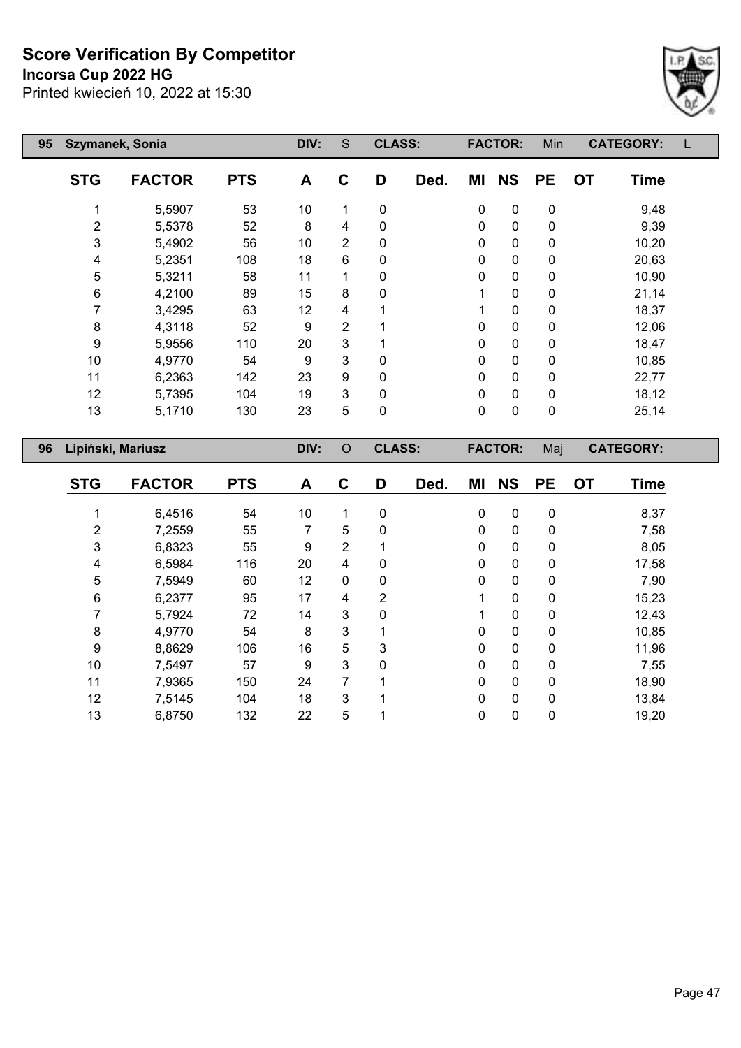## **Incorsa Cup 2022 HG**



| 95 |            | Szymanek, Sonia   |            | DIV: | S | <b>CLASS:</b> |      |           | <b>FACTOR:</b> | Min       | <b>CATEGORY:</b>         |  |
|----|------------|-------------------|------------|------|---|---------------|------|-----------|----------------|-----------|--------------------------|--|
|    | <b>STG</b> | <b>FACTOR</b>     | <b>PTS</b> | A    | C | D             | Ded. | ΜI        | <b>NS</b>      | <b>PE</b> | <b>OT</b><br><b>Time</b> |  |
|    |            | 5,5907            | 53         | 10   | 1 | 0             |      | 0         | 0              | 0         | 9,48                     |  |
|    | 2          | 5,5378            | 52         | 8    | 4 | 0             |      | 0         | 0              | 0         | 9,39                     |  |
|    | 3          | 5,4902            | 56         | 10   | 2 | 0             |      | 0         | $\mathbf 0$    | 0         | 10,20                    |  |
|    | 4          | 5,2351            | 108        | 18   | 6 | 0             |      | 0         | $\mathbf 0$    | 0         | 20,63                    |  |
|    | 5          | 5,3211            | 58         | 11   | 1 | 0             |      | 0         | $\mathbf 0$    | 0         | 10,90                    |  |
|    | 6          | 4,2100            | 89         | 15   | 8 | 0             |      | 1         | 0              | 0         | 21,14                    |  |
|    |            | 3,4295            | 63         | 12   | 4 |               |      | 1         | 0              | 0         | 18,37                    |  |
|    | 8          | 4,3118            | 52         | 9    | 2 |               |      | 0         | $\mathbf 0$    | 0         | 12,06                    |  |
|    | 9          | 5,9556            | 110        | 20   | 3 |               |      | 0         | $\mathbf 0$    | 0         | 18,47                    |  |
|    | 10         | 4,9770            | 54         | 9    | 3 | 0             |      | 0         | $\mathbf 0$    | 0         | 10,85                    |  |
|    | 11         | 6,2363            | 142        | 23   | 9 | 0             |      | $\pmb{0}$ | $\pmb{0}$      | 0         | 22,77                    |  |
|    | 12         | 5,7395            | 104        | 19   | 3 | 0             |      | 0         | $\pmb{0}$      | 0         | 18,12                    |  |
|    | 13         | 5,1710            | 130        | 23   | 5 | 0             |      | 0         | $\mathbf 0$    | 0         | 25,14                    |  |
| 96 |            | Lipiński, Mariusz |            | DIV: | O | <b>CLASS:</b> |      |           | <b>FACTOR:</b> | Maj       | <b>CATEGORY:</b>         |  |

| <b>STG</b> | <b>FACTOR</b> | <b>PTS</b> | A  | C              | D | Ded. | ΜI | <b>NS</b>    | <b>PE</b>    | <b>OT</b> | <b>Time</b> |
|------------|---------------|------------|----|----------------|---|------|----|--------------|--------------|-----------|-------------|
|            |               |            |    |                |   |      |    |              |              |           |             |
|            | 6,4516        | 54         | 10 | 1              | 0 |      | 0  | 0            | $\mathbf 0$  |           | 8,37        |
| 2          | 7,2559        | 55         | 7  | 5              | 0 |      | 0  | 0            | 0            |           | 7,58        |
| 3          | 6,8323        | 55         | 9  | $\overline{2}$ |   |      | 0  | 0            | 0            |           | 8,05        |
| 4          | 6,5984        | 116        | 20 | 4              | 0 |      | 0  | 0            | 0            |           | 17,58       |
| 5          | 7,5949        | 60         | 12 | 0              | 0 |      | 0  | 0            | $\mathbf 0$  |           | 7,90        |
| 6          | 6,2377        | 95         | 17 | 4              | 2 |      | 1  | $\mathbf{0}$ | $\mathbf{0}$ |           | 15,23       |
| 7          | 5,7924        | 72         | 14 | 3              | 0 |      |    | $\mathbf 0$  | 0            |           | 12,43       |
| 8          | 4,9770        | 54         | 8  | 3              | 1 |      | 0  | 0            | $\mathbf{0}$ |           | 10,85       |
| 9          | 8,8629        | 106        | 16 | 5              | 3 |      | 0  | 0            | 0            |           | 11,96       |
| 10         | 7,5497        | 57         | 9  | 3              | 0 |      | 0  | $\mathbf{0}$ | $\mathbf{0}$ |           | 7,55        |
| 11         | 7,9365        | 150        | 24 | 7              |   |      | 0  | $\mathbf 0$  | $\mathbf{0}$ |           | 18,90       |
| 12         | 7,5145        | 104        | 18 | 3              | 1 |      | 0  | 0            | $\mathbf{0}$ |           | 13,84       |
| 13         | 6,8750        | 132        | 22 | 5              |   |      | 0  | $\mathbf 0$  | 0            |           | 19,20       |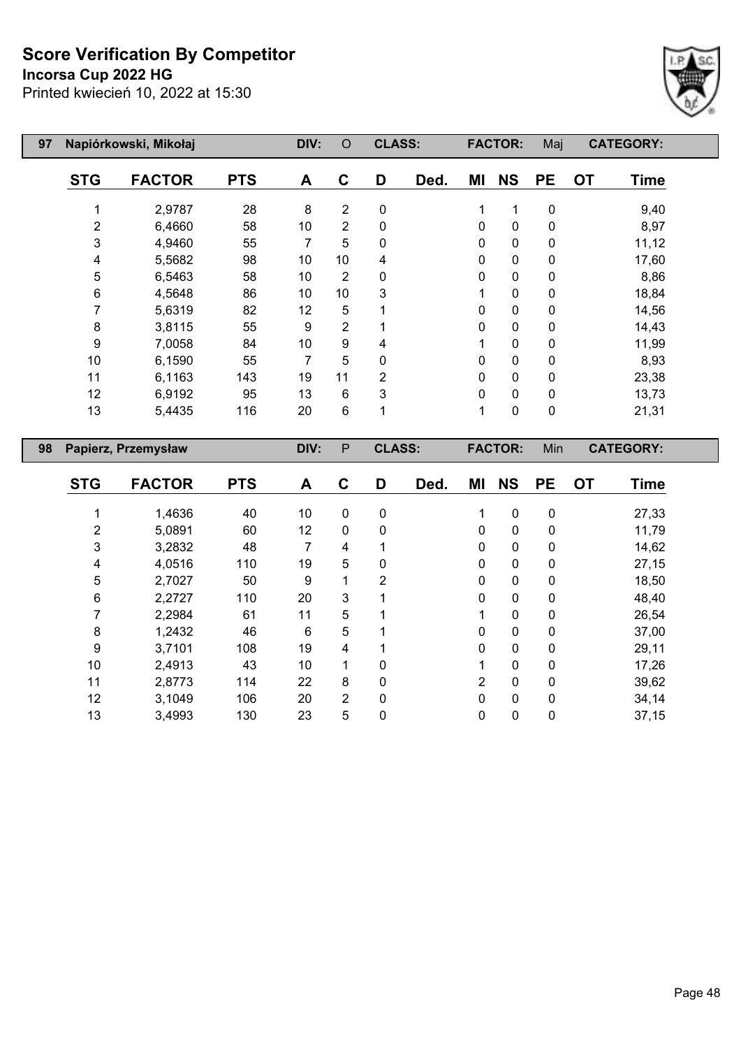**Incorsa Cup 2022 HG**



| 97 |                | Napiórkowski, Mikołaj |            | DIV: | $\circ$ | <b>CLASS:</b>  |      |              | <b>FACTOR:</b> | Maj         | <b>CATEGORY:</b>         |  |
|----|----------------|-----------------------|------------|------|---------|----------------|------|--------------|----------------|-------------|--------------------------|--|
|    | <b>STG</b>     | <b>FACTOR</b>         | <b>PTS</b> | A    | C       | D              | Ded. | MI           | <b>NS</b>      | <b>PE</b>   | <b>OT</b><br><b>Time</b> |  |
|    |                | 2,9787                | 28         | 8    | 2       | $\mathbf 0$    |      | 1            | 1              | $\mathbf 0$ | 9,40                     |  |
|    | $\overline{2}$ | 6,4660                | 58         | 10   | 2       | 0              |      | 0            | 0              | 0           | 8,97                     |  |
|    | 3              | 4,9460                | 55         | 7    | 5       | 0              |      | 0            | $\pmb{0}$      | 0           | 11,12                    |  |
|    | 4              | 5,5682                | 98         | 10   | 10      | 4              |      | $\Omega$     | $\pmb{0}$      | 0           | 17,60                    |  |
|    | 5              | 6,5463                | 58         | 10   | 2       | 0              |      | 0            | $\pmb{0}$      | $\mathbf 0$ | 8,86                     |  |
|    | 6              | 4,5648                | 86         | 10   | 10      | 3              |      | 1            | $\mathbf 0$    | $\mathbf 0$ | 18,84                    |  |
|    | 7              | 5,6319                | 82         | 12   | 5       |                |      | $\Omega$     | $\mathbf 0$    | $\mathbf 0$ | 14,56                    |  |
|    | 8              | 3,8115                | 55         | 9    | 2       |                |      | $\Omega$     | $\pmb{0}$      | 0           | 14,43                    |  |
|    | 9              | 7,0058                | 84         | 10   | 9       | 4              |      |              | $\pmb{0}$      | 0           | 11,99                    |  |
|    | 10             | 6,1590                | 55         | 7    | 5       | $\mathbf{0}$   |      | $\Omega$     | 0              | 0           | 8,93                     |  |
|    | 11             | 6,1163                | 143        | 19   | 11      | $\overline{2}$ |      | $\Omega$     | $\pmb{0}$      | 0           | 23,38                    |  |
|    | 12             | 6,9192                | 95         | 13   | 6       | 3              |      | $\mathbf{0}$ | $\mathbf 0$    | 0           | 13,73                    |  |
|    | 13             | 5,4435                | 116        | 20   | $\,6$   | 1              |      | 1            | 0              | $\mathbf 0$ | 21,31                    |  |
| 98 |                | Papierz, Przemysław   |            | DIV: | P       | <b>CLASS:</b>  |      |              | <b>FACTOR:</b> | Min         | <b>CATEGORY:</b>         |  |

| <b>STG</b> | <b>FACTOR</b> | <b>PTS</b> | A  | C              | D        | Ded. | ΜI             | <b>NS</b>   | <b>PE</b>    | <b>OT</b> | <b>Time</b> |
|------------|---------------|------------|----|----------------|----------|------|----------------|-------------|--------------|-----------|-------------|
|            |               |            |    |                |          |      |                |             |              |           |             |
|            | 1,4636        | 40         | 10 | 0              | 0        |      | 1              | $\mathbf 0$ | 0            |           | 27,33       |
| 2          | 5,0891        | 60         | 12 | 0              | 0        |      | 0              | 0           | 0            |           | 11,79       |
| 3          | 3,2832        | 48         | 7  | 4              |          |      | 0              | 0           | 0            |           | 14,62       |
| 4          | 4,0516        | 110        | 19 | 5              | 0        |      | $\mathbf 0$    | $\pmb{0}$   | 0            |           | 27,15       |
| 5          | 2,7027        | 50         | 9  | 1              | 2        |      | 0              | $\mathbf 0$ | 0            |           | 18,50       |
| 6          | 2,2727        | 110        | 20 | 3              | 1        |      | 0              | $\mathbf 0$ | 0            |           | 48,40       |
|            | 2,2984        | 61         | 11 | 5              |          |      | 1              | 0           | 0            |           | 26,54       |
| 8          | 1,2432        | 46         | 6  | 5              |          |      | 0              | $\mathbf 0$ | $\mathbf{0}$ |           | 37,00       |
| 9          | 3,7101        | 108        | 19 | 4              |          |      | 0              | 0           | 0            |           | 29,11       |
| 10         | 2,4913        | 43         | 10 | 1              | 0        |      | 1              | 0           | $\mathbf{0}$ |           | 17,26       |
| 11         | 2,8773        | 114        | 22 | 8              | 0        |      | $\overline{2}$ | 0           | 0            |           | 39,62       |
| 12         | 3,1049        | 106        | 20 | $\overline{2}$ | $\Omega$ |      | 0              | $\mathbf 0$ | $\mathbf{0}$ |           | 34,14       |
| 13         | 3,4993        | 130        | 23 | 5              | 0        |      | 0              | 0           | 0            |           | 37,15       |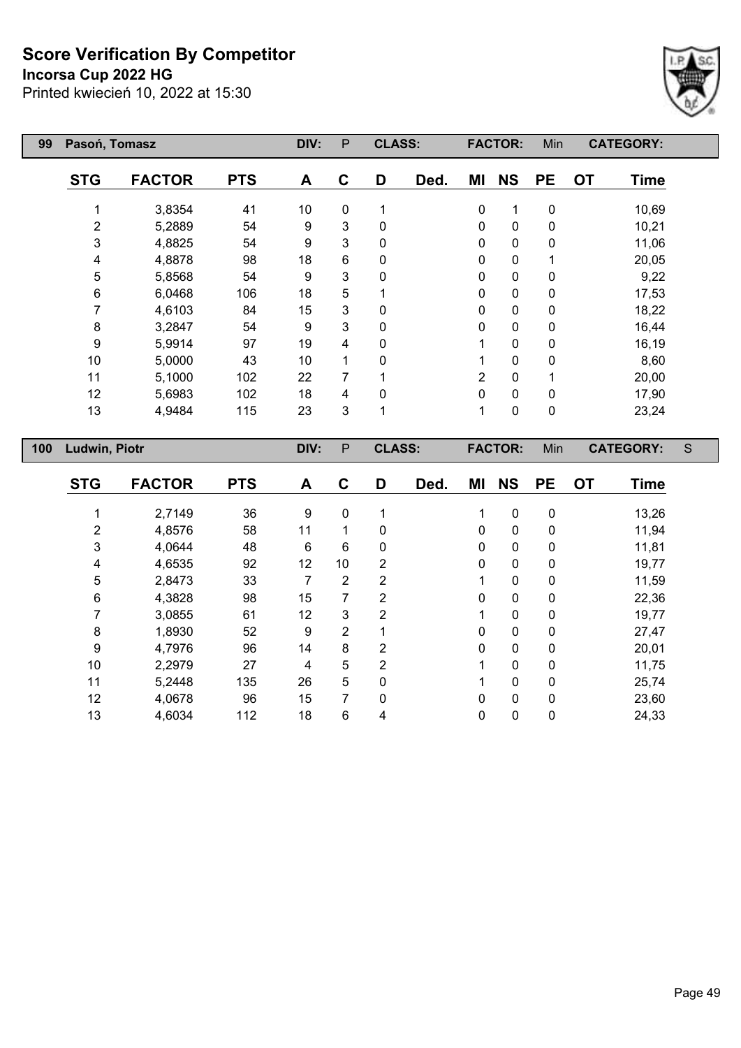**Incorsa Cup 2022 HG**

Printed kwiecień 10, 2022 at 15:30



| 99  | Pasoń, Tomasz        |               |            | DIV:             | P              | <b>CLASS:</b>  |      |                | <b>FACTOR:</b> | Min         |           | <b>CATEGORY:</b> |   |
|-----|----------------------|---------------|------------|------------------|----------------|----------------|------|----------------|----------------|-------------|-----------|------------------|---|
|     | <b>STG</b>           | <b>FACTOR</b> | <b>PTS</b> | A                | $\mathbf C$    | D              | Ded. | ΜI             | <b>NS</b>      | <b>PE</b>   | <b>OT</b> | <b>Time</b>      |   |
|     | 1                    | 3,8354        | 41         | 10               | $\pmb{0}$      | 1              |      | 0              | 1              | $\pmb{0}$   |           | 10,69            |   |
|     | 2                    | 5,2889        | 54         | 9                | 3              | $\mathbf 0$    |      | 0              | $\mathbf 0$    | 0           |           | 10,21            |   |
|     | 3                    | 4,8825        | 54         | 9                | 3              | $\mathbf 0$    |      | 0              | 0              | 0           |           | 11,06            |   |
|     | 4                    | 4,8878        | 98         | 18               | 6              | 0              |      | 0              | 0              | 1           |           | 20,05            |   |
|     | 5                    | 5,8568        | 54         | 9                | 3              | 0              |      | 0              | 0              | 0           |           | 9,22             |   |
|     | 6                    | 6,0468        | 106        | 18               | 5              | 1              |      | 0              | 0              | 0           |           | 17,53            |   |
|     | 7                    | 4,6103        | 84         | 15               | 3              | 0              |      | $\pmb{0}$      | 0              | $\pmb{0}$   |           | 18,22            |   |
|     | $\bf 8$              | 3,2847        | 54         | 9                | 3              | $\mathbf 0$    |      | 0              | 0              | 0           |           | 16,44            |   |
|     | $\boldsymbol{9}$     | 5,9914        | 97         | 19               | 4              | $\mathbf 0$    |      | 1              | 0              | 0           |           | 16,19            |   |
|     | 10                   | 5,0000        | 43         | 10               | 1              | 0              |      | 1              | 0              | 0           |           | 8,60             |   |
|     | 11                   | 5,1000        | 102        | 22               | $\overline{7}$ | 1              |      | $\overline{2}$ | $\pmb{0}$      | 1           |           | 20,00            |   |
|     | 12                   | 5,6983        | 102        | 18               | 4              | 0              |      | 0              | 0              | 0           |           | 17,90            |   |
|     | 13                   | 4,9484        | 115        | 23               | 3              | 1              |      | $\mathbf{1}$   | $\mathbf 0$    | $\mathbf 0$ |           | 23,24            |   |
| 100 | <b>Ludwin, Piotr</b> |               |            | DIV:             | P              | <b>CLASS:</b>  |      |                | <b>FACTOR:</b> | Min         |           | <b>CATEGORY:</b> | S |
|     | <b>STG</b>           | <b>FACTOR</b> | <b>PTS</b> | A                | $\mathbf C$    | D              | Ded. | MI             | <b>NS</b>      | <b>PE</b>   | <b>OT</b> | <b>Time</b>      |   |
|     |                      |               |            |                  |                |                |      |                |                |             |           |                  |   |
|     | 1                    | 2,7149        | 36         | $\boldsymbol{9}$ | 0              | 1              |      | 1              | $\mathbf 0$    | $\pmb{0}$   |           | 13,26            |   |
|     | 2                    | 4,8576        | 58         | 11               | 1              | $\mathbf 0$    |      | 0              | 0              | 0           |           | 11,94            |   |
|     | 3                    | 4,0644        | 48         | 6                | 6              | $\mathbf 0$    |      | 0              | 0              | 0           |           | 11,81            |   |
|     | 4                    | 4,6535        | 92         | 12               | 10             | $\overline{2}$ |      | 0              | 0              | $\pmb{0}$   |           | 19,77            |   |
|     | 5                    | 2,8473        | 33         | 7                | $\overline{2}$ | $\overline{2}$ |      | 1              | 0              | 0           |           | 11,59            |   |
|     | 6                    | 4,3828        | 98         | 15               | $\overline{7}$ | $\overline{2}$ |      | 0              | 0              | 0           |           | 22,36            |   |
|     | 7                    | 3,0855        | 61         | 12               | 3              | $\overline{2}$ |      | 1              | 0              | 0           |           | 19,77            |   |
|     | 8                    | 1,8930        | 52         | $\boldsymbol{9}$ | $\overline{2}$ | 1              |      | $\pmb{0}$      | $\overline{0}$ | $\mathbf 0$ |           | 27,47            |   |

 4,7976 96 14 8 2 0 0 0 20,01 2,2979 27 4 5 2 1 0 0 11,75 5,2448 135 26 5 0 1 0 0 25,74 4,0678 96 15 7 0 0 0 0 23,60 4,6034 112 18 6 4 0 0 0 24,33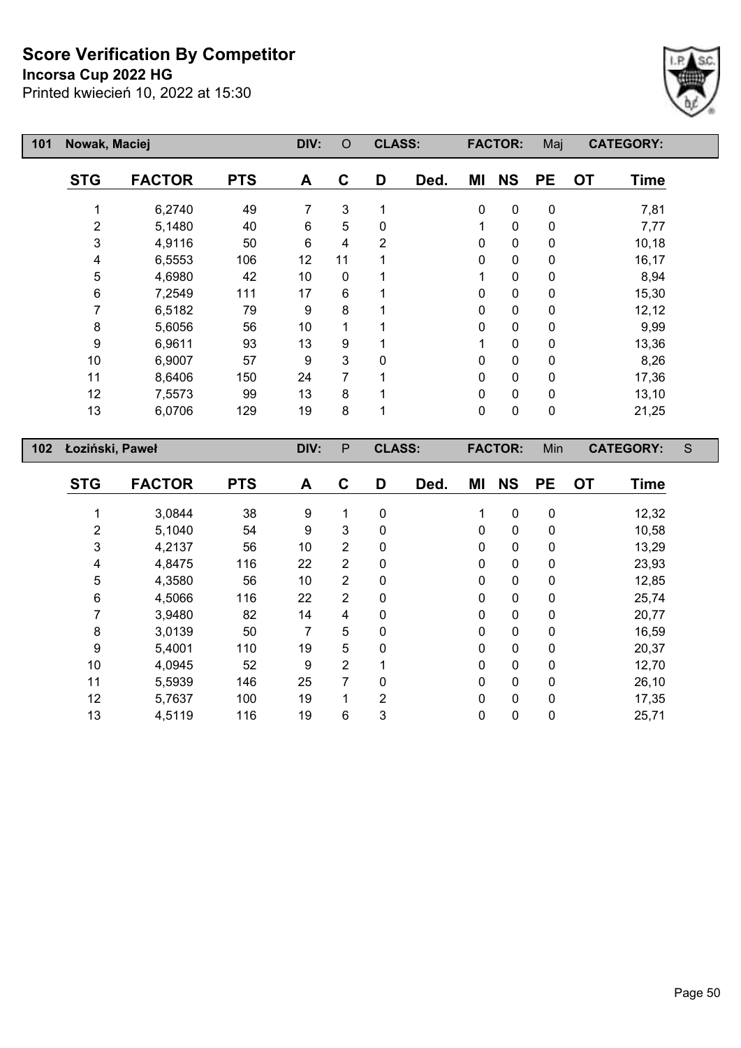**Incorsa Cup 2022 HG**



| 101 | Nowak, Maciej   |               |            | DIV: | O            | <b>CLASS:</b> |      |    | <b>FACTOR:</b> | Maj       |           | <b>CATEGORY:</b> |   |
|-----|-----------------|---------------|------------|------|--------------|---------------|------|----|----------------|-----------|-----------|------------------|---|
|     | <b>STG</b>      | <b>FACTOR</b> | <b>PTS</b> | A    | C            | D             | Ded. | ΜI | <b>NS</b>      | <b>PE</b> | <b>OT</b> | Time             |   |
|     |                 | 6,2740        | 49         | 7    | 3            |               |      | 0  | $\mathbf 0$    | 0         |           | 7,81             |   |
|     | 2               | 5,1480        | 40         | 6    | 5            | 0             |      | 1  | $\pmb{0}$      | 0         |           | 7,77             |   |
|     | $\mathbf{3}$    | 4,9116        | 50         | 6    | 4            | 2             |      | 0  | $\mathbf 0$    | 0         |           | 10,18            |   |
|     | 4               | 6,5553        | 106        | 12   | 11           |               |      | 0  | $\mathbf 0$    | 0         |           | 16,17            |   |
|     | 5               | 4,6980        | 42         | 10   | 0            |               |      | 1  | $\pmb{0}$      | 0         |           | 8,94             |   |
|     | 6               | 7,2549        | 111        | 17   | 6            |               |      | 0  | $\pmb{0}$      | 0         |           | 15,30            |   |
|     | 7               | 6,5182        | 79         | 9    | 8            |               |      | 0  | $\mathbf 0$    | 0         |           | 12,12            |   |
|     | 8               | 5,6056        | 56         | 10   | 1            |               |      | 0  | $\mathbf 0$    | 0         |           | 9,99             |   |
|     | 9               | 6,9611        | 93         | 13   | 9            |               |      | 1  | $\mathbf 0$    | 0         |           | 13,36            |   |
|     | 10              | 6,9007        | 57         | 9    | 3            | $\Omega$      |      | 0  | $\mathbf 0$    | 0         |           | 8,26             |   |
|     | 11              | 8,6406        | 150        | 24   | 7            |               |      | 0  | $\mathbf 0$    | 0         |           | 17,36            |   |
|     | 12              | 7,5573        | 99         | 13   | 8            |               |      | 0  | $\mathbf 0$    | 0         |           | 13,10            |   |
|     | 13              | 6,0706        | 129        | 19   | 8            |               |      | 0  | $\mathbf 0$    | 0         |           | 21,25            |   |
| 102 | Łoziński, Paweł |               |            | DIV: | $\mathsf{P}$ | <b>CLASS:</b> |      |    | <b>FACTOR:</b> | Min       |           | <b>CATEGORY:</b> | S |
|     | <b>STG</b>      | <b>FACTOR</b> | <b>PTS</b> | Δ    | C            | D             | had  | MI | <b>NS</b>      | РF        | $\Omega$  | Time             |   |

| <b>STG</b> | <b>FACTOR</b> | <b>PTS</b> | A  | C              | D            | Ded. | MI | <b>NS</b>    | <b>PE</b>    | <b>OT</b> | <b>Time</b> |
|------------|---------------|------------|----|----------------|--------------|------|----|--------------|--------------|-----------|-------------|
|            | 3,0844        | 38         | 9  | 1              | $\mathbf 0$  |      | 1  | $\mathbf 0$  | 0            |           | 12,32       |
| 2          | 5,1040        | 54         | 9  | 3              | 0            |      | 0  | $\mathbf 0$  | $\mathbf 0$  |           | 10,58       |
| 3          | 4,2137        | 56         | 10 | 2              | 0            |      | 0  | $\mathbf 0$  | $\mathbf 0$  |           | 13,29       |
| 4          | 4,8475        | 116        | 22 | $\overline{2}$ | $\mathbf{0}$ |      | 0  | 0            | $\mathbf 0$  |           | 23,93       |
| 5          | 4,3580        | 56         | 10 | $\overline{2}$ | $\mathbf{0}$ |      | 0  | $\mathbf 0$  | $\mathbf 0$  |           | 12,85       |
| 6          | 4,5066        | 116        | 22 | $\overline{2}$ | $\mathbf{0}$ |      | 0  | $\mathbf 0$  | $\mathbf 0$  |           | 25,74       |
|            | 3,9480        | 82         | 14 | 4              | $\mathbf{0}$ |      | 0  | $\mathbf 0$  | $\mathbf 0$  |           | 20,77       |
| 8          | 3,0139        | 50         | 7  | 5              | 0            |      | 0  | $\mathbf 0$  | 0            |           | 16,59       |
| 9          | 5,4001        | 110        | 19 | 5              | $\Omega$     |      | 0  | $\mathbf{0}$ | $\mathbf{0}$ |           | 20,37       |
| 10         | 4,0945        | 52         | 9  | 2              |              |      | 0  | $\mathbf 0$  | $\mathbf 0$  |           | 12,70       |
| 11         | 5,5939        | 146        | 25 | 7              | $\Omega$     |      | 0  | $\mathbf 0$  | $\mathbf{0}$ |           | 26,10       |
| 12         | 5,7637        | 100        | 19 | 1              | 2            |      | 0  | $\mathbf 0$  | $\mathbf 0$  |           | 17,35       |
| 13         | 4,5119        | 116        | 19 | 6              | 3            |      | 0  | $\mathbf 0$  | 0            |           | 25,71       |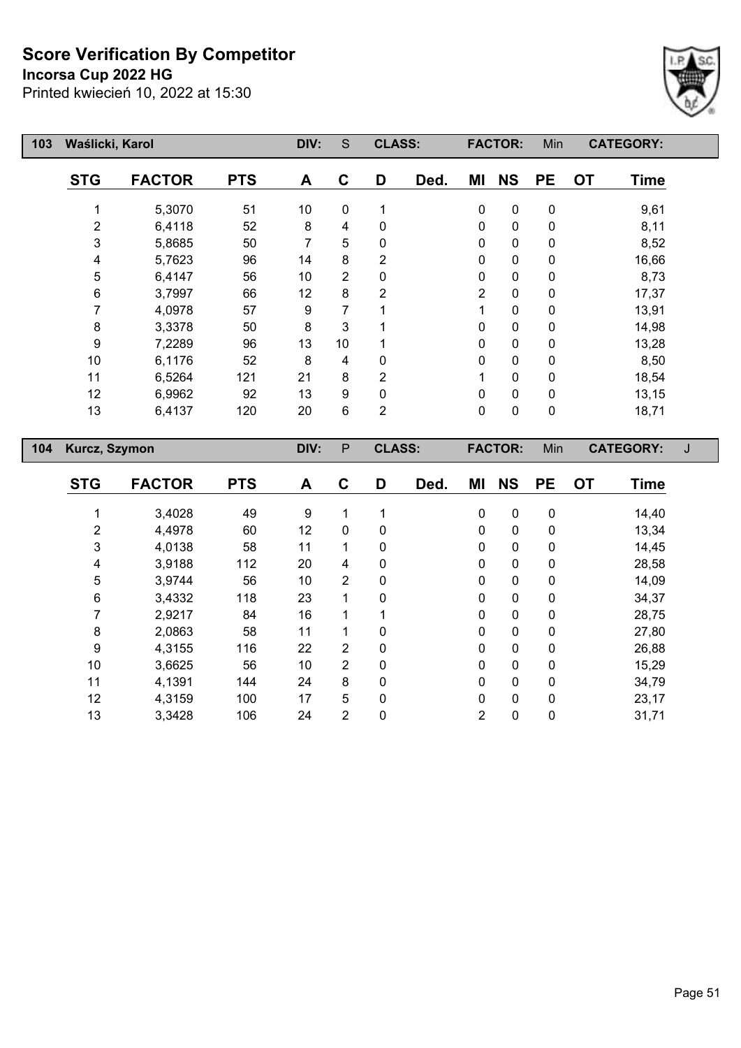**Incorsa Cup 2022 HG**



| 103 | Waślicki, Karol |               |            | DIV: | S        | <b>CLASS:</b>  |      |              | <b>FACTOR:</b> | Min         | <b>CATEGORY:</b>         |  |
|-----|-----------------|---------------|------------|------|----------|----------------|------|--------------|----------------|-------------|--------------------------|--|
|     | <b>STG</b>      | <b>FACTOR</b> | <b>PTS</b> | A    | C        | D              | Ded. | ΜI           | <b>NS</b>      | <b>PE</b>   | <b>OT</b><br><b>Time</b> |  |
|     |                 | 5,3070        | 51         | 10   | $\Omega$ | 1              |      | $\mathbf 0$  | $\mathbf 0$    | $\mathbf 0$ | 9,61                     |  |
|     | 2               | 6,4118        | 52         | 8    | 4        | $\mathbf{0}$   |      | $\mathbf{0}$ | $\mathbf{0}$   | 0           | 8,11                     |  |
|     | 3               | 5,8685        | 50         | 7    | 5        | 0              |      | $\mathbf{0}$ | $\mathbf{0}$   | 0           | 8,52                     |  |
|     | 4               | 5,7623        | 96         | 14   | 8        | 2              |      | $\mathbf 0$  | 0              | 0           | 16,66                    |  |
|     | 5               | 6,4147        | 56         | 10   | 2        | 0              |      | $\mathbf 0$  | 0              | 0           | 8,73                     |  |
|     | 6               | 3,7997        | 66         | 12   | 8        | 2              |      | 2            | 0              | 0           | 17,37                    |  |
|     | 7               | 4,0978        | 57         | 9    | 7        |                |      |              | $\mathbf{0}$   | 0           | 13,91                    |  |
|     | 8               | 3,3378        | 50         | 8    | 3        |                |      | $\pmb{0}$    | $\mathbf 0$    | 0           | 14,98                    |  |
|     | 9               | 7,2289        | 96         | 13   | 10       |                |      | $\mathbf 0$  | 0              | 0           | 13,28                    |  |
|     | 10              | 6,1176        | 52         | 8    | 4        | $\mathbf{0}$   |      | $\mathbf 0$  | 0              | 0           | 8,50                     |  |
|     | 11              | 6,5264        | 121        | 21   | 8        | 2              |      |              | 0              | 0           | 18,54                    |  |
|     | 12              | 6,9962        | 92         | 13   | 9        | 0              |      | $\mathbf 0$  | 0              | 0           | 13,15                    |  |
|     | 13              | 6,4137        | 120        | 20   | 6        | $\overline{2}$ |      | $\pmb{0}$    | 0              | $\pmb{0}$   | 18,71                    |  |
| 104 | Kurcz, Szymon   |               |            | DIV: | P        | <b>CLASS:</b>  |      |              | <b>FACTOR:</b> | Min         | <b>CATEGORY:</b>         |  |

| <b>STG</b> | <b>FACTOR</b> | <b>PTS</b> | A  | C              | D           | Ded. | ΜI | <b>NS</b> | <b>PE</b>    | <b>OT</b> | <b>Time</b> |
|------------|---------------|------------|----|----------------|-------------|------|----|-----------|--------------|-----------|-------------|
|            | 3,4028        | 49         | 9  |                |             |      | 0  | 0         | 0            |           | 14,40       |
| 2          | 4,4978        | 60         | 12 | 0              | 0           |      | 0  | 0         | $\mathbf 0$  |           | 13,34       |
| 3          | 4,0138        | 58         | 11 | 1              | $\mathbf 0$ |      | 0  | 0         | $\mathbf 0$  |           | 14,45       |
| 4          | 3,9188        | 112        | 20 | 4              | $\mathbf 0$ |      | 0  | 0         | 0            |           | 28,58       |
| 5          | 3,9744        | 56         | 10 | $\overline{2}$ | $\mathbf 0$ |      | 0  | 0         | 0            |           | 14,09       |
| 6          | 3,4332        | 118        | 23 | 1              | 0           |      | 0  | 0         | 0            |           | 34,37       |
| 7          | 2,9217        | 84         | 16 |                |             |      | 0  | 0         | 0            |           | 28,75       |
| 8          | 2,0863        | 58         | 11 | 1              | 0           |      | 0  | 0         | 0            |           | 27,80       |
| 9          | 4,3155        | 116        | 22 | $\overline{2}$ | 0           |      | 0  | 0         | 0            |           | 26,88       |
| 10         | 3,6625        | 56         | 10 | $\overline{2}$ | 0           |      | 0  | 0         | $\mathbf{0}$ |           | 15,29       |
| 11         | 4,1391        | 144        | 24 | 8              | 0           |      | 0  | 0         | 0            |           | 34,79       |
| 12         | 4,3159        | 100        | 17 | 5              | 0           |      | 0  | 0         | $\mathbf{0}$ |           | 23,17       |
| 13         | 3,3428        | 106        | 24 | 2              | 0           |      | 2  | 0         | 0            |           | 31,71       |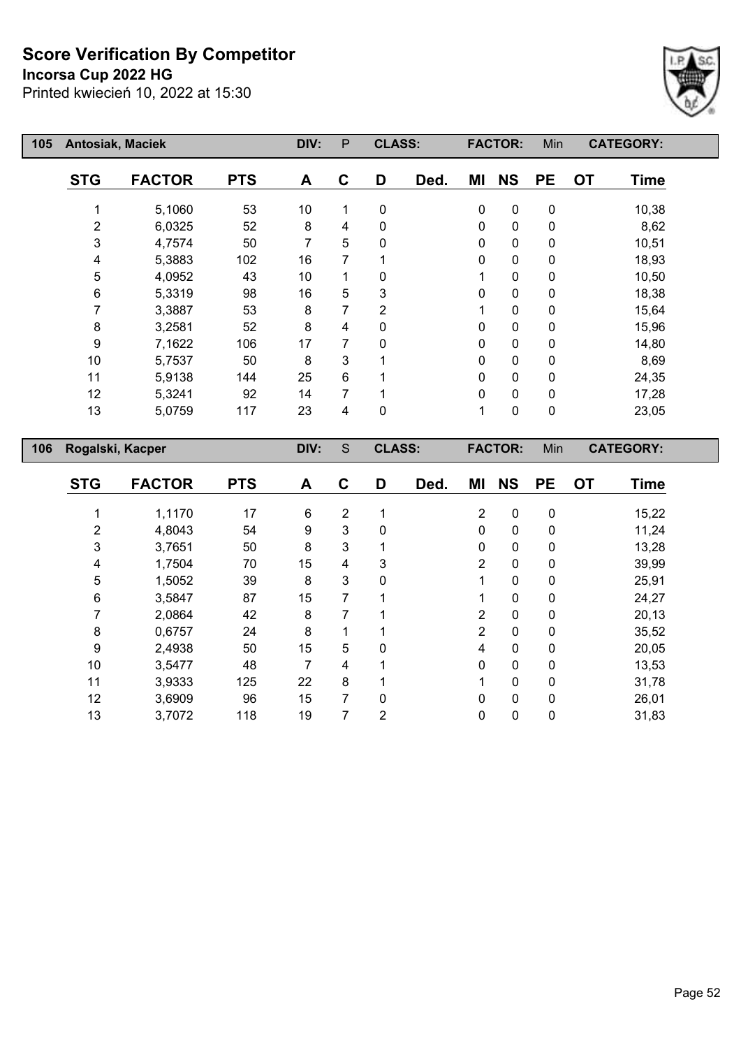**Incorsa Cup 2022 HG**



| 105 | <b>Antosiak, Maciek</b> |               |            | DIV: | P | <b>CLASS:</b> |      |    | <b>FACTOR:</b> | Min       | <b>CATEGORY:</b>         |  |
|-----|-------------------------|---------------|------------|------|---|---------------|------|----|----------------|-----------|--------------------------|--|
|     | <b>STG</b>              | <b>FACTOR</b> | <b>PTS</b> | A    | C | D             | Ded. | ΜI | <b>NS</b>      | <b>PE</b> | <b>OT</b><br><b>Time</b> |  |
|     |                         | 5,1060        | 53         | 10   | 1 | 0             |      | 0  | $\mathbf 0$    | 0         | 10,38                    |  |
|     | $\overline{2}$          | 6,0325        | 52         | 8    | 4 | 0             |      | 0  | $\pmb{0}$      | 0         | 8,62                     |  |
|     | 3                       | 4,7574        | 50         | 7    | 5 | 0             |      | 0  | $\pmb{0}$      | 0         | 10,51                    |  |
|     | 4                       | 5,3883        | 102        | 16   | 7 |               |      | 0  | $\pmb{0}$      | 0         | 18,93                    |  |
|     | 5                       | 4,0952        | 43         | 10   |   | 0             |      |    | $\pmb{0}$      | 0         | 10,50                    |  |
|     | 6                       | 5,3319        | 98         | 16   | 5 | 3             |      | 0  | $\pmb{0}$      | 0         | 18,38                    |  |
|     |                         | 3,3887        | 53         | 8    | 7 | 2             |      |    | 0              | 0         | 15,64                    |  |
|     | 8                       | 3,2581        | 52         | 8    | 4 | 0             |      | 0  | 0              | 0         | 15,96                    |  |
|     | 9                       | 7,1622        | 106        | 17   | 7 | 0             |      | 0  | 0              | 0         | 14,80                    |  |
|     | 10                      | 5,7537        | 50         | 8    | 3 |               |      | 0  | $\pmb{0}$      | 0         | 8,69                     |  |
|     | 11                      | 5,9138        | 144        | 25   | 6 |               |      | 0  | $\pmb{0}$      | 0         | 24,35                    |  |
|     | 12                      | 5,3241        | 92         | 14   | 7 |               |      | 0  | $\pmb{0}$      | 0         | 17,28                    |  |
|     | 13                      | 5,0759        | 117        | 23   | 4 | 0             |      | 1  | 0              | 0         | 23,05                    |  |
| 106 | Rogalski, Kacper        |               |            | DIV: | S | <b>CLASS:</b> |      |    | <b>FACTOR:</b> | Min       | <b>CATEGORY:</b>         |  |

| <b>STG</b> | <b>FACTOR</b> | <b>PTS</b> | A  | C | D | Ded. | ΜI             | <b>NS</b>    | <b>PE</b> | <b>OT</b> | <b>Time</b> |
|------------|---------------|------------|----|---|---|------|----------------|--------------|-----------|-----------|-------------|
|            | 1,1170        | 17         | 6  | 2 |   |      | $\overline{2}$ | 0            | 0         |           | 15,22       |
| 2          | 4,8043        | 54         | 9  | 3 | 0 |      | $\mathbf{0}$   | $\mathbf 0$  | 0         |           | 11,24       |
| 3          | 3,7651        | 50         | 8  | 3 |   |      | 0              | $\mathbf 0$  | 0         |           | 13,28       |
| 4          | 1,7504        | 70         | 15 | 4 | 3 |      | 2              | $\mathbf{0}$ | 0         |           | 39,99       |
| 5          | 1,5052        | 39         | 8  | 3 | 0 |      |                | 0            | 0         |           | 25,91       |
| 6          | 3,5847        | 87         | 15 | 7 |   |      |                | 0            | 0         |           | 24,27       |
| 7          | 2,0864        | 42         | 8  | 7 |   |      | 2              | 0            | 0         |           | 20,13       |
| 8          | 0,6757        | 24         | 8  | 1 |   |      | $\overline{2}$ | 0            | 0         |           | 35,52       |
| 9          | 2,4938        | 50         | 15 | 5 | 0 |      | 4              | 0            | 0         |           | 20,05       |
| 10         | 3,5477        | 48         | 7  | 4 |   |      | $\Omega$       | 0            | 0         |           | 13,53       |
| 11         | 3,9333        | 125        | 22 | 8 |   |      |                | 0            | 0         |           | 31,78       |
| 12         | 3,6909        | 96         | 15 | 7 | 0 |      | $\mathbf{0}$   | $\mathbf 0$  | 0         |           | 26,01       |
| 13         | 3,7072        | 118        | 19 | 7 | 2 |      | 0              | 0            | 0         |           | 31,83       |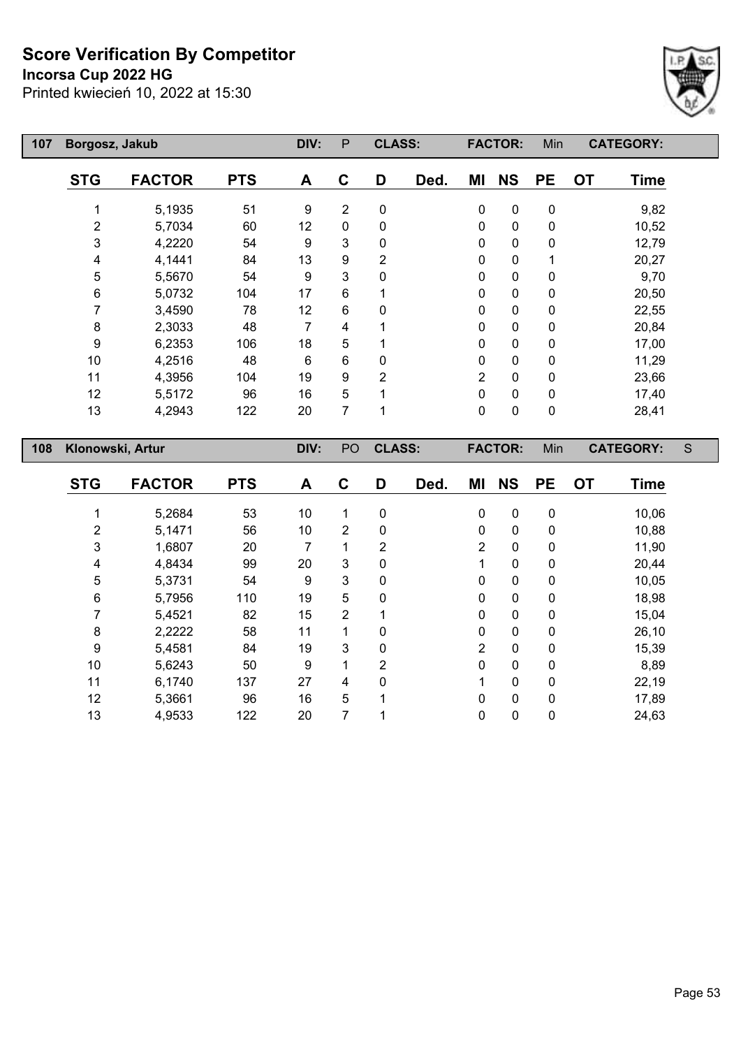#### **Incorsa Cup 2022 HG**

 $\mathsf{I}$ 



| 107 | Borgosz, Jakub   |               |            | DIV: | P              | <b>CLASS:</b>  |      |                | <b>FACTOR:</b> | Min       | <b>CATEGORY:</b>         |   |
|-----|------------------|---------------|------------|------|----------------|----------------|------|----------------|----------------|-----------|--------------------------|---|
|     | <b>STG</b>       | <b>FACTOR</b> | <b>PTS</b> | A    | C              | D              | Ded. | ΜI             | <b>NS</b>      | <b>PE</b> | <b>OT</b><br><b>Time</b> |   |
|     | 1                | 5,1935        | 51         | 9    | $\overline{2}$ | 0              |      | $\pmb{0}$      | $\mathbf 0$    | 0         | 9,82                     |   |
|     | 2                | 5,7034        | 60         | 12   | 0              | 0              |      | 0              | $\mathbf 0$    | 0         | 10,52                    |   |
|     | 3                | 4,2220        | 54         | 9    | 3              | 0              |      | 0              | $\mathbf 0$    | 0         | 12,79                    |   |
|     | 4                | 4,1441        | 84         | 13   | 9              | $\overline{2}$ |      | 0              | 0              |           | 20,27                    |   |
|     | 5                | 5,5670        | 54         | 9    | 3              | 0              |      | 0              | 0              | 0         | 9,70                     |   |
|     | 6                | 5,0732        | 104        | 17   | 6              |                |      | 0              | $\mathbf 0$    | 0         | 20,50                    |   |
|     | 7                | 3,4590        | 78         | 12   | 6              | 0              |      | 0              | $\mathbf 0$    | 0         | 22,55                    |   |
|     | 8                | 2,3033        | 48         | 7    | 4              |                |      | 0              | $\mathbf 0$    | 0         | 20,84                    |   |
|     | 9                | 6,2353        | 106        | 18   | 5              |                |      | 0              | $\mathbf 0$    | 0         | 17,00                    |   |
|     | 10               | 4,2516        | 48         | 6    | 6              | 0              |      | 0              | $\mathbf 0$    | 0         | 11,29                    |   |
|     | 11               | 4,3956        | 104        | 19   | 9              | $\overline{2}$ |      | $\overline{2}$ | $\mathbf 0$    | 0         | 23,66                    |   |
|     | 12               | 5,5172        | 96         | 16   | 5              |                |      | 0              | $\mathbf 0$    | 0         | 17,40                    |   |
|     | 13               | 4,2943        | 122        | 20   | 7              |                |      | $\pmb{0}$      | $\mathbf 0$    | 0         | 28,41                    |   |
| 108 | Klonowski, Artur |               |            | DIV: | PO             | <b>CLASS:</b>  |      |                | <b>FACTOR:</b> | Min       | <b>CATEGORY:</b>         | S |

| <b>STG</b>     | <b>FACTOR</b> | <b>PTS</b> | A  | C              | D              | Ded. | ΜI             | <b>NS</b>    | <b>PE</b>    | <b>OT</b> | <b>Time</b> |
|----------------|---------------|------------|----|----------------|----------------|------|----------------|--------------|--------------|-----------|-------------|
|                | 5,2684        | 53         | 10 | 1              | 0              |      | $\mathbf 0$    | $\mathbf 0$  | $\mathbf 0$  |           | 10,06       |
| $\overline{c}$ | 5,1471        | 56         | 10 | $\overline{2}$ | 0              |      | 0              | 0            | 0            |           | 10,88       |
| 3              | 1,6807        | 20         | 7  | 4              | $\overline{2}$ |      | $\overline{2}$ | 0            | $\mathbf 0$  |           | 11,90       |
| 4              | 4,8434        | 99         | 20 | 3              | $\mathbf 0$    |      |                | $\mathbf{0}$ | $\mathbf{0}$ |           | 20,44       |
| 5              | 5,3731        | 54         | 9  | 3              | 0              |      | 0              | 0            | 0            |           | 10,05       |
| 6              | 5,7956        | 110        | 19 | 5              | 0              |      | $\mathbf{0}$   | 0            | 0            |           | 18,98       |
| 7              | 5,4521        | 82         | 15 | $\overline{2}$ |                |      | $\mathbf 0$    | 0            | 0            |           | 15,04       |
| 8              | 2,2222        | 58         | 11 | 1              | 0              |      | $\mathbf 0$    | 0            | 0            |           | 26,10       |
| 9              | 5,4581        | 84         | 19 | 3              | 0              |      | $\overline{2}$ | $\mathbf{0}$ | $\mathbf 0$  |           | 15,39       |
| 10             | 5,6243        | 50         | 9  | 1              | 2              |      | $\mathbf{0}$   | 0            | 0            |           | 8,89        |
| 11             | 6,1740        | 137        | 27 | 4              | $\mathbf 0$    |      |                | $\mathbf 0$  | 0            |           | 22,19       |
| 12             | 5,3661        | 96         | 16 | 5              |                |      | $\Omega$       | $\mathbf{0}$ | $\mathbf{0}$ |           | 17,89       |
| 13             | 4,9533        | 122        | 20 | 7              |                |      | 0              | 0            | 0            |           | 24,63       |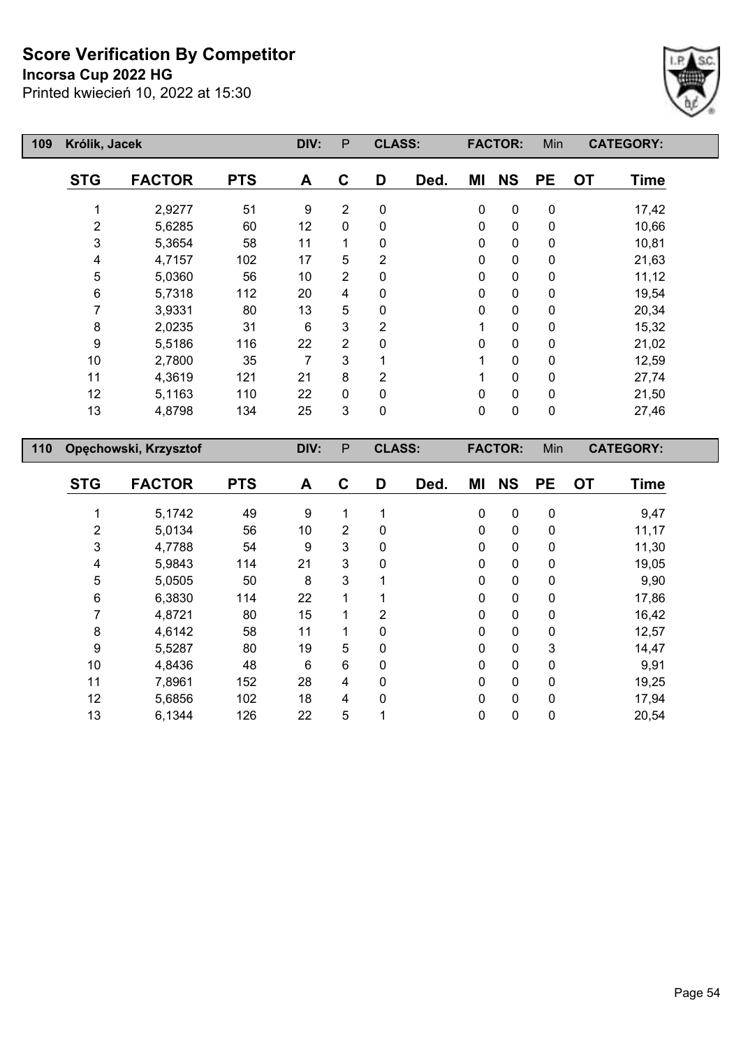**Incorsa Cup 2022 HG**



| 109 | Królik, Jacek |                       |            | DIV: | $\mathsf{P}$   | <b>CLASS:</b>  |      |             | <b>FACTOR:</b> | Min       | <b>CATEGORY:</b>  |  |
|-----|---------------|-----------------------|------------|------|----------------|----------------|------|-------------|----------------|-----------|-------------------|--|
|     | <b>STG</b>    | <b>FACTOR</b>         | <b>PTS</b> | A    | C              | D              | Ded. | ΜI          | <b>NS</b>      | <b>PE</b> | <b>OT</b><br>Time |  |
|     |               | 2,9277                | 51         | 9    | 2              | 0              |      | 0           | $\pmb{0}$      | 0         | 17,42             |  |
|     | 2             | 5,6285                | 60         | 12   | $\mathbf{0}$   | 0              |      | 0           | $\pmb{0}$      | 0         | 10,66             |  |
|     | 3             | 5,3654                | 58         | 11   | 1              | 0              |      | 0           | $\pmb{0}$      | 0         | 10,81             |  |
|     | 4             | 4,7157                | 102        | 17   | 5              | 2              |      | 0           | $\pmb{0}$      | 0         | 21,63             |  |
|     | 5             | 5,0360                | 56         | 10   | 2              | 0              |      | 0           | $\pmb{0}$      | 0         | 11,12             |  |
|     | 6             | 5,7318                | 112        | 20   | 4              | 0              |      | 0           | $\pmb{0}$      | 0         | 19,54             |  |
|     | 7             | 3,9331                | 80         | 13   | 5              | 0              |      | 0           | $\pmb{0}$      | 0         | 20,34             |  |
|     | 8             | 2,0235                | 31         | 6    | 3              | $\overline{2}$ |      | 1           | $\pmb{0}$      | 0         | 15,32             |  |
|     | 9             | 5,5186                | 116        | 22   | $\overline{2}$ | 0              |      | 0           | $\pmb{0}$      | 0         | 21,02             |  |
|     | 10            | 2,7800                | 35         | 7    | 3              |                |      | 1           | $\pmb{0}$      | 0         | 12,59             |  |
|     | 11            | 4,3619                | 121        | 21   | 8              | $\overline{2}$ |      | 1           | $\pmb{0}$      | 0         | 27,74             |  |
|     | 12            | 5,1163                | 110        | 22   | 0              | 0              |      | 0           | $\pmb{0}$      | 0         | 21,50             |  |
|     | 13            | 4,8798                | 134        | 25   | 3              | 0              |      | $\mathbf 0$ | $\pmb{0}$      | 0         | 27,46             |  |
| 110 |               | Opęchowski, Krzysztof |            | DIV: | P              | <b>CLASS:</b>  |      |             | <b>FACTOR:</b> | Min       | <b>CATEGORY:</b>  |  |
|     | STG.          | <b>EACTOR</b>         | <b>DTQ</b> | Δ    | C              | D              | Dad  | MI          | N <sub>S</sub> | DF        | ΩT<br>Tima        |  |

| <b>STG</b> | <b>FACTOR</b> | <b>PTS</b> | A  | C | D              | Ded. | ΜI       | <b>NS</b> | <b>PE</b>    | <b>OT</b> | <b>Time</b> |
|------------|---------------|------------|----|---|----------------|------|----------|-----------|--------------|-----------|-------------|
|            | 5,1742        | 49         | 9  | 1 | ◢              |      | 0        | 0         | $\mathbf 0$  |           | 9,47        |
| 2          | 5,0134        | 56         | 10 | 2 | 0              |      | $\Omega$ | 0         | $\mathbf{0}$ |           | 11,17       |
| 3          | 4,7788        | 54         | 9  | 3 | 0              |      | 0        | 0         | 0            |           | 11,30       |
| 4          | 5,9843        | 114        | 21 | 3 | 0              |      | $\Omega$ | 0         | $\mathbf{0}$ |           | 19,05       |
| 5          | 5,0505        | 50         | 8  | 3 |                |      | $\Omega$ | 0         | 0            |           | 9,90        |
| 6          | 6,3830        | 114        | 22 |   | ◢              |      | 0        | 0         | 0            |           | 17,86       |
|            | 4,8721        | 80         | 15 |   | $\overline{2}$ |      | $\Omega$ | 0         | 0            |           | 16,42       |
| 8          | 4,6142        | 58         | 11 |   | 0              |      | 0        | 0         | 0            |           | 12,57       |
| 9          | 5,5287        | 80         | 19 | 5 | $\mathbf{0}$   |      | 0        | 0         | 3            |           | 14,47       |
| 10         | 4,8436        | 48         | 6  | 6 | 0              |      | 0        | 0         | 0            |           | 9,91        |
| 11         | 7,8961        | 152        | 28 | 4 | $\mathbf{0}$   |      | $\Omega$ | 0         | $\Omega$     |           | 19,25       |
| 12         | 5,6856        | 102        | 18 | 4 | 0              |      | $\Omega$ | 0         | $\mathbf{0}$ |           | 17,94       |
| 13         | 6,1344        | 126        | 22 | 5 |                |      | 0        | 0         | 0            |           | 20,54       |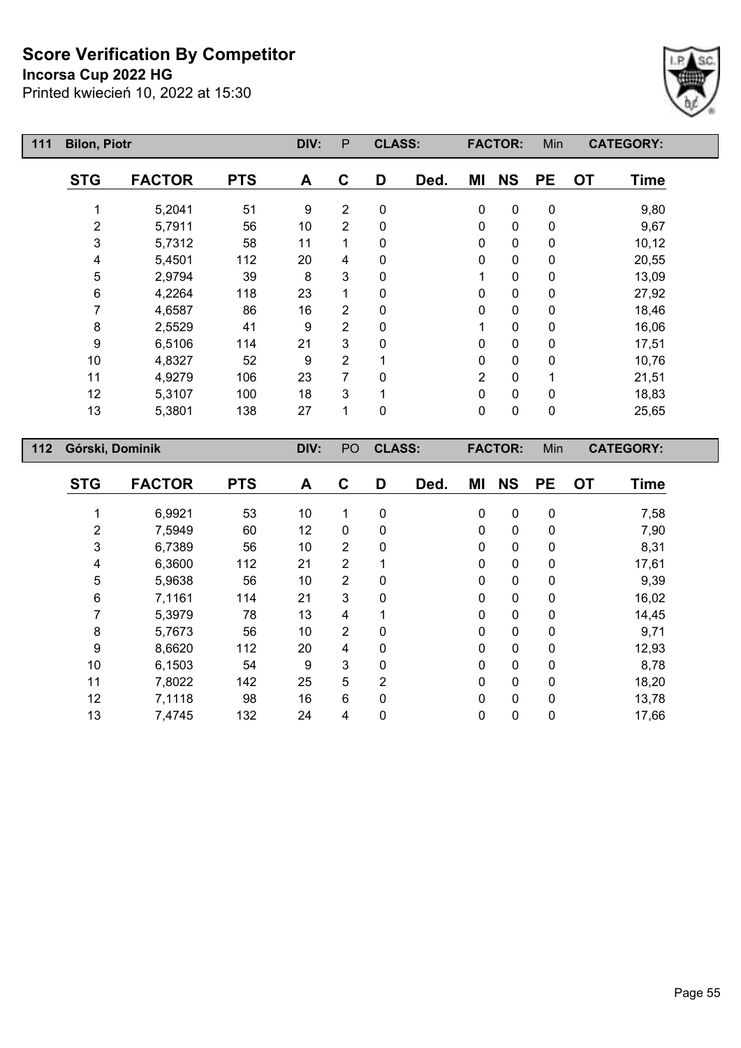#### **Incorsa Cup 2022 HG**



| 111 | <b>Bilon, Piotr</b> |               |            | DIV: | P              | <b>CLASS:</b> |      |                | <b>FACTOR:</b> | Min         |           | <b>CATEGORY:</b> |
|-----|---------------------|---------------|------------|------|----------------|---------------|------|----------------|----------------|-------------|-----------|------------------|
|     | <b>STG</b>          | <b>FACTOR</b> | <b>PTS</b> | A    | C              | D             | Ded. | ΜI             | <b>NS</b>      | <b>PE</b>   | <b>OT</b> | <b>Time</b>      |
|     |                     | 5,2041        | 51         | 9    | $\overline{2}$ | $\mathbf 0$   |      | 0              | 0              | $\pmb{0}$   |           | 9,80             |
|     | 2                   | 5,7911        | 56         | 10   | $\overline{2}$ | 0             |      | 0              | 0              | $\pmb{0}$   |           | 9,67             |
|     | 3                   | 5,7312        | 58         | 11   | 1              | 0             |      | 0              | 0              | $\pmb{0}$   |           | 10,12            |
|     | 4                   | 5,4501        | 112        | 20   | 4              | $\mathbf{0}$  |      | 0              | 0              | $\pmb{0}$   |           | 20,55            |
|     | 5                   | 2,9794        | 39         | 8    | 3              | $\Omega$      |      | 1              | 0              | $\mathbf 0$ |           | 13,09            |
|     | 6                   | 4,2264        | 118        | 23   | 1              | 0             |      | 0              | 0              | $\mathbf 0$ |           | 27,92            |
|     | 7                   | 4,6587        | 86         | 16   | 2              | 0             |      | 0              | 0              | $\mathbf 0$ |           | 18,46            |
|     | 8                   | 2,5529        | 41         | 9    | $\overline{2}$ | 0             |      |                | 0              | $\mathbf 0$ |           | 16,06            |
|     | 9                   | 6,5106        | 114        | 21   | 3              | 0             |      | 0              | 0              | $\mathbf 0$ |           | 17,51            |
|     | 10                  | 4,8327        | 52         | 9    | 2              |               |      | 0              | 0              | $\mathbf 0$ |           | 10,76            |
|     | 11                  | 4,9279        | 106        | 23   | 7              | 0             |      | $\overline{2}$ | 0              | 1           |           | 21,51            |
|     | 12                  | 5,3107        | 100        | 18   | 3              |               |      | 0              | 0              | 0           |           | 18,83            |
|     | 13                  | 5,3801        | 138        | 27   | 1              | 0             |      | 0              | 0              | 0           |           | 25,65            |
| 112 | Górski, Dominik     |               |            | DIV: | PO             | <b>CLASS:</b> |      |                | <b>FACTOR:</b> | Min         |           | <b>CATEGORY:</b> |

| <b>STG</b>     | <b>FACTOR</b> | <b>PTS</b> | A  | $\mathbf C$    | D | Ded. | ΜI          | <b>NS</b>   | <b>PE</b>    | <b>OT</b> | <b>Time</b> |
|----------------|---------------|------------|----|----------------|---|------|-------------|-------------|--------------|-----------|-------------|
|                | 6,9921        | 53         | 10 |                | 0 |      | 0           | $\mathbf 0$ | 0            |           | 7,58        |
| $\overline{2}$ | 7,5949        | 60         | 12 | 0              | 0 |      | 0           | $\mathbf 0$ | 0            |           | 7,90        |
| 3              | 6,7389        | 56         | 10 | $\overline{2}$ | 0 |      | 0           | $\mathbf 0$ | 0            |           | 8,31        |
| 4              | 6,3600        | 112        | 21 | 2              |   |      | 0           | $\mathbf 0$ | 0            |           | 17,61       |
| 5              | 5,9638        | 56         | 10 | $\overline{2}$ | 0 |      | 0           | $\mathbf 0$ | 0            |           | 9,39        |
| 6              | 7,1161        | 114        | 21 | 3              | 0 |      | 0           | $\mathbf 0$ | 0            |           | 16,02       |
| 7              | 5,3979        | 78         | 13 | 4              |   |      | 0           | $\mathbf 0$ | $\mathbf{0}$ |           | 14,45       |
| 8              | 5,7673        | 56         | 10 | $\overline{2}$ | 0 |      | $\mathbf 0$ | $\mathbf 0$ | 0            |           | 9,71        |
| 9              | 8,6620        | 112        | 20 | 4              | 0 |      | 0           | $\mathbf 0$ | 0            |           | 12,93       |
| 10             | 6,1503        | 54         | 9  | 3              | 0 |      | 0           | $\mathbf 0$ | 0            |           | 8,78        |
| 11             | 7,8022        | 142        | 25 | 5              | 2 |      | 0           | $\mathbf 0$ | 0            |           | 18,20       |
| 12             | 7,1118        | 98         | 16 | $6\phantom{1}$ | 0 |      | 0           | $\mathbf 0$ | $\mathbf{0}$ |           | 13,78       |
| 13             | 7,4745        | 132        | 24 | 4              | 0 |      | 0           | $\mathbf 0$ | 0            |           | 17,66       |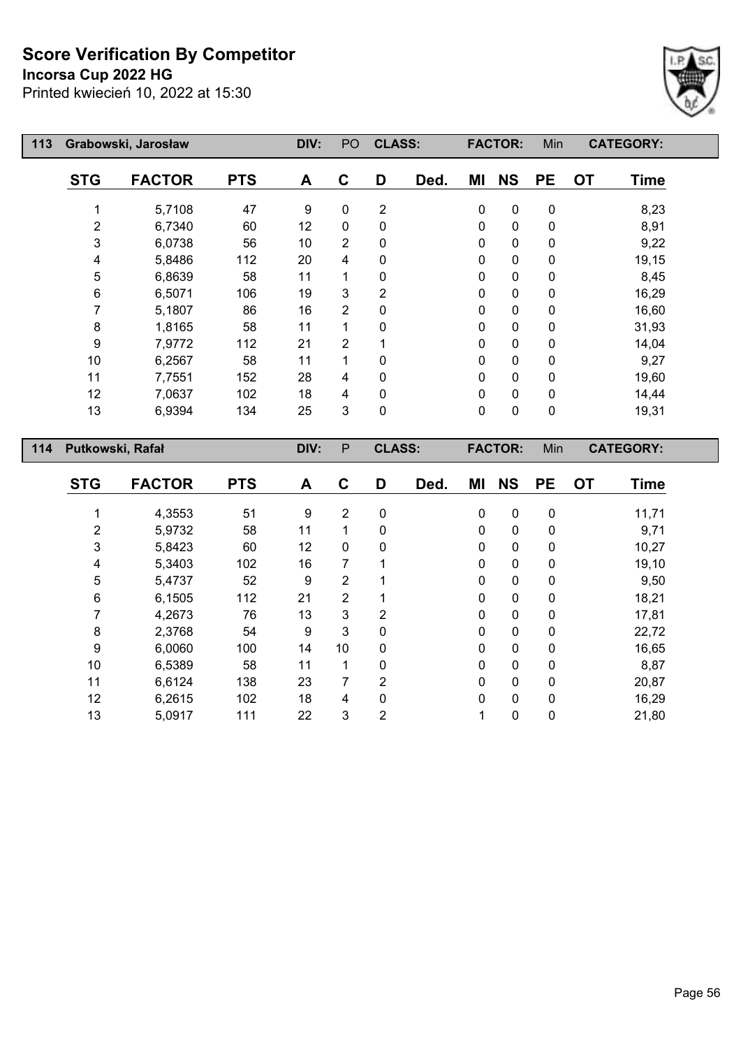## **Incorsa Cup 2022 HG**



| 113 |                  | Grabowski, Jarosław |            | DIV:              | PO             | <b>CLASS:</b>  |      |             | <b>FACTOR:</b> | Min         | <b>CATEGORY:</b>         |
|-----|------------------|---------------------|------------|-------------------|----------------|----------------|------|-------------|----------------|-------------|--------------------------|
|     | <b>STG</b>       | <b>FACTOR</b>       | <b>PTS</b> | A                 | C              | D              | Ded. | ΜI          | <b>NS</b>      | <b>PE</b>   | <b>OT</b><br><b>Time</b> |
|     |                  | 5,7108              | 47         | 9                 | 0              | $\overline{2}$ |      | 0           | $\mathbf 0$    | $\mathbf 0$ | 8,23                     |
|     | $\overline{2}$   | 6,7340              | 60         | $12 \overline{ }$ | $\mathbf 0$    | 0              |      | $\mathbf 0$ | $\mathbf 0$    | $\mathbf 0$ | 8,91                     |
|     | 3                | 6,0738              | 56         | 10                | $\overline{2}$ | 0              |      | 0           | $\mathbf 0$    | 0           | 9,22                     |
|     | 4                | 5,8486              | 112        | 20                | 4              | 0              |      | $\mathbf 0$ | $\mathbf 0$    | $\mathbf 0$ | 19,15                    |
|     | 5                | 6,8639              | 58         | 11                |                | 0              |      | $\pmb{0}$   | $\pmb{0}$      | $\mathbf 0$ | 8,45                     |
|     | 6                | 6,5071              | 106        | 19                | 3              | $\overline{2}$ |      | $\mathbf 0$ | $\mathbf 0$    | 0           | 16,29                    |
|     | 7                | 5,1807              | 86         | 16                | $\overline{2}$ | 0              |      | 0           | $\mathbf 0$    | 0           | 16,60                    |
|     | 8                | 1,8165              | 58         | 11                | 1              | 0              |      | 0           | $\mathbf 0$    | 0           | 31,93                    |
|     | 9                | 7,9772              | 112        | 21                | 2              |                |      | 0           | $\mathbf 0$    | 0           | 14,04                    |
|     | 10               | 6,2567              | 58         | 11                | 1              | 0              |      | 0           | $\mathbf 0$    | $\mathbf 0$ | 9,27                     |
|     | 11               | 7,7551              | 152        | 28                | 4              | 0              |      | 0           | $\mathbf 0$    | 0           | 19,60                    |
|     | 12               | 7,0637              | 102        | 18                | $\overline{4}$ | 0              |      | $\mathbf 0$ | $\mathbf 0$    | $\mathbf 0$ | 14,44                    |
|     | 13               | 6,9394              | 134        | 25                | 3              | $\mathbf 0$    |      | $\mathbf 0$ | $\mathbf 0$    | $\mathbf 0$ | 19,31                    |
| 114 | Putkowski, Rafał |                     |            | DIV:              | P              | <b>CLASS:</b>  |      |             | <b>FACTOR:</b> | Min         | <b>CATEGORY:</b>         |

| <b>STG</b> | <b>FACTOR</b> | <b>PTS</b> | A  | C           | D | Ded. | ΜI | <b>NS</b> | <b>PE</b>    | <b>OT</b> | <b>Time</b> |
|------------|---------------|------------|----|-------------|---|------|----|-----------|--------------|-----------|-------------|
|            |               |            |    |             |   |      |    |           |              |           |             |
|            | 4,3553        | 51         | 9  | 2           | 0 |      | 0  | 0         | $\mathbf 0$  |           | 11,71       |
| 2          | 5,9732        | 58         | 11 | 1           | 0 |      | 0  | 0         | 0            |           | 9,71        |
| 3          | 5,8423        | 60         | 12 | $\mathbf 0$ | 0 |      | 0  | 0         | 0            |           | 10,27       |
| 4          | 5,3403        | 102        | 16 | 7           |   |      | 0  | 0         | 0            |           | 19,10       |
| 5          | 5,4737        | 52         | 9  | 2           |   |      | 0  | 0         | 0            |           | 9,50        |
| 6          | 6,1505        | 112        | 21 | 2           |   |      | 0  | 0         | $\mathbf{0}$ |           | 18,21       |
| 7          | 4,2673        | 76         | 13 | 3           | 2 |      | 0  | 0         | 0            |           | 17,81       |
| 8          | 2,3768        | 54         | 9  | 3           | 0 |      | 0  | 0         | 0            |           | 22,72       |
| 9          | 6,0060        | 100        | 14 | 10          | 0 |      | 0  | 0         | 0            |           | 16,65       |
| 10         | 6,5389        | 58         | 11 | 1           | 0 |      | 0  | 0         | $\mathbf{0}$ |           | 8,87        |
| 11         | 6,6124        | 138        | 23 | 7           | 2 |      | 0  | 0         | 0            |           | 20,87       |
| 12         | 6,2615        | 102        | 18 | 4           | 0 |      | 0  | 0         | $\mathbf{0}$ |           | 16,29       |
| 13         | 5,0917        | 111        | 22 | 3           | 2 |      | 1  | 0         | 0            |           | 21,80       |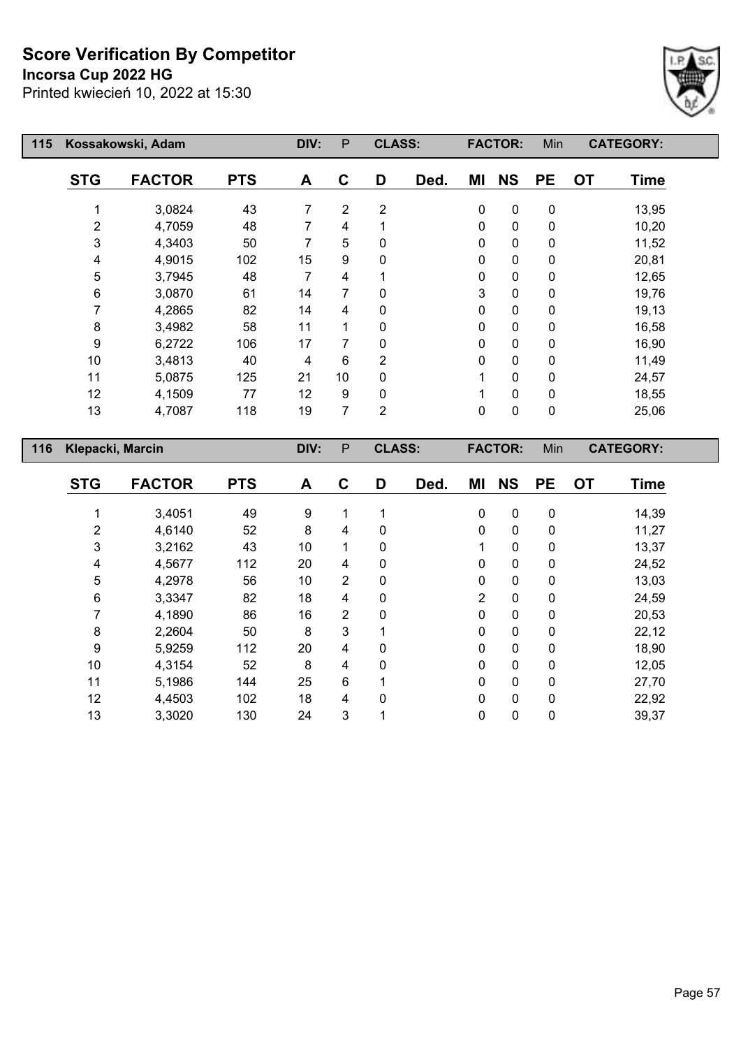## **Incorsa Cup 2022 HG**



| 115 |                  | Kossakowski, Adam |            | DIV: | P               | <b>CLASS:</b> |      |              | <b>FACTOR:</b> | Min       | <b>CATEGORY:</b> |             |
|-----|------------------|-------------------|------------|------|-----------------|---------------|------|--------------|----------------|-----------|------------------|-------------|
|     | <b>STG</b>       | <b>FACTOR</b>     | <b>PTS</b> | A    | C               | D             | Ded. | ΜI           | <b>NS</b>      | <b>PE</b> | <b>OT</b>        | <b>Time</b> |
|     |                  | 3,0824            | 43         | 7    | $\overline{2}$  | 2             |      | 0            | 0              | 0         |                  | 13,95       |
|     | 2                | 4,7059            | 48         | 7    | 4               |               |      | $\mathbf{0}$ | 0              | 0         |                  | 10,20       |
|     | 3                | 4,3403            | 50         | 7    | 5               | 0             |      | 0            | 0              | 0         |                  | 11,52       |
|     | 4                | 4,9015            | 102        | 15   | 9               | 0             |      | 0            | 0              | 0         |                  | 20,81       |
|     | 5                | 3,7945            | 48         | 7    | 4               |               |      | 0            | 0              | 0         |                  | 12,65       |
|     | 6                | 3,0870            | 61         | 14   |                 | 0             |      | 3            | 0              | 0         |                  | 19,76       |
|     | 7                | 4,2865            | 82         | 14   | 4               | 0             |      | 0            | 0              | 0         |                  | 19,13       |
|     | 8                | 3,4982            | 58         | 11   |                 | 0             |      | 0            | 0              | 0         |                  | 16,58       |
|     | 9                | 6,2722            | 106        | 17   | 7               | $\Omega$      |      | $\mathbf 0$  | 0              | 0         |                  | 16,90       |
|     | 10               | 3,4813            | 40         | 4    | 6               | 2             |      | 0            | 0              | 0         |                  | 11,49       |
|     | 11               | 5,0875            | 125        | 21   | 10 <sup>1</sup> | 0             |      |              | 0              | 0         |                  | 24,57       |
|     | 12               | 4,1509            | 77         | 12   | 9               | 0             |      |              | 0              | 0         |                  | 18,55       |
|     | 13               | 4,7087            | 118        | 19   | 7               | 2             |      | $\mathbf 0$  | 0              | 0         |                  | 25,06       |
| 116 | Klepacki, Marcin |                   |            | DIV: | P               | <b>CLASS:</b> |      |              | <b>FACTOR:</b> | Min       | <b>CATEGORY:</b> |             |

| <b>STG</b>     | <b>FACTOR</b> | <b>PTS</b> | A  | $\mathbf C$    | D | Ded. | ΜI             | <b>NS</b>   | <b>PE</b>    | <b>OT</b> | <b>Time</b> |
|----------------|---------------|------------|----|----------------|---|------|----------------|-------------|--------------|-----------|-------------|
|                | 3,4051        | 49         | 9  |                |   |      | 0              | 0           | 0            |           | 14,39       |
| $\overline{2}$ | 4,6140        | 52         | 8  | 4              | 0 |      | 0              | 0           | 0            |           | 11,27       |
| 3              | 3,2162        | 43         | 10 |                | 0 |      | 1              | 0           | 0            |           | 13,37       |
| 4              | 4,5677        | 112        | 20 | 4              | 0 |      | 0              | $\mathbf 0$ | 0            |           | 24,52       |
| 5              | 4,2978        | 56         | 10 | $\overline{2}$ | 0 |      | 0              | 0           | 0            |           | 13,03       |
| 6              | 3,3347        | 82         | 18 | 4              | 0 |      | $\overline{2}$ | 0           | $\mathbf 0$  |           | 24,59       |
| 7              | 4,1890        | 86         | 16 | $\overline{2}$ | 0 |      | 0              | 0           | $\mathbf 0$  |           | 20,53       |
| 8              | 2,2604        | 50         | 8  | 3              | 1 |      | 0              | $\mathbf 0$ | $\mathbf{0}$ |           | 22,12       |
| 9              | 5,9259        | 112        | 20 | 4              | 0 |      | 0              | 0           | 0            |           | 18,90       |
| 10             | 4,3154        | 52         | 8  | $\overline{4}$ | 0 |      | 0              | 0           | $\mathbf{0}$ |           | 12,05       |
| 11             | 5,1986        | 144        | 25 | 6              |   |      | 0              | $\pmb{0}$   | 0            |           | 27,70       |
| 12             | 4,4503        | 102        | 18 | 4              | 0 |      | 0              | 0           | $\mathbf{0}$ |           | 22,92       |
| 13             | 3,3020        | 130        | 24 | $\mathbf{3}$   |   |      | 0              | 0           | $\mathbf 0$  |           | 39,37       |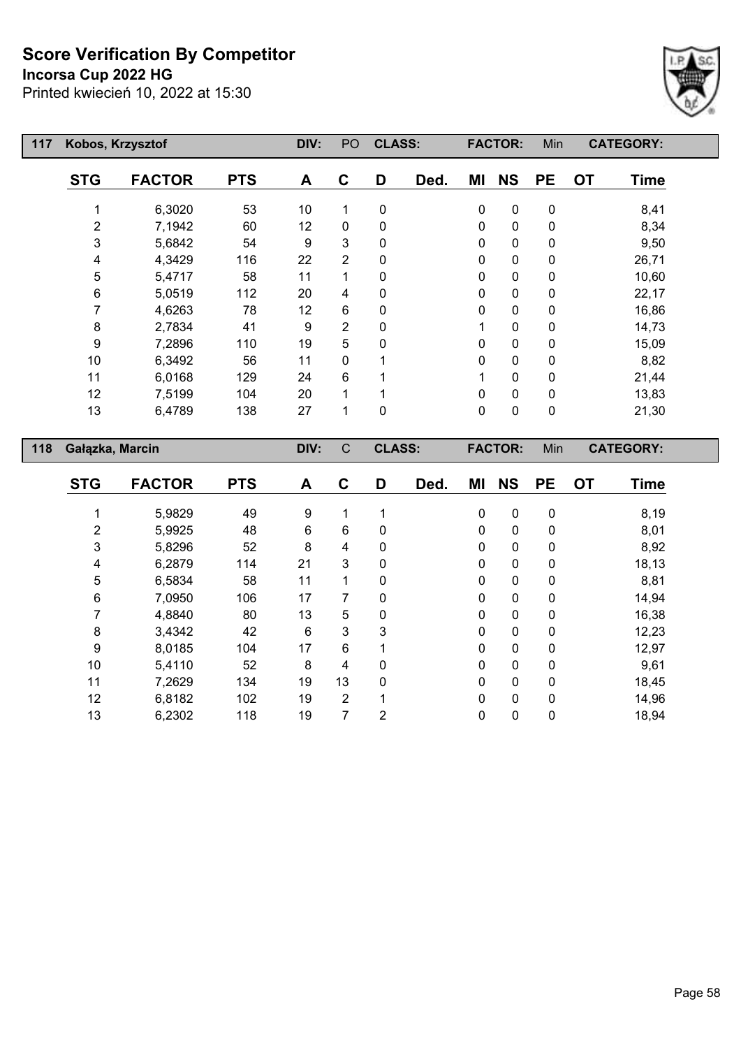## **Incorsa Cup 2022 HG**



| 117 | Kobos, Krzysztof |               |            | DIV: | PO           | <b>CLASS:</b> |      |    | <b>FACTOR:</b> | Min       | <b>CATEGORY:</b>         |  |
|-----|------------------|---------------|------------|------|--------------|---------------|------|----|----------------|-----------|--------------------------|--|
|     | <b>STG</b>       | <b>FACTOR</b> | <b>PTS</b> | A    | C            | D             | Ded. | MI | <b>NS</b>      | <b>PE</b> | <b>OT</b><br><b>Time</b> |  |
|     |                  | 6,3020        | 53         | 10   | 1            | 0             |      | 0  | $\pmb{0}$      | 0         | 8,41                     |  |
|     | 2                | 7,1942        | 60         | 12   | 0            | 0             |      | 0  | $\pmb{0}$      | 0         | 8,34                     |  |
|     | 3                | 5,6842        | 54         | 9    | 3            | 0             |      | 0  | $\pmb{0}$      | 0         | 9,50                     |  |
|     | 4                | 4,3429        | 116        | 22   | 2            | 0             |      | 0  | $\pmb{0}$      | 0         | 26,71                    |  |
|     | 5                | 5,4717        | 58         | 11   |              | 0             |      | 0  | $\pmb{0}$      | 0         | 10,60                    |  |
|     | 6                | 5,0519        | 112        | 20   | 4            | 0             |      | 0  | $\pmb{0}$      | 0         | 22,17                    |  |
|     |                  | 4,6263        | 78         | 12   | 6            | 0             |      | 0  | $\pmb{0}$      | 0         | 16,86                    |  |
|     | 8                | 2,7834        | 41         | 9    | 2            | 0             |      |    | $\pmb{0}$      | 0         | 14,73                    |  |
|     | 9                | 7,2896        | 110        | 19   | 5            | 0             |      | 0  | $\pmb{0}$      | 0         | 15,09                    |  |
|     | 10               | 6,3492        | 56         | 11   | 0            |               |      | 0  | $\pmb{0}$      | 0         | 8,82                     |  |
|     | 11               | 6,0168        | 129        | 24   | 6            |               |      | 1  | $\pmb{0}$      | 0         | 21,44                    |  |
|     | 12               | 7,5199        | 104        | 20   |              |               |      | 0  | $\pmb{0}$      | 0         | 13,83                    |  |
|     | 13               | 6,4789        | 138        | 27   | 1            | 0             |      | 0  | $\pmb{0}$      | 0         | 21,30                    |  |
| 118 | Gałązka, Marcin  |               |            | DIV: | $\mathsf{C}$ | <b>CLASS:</b> |      |    | <b>FACTOR:</b> | Min       | <b>CATEGORY:</b>         |  |

| <b>STG</b> | <b>FACTOR</b> | <b>PTS</b> | A     | C              | D        | Ded. | ΜI           | <b>NS</b>    | <b>PE</b>    | <b>OT</b> | <b>Time</b> |
|------------|---------------|------------|-------|----------------|----------|------|--------------|--------------|--------------|-----------|-------------|
|            | 5,9829        | 49         | 9     |                |          |      | $\mathbf 0$  | $\mathbf 0$  | 0            |           | 8,19        |
| 2          | 5,9925        | 48         | $\,6$ | 6              | 0        |      | $\Omega$     | $\mathbf{0}$ | 0            |           | 8,01        |
| 3          | 5,8296        | 52         | 8     | 4              | 0        |      | $\mathbf{0}$ | 0            | 0            |           | 8,92        |
| 4          | 6,2879        | 114        | 21    | 3              | 0        |      | $\Omega$     | $\mathbf{0}$ | $\mathbf{0}$ |           | 18,13       |
| $\sqrt{5}$ | 6,5834        | 58         | 11    |                | 0        |      | $\mathbf{0}$ | $\mathbf{0}$ | 0            |           | 8,81        |
| 6          | 7,0950        | 106        | 17    | 7              | $\Omega$ |      | $\Omega$     | $\mathbf{0}$ | $\mathbf{0}$ |           | 14,94       |
| 7          | 4,8840        | 80         | 13    | 5              | 0        |      | $\mathbf{0}$ | $\mathbf 0$  | 0            |           | 16,38       |
| 8          | 3,4342        | 42         | 6     | 3              | 3        |      | $\Omega$     | $\mathbf{0}$ | $\mathbf{0}$ |           | 12,23       |
| 9          | 8,0185        | 104        | 17    | 6              |          |      | $\Omega$     | $\mathbf{0}$ | 0            |           | 12,97       |
| 10         | 5,4110        | 52         | 8     | 4              | 0        |      | $\Omega$     | $\mathbf{0}$ | $\mathbf{0}$ |           | 9,61        |
| 11         | 7,2629        | 134        | 19    | 13             | 0        |      | $\Omega$     | $\mathbf{0}$ | 0            |           | 18,45       |
| 12         | 6,8182        | 102        | 19    | $\overline{2}$ | 4        |      | $\Omega$     | $\mathbf{0}$ | $\mathbf{0}$ |           | 14,96       |
| 13         | 6,2302        | 118        | 19    | 7              | 2        |      | 0            | 0            | 0            |           | 18,94       |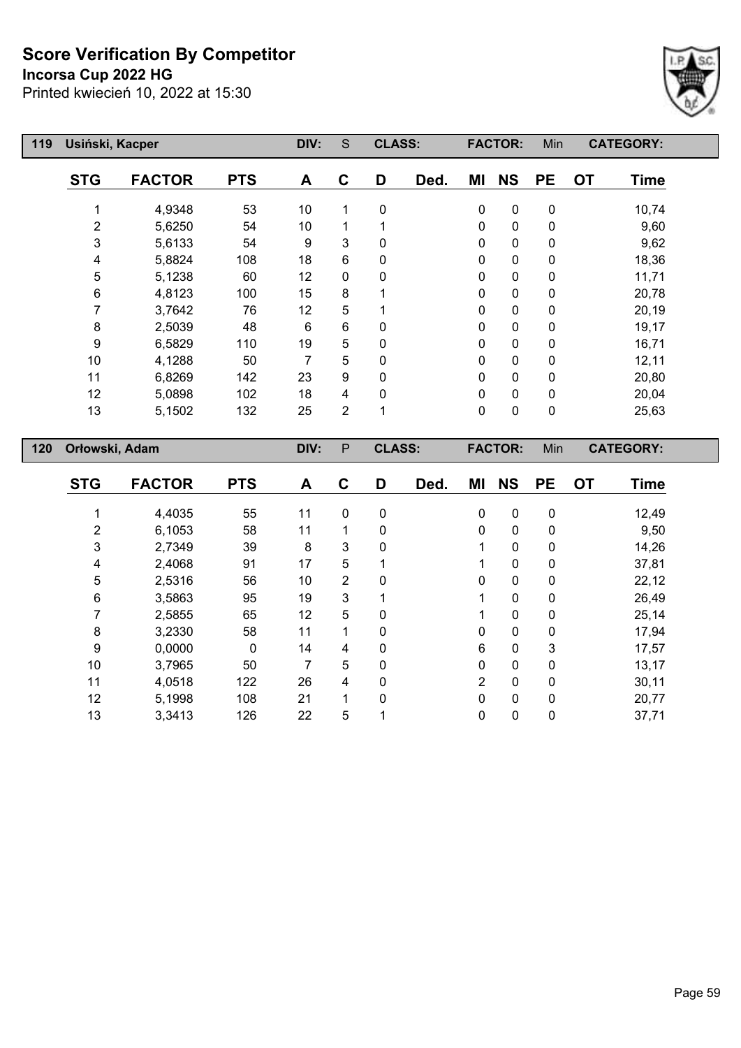**Incorsa Cup 2022 HG**



| 119 | Usiński, Kacper |               |            | DIV: | S            | <b>CLASS:</b> |      |             | <b>FACTOR:</b> | Min         | <b>CATEGORY:</b> |             |
|-----|-----------------|---------------|------------|------|--------------|---------------|------|-------------|----------------|-------------|------------------|-------------|
|     | <b>STG</b>      | <b>FACTOR</b> | <b>PTS</b> | A    | C            | D             | Ded. | ΜI          | <b>NS</b>      | <b>PE</b>   | <b>OT</b>        | <b>Time</b> |
|     |                 | 4,9348        | 53         | 10   | $\mathbf{1}$ | $\Omega$      |      | $\mathbf 0$ | 0              | $\pmb{0}$   |                  | 10,74       |
|     | $\overline{2}$  | 5,6250        | 54         | 10   |              |               |      | 0           | $\mathbf 0$    | $\mathbf 0$ |                  | 9,60        |
|     | 3               | 5,6133        | 54         | 9    | 3            | $\Omega$      |      | 0           | $\pmb{0}$      | 0           |                  | 9,62        |
|     | 4               | 5,8824        | 108        | 18   | 6            | 0             |      | 0           | $\mathbf 0$    | 0           |                  | 18,36       |
|     | 5               | 5,1238        | 60         | 12   | $\mathbf{0}$ | 0             |      | 0           | $\mathbf 0$    | $\mathbf 0$ |                  | 11,71       |
|     | 6               | 4,8123        | 100        | 15   | 8            |               |      | 0           | $\mathbf 0$    | $\mathbf 0$ |                  | 20,78       |
|     |                 | 3,7642        | 76         | 12   | 5            |               |      | 0           | $\pmb{0}$      | $\mathbf 0$ |                  | 20,19       |
|     | 8               | 2,5039        | 48         | 6    | 6            | $\Omega$      |      | 0           | $\mathbf 0$    | 0           |                  | 19,17       |
|     | 9               | 6,5829        | 110        | 19   | 5            | 0             |      | 0           | $\pmb{0}$      | $\mathbf 0$ |                  | 16,71       |
|     | 10              | 4,1288        | 50         | 7    | 5            | $\Omega$      |      | 0           | $\pmb{0}$      | $\mathbf 0$ |                  | 12,11       |
|     | 11              | 6,8269        | 142        | 23   | 9            | 0             |      | 0           | $\pmb{0}$      | $\mathbf 0$ |                  | 20,80       |
|     | 12              | 5,0898        | 102        | 18   | 4            | 0             |      | 0           | $\pmb{0}$      | $\mathbf 0$ |                  | 20,04       |
|     | 13              | 5,1502        | 132        | 25   | 2            | 1             |      | 0           | $\pmb{0}$      | $\mathbf 0$ |                  | 25,63       |
| 120 | Orłowski, Adam  |               |            | DIV: | P            | <b>CLASS:</b> |      |             | <b>FACTOR:</b> | Min         | <b>CATEGORY:</b> |             |

| <b>STG</b> | <b>FACTOR</b> | <b>PTS</b> | A  | C            | D           | Ded. | ΜI             | <b>NS</b>    | <b>PE</b>    | <b>OT</b> | <b>Time</b> |
|------------|---------------|------------|----|--------------|-------------|------|----------------|--------------|--------------|-----------|-------------|
|            |               |            |    |              |             |      |                |              |              |           |             |
|            | 4,4035        | 55         | 11 | $\mathbf{0}$ | 0           |      | $\mathbf 0$    | 0            | $\mathbf{0}$ |           | 12,49       |
| 2          | 6,1053        | 58         | 11 |              | 0           |      | $\mathbf 0$    | $\mathbf 0$  | 0            |           | 9,50        |
| 3          | 2,7349        | 39         | 8  | 3            | 0           |      |                | $\mathbf{0}$ | 0            |           | 14,26       |
| 4          | 2,4068        | 91         | 17 | 5            |             |      |                | 0            | 0            |           | 37,81       |
| 5          | 2,5316        | 56         | 10 | 2            | $\mathbf 0$ |      | $\mathbf 0$    | 0            | 0            |           | 22,12       |
| 6          | 3,5863        | 95         | 19 | 3            |             |      | 1              | $\mathbf 0$  | $\mathbf{0}$ |           | 26,49       |
| 7          | 2,5855        | 65         | 12 | 5            | 0           |      |                | 0            | 0            |           | 25,14       |
| 8          | 3,2330        | 58         | 11 | 1            | 0           |      | $\mathbf{0}$   | $\mathbf{0}$ | $\Omega$     |           | 17,94       |
| 9          | 0,0000        | 0          | 14 | 4            | 0           |      | $6\phantom{1}$ | $\mathbf 0$  | 3            |           | 17,57       |
| 10         | 3,7965        | 50         | 7  | 5            | $\mathbf 0$ |      | $\mathbf{0}$   | $\mathbf{0}$ | 0            |           | 13,17       |
| 11         | 4,0518        | 122        | 26 | 4            | 0           |      | $\overline{2}$ | $\mathbf 0$  | $\mathbf{0}$ |           | 30,11       |
| 12         | 5,1998        | 108        | 21 | 1            | $\Omega$    |      | $\mathbf{0}$   | $\Omega$     | $\Omega$     |           | 20,77       |
| 13         | 3,3413        | 126        | 22 | 5            |             |      | $\mathbf 0$    | 0            | $\mathbf 0$  |           | 37,71       |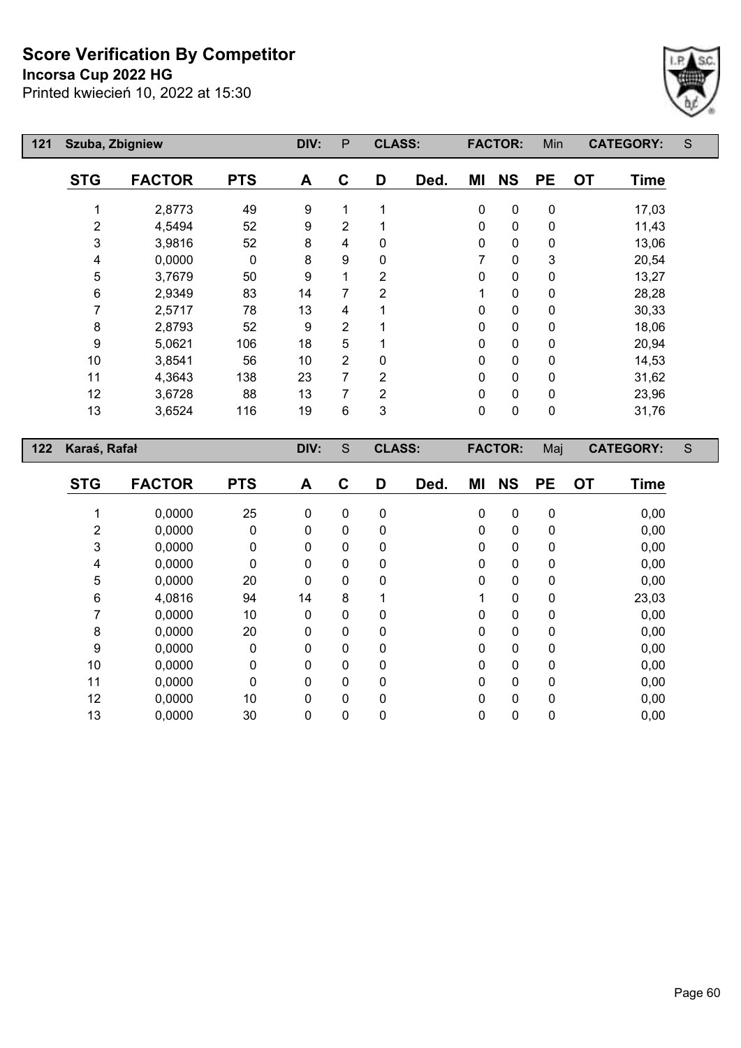**Incorsa Cup 2022 HG**



| 121 | Szuba, Zbigniew  |                  |            | DIV:             | P              | <b>CLASS:</b>              |      |           | <b>FACTOR:</b> | Min       |           | <b>CATEGORY:</b> | S           |
|-----|------------------|------------------|------------|------------------|----------------|----------------------------|------|-----------|----------------|-----------|-----------|------------------|-------------|
|     | <b>STG</b>       | <b>FACTOR</b>    | <b>PTS</b> | A                | $\mathbf C$    | D                          | Ded. | MI        | <b>NS</b>      | PE        | <b>OT</b> | <b>Time</b>      |             |
|     | 1                | 2,8773           | 49         | 9                | 1              | $\mathbf{1}$               |      | 0         | $\pmb{0}$      | $\pmb{0}$ |           | 17,03            |             |
|     | $\boldsymbol{2}$ | 4,5494           | 52         | 9                | $\overline{c}$ | 1                          |      | 0         | $\mathbf 0$    | 0         |           | 11,43            |             |
|     | 3                | 3,9816           | 52         | 8                | 4              | $\pmb{0}$                  |      | 0         | $\pmb{0}$      | 0         |           | 13,06            |             |
|     | 4                | 0,0000           | $\pmb{0}$  | 8                | 9              | $\pmb{0}$                  |      | 7         | $\pmb{0}$      | 3         |           | 20,54            |             |
|     | 5                | 3,7679           | 50         | 9                | $\mathbf 1$    | $\overline{2}$             |      | 0         | $\mathbf 0$    | 0         |           | 13,27            |             |
|     | $\,6\,$          | 2,9349           | 83         | 14               | 7              | $\boldsymbol{2}$           |      | 1         | $\mathbf 0$    | 0         |           | 28,28            |             |
|     | $\overline{7}$   | 2,5717           | 78         | 13               | 4              | 1                          |      | 0         | $\pmb{0}$      | 0         |           | 30,33            |             |
|     | $\bf 8$          | 2,8793           | 52         | $\boldsymbol{9}$ | $\overline{2}$ | 1                          |      | 0         | $\pmb{0}$      | 0         |           | 18,06            |             |
|     | $\boldsymbol{9}$ | 5,0621           | 106        | 18               | 5              | 1                          |      | 0         | $\mathbf 0$    | 0         |           | 20,94            |             |
|     | 10               | 3,8541           | 56         | 10               | $\overline{2}$ | $\pmb{0}$                  |      | 0         | $\pmb{0}$      | 0         |           | 14,53            |             |
|     | 11               | 4,3643           | 138        | 23               | $\overline{7}$ | $\overline{2}$             |      | 0         | $\mathbf 0$    | 0         |           | 31,62            |             |
|     | 12               | 3,6728           | 88         | 13               | $\overline{7}$ | $\overline{2}$             |      | 0         | $\mathbf 0$    | 0         |           | 23,96            |             |
|     | 13               | 3,6524           | 116        | 19               | 6              | 3                          |      | $\pmb{0}$ | $\mathbf 0$    | $\pmb{0}$ |           | 31,76            |             |
|     |                  |                  |            |                  |                |                            |      |           |                |           |           |                  |             |
| 122 | Karaś, Rafał     |                  |            | DIV:             | $\mathbf S$    | <b>CLASS:</b>              |      |           | <b>FACTOR:</b> | Maj       |           | <b>CATEGORY:</b> | $\mathsf S$ |
|     | <b>STG</b>       |                  | <b>PTS</b> | A                | $\mathbf C$    | D                          |      | MI        |                | <b>PE</b> | <b>OT</b> | <b>Time</b>      |             |
|     |                  | <b>FACTOR</b>    |            |                  |                |                            | Ded. |           | <b>NS</b>      |           |           |                  |             |
|     | 1                | 0,0000           | 25         | 0                | $\mathbf 0$    | $\pmb{0}$                  |      | 0         | $\pmb{0}$      | 0         |           | 0,00             |             |
|     | $\overline{c}$   | 0,0000           | 0          | 0                | 0              | $\pmb{0}$                  |      | 0         | $\pmb{0}$      | 0         |           | 0,00             |             |
|     | 3                | 0,0000           | 0          | 0                | 0              | $\pmb{0}$                  |      | 0         | $\pmb{0}$      | 0         |           | 0,00             |             |
|     | 4                | 0,0000           | 0          | 0                | 0              | $\mathbf 0$                |      | 0         | $\mathbf 0$    | 0         |           | 0,00             |             |
|     | 5                | 0,0000           | 20         | 0                | 0              | $\mathbf 0$                |      | 0         | $\mathbf 0$    | 0         |           | 0,00             |             |
|     | $\,6$            | 4,0816           | 94         | 14               | 8              | 1                          |      | 1         | $\pmb{0}$      | 0         |           | 23,03            |             |
|     | $\overline{7}$   | 0,0000           | 10         | 0                | 0              | $\mathbf 0$                |      | 0         | $\pmb{0}$      | 0         |           | 0,00             |             |
|     | $\bf 8$          | 0,0000           | 20         | 0                | 0              | $\mathbf 0$                |      | 0         | $\mathbf 0$    | 0         |           | 0,00             |             |
|     | $\boldsymbol{9}$ | 0,0000           | $\pmb{0}$  | 0                | 0              | $\pmb{0}$                  |      | 0         | $\pmb{0}$      | 0         |           | 0,00             |             |
|     | 10               | 0,0000           | 0          | 0                | 0              | $\mathbf 0$                |      | 0         | $\mathbf 0$    | 0         |           | 0,00             |             |
|     | 11               | 0,0000           | 0          | 0                | 0              | $\mathbf 0$                |      | 0         | 0              | 0         |           | 0,00             |             |
|     | 12<br>13         | 0,0000<br>0,0000 | 10<br>30   | 0                | 0              | $\mathbf 0$<br>$\mathbf 0$ |      | 0<br>0    | $\pmb{0}$      | 0<br>0    |           | 0,00<br>0,00     |             |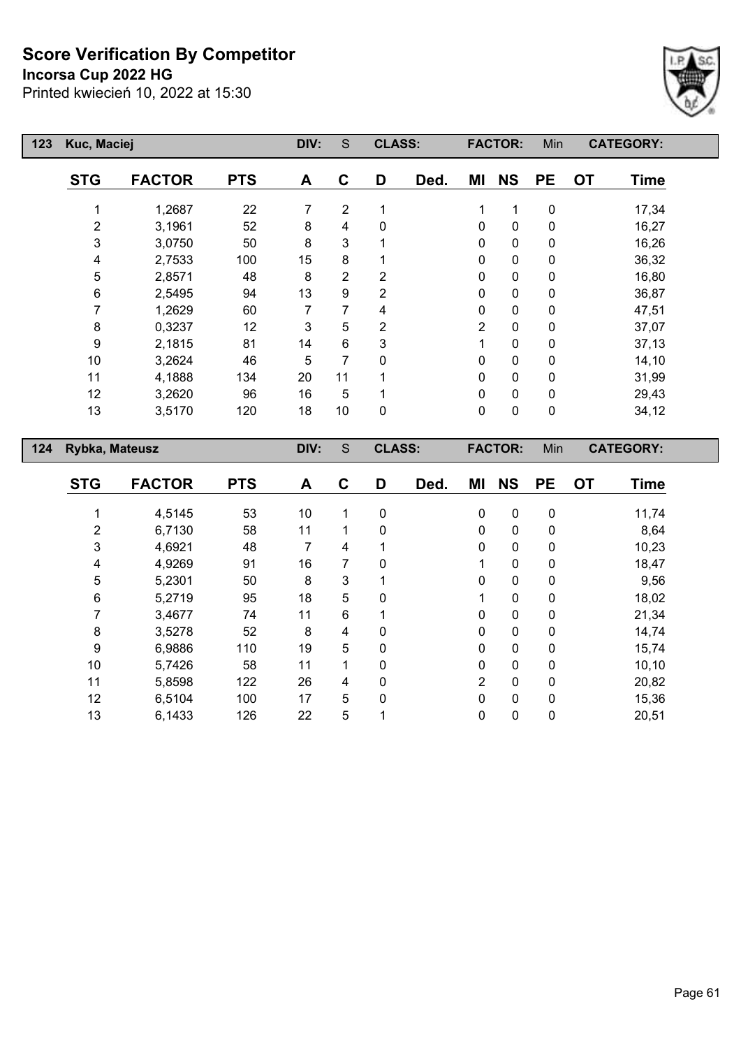**Incorsa Cup 2022 HG**



| 123 | Kuc, Maciej    |               |            | DIV: | S              | <b>CLASS:</b> |      |                | <b>FACTOR:</b> | Min         | <b>CATEGORY:</b>         |  |
|-----|----------------|---------------|------------|------|----------------|---------------|------|----------------|----------------|-------------|--------------------------|--|
|     | <b>STG</b>     | <b>FACTOR</b> | <b>PTS</b> | A    | $\mathbf C$    | D             | Ded. | ΜI             | <b>NS</b>      | <b>PE</b>   | <b>OT</b><br><b>Time</b> |  |
|     |                | 1,2687        | 22         | 7    | $\overline{2}$ | 1             |      | 1              | 1              | $\mathbf 0$ | 17,34                    |  |
|     | $\overline{2}$ | 3,1961        | 52         | 8    | 4              | 0             |      | $\mathbf 0$    | $\pmb{0}$      | $\mathbf 0$ | 16,27                    |  |
|     | 3              | 3,0750        | 50         | 8    | 3              |               |      | 0              | $\pmb{0}$      | $\mathbf 0$ | 16,26                    |  |
|     | 4              | 2,7533        | 100        | 15   | 8              |               |      | 0              | $\pmb{0}$      | 0           | 36,32                    |  |
|     | 5              | 2,8571        | 48         | 8    | $\overline{2}$ | 2             |      | 0              | $\pmb{0}$      | 0           | 16,80                    |  |
|     | 6              | 2,5495        | 94         | 13   | 9              | 2             |      | 0              | $\mathbf 0$    | 0           | 36,87                    |  |
|     | 7              | 1,2629        | 60         |      | 7              | 4             |      | 0              | $\pmb{0}$      | 0           | 47,51                    |  |
|     | 8              | 0,3237        | 12         | 3    | 5              | 2             |      | $\overline{2}$ | $\mathbf 0$    | 0           | 37,07                    |  |
|     | 9              | 2,1815        | 81         | 14   | 6              | 3             |      | 1              | $\pmb{0}$      | 0           | 37,13                    |  |
|     | 10             | 3,2624        | 46         | 5    | 7              | $\Omega$      |      | 0              | $\mathbf 0$    | 0           | 14,10                    |  |
|     | 11             | 4,1888        | 134        | 20   | 11             |               |      | 0              | $\mathbf 0$    | $\mathbf 0$ | 31,99                    |  |
|     | 12             | 3,2620        | 96         | 16   | 5              |               |      | $\mathbf 0$    | $\pmb{0}$      | $\mathbf 0$ | 29,43                    |  |
|     | 13             | 3,5170        | 120        | 18   | 10             | 0             |      | $\mathbf 0$    | $\mathbf 0$    | $\mathbf 0$ | 34,12                    |  |
| 124 | Rybka, Mateusz |               |            | DIV: | $\mathsf S$    | <b>CLASS:</b> |      |                | <b>FACTOR:</b> | Min         | <b>CATEGORY:</b>         |  |

| <b>STG</b> | <b>FACTOR</b> | <b>PTS</b> | A  | C | D | Ded. | ΜI             | <b>NS</b>    | <b>PE</b>   | <b>OT</b> | Time   |
|------------|---------------|------------|----|---|---|------|----------------|--------------|-------------|-----------|--------|
|            | 4,5145        | 53         | 10 | 1 | 0 |      | $\mathbf 0$    | $\mathbf 0$  | $\mathbf 0$ |           | 11,74  |
|            |               |            |    |   |   |      |                |              |             |           |        |
| 2          | 6,7130        | 58         | 11 | 1 | 0 |      | $\Omega$       | $\mathbf{0}$ | 0           |           | 8,64   |
| 3          | 4,6921        | 48         |    | 4 |   |      | $\mathbf{0}$   | $\mathbf 0$  | 0           |           | 10,23  |
| 4          | 4,9269        | 91         | 16 | 7 | 0 |      |                | $\mathbf{0}$ | 0           |           | 18,47  |
| 5          | 5,2301        | 50         | 8  | 3 |   |      | $\mathbf{0}$   | $\mathbf{0}$ | 0           |           | 9,56   |
| 6          | 5,2719        | 95         | 18 | 5 | 0 |      |                | $\mathbf{0}$ | 0           |           | 18,02  |
| 7          | 3,4677        | 74         | 11 | 6 |   |      | $\mathbf{0}$   | $\mathbf 0$  | 0           |           | 21,34  |
| 8          | 3,5278        | 52         | 8  | 4 | 0 |      | $\Omega$       | $\mathbf{0}$ | 0           |           | 14,74  |
| 9          | 6,9886        | 110        | 19 | 5 | 0 |      | $\mathbf{0}$   | $\mathbf 0$  | 0           |           | 15,74  |
| 10         | 5,7426        | 58         | 11 | 1 | 0 |      | $\mathbf{0}$   | $\mathbf{0}$ | 0           |           | 10, 10 |
| 11         | 5,8598        | 122        | 26 | 4 | 0 |      | $\overline{2}$ | $\mathbf{0}$ | 0           |           | 20,82  |
| 12         | 6,5104        | 100        | 17 | 5 | 0 |      | $\Omega$       | $\mathbf{0}$ | 0           |           | 15,36  |
| 13         | 6,1433        | 126        | 22 | 5 |   |      | 0              | $\mathbf 0$  | 0           |           | 20,51  |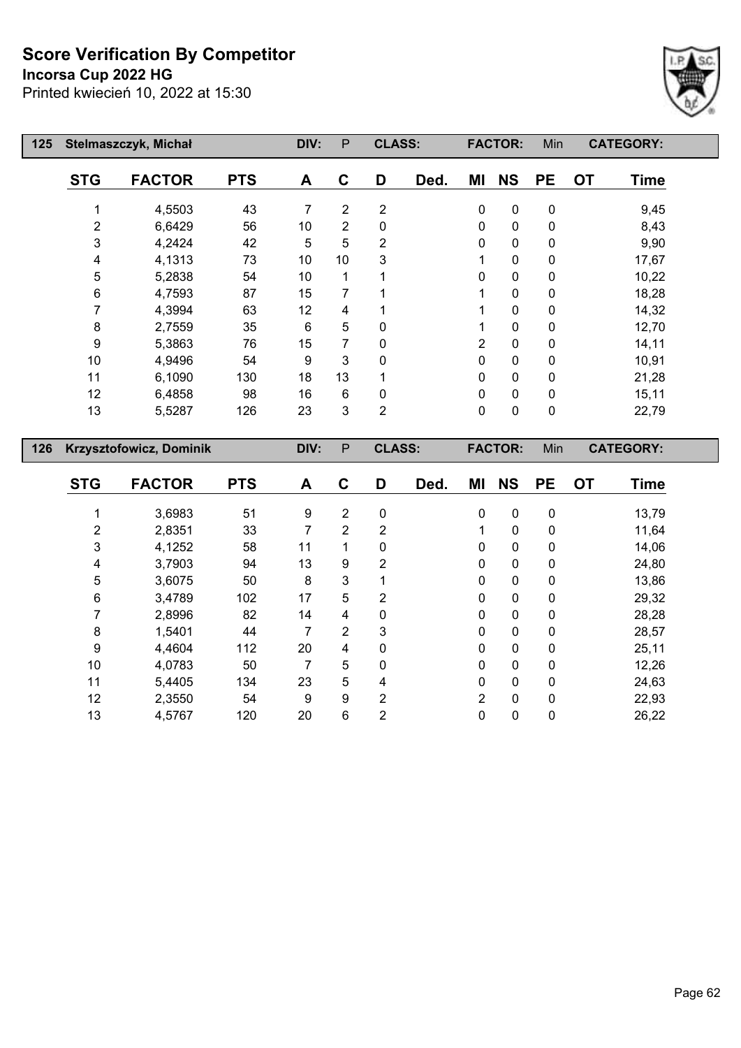#### **Incorsa Cup 2022 HG**

Printed kwiecień 10, 2022 at 15:30



| 125 |                  | Stelmaszczyk, Michał    |            | DIV:             | P               | <b>CLASS:</b>  |      |                | <b>FACTOR:</b> | Min       | <b>CATEGORY:</b> |             |
|-----|------------------|-------------------------|------------|------------------|-----------------|----------------|------|----------------|----------------|-----------|------------------|-------------|
|     | <b>STG</b>       | <b>FACTOR</b>           | <b>PTS</b> | A                | $\mathbf{C}$    | D              | Ded. | ΜI             | <b>NS</b>      | <b>PE</b> | <b>OT</b>        | <b>Time</b> |
|     | 1                | 4,5503                  | 43         | $\overline{7}$   | $\overline{2}$  | $\overline{2}$ |      | $\mathbf 0$    | $\pmb{0}$      | 0         |                  | 9,45        |
|     | 2                | 6,6429                  | 56         | 10               | $\overline{2}$  | 0              |      | 0              | $\pmb{0}$      | 0         |                  | 8,43        |
|     | 3                | 4,2424                  | 42         | 5                | 5               | 2              |      | 0              | 0              | 0         |                  | 9,90        |
|     | 4                | 4,1313                  | 73         | 10               | 10              | 3              |      | 1              | 0              | 0         |                  | 17,67       |
|     | 5                | 5,2838                  | 54         | 10               | 1               |                |      | 0              | 0              | 0         |                  | 10,22       |
|     | $\,6$            | 4,7593                  | 87         | 15               | 7               | 1              |      |                | $\pmb{0}$      | 0         |                  | 18,28       |
|     | $\overline{7}$   | 4,3994                  | 63         | 12               | 4               |                |      | 1              | 0              | 0         |                  | 14,32       |
|     | $\bf 8$          | 2,7559                  | 35         | $\,6$            | 5               | 0              |      | 1              | 0              | 0         |                  | 12,70       |
|     | $\boldsymbol{9}$ | 5,3863                  | 76         | 15               | $\overline{7}$  | 0              |      | $\overline{2}$ | $\pmb{0}$      | 0         |                  | 14,11       |
|     | $10$             | 4,9496                  | 54         | 9                | 3               | 0              |      | 0              | 0              | 0         |                  | 10,91       |
|     | 11               | 6,1090                  | 130        | 18               | 13              | 1              |      | 0              | $\pmb{0}$      | 0         |                  | 21,28       |
|     | 12               | 6,4858                  | 98         | 16               | $6\phantom{1}6$ | 0              |      | $\mathbf 0$    | 0              | 0         |                  | 15,11       |
|     | 13               | 5,5287                  | 126        | 23               | 3               | $\overline{2}$ |      | $\mathbf 0$    | $\pmb{0}$      | $\pmb{0}$ |                  | 22,79       |
| 126 |                  | Krzysztofowicz, Dominik |            | DIV:             | $\mathsf{P}$    | <b>CLASS:</b>  |      |                | <b>FACTOR:</b> | Min       | <b>CATEGORY:</b> |             |
|     |                  |                         |            |                  |                 |                |      |                |                |           |                  |             |
|     | <b>STG</b>       | <b>FACTOR</b>           | <b>PTS</b> | A                | $\mathbf c$     | D              | Ded. | MI             | <b>NS</b>      | <b>PE</b> | <b>OT</b>        | <b>Time</b> |
|     | 1                | 3,6983                  | 51         | $\boldsymbol{9}$ | $\overline{2}$  | $\pmb{0}$      |      | $\mathbf 0$    | $\pmb{0}$      | 0         |                  | 13,79       |
|     | $\overline{2}$   | 2,8351                  | 33         | $\overline{7}$   | $\overline{2}$  | $\overline{2}$ |      | 1              | $\pmb{0}$      | 0         |                  | 11,64       |
|     | 3                | 4,1252                  | 58         | 11               | 1               | 0              |      | 0              | 0              | 0         |                  | 14,06       |
|     | 4                | 3,7903                  | 94         | 13               | 9               | $\overline{2}$ |      | 0              | $\pmb{0}$      | 0         |                  | 24,80       |
|     | 5                | 3,6075                  | 50         | 8                | 3               | 1              |      | 0              | 0              | 0         |                  | 13,86       |
|     | $\,6$            | 3,4789                  | 102        | 17               | 5               | 2              |      | 0              | $\pmb{0}$      | 0         |                  | 29,32       |
|     | $\overline{7}$   | 2,8996                  | 82         | 14               | 4               | 0              |      | $\mathbf 0$    | 0              | 0         |                  | 28,28       |

 1,5401 44 7 2 3 0 0 0 28,57 4,4604 112 20 4 0 0 0 0 25,11 4,0783 50 7 5 0 0 0 0 12,26 5,4405 134 23 5 4 0 0 0 24,63 2,3550 54 9 9 2 2 0 0 22,93 4,5767 120 20 6 2 0 0 0 26,22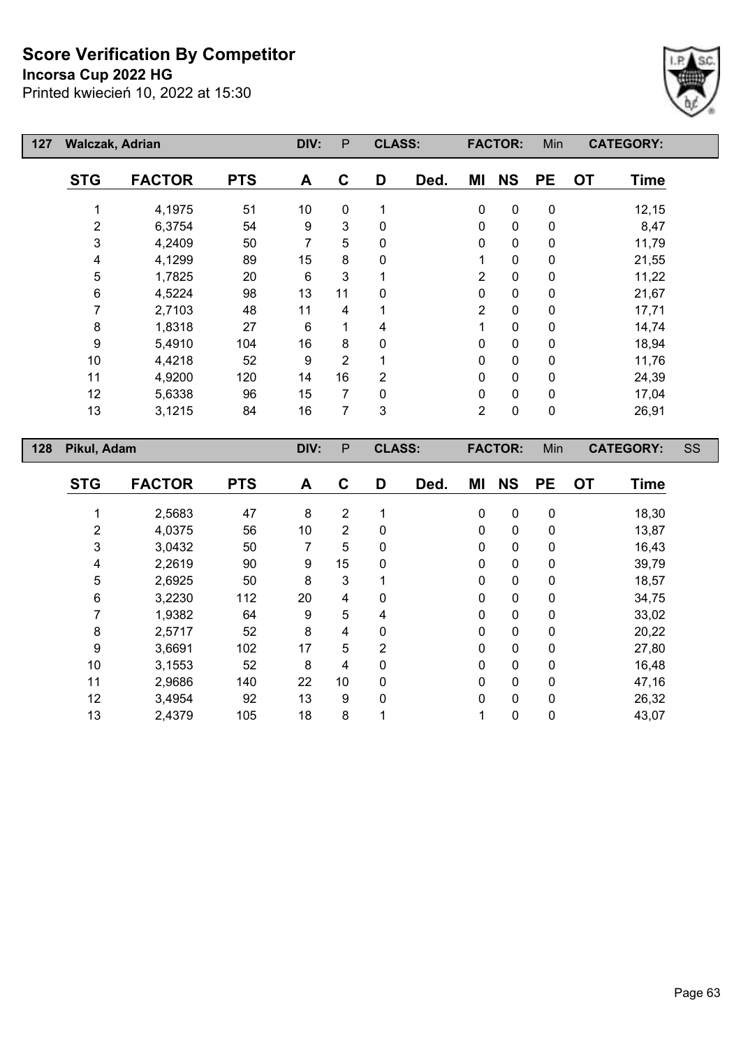#### **Incorsa Cup 2022 HG**

Printed kwiecień 10, 2022 at 15:30



| 127 | <b>Walczak, Adrian</b> |               |            | DIV:            | $\mathsf{P}$   | <b>CLASS:</b>  |      |                | <b>FACTOR:</b> | Min         | <b>CATEGORY:</b>         |    |
|-----|------------------------|---------------|------------|-----------------|----------------|----------------|------|----------------|----------------|-------------|--------------------------|----|
|     | <b>STG</b>             | <b>FACTOR</b> | <b>PTS</b> | A               | $\mathbf{C}$   | D              | Ded. | ΜI             | <b>NS</b>      | <b>PE</b>   | <b>OT</b><br><b>Time</b> |    |
|     |                        | 4,1975        | 51         | 10 <sup>°</sup> | 0              | 1              |      | 0              | $\mathbf 0$    | $\mathbf 0$ | 12,15                    |    |
|     | $\sqrt{2}$             | 6,3754        | 54         | 9               | 3              | 0              |      | 0              | $\mathbf 0$    | $\mathbf 0$ | 8,47                     |    |
|     | 3                      | 4,2409        | 50         | 7               | 5              | 0              |      | 0              | $\pmb{0}$      | $\mathbf 0$ | 11,79                    |    |
|     | 4                      | 4,1299        | 89         | 15              | 8              | 0              |      | 1              | $\mathbf 0$    | $\mathbf 0$ | 21,55                    |    |
|     | 5                      | 1,7825        | 20         | 6               | 3              |                |      | $\overline{2}$ | $\mathbf 0$    | $\pmb{0}$   | 11,22                    |    |
|     | 6                      | 4,5224        | 98         | 13              | 11             | 0              |      | 0              | $\pmb{0}$      | $\pmb{0}$   | 21,67                    |    |
|     | 7                      | 2,7103        | 48         | 11              | 4              |                |      | $\overline{2}$ | $\pmb{0}$      | $\mathbf 0$ | 17,71                    |    |
|     | 8                      | 1,8318        | 27         | 6               | 1              | 4              |      | 1              | $\mathbf 0$    | 0           | 14,74                    |    |
|     | 9                      | 5,4910        | 104        | 16              | 8              | 0              |      | 0              | $\pmb{0}$      | $\mathbf 0$ | 18,94                    |    |
|     | 10                     | 4,4218        | 52         | 9               | $\overline{2}$ |                |      | 0              | $\pmb{0}$      | $\mathbf 0$ | 11,76                    |    |
|     | 11                     | 4,9200        | 120        | 14              | 16             | $\overline{2}$ |      | 0              | $\mathbf 0$    | $\mathbf 0$ | 24,39                    |    |
|     | 12                     | 5,6338        | 96         | 15              | 7              | 0              |      | 0              | $\pmb{0}$      | 0           | 17,04                    |    |
|     | 13                     | 3,1215        | 84         | 16              | 7              | $\mathbf{3}$   |      | $\overline{2}$ | $\pmb{0}$      | $\pmb{0}$   | 26,91                    |    |
|     |                        |               |            |                 |                |                |      |                |                |             |                          |    |
| 128 | Pikul, Adam            |               |            | DIV:            | P              | <b>CLASS:</b>  |      |                | <b>FACTOR:</b> | Min         | <b>CATEGORY:</b>         | SS |
|     | <b>STG</b>             | <b>FACTOR</b> | <b>PTS</b> | A               | C              | D              | Ded. | ΜI             | <b>NS</b>      | <b>PE</b>   | <b>OT</b><br><b>Time</b> |    |
|     |                        | 2,5683        | 47         | 8               | $\overline{2}$ | 1              |      | 0              | $\mathbf 0$    | $\mathbf 0$ | 18,30                    |    |

 4,0375 56 10 2 0 0 0 0 13,87 3,0432 50 7 5 0 0 0 0 16,43 2,2619 90 9 15 0 0 0 0 39,79 2,6925 50 8 3 1 0 0 0 18,57 3,2230 112 20 4 0 0 0 0 34,75 1,9382 64 9 5 4 0 0 0 33,02 2,5717 52 8 4 0 0 0 0 20,22 3,6691 102 17 5 2 0 0 0 27,80 3,1553 52 8 4 0 0 0 0 16,48 2,9686 140 22 10 0 0 0 0 47,16 3,4954 92 13 9 0 0 0 0 26,32 2,4379 105 18 8 1 1 0 0 43,07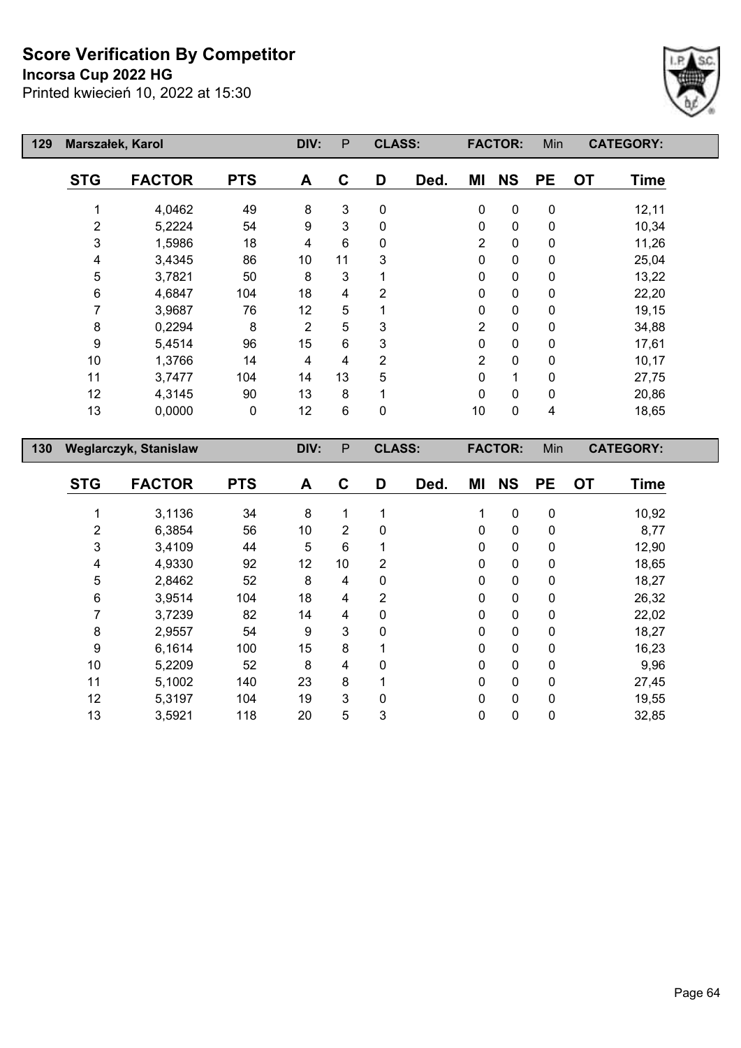## **Incorsa Cup 2022 HG**



| 129 | Marszałek, Karol        |                              |            | DIV:             | P                         | <b>CLASS:</b>  |      |                | <b>FACTOR:</b> | Min                     |           | <b>CATEGORY:</b> |
|-----|-------------------------|------------------------------|------------|------------------|---------------------------|----------------|------|----------------|----------------|-------------------------|-----------|------------------|
|     | <b>STG</b>              | <b>FACTOR</b>                | <b>PTS</b> | A                | $\mathbf c$               | D              | Ded. | MI             | <b>NS</b>      | <b>PE</b>               | <b>OT</b> | <b>Time</b>      |
|     | 1                       | 4,0462                       | 49         | 8                | $\ensuremath{\mathsf{3}}$ | $\pmb{0}$      |      | $\pmb{0}$      | $\pmb{0}$      | $\pmb{0}$               |           | 12,11            |
|     | $\overline{\mathbf{c}}$ | 5,2224                       | 54         | $\boldsymbol{9}$ | $\overline{3}$            | $\pmb{0}$      |      | 0              | 0              | $\pmb{0}$               |           | 10,34            |
|     | 3                       | 1,5986                       | 18         | 4                | 6                         | $\pmb{0}$      |      | $\overline{2}$ | 0              | $\pmb{0}$               |           | 11,26            |
|     | 4                       | 3,4345                       | 86         | 10               | 11                        | 3              |      | 0              | 0              | $\pmb{0}$               |           | 25,04            |
|     | 5                       | 3,7821                       | 50         | 8                | $\mathbf{3}$              | 1              |      | 0              | 0              | $\pmb{0}$               |           | 13,22            |
|     | 6                       | 4,6847                       | 104        | 18               | $\overline{\mathbf{4}}$   | $\overline{c}$ |      | 0              | 0              | $\pmb{0}$               |           | 22,20            |
|     | $\overline{7}$          | 3,9687                       | 76         | 12               | 5                         | 1              |      | 0              | $\pmb{0}$      | $\pmb{0}$               |           | 19,15            |
|     | 8                       | 0,2294                       | 8          | $\overline{2}$   | 5                         | 3              |      | $\overline{2}$ | 0              | $\pmb{0}$               |           | 34,88            |
|     | $\boldsymbol{9}$        | 5,4514                       | 96         | 15               | 6                         | 3              |      | 0              | 0              | $\pmb{0}$               |           | 17,61            |
|     | 10                      | 1,3766                       | 14         | 4                | $\overline{\mathbf{4}}$   | $\overline{c}$ |      | $\overline{2}$ | 0              | $\pmb{0}$               |           | 10,17            |
|     | 11                      | 3,7477                       | 104        | 14               | 13                        | 5              |      | 0              | $\mathbf 1$    | $\pmb{0}$               |           | 27,75            |
|     | 12                      | 4,3145                       | 90         | 13               | 8                         | 1              |      | $\mathbf 0$    | 0              | $\pmb{0}$               |           | 20,86            |
|     | 13                      | 0,0000                       | $\pmb{0}$  | 12               | $6\phantom{1}$            | $\pmb{0}$      |      | $10$           | $\mathbf 0$    | $\overline{\mathbf{4}}$ |           | 18,65            |
|     |                         |                              |            |                  | $\mathsf{P}$              | <b>CLASS:</b>  |      |                | <b>FACTOR:</b> | Min                     |           | <b>CATEGORY:</b> |
|     |                         |                              |            |                  |                           |                |      |                |                |                         |           |                  |
| 130 |                         | <b>Weglarczyk, Stanislaw</b> |            | DIV:             |                           |                |      |                |                |                         |           |                  |
|     | <b>STG</b>              | <b>FACTOR</b>                | <b>PTS</b> | A                | $\mathbf c$               | D              | Ded. | ΜI             | <b>NS</b>      | <b>PE</b>               | <b>OT</b> | <b>Time</b>      |
|     | 1                       | 3,1136                       | 34         | 8                | 1                         | 1              |      | 1              | $\pmb{0}$      | $\pmb{0}$               |           |                  |
|     | $\overline{\mathbf{c}}$ | 6,3854                       | 56         | 10               | $\overline{2}$            | 0              |      | 0              | 0              | $\pmb{0}$               |           | 10,92<br>8,77    |
|     | 3                       | 3,4109                       | 44         | 5                | 6                         | 1              |      | 0              | $\pmb{0}$      | $\pmb{0}$               |           | 12,90            |
|     | 4                       | 4,9330                       | 92         | 12               | 10                        | $\overline{2}$ |      | 0              | 0              | $\pmb{0}$               |           | 18,65            |
|     | 5                       | 2,8462                       | 52         | $\bf 8$          | $\overline{\mathbf{4}}$   | $\pmb{0}$      |      | 0              | 0              | $\pmb{0}$               |           | 18,27            |
|     | 6                       | 3,9514                       | 104        | 18               | $\overline{\mathbf{4}}$   | $\overline{2}$ |      | 0              | $\pmb{0}$      | $\pmb{0}$               |           | 26,32            |
|     | $\overline{7}$          | 3,7239                       | 82         | 14               | $\overline{\mathbf{4}}$   | $\pmb{0}$      |      | 0              | 0              | $\pmb{0}$               |           | 22,02            |
|     | 8                       | 2,9557                       | 54         | 9                | 3                         | $\mathbf 0$    |      | 0              | 0              | $\pmb{0}$               |           | 18,27            |
|     | 9                       | 6,1614                       | 100        | 15               | 8                         | 1              |      | 0              | 0              | $\pmb{0}$               |           | 16,23            |
|     | 10                      | 5,2209                       | 52         | 8                | $\overline{\mathbf{4}}$   | $\mathbf 0$    |      | 0              | 0              | $\pmb{0}$               |           | 9,96             |
|     | 11                      | 5,1002                       | 140        | 23               | 8                         | 1              |      | 0              | 0              | $\pmb{0}$               |           | 27,45            |
|     | 12                      | 5,3197                       | 104        | 19               | 3                         | $\pmb{0}$      |      | 0              | 0              | $\pmb{0}$               |           | 19,55            |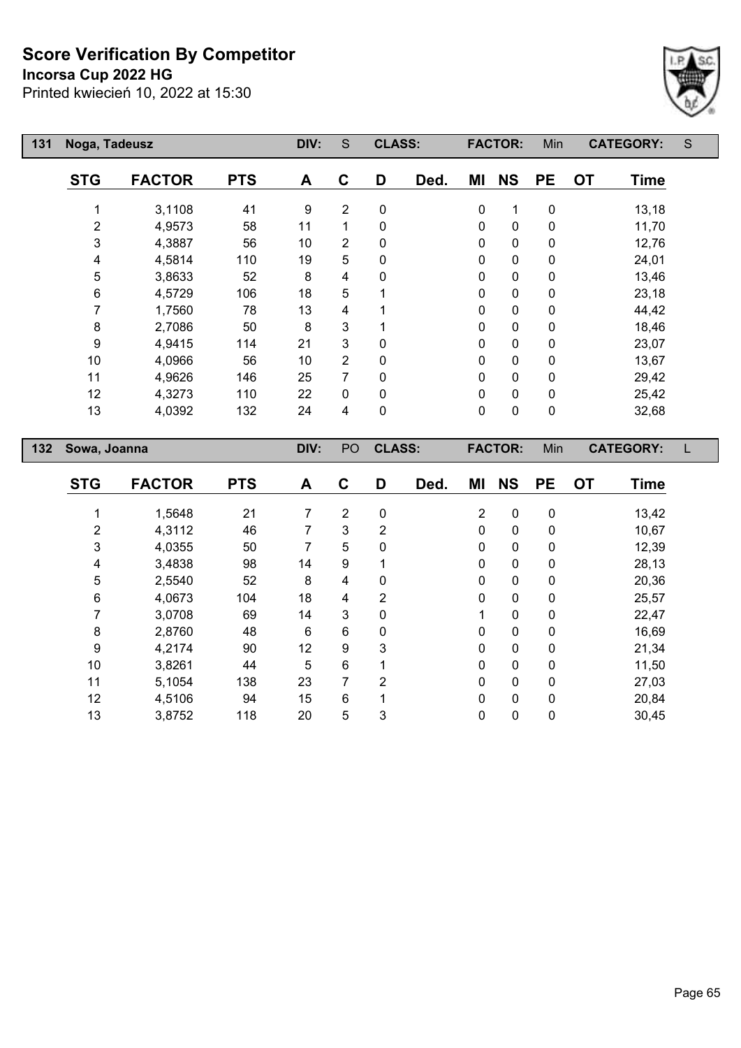**Incorsa Cup 2022 HG**

Printed kwiecień 10, 2022 at 15:30



| 131 | Noga, Tadeusz  |               |            | DIV:             | S              | <b>CLASS:</b> |      | <b>FACTOR:</b> |                | Min         | <b>CATEGORY:</b>         | S     |
|-----|----------------|---------------|------------|------------------|----------------|---------------|------|----------------|----------------|-------------|--------------------------|-------|
|     | <b>STG</b>     | <b>FACTOR</b> | <b>PTS</b> | A                | C              | D             | Ded. | ΜI             | <b>NS</b>      | <b>PE</b>   | <b>OT</b><br><b>Time</b> |       |
|     |                | 3,1108        | 41         | $\boldsymbol{9}$ | 2              | 0             |      | 0              | 1              | $\mathbf 0$ |                          | 13,18 |
|     | $\overline{2}$ | 4,9573        | 58         | 11               | 1              | 0             |      | 0              | $\mathbf 0$    | $\pmb{0}$   |                          | 11,70 |
|     | 3              | 4,3887        | 56         | 10               | 2              | 0             |      | 0              | $\pmb{0}$      | $\pmb{0}$   |                          | 12,76 |
|     | 4              | 4,5814        | 110        | 19               | 5              | 0             |      | 0              | $\mathbf 0$    | $\mathbf 0$ | 24,01                    |       |
|     | 5              | 3,8633        | 52         | 8                | 4              | $\Omega$      |      | 0              | $\pmb{0}$      | $\mathbf 0$ |                          | 13,46 |
|     | 6              | 4,5729        | 106        | 18               | 5              |               |      | 0              | $\pmb{0}$      | $\mathbf 0$ |                          | 23,18 |
|     | 7              | 1,7560        | 78         | 13               | 4              |               |      | 0              | $\pmb{0}$      | $\mathbf 0$ |                          | 44,42 |
|     | 8              | 2,7086        | 50         | 8                | 3              |               |      | 0              | $\mathbf 0$    | $\mathbf 0$ |                          | 18,46 |
|     | 9              | 4,9415        | 114        | 21               | 3              | 0             |      | 0              | $\mathbf 0$    | $\mathbf 0$ | 23,07                    |       |
|     | 10             | 4,0966        | 56         | 10               | $\overline{2}$ | 0             |      | 0              | $\pmb{0}$      | $\mathbf 0$ |                          | 13,67 |
|     | 11             | 4,9626        | 146        | 25               | 7              | 0             |      | 0              | 0              | $\mathbf 0$ |                          | 29,42 |
|     | 12             | 4,3273        | 110        | 22               | 0              | 0             |      | 0              | $\pmb{0}$      | $\mathbf 0$ |                          | 25,42 |
|     | 13             | 4,0392        | 132        | 24               | 4              | 0             |      | 0              | $\pmb{0}$      | $\pmb{0}$   |                          | 32,68 |
| 132 | Sowa, Joanna   |               |            | DIV:             | PO             | <b>CLASS:</b> |      |                | <b>FACTOR:</b> | Min         | <b>CATEGORY:</b>         |       |
|     | <b>STG</b>     | <b>FACTOR</b> | <b>PTS</b> | A                | $\mathbf c$    | D             | Ded. | ΜI             | <b>NS</b>      | <b>PE</b>   | <b>OT</b><br><b>Time</b> |       |
|     |                | 1,5648        | 21         | 7                | $\overline{2}$ | 0             |      | $\overline{2}$ | $\pmb{0}$      | $\pmb{0}$   |                          | 13,42 |

 4,3112 46 7 3 2 0 0 0 10,67 4,0355 50 7 5 0 0 0 0 12,39 3,4838 98 14 9 1 0 0 0 28,13 2,5540 52 8 4 0 0 0 0 20,36 4,0673 104 18 4 2 0 0 0 25,57 3,0708 69 14 3 0 1 0 0 22,47 2,8760 48 6 6 0 0 0 0 16,69 4,2174 90 12 9 3 0 0 0 21,34 3,8261 44 5 6 1 0 0 0 11,50 5,1054 138 23 7 2 0 0 0 27,03 4,5106 94 15 6 1 0 0 0 20,84 3,8752 118 20 5 3 0 0 0 30,45

Page 65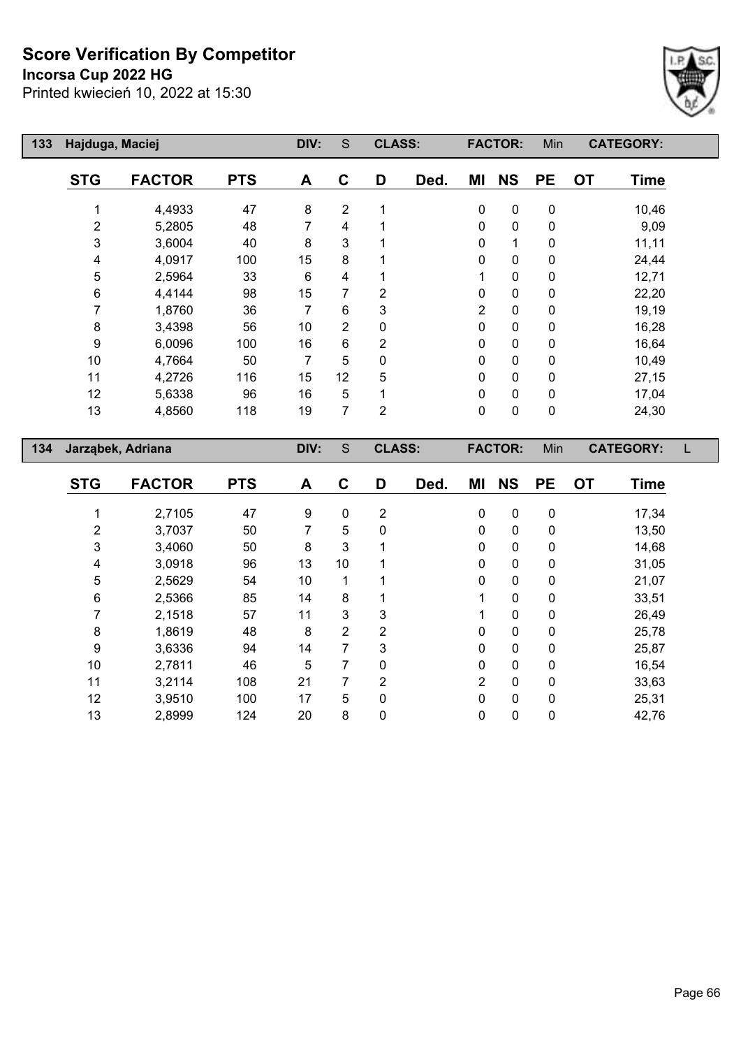**Incorsa Cup 2022 HG**

Printed kwiecień 10, 2022 at 15:30



| 133 | Hajduga, Maciej   | DIV:          | S          |      | <b>CLASS:</b>  |                | <b>FACTOR:</b> |                | Min<br><b>CATEGORY:</b> |             |                  |             |  |
|-----|-------------------|---------------|------------|------|----------------|----------------|----------------|----------------|-------------------------|-------------|------------------|-------------|--|
|     | <b>STG</b>        | <b>FACTOR</b> | <b>PTS</b> | A    | C              | D              | Ded.           | ΜI             | <b>NS</b>               | <b>PE</b>   | <b>OT</b>        | <b>Time</b> |  |
|     |                   | 4,4933        | 47         | 8    | $\overline{2}$ |                |                | 0              | $\mathbf 0$             | $\mathbf 0$ |                  | 10,46       |  |
|     | 2                 | 5,2805        | 48         | 7    | 4              |                |                | 0              | 0                       | 0           |                  | 9,09        |  |
|     | 3                 | 3,6004        | 40         | 8    | 3              |                |                | 0              | 1                       | 0           |                  | 11,11       |  |
|     | 4                 | 4,0917        | 100        | 15   | 8              |                |                | 0              | $\mathbf 0$             | 0           |                  | 24,44       |  |
|     | 5                 | 2,5964        | 33         | 6    | 4              |                |                | 1              | $\pmb{0}$               | $\pmb{0}$   |                  | 12,71       |  |
|     | 6                 | 4,4144        | 98         | 15   | 7              | 2              |                | 0              | $\pmb{0}$               | 0           |                  | 22,20       |  |
|     | 7                 | 1,8760        | 36         | 7    | 6              | 3              |                | $\overline{2}$ | $\mathbf 0$             | 0           |                  | 19,19       |  |
|     | 8                 | 3,4398        | 56         | 10   | $\overline{2}$ | 0              |                | $\pmb{0}$      | $\pmb{0}$               | 0           |                  | 16,28       |  |
|     | 9                 | 6,0096        | 100        | 16   | 6              | 2              |                | $\pmb{0}$      | $\mathbf 0$             | 0           |                  | 16,64       |  |
|     | 10                | 4,7664        | 50         | 7    | 5              | 0              |                | 0              | $\pmb{0}$               | 0           |                  | 10,49       |  |
|     | 11                | 4,2726        | 116        | 15   | 12             | 5              |                | 0              | $\mathbf 0$             | 0           |                  | 27,15       |  |
|     | 12                | 5,6338        | 96         | 16   | 5              |                |                | $\pmb{0}$      | $\mathbf 0$             | 0           |                  | 17,04       |  |
|     | 13                | 4,8560        | 118        | 19   | 7              | 2              |                | 0              | 0                       | $\pmb{0}$   |                  | 24,30       |  |
|     |                   |               |            |      |                |                |                |                |                         |             |                  |             |  |
| 134 | Jarząbek, Adriana |               |            | DIV: | S              | <b>CLASS:</b>  |                |                | <b>FACTOR:</b>          | Min         | <b>CATEGORY:</b> |             |  |
|     | <b>STG</b>        | <b>FACTOR</b> | <b>PTS</b> | A    | $\mathbf{C}$   | D              | Ded.           | ΜI             | <b>NS</b>               | <b>PE</b>   | <b>OT</b>        | <b>Time</b> |  |
|     |                   | 2,7105        | 47         | 9    | $\mathbf 0$    | $\overline{2}$ |                | $\pmb{0}$      | $\mathbf 0$             | $\mathbf 0$ |                  | 17,34       |  |

 3,7037 50 7 5 0 0 0 0 13,50 3,4060 50 8 3 1 0 0 0 14,68 3,0918 96 13 10 1 0 0 0 31,05 2,5629 54 10 1 1 0 0 0 21,07 2,5366 85 14 8 1 1 0 0 33,51 2,1518 57 11 3 3 1 0 0 26,49 1,8619 48 8 2 2 0 0 0 25,78 3,6336 94 14 7 3 0 0 0 25,87 2,7811 46 5 7 0 0 0 0 16,54 3,2114 108 21 7 2 2 0 0 33,63 3,9510 100 17 5 0 0 0 0 25,31 2,8999 124 20 8 0 0 0 0 42,76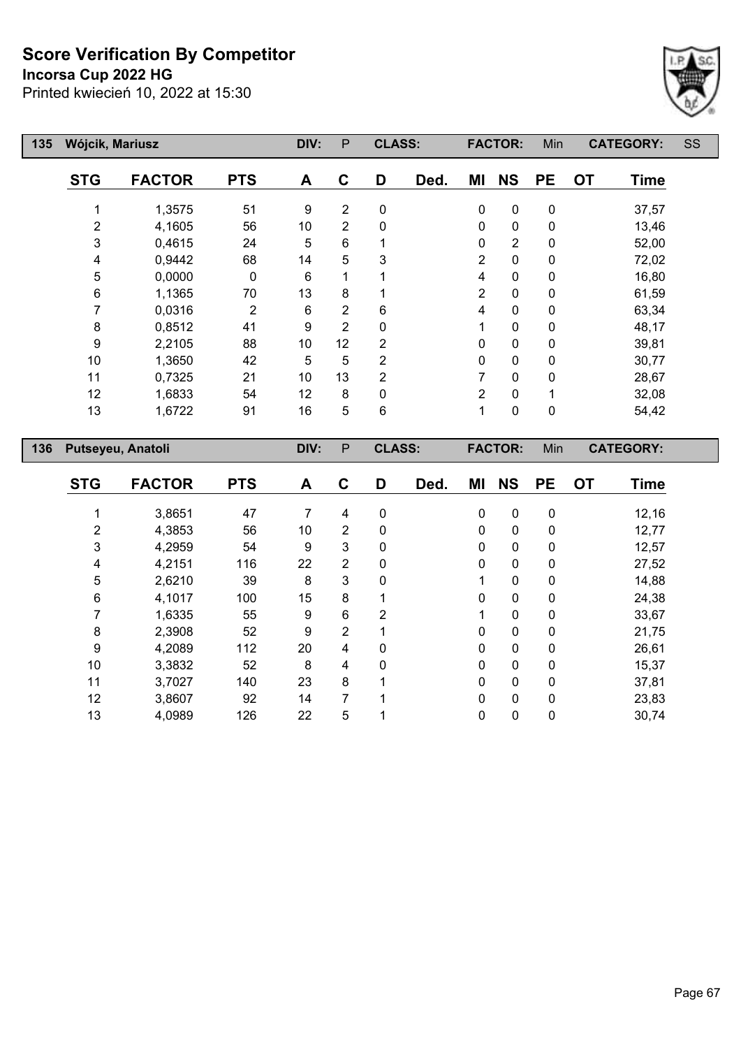**Incorsa Cup 2022 HG**



| 135 | Wójcik, Mariusz | DIV:              | P          | <b>CLASS:</b> |                |                | <b>FACTOR:</b> | Min            | <b>CATEGORY:</b> |             | SS               |             |  |
|-----|-----------------|-------------------|------------|---------------|----------------|----------------|----------------|----------------|------------------|-------------|------------------|-------------|--|
|     | <b>STG</b>      | <b>FACTOR</b>     | <b>PTS</b> | A             | C              | D              | Ded.           | ΜI             | <b>NS</b>        | <b>PE</b>   | <b>OT</b>        | <b>Time</b> |  |
|     |                 | 1,3575            | 51         | 9             | $\overline{2}$ | 0              |                | 0              | $\mathbf 0$      | $\pmb{0}$   |                  | 37,57       |  |
|     | 2               | 4,1605            | 56         | 10            | 2              | 0              |                | 0              | $\pmb{0}$        | 0           |                  | 13,46       |  |
|     | 3               | 0,4615            | 24         | 5             | $6\phantom{1}$ |                |                | $\mathbf 0$    | $\overline{2}$   | 0           |                  | 52,00       |  |
|     | 4               | 0,9442            | 68         | 14            | 5              | 3              |                | $\overline{2}$ | $\pmb{0}$        | 0           |                  | 72,02       |  |
|     | 5               | 0,0000            | 0          | 6             |                |                |                | 4              | 0                | 0           |                  | 16,80       |  |
|     | 6               | 1,1365            | 70         | 13            | 8              |                |                | $\overline{2}$ | 0                | 0           |                  | 61,59       |  |
|     | 7               | 0,0316            | 2          | 6             | $\overline{2}$ | 6              |                | 4              | 0                | $\mathbf 0$ |                  | 63,34       |  |
|     | 8               | 0,8512            | 41         | 9             | $\overline{2}$ | 0              |                | 1              | 0                | $\mathbf 0$ |                  | 48,17       |  |
|     | 9               | 2,2105            | 88         | 10            | 12             | $\overline{2}$ |                | 0              | 0                | 0           |                  | 39,81       |  |
|     | 10              | 1,3650            | 42         | 5             | 5              | $\overline{2}$ |                | $\mathbf 0$    | $\mathbf 0$      | $\mathbf 0$ |                  | 30,77       |  |
|     | 11              | 0,7325            | 21         | 10            | 13             | 2              |                | 7              | 0                | 0           |                  | 28,67       |  |
|     | 12              | 1,6833            | 54         | 12            | 8              | 0              |                | $\overline{2}$ | $\mathbf 0$      |             |                  | 32,08       |  |
|     | 13              | 1,6722            | 91         | 16            | 5              | 6              |                | 1              | $\pmb{0}$        | $\pmb{0}$   |                  | 54,42       |  |
| 136 |                 | Putseyeu, Anatoli |            | DIV:          | ${\sf P}$      | <b>CLASS:</b>  |                |                | <b>FACTOR:</b>   | Min         | <b>CATEGORY:</b> |             |  |
|     |                 |                   | ---        |               |                |                |                | ---            |                  |             |                  |             |  |

| <b>STG</b>     | <b>FACTOR</b> | <b>PTS</b> | A  | C | D           | Ded. | ΜI | <b>NS</b>    | <b>PE</b>   | <b>OT</b> | <b>Time</b> |
|----------------|---------------|------------|----|---|-------------|------|----|--------------|-------------|-----------|-------------|
|                | 3,8651        | 47         | 7  | 4 | 0           |      | 0  | 0            | $\mathbf 0$ |           | 12,16       |
| $\overline{2}$ | 4,3853        | 56         | 10 | 2 | 0           |      | 0  | 0            | 0           |           | 12,77       |
| 3              | 4,2959        | 54         | 9  | 3 | 0           |      | 0  | 0            | 0           |           | 12,57       |
| 4              | 4,2151        | 116        | 22 | 2 | 0           |      | 0  | 0            | 0           |           | 27,52       |
| 5              | 2,6210        | 39         | 8  | 3 | 0           |      |    | 0            | 0           |           | 14,88       |
| 6              | 4,1017        | 100        | 15 | 8 |             |      | 0  | 0            | 0           |           | 24,38       |
| 7              | 1,6335        | 55         | 9  | 6 | 2           |      |    | 0            | 0           |           | 33,67       |
| 8              | 2,3908        | 52         | 9  | 2 |             |      | 0  | 0            | 0           |           | 21,75       |
| 9              | 4,2089        | 112        | 20 | 4 | $\mathbf 0$ |      | 0  | 0            | $\Omega$    |           | 26,61       |
| 10             | 3,3832        | 52         | 8  | 4 | 0           |      | 0  | $\mathbf{0}$ | 0           |           | 15,37       |
| 11             | 3,7027        | 140        | 23 | 8 | 4           |      | 0  | 0            | $\Omega$    |           | 37,81       |
| 12             | 3,8607        | 92         | 14 | 7 | 1           |      | 0  | 0            | 0           |           | 23,83       |
| 13             | 4,0989        | 126        | 22 | 5 | ◢           |      | 0  | 0            | 0           |           | 30,74       |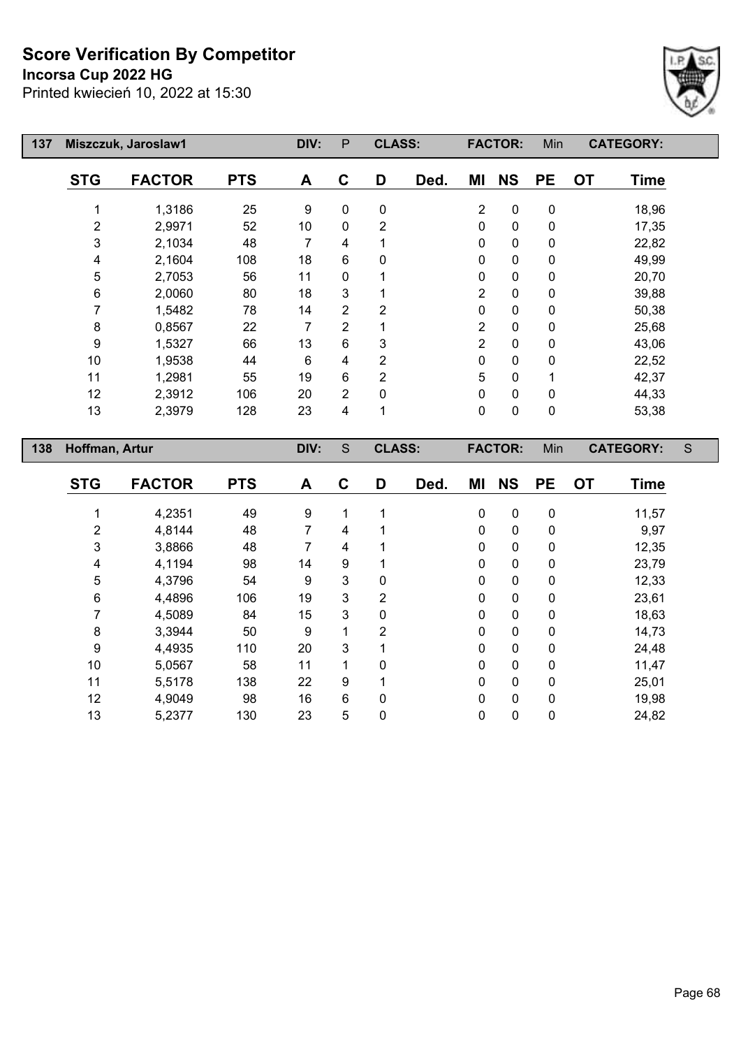## **Incorsa Cup 2022 HG**

Printed kwiecień 10, 2022 at 15:30



| 137 |                         | Miszczuk, Jaroslaw1 |            | DIV:                | P                | <b>CLASS:</b>             |      |                         | <b>FACTOR:</b>           | Min            |           | <b>CATEGORY:</b> |             |
|-----|-------------------------|---------------------|------------|---------------------|------------------|---------------------------|------|-------------------------|--------------------------|----------------|-----------|------------------|-------------|
|     | <b>STG</b>              | <b>FACTOR</b>       | <b>PTS</b> | A                   | $\mathbf C$      | D                         | Ded. | ΜI                      | <b>NS</b>                | <b>PE</b>      | <b>OT</b> | <b>Time</b>      |             |
|     | 1                       | 1,3186              | 25         | 9                   | $\mathbf 0$      | $\pmb{0}$                 |      | $\boldsymbol{2}$        | $\pmb{0}$                | $\pmb{0}$      |           | 18,96            |             |
|     | $\mathbf{2}$            | 2,9971              | 52         | 10                  | $\mathbf 0$      | $\boldsymbol{2}$          |      | 0                       | $\pmb{0}$                | $\pmb{0}$      |           | 17,35            |             |
|     | 3                       | 2,1034              | 48         | $\overline{7}$      | 4                | 1                         |      | 0                       | $\mathbf 0$              | 0              |           | 22,82            |             |
|     | 4                       | 2,1604              | 108        | 18                  | 6                | $\pmb{0}$                 |      | 0                       | $\pmb{0}$                | 0              |           | 49,99            |             |
|     | 5                       | 2,7053              | 56         | 11                  | 0                | 1                         |      | 0                       | $\pmb{0}$                | 0              |           | 20,70            |             |
|     | $\,6$                   | 2,0060              | 80         | 18                  | 3                | 1                         |      | $\overline{2}$          | $\pmb{0}$                | 0              |           | 39,88            |             |
|     | $\overline{7}$          | 1,5482              | 78         | 14                  | $\overline{2}$   | $\overline{2}$            |      | 0                       | $\pmb{0}$                | 0              |           | 50,38            |             |
|     | $\bf 8$                 | 0,8567              | 22         | $\overline{7}$      | $\overline{2}$   | 1                         |      | $\overline{\mathbf{c}}$ | $\pmb{0}$                | 0              |           | 25,68            |             |
|     | $\boldsymbol{9}$        | 1,5327              | 66         | 13                  | 6                | $\ensuremath{\mathsf{3}}$ |      | $\overline{2}$          | $\pmb{0}$                | $\pmb{0}$      |           | 43,06            |             |
|     | 10                      | 1,9538              | 44         | $\,6$               | 4                | $\overline{2}$            |      | $\pmb{0}$               | $\pmb{0}$                | 0              |           | 22,52            |             |
|     | 11                      | 1,2981              | 55         | 19                  | 6                | $\overline{2}$            |      | 5                       | $\pmb{0}$                | 1              |           | 42,37            |             |
|     | 12                      | 2,3912              | 106        | 20                  | $\overline{2}$   | $\mathbf 0$               |      | $\pmb{0}$               | $\mathbf 0$              | 0              |           | 44,33            |             |
|     | 13                      | 2,3979              | 128        | 23                  | 4                | 1                         |      | 0                       | $\pmb{0}$                | $\pmb{0}$      |           | 53,38            |             |
|     |                         |                     |            |                     |                  |                           |      |                         |                          |                |           |                  |             |
|     |                         |                     |            |                     |                  |                           |      |                         |                          |                |           |                  |             |
| 138 | Hoffman, Artur          |                     |            | DIV:                | $\mathsf S$      | <b>CLASS:</b>             |      |                         | <b>FACTOR:</b>           | Min            |           | <b>CATEGORY:</b> | $\mathsf S$ |
|     | <b>STG</b>              | <b>FACTOR</b>       | <b>PTS</b> | A                   | $\mathbf C$      | D                         | Ded. | MI                      | <b>NS</b>                | <b>PE</b>      | <b>OT</b> | <b>Time</b>      |             |
|     |                         |                     |            |                     |                  |                           |      |                         |                          |                |           |                  |             |
|     | 1                       | 4,2351<br>4,8144    | 49<br>48   | 9<br>$\overline{7}$ | $\mathbf 1$<br>4 | 1<br>1                    |      | 0<br>0                  | $\pmb{0}$<br>$\mathbf 0$ | $\pmb{0}$<br>0 |           | 11,57            |             |
|     | $\overline{c}$<br>3     | 3,8866              | 48         | $\overline{7}$      | 4                | 1                         |      | 0                       | $\pmb{0}$                | $\pmb{0}$      |           | 9,97<br>12,35    |             |
|     | $\overline{\mathbf{4}}$ | 4,1194              | 98         | 14                  | 9                | 1                         |      | 0                       | $\pmb{0}$                | 0              |           | 23,79            |             |
|     | 5                       | 4,3796              | 54         | 9                   | 3                | $\mathbf 0$               |      | 0                       | $\pmb{0}$                | $\pmb{0}$      |           | 12,33            |             |
|     | $\,6$                   | 4,4896              | 106        | 19                  | 3                | $\boldsymbol{2}$          |      | 0                       | $\mathbf 0$              | 0              |           | 23,61            |             |
|     | $\overline{7}$          | 4,5089              | 84         | 15                  | 3                | $\pmb{0}$                 |      | 0                       | $\pmb{0}$                | 0              |           | 18,63            |             |
|     | $\bf 8$                 | 3,3944              | 50         | $\boldsymbol{9}$    | $\mathbf{1}$     | $\overline{2}$            |      | 0                       | $\pmb{0}$                | 0              |           | 14,73            |             |
|     | $\boldsymbol{9}$        | 4,4935              | 110        | 20                  | 3                | 1                         |      | 0                       | $\mathbf 0$              | 0              |           | 24,48            |             |
|     | 10                      | 5,0567              | 58         | 11                  | $\mathbf 1$      | $\pmb{0}$                 |      | 0                       | $\pmb{0}$                | $\pmb{0}$      |           | 11,47            |             |
|     | 11                      | 5,5178              | 138        | 22                  | 9                | 1                         |      | 0                       | $\mathbf 0$              | 0              |           | 25,01            |             |

5,2377 130 23 5 0 0 0 0 24,82